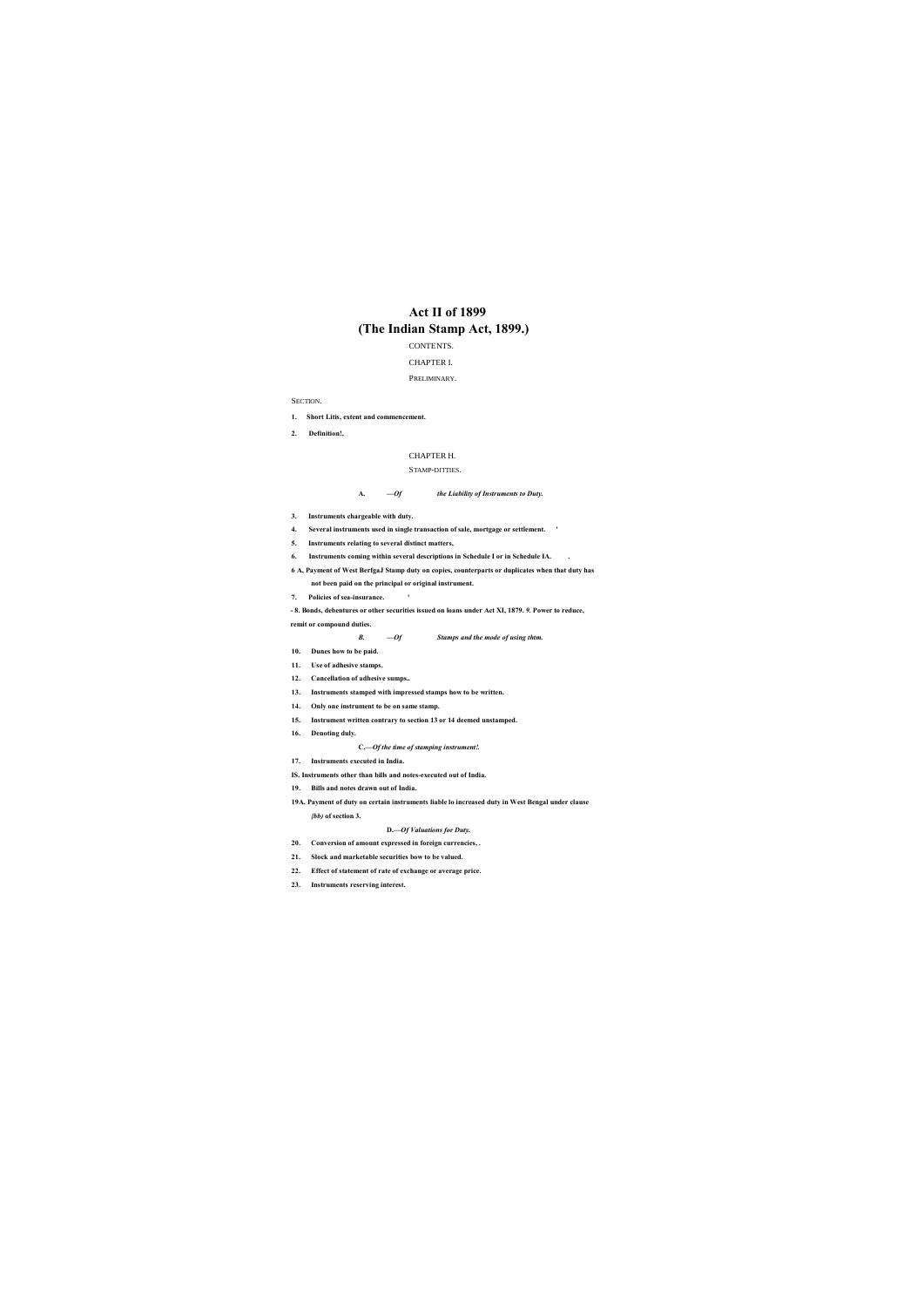# **Act II of 1899 (The Indian Stamp Act, 1899.)**

CONTENTS.

CHAPTER I.

# PRELIMINARY.

- SECTION.
- **1. Short Litis, extent and commencement.**
- **2. Definition!,**

# CHAPTER H. STAMP-DITTIES.

#### **A. —***Of the Liability of Instruments to Duty.*

- **3. Instruments chargeable with duty.**
- **4. Several instruments used in single transaction of sale, mortgage or settlement. '**
- **5. Instruments relating to several distinct matters,**
- **6. Instruments coming within several descriptions in Schedule I or in Schedule IA. .**
- **6 A, Payment of West BerfgaJ Stamp duty on copies, counterparts or duplicates when that duty has not been paid on the principal or original instrument.**
- 
- **7. Policies of sea-insurance. '**
- **- 8. Bonds, debentures or other securities issued on loans under Act XI, 1879.** *9.* **Power to reduce,**

**remit or compound duties.**

- *B. —Of Stamps and the mode of using thtm.*
- **10. Dunes how to be paid.**
- **11. Use of adhesive stamps.**
- **12. Cancellation of adhesive sumps..**
- **13. Instruments stamped with impressed stamps how to be written.**
- **14. Only one instrument to be on same stamp.**
- **15. Instrument written contrary to section 13 or 14 deemed unstamped.**
- **16. Denoting duly.**
	- **C.—***Of the time of stamping instrument!.*
- **17. Instruments executed in India.**
- **IS. Instruments other than bills and notes-executed out of India.**
- **19. Bills and notes drawn out of India.**
- **19A. Payment of duty on certain instruments liable lo increased duty in West Bengal under clause**
	- *{bb)* **of section 3.**

#### **D.—***Of Valuations for Duty.*

- **20. Conversion of amount expressed in foreign currencies, .**
- **21. Slock and marketable securities bow to be valued.**
- **22. Effect of statement of rate of exchange or average price.**
- **23. Instruments reserving interest.**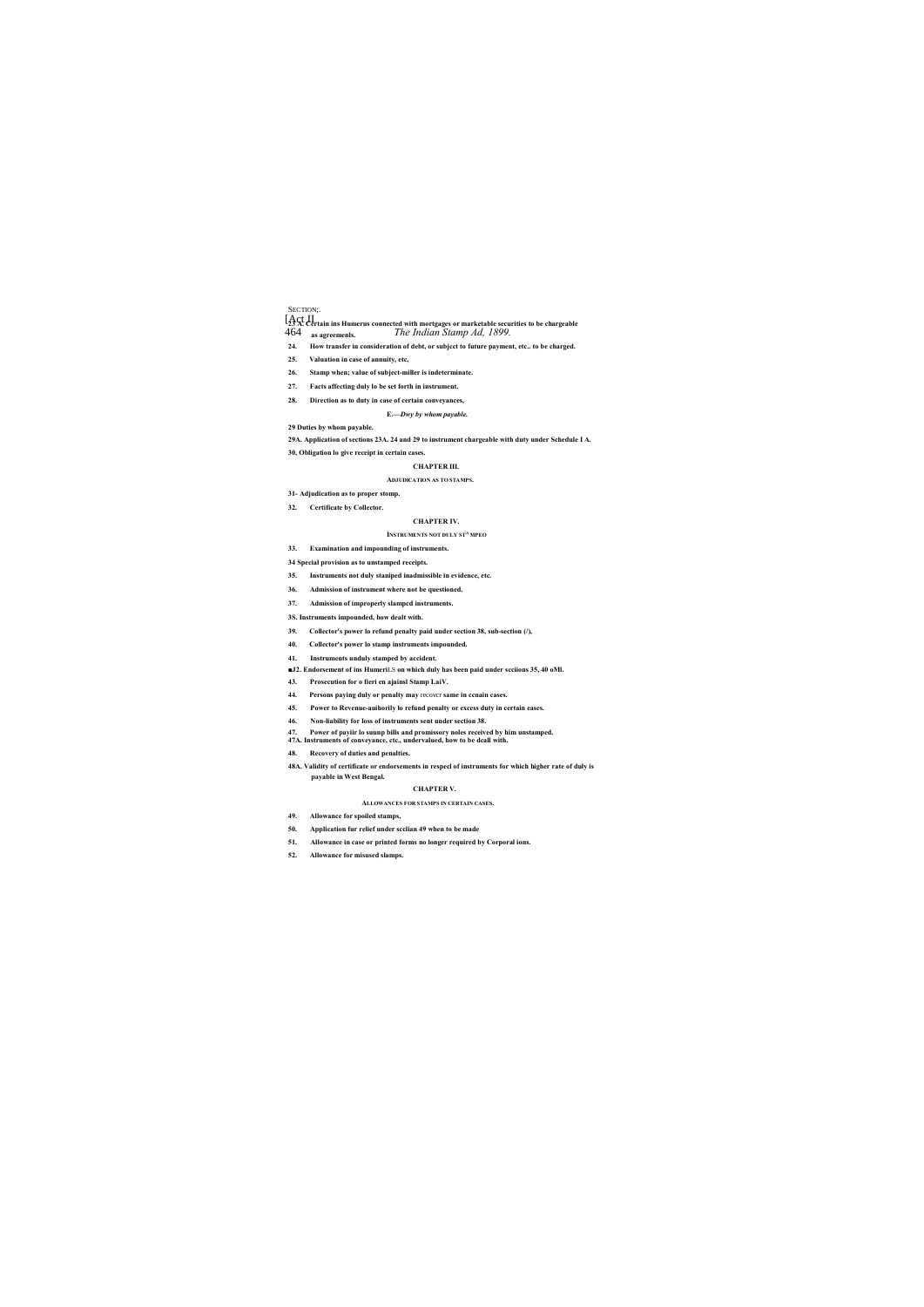[Act II

SECTION;.

- 
- 
- 464 *The Indian Stamp Ad, 1899.* **23 A. Certain ins Humerus connected with mortgages or marketable securities to be chargeable**
- 
- **as agreemenls. 24. How transfer in consideration of debt, or subjcct to future payment, etc.. to be charged.**
- 

**25. Valuation in case of annuity, etc,**

**26. Stamp when; value of subject-miller is indeterminate. 27. Facts affecting duly lo be set forth in instrument. 28. Direction as to duty in case of certain conveyances,**

**E.—***Dwy by whom payable.*

**29 Duties by whom payable.**

**29A. Application of sections 23A. 24 and 29 to instrument chargeable with duty under Schedule I A.**

**30, Obligation lo give receipt in certain cases.**

**CHAPTER III. ADJUDICATION AS TO STAMPS.**

**31- Adjudication as to proper stomp. 32. Certificate by Collector.**

**CHAPTER IV. INSTRUMENTS NOT DULY ST^MPEO**

**33. Examination and impounding of instruments. 34 Special provision as to unstamped receipts.**

**35. Instruments not duly staniped inadmissible in evidence, etc. 36. Admission of instrument where not be questioned. 37. Admission of improperly slampcd instruments. 3S. Instruments impounded, how dealt with.**

**39. Collector's power lo refund penalty paid under section 38, sub-section (/),**

**40. Collector's power lo stamp instruments impounded. 41. Instruments unduly stamped by accident.**

**■J2. Endorsement of ins Humeri**LS **on which duly has been paid under scciions 35, 40 oMl.**

**43. Prosecution for o fieri en ajainsl Stamp LaiV.**

**44. Persons paying duly or penalty may** recovcr **same in ccnain cases.**

**45. Power to Revenue-auihorily lo refund penalty or excess duty in certain eases.**

**46. Non-liability for loss of instruments sent under section 38.**

**47. Power of payiir lo suunp bills and promissory noles received by him unstamped. 47A. Instruments of conveyance, ctc., undervalued, how to be dcall with. 48. Recovery of duties and penalties.**

- 
- **48A. Validity of certificate or endorsements in respecl of instruments for which higher rate of duly is payable in West Bengal.**

### **CHAPTER V.**

- **ALLOWANCES FOR STAMPS IN CERTAIN CASES.**
- **49. Allowance for spoiled stamps,**
- **50. Application fur relief under scclian 49 when to be made**
- **51. Allowance in case or printed forms no longer required by Corporal ions.**
- **52. Allowance for misused slamps.**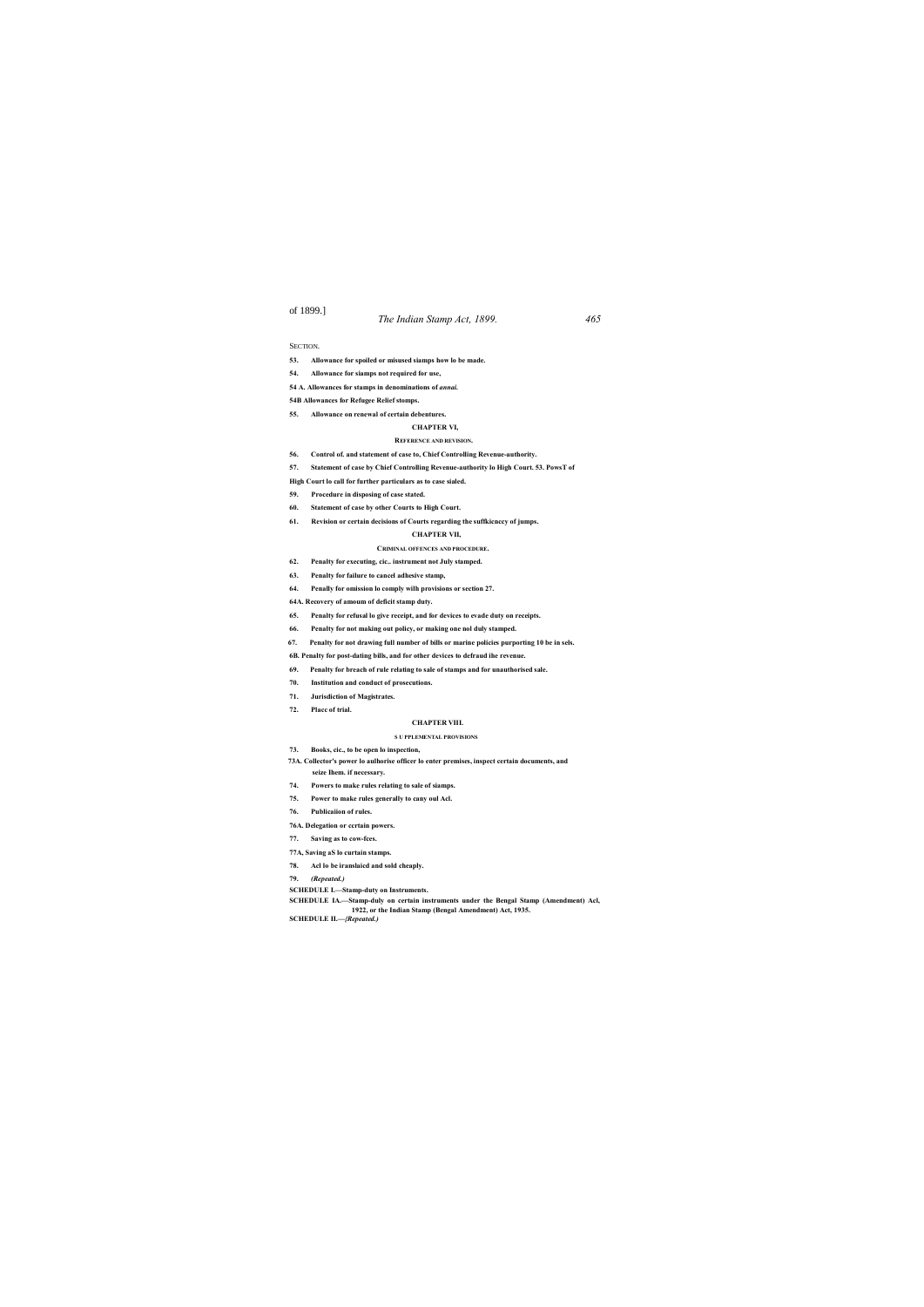# *The Indian Stamp Act, 1899. <sup>465</sup>* of 1899.]

#### SECTION.

- **53. Allowance for spoiled or misused siamps how lo be made.**
- **54. Allowance for siamps not required for use,**
- **54 A. Allowances for stamps in denominations of** *annai.*
- **54B Allowances for Refugee Relief stomps.**
- **55. Allowance on renewal of certain debentures.**
	- **CHAPTER VI,**

#### **REFERENCE AND REVISION.**

- **56. Control of. and statement of case to, Chief Controlling Revenue-authority.**
- **57. Statement of case by Chief Controlling Revenue-authority lo High Court. 53. PowsT of**
- **High Court lo call for further particulars as to case sialed.**
- **59. Procedure in disposing of case stated.**
- **60. Statement of case by other Courts to High Court.**
- **61. Revision or certain decisions of Courts regarding the suffkicnccy of jumps.**

# **CHAPTER VII,**

#### **CRIMINAL OFFENCES AND PROCEDURE.**

- **62. Penalty for executing, cic.. instrument not July stamped.**
- **63. Penalty for failure to cancel adhesive stamp,**
- **64. Penally for omission lo comply wilh provisions or section 27.**
- **64A. Recovery of amoum of deficit stamp duty.**
- **65. Penalty for refusal lo give receipt, and for devices to evade duty on receipts.**
- **66. Penalty for not making out policy, or making one nol duly stamped.**
- **67. Penalty for not drawing full number of bills or marine policies purporting 10 be in sels.**
- **6B. Penalty for post-dating bills, and for other devices to defraud ihe revenue.**
- **69. Penalty for breach of rule relating to sale of stamps and for unauthorised sale.**
- **70. Institution and conduct of prosecutions.**
- **71. Jurisdiction of Magistrates.**
- **72. Placc of trial.**

# **CHAPTER VIII.**

#### **S U PPLEMENTAL PROVISIONS**

- **73. Books, cic., to be open lo inspection,**
- **73A. Collector's power lo aulhorise officer lo enter premises, inspect certain documents, and seize Ihem. if necessary.**
- **74. Powers to make rules relating to sale of siamps.**
- **75. Power to make rules generally to cany oul Acl.**
- **76. Publicaiion of rules.**
- **76A. Delegation or ccrtain powers.**
- **77. Saving as to cow-fces.**
- **77A, Saving aS lo curtain stamps.**
- **78. Acl lo be iranslaicd and sold cheaply.**
- **79.** *(Repeated.)*
- **SCHEDULE I.—Stamp-duty on Instruments.**
- **SCHEDULE IA.—Stamp-duly on certain instruments under the Bengal Stamp (Amendment) Acl,** 
	- **1922, or the Indian Stamp (Bengal Amendment) Act, 1935.**
- **SCHEDULE II.—***{Repeated.)*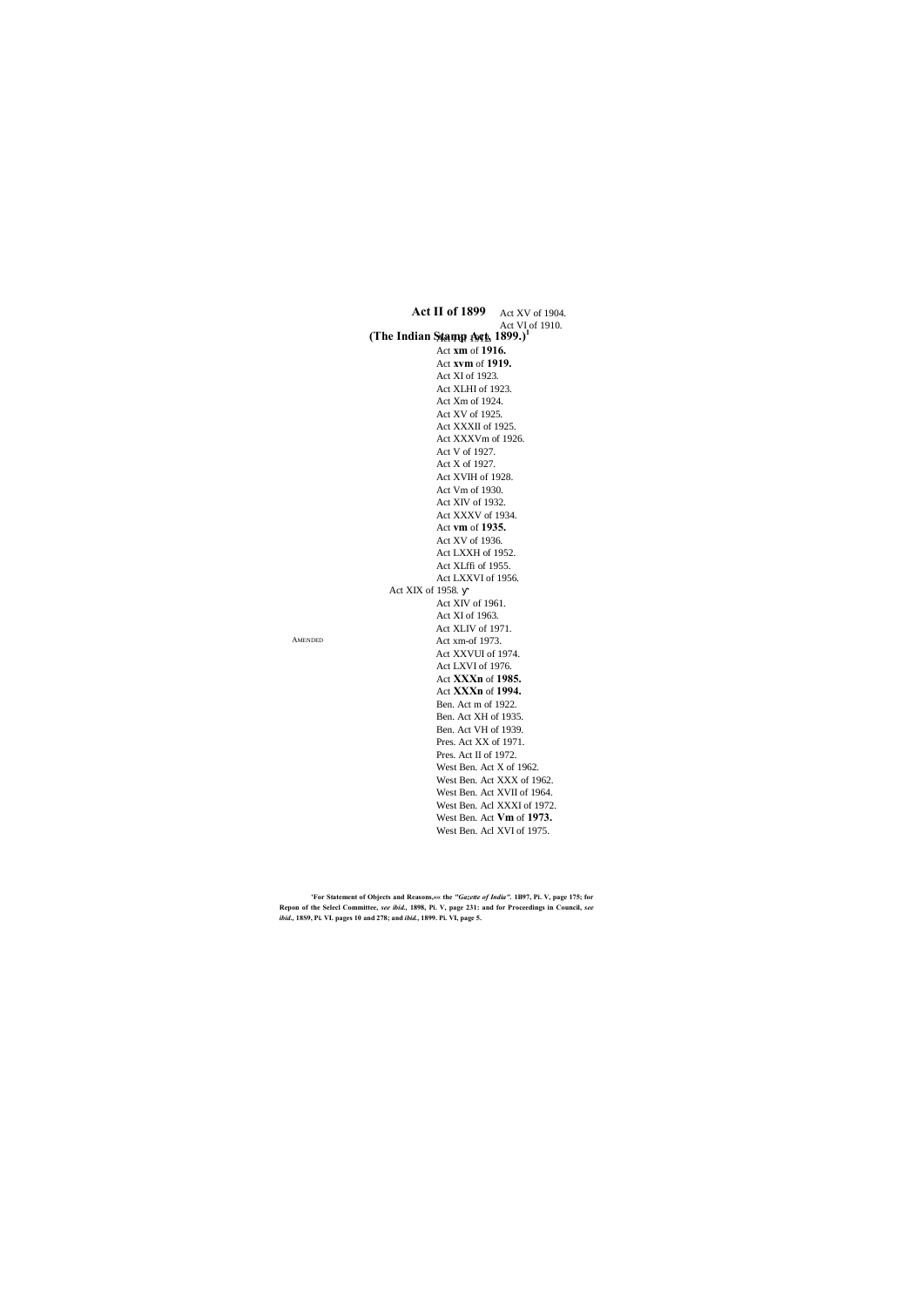AMENDED

(The Indian Stamp Act,  $1899$ .)<sup>1</sup> **Act II of 1899** Act XV of 1904. Act VI of 1910. Act **xm** of **1916.** Act **xvm** of **1919.** Act XI of 1923. Act XLHI of 1923. Act Xm of 1924. Act XV of 1925. Act XXXII of 1925. Act XXXVm of 1926. Act V of 1927. Act X of 1927. Act XVIH of 1928. Act Vm of 1930. Act XIV of 1932. Act XXXV of 1934. Act **vm** of **1935.** Act XV of 1936. Act LXXH of 1952. Act XLffi of 1955. Act LXXVI of 1956. Act XIX of 1958. Act XIV of 1961. Act XI of 1963. Act XLIV of 1971. Act xm-of 1973. Act XXVUI of 1974. Act LXVI of 1976. Act **XXXn** of **1985.** Act **XXXn** of **1994.** Ben. Act m of 1922. Ben. Act XH of 1935. Ben. Act VH of 1939. Pres. Act XX of 1971. Pres. Act II of 1972. West Ben. Act X of 1962. West Ben. Act XXX of 1962. West Ben. Act XVII of 1964. West Ben. Acl XXXI of 1972. West Ben. Act **Vm** of **1973.** West Ben. Acl XVI of 1975.

**'For Statement of Objects and Reasons,«« the** *"Gazette of India".* **1B97, Pi. V, page 175; for Repon of the Selecl Committee,** *see ibid.,* **1898, Pi. V, page 231: and for Proceedings in Council,** *see ibid.,* **18S9, Pi. VI. pages 10 and 278; and** *ibid.,* **1899. Pi. VI, page 5.**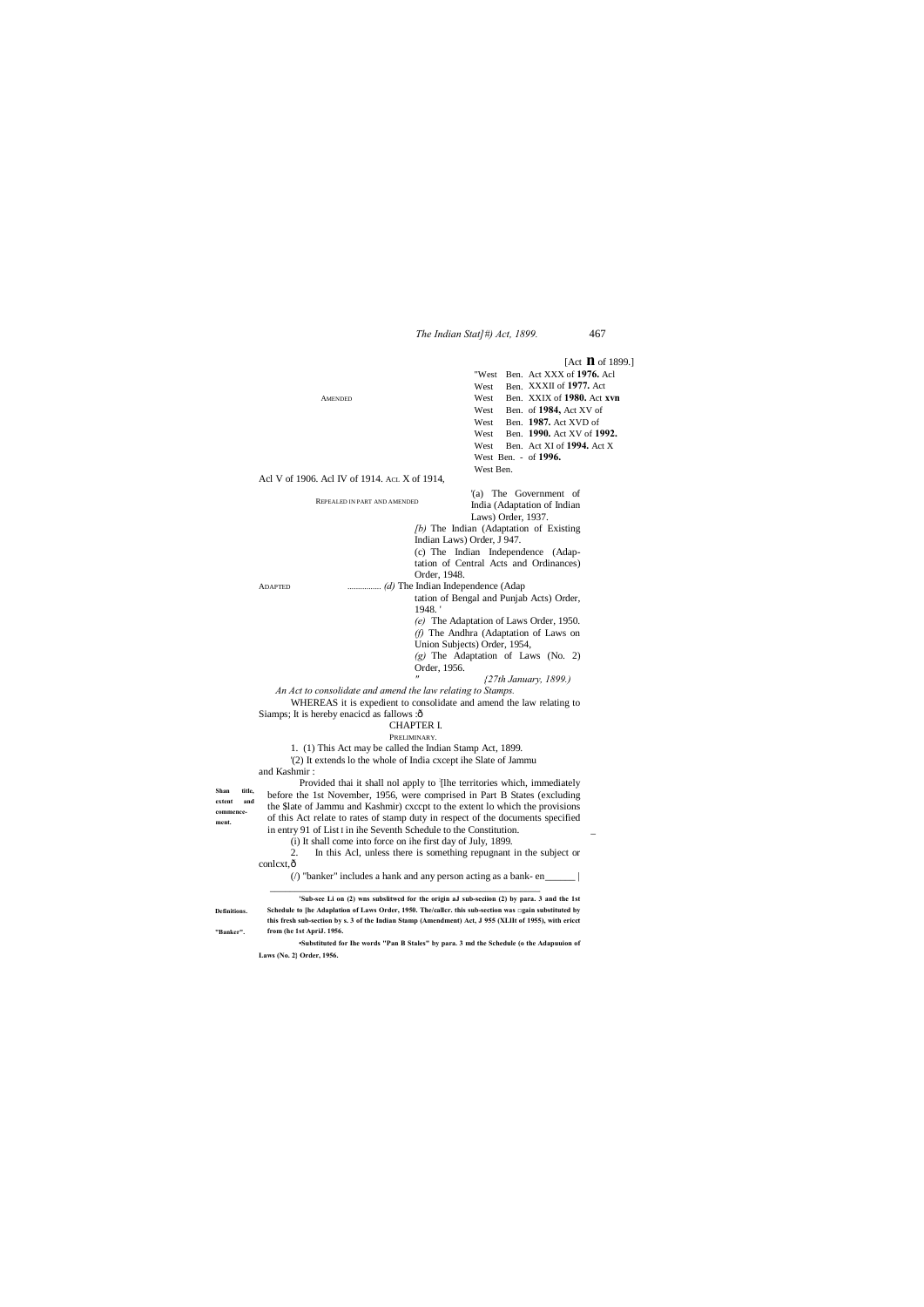*The Indian Stat]#) Act, 1899.* 467

"West Ben. Act XXX of **1976.** Acl West Ben. XXXII of **1977.** Act West Ben. XXIX of **1980.** Act **xvn** West Ben. of **1984,** Act XV of West Ben. 1987. Act XVD of West Ben. **1990.** Act XV of **1992.**  West Ben. Act XI of **1994.** Act X West Ben. - of **1996.** West Ben. AMENDED REPEALED IN PART AND AMENDED **Shan title, extent and commencement. Definitions. "Banker".** [Act **n** of 1899.] Acl V of 1906. Acl IV of 1914. ACL X of 1914, '(a) The Government of India (Adaptation of Indian Laws) Order, 1937. *[b)* The Indian (Adaptation of Existing Indian Laws) Order, J 947. (c) The Indian Independence (Adaptation of Central Acts and Ordinances) Order, 1948. ADAPTED ................ *(d)* The Indian Independence (Adap tation of Bengal and Punjab Acts) Order, 1948. ' *(e)* The Adaptation of Laws Order, 1950. *(f)* The Andhra (Adaptation of Laws on Union Subjects) Order, 1954, *(g)* The Adaptation of Laws (No. 2) Order, 1956. *" {27th January, 1899.) An Act to consolidate and amend the law relating to Stamps.* WHEREAS it is expedient to consolidate and amend the law relating to Siamps; It is hereby enacicd as fallows :ô CHAPTER I. PRELIMINARY. 1. (1) This Act may be called the Indian Stamp Act, 1899. '(2) It extends lo the whole of India cxcept ihe Slate of Jammu and Kashmir : Provided thai it shall nol apply to [lhe territories which, immediately before the 1st November, 1956, were comprised in Part B States (excluding the \$late of Jammu and Kashmir) cxccpt to the extent lo which the provisions of this Act relate to rates of stamp duty in respect of the documents specified in entry 91 of List I in ihe Seventh Schedule to the Constitution. \_ (i) It shall come into force on ihe first day of July, 1899. 2. In this Acl, unless there is something repugnant in the subject or conlcxt, $\hat{o}$ (/) "banker" includes a hank and any person acting as a bank- en\_\_\_\_\_\_ | \_\_\_\_\_\_\_\_\_\_\_\_\_\_\_\_\_\_\_\_\_\_\_\_\_\_\_\_\_\_\_\_\_\_\_\_\_\_\_\_\_\_\_\_\_\_\_\_\_\_\_\_\_\_ **'Sub-see Li on (2) wns subslitwcd for the origin aJ sub-seciion (2) by para. 3 and the 1st Schedule to [he Adaplation of Laws Order, 1950. The/callcr. this sub-section was □gain substituted by this fresh sub-section by s. 3 of the Indian Stamp (Amendment) Act, J 955 (XLlIt of 1955), with ericct from (he 1st ApriJ. 1956.**

> **•Substituted for Ihe words "Pan B Stales" by para. 3 md the Schedule (o the Adapuuion of Laws (No. 2} Order, 1956.**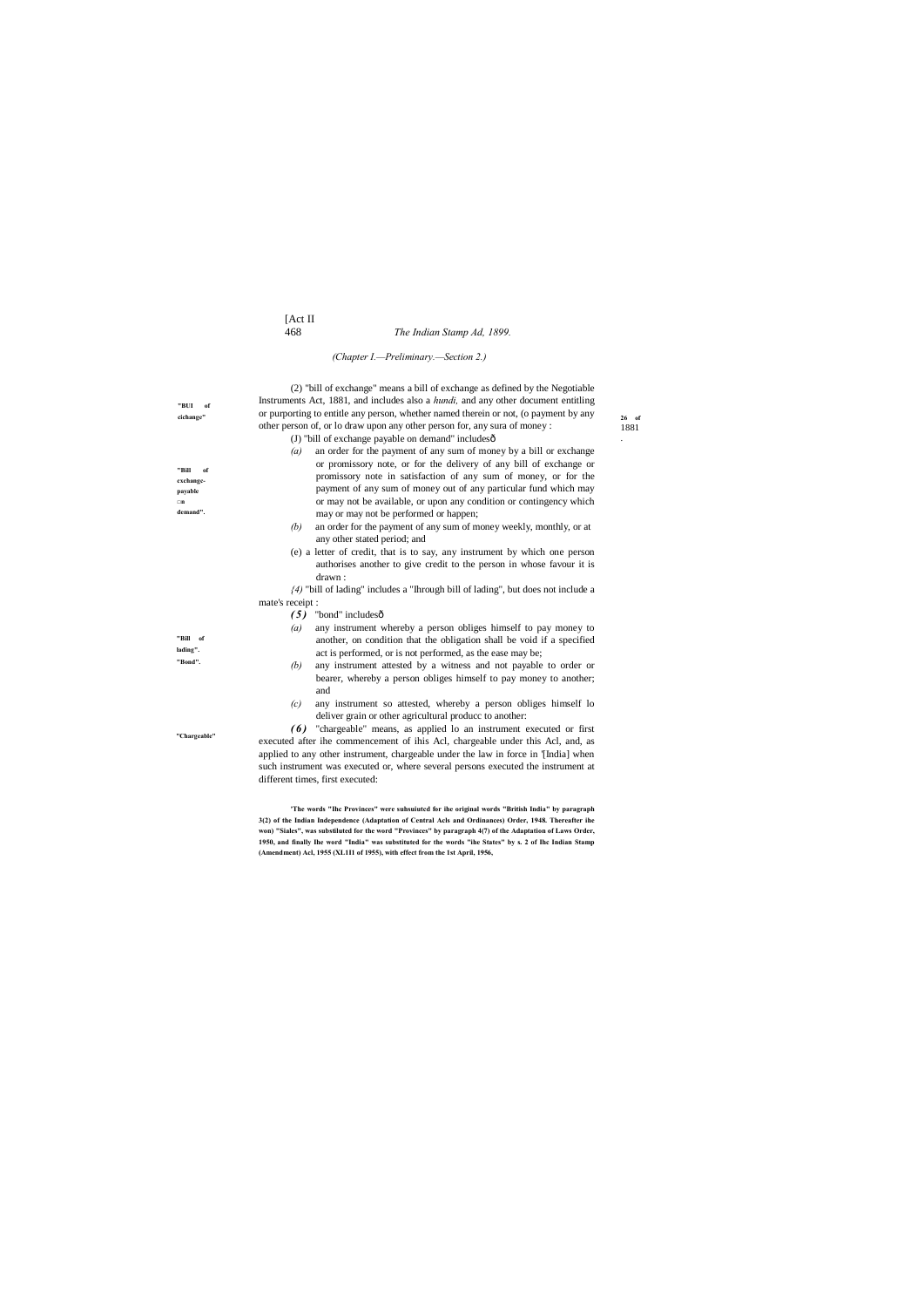# [Act II

#### 468 *The Indian Stamp Ad, 1899.*

**cichange" 26 of**  or purporting to entitle any person, whether named therein or not, (o payment by any (2) "bill of exchange" means a bill of exchange as defined by the Negotiable Instruments Act, 1881, and includes also a *hundi,* and any other document entitling other person of, or lo draw upon any other person for, any sura of money : (J) "bill of exchange payable on demand" includesô

**"BUI of** 

1881 .

**"Bill of cxchangcpayable □n demand".**

**"Bill of lading". "Bond".**

**"Chargeable"**

### *(Chapter I.—Preliminary.—Section 2.)*

- *(a)* an order for the payment of any sum of money by a bill or exchange or promissory note, or for the delivery of any bill of exchange or promissory note in satisfaction of any sum of money, or for the payment of any sum of money out of any particular fund which may or may not be available, or upon any condition or contingency which may or may not be performed or happen;
- *(b)* an order for the payment of any sum of money weekly, monthly, or at any other stated period; and
- (e) a letter of credit, that is to say, any instrument by which one person authorises another to give credit to the person in whose favour it is drawn :

*( 6 )* "chargeable" means, as applied lo an instrument executed or first executed after ihe commencement of ihis Acl, chargeable under this Acl, and, as applied to any other instrument, chargeable under the law in force in '[India] when such instrument was executed or, where several persons executed the instrument at different times, first executed:

*{4)* "bill of lading" includes a "Ihrough bill of lading", but does not include a mate's receipt :

- *( 5 )* "bond" includes—
- *(a)* any instrument whereby a person obliges himself to pay money to another, on condition that the obligation shall be void if a specified act is performed, or is not performed, as the ease may be;
- *(b)* any instrument attested by a witness and not payable to order or bearer, whereby a person obliges himself to pay money to another; and
- *(c)* any instrument so attested, whereby a person obliges himself lo deliver grain or other agricultural producc to another:

**'The words "Ihc Provinces" were suhsuiutcd for ihe original words "British India" by paragraph 3(2) of the Indian Independence (Adaptation of Central Acls and Ordinances) Order, 1948. Thereafter ihe won) "Siales", was substiluted for the word "Provinces" by paragraph 4(7) of the Adaptation of Laws Order, 1950, and finally Ihe word "India" was substituted for the words "ihe States" by s. 2 of Ihc Indian Stamp (Amendment) Acl, 1955 (XL1I1 of 1955), with effect from the 1st April, 1956,**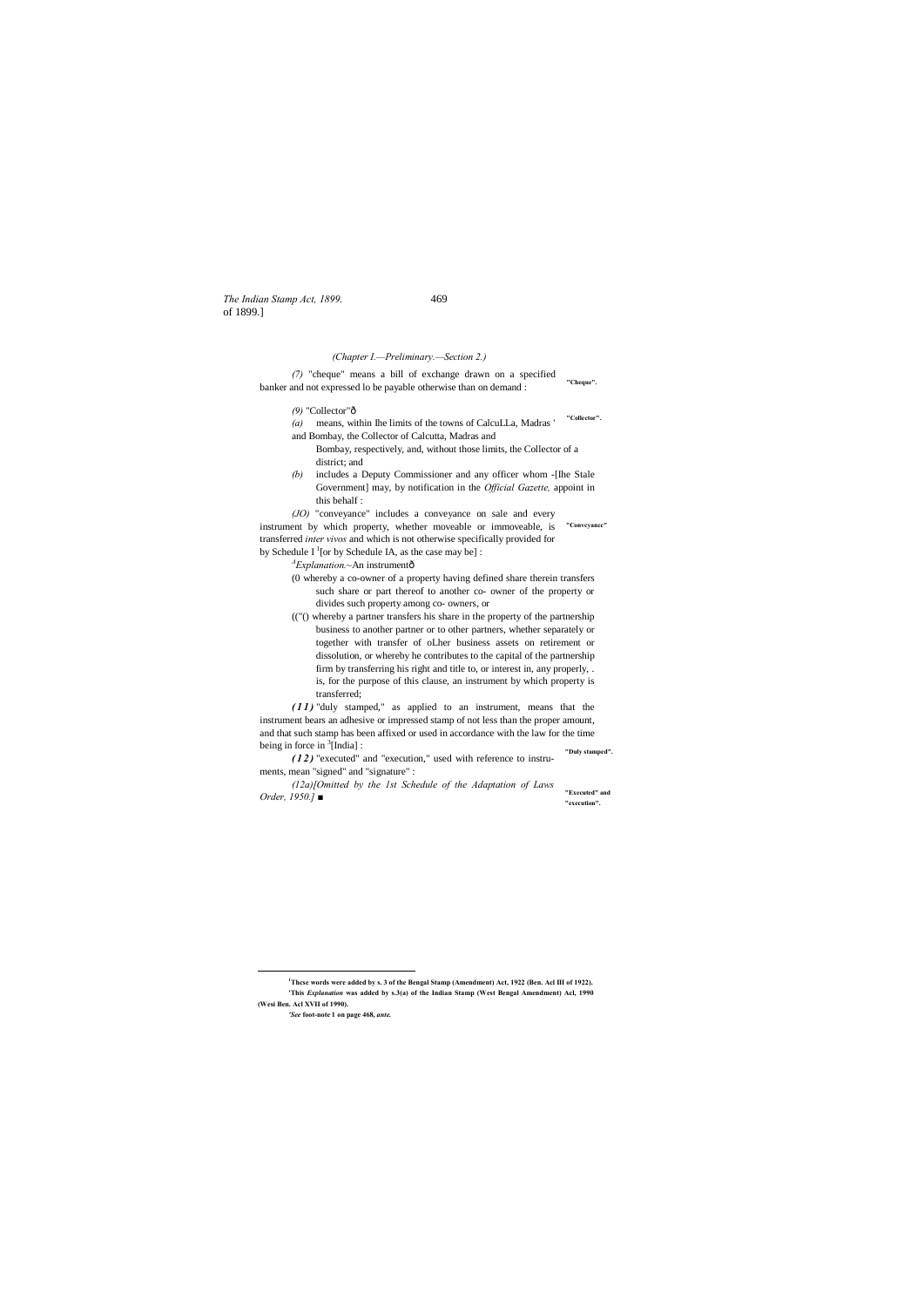*The Indian Stamp Act, 1899.* 469 of 1899.]

**"Duly stamped".**

**"Executed" and "execution".**

*(Chapter I.—Preliminary.—Section 2.)*

**"Cheque".** *(7)* "cheque" means a bill of exchange drawn on a specified banker and not expressed lo be payable otherwise than on demand :

*(9)* "Collector"ô

**"Collector".** *(a)* means, within Ihe limits of the towns of CalcuLLa, Madras ' and Bombay, the Collector of Calcutta, Madras and

instrument by which property, whether moveable or immoveable, is "Conveyance" transferred *inter vivos* and which is not otherwise specifically provided for

by Schedule  $I<sup>1</sup>$  [or by Schedule IA, as the case may be] :

- Bombay, respectively, and, without those limits, the Collector of a district; and
- *(b)* includes a Deputy Commissioner and any officer whom -[Ihe Stale Government] may, by notification in the *Official Gazette,* appoint in this behalf :

*(JO)* "conveyance" includes a conveyance on sale and every

*( 1 1 )* "duly stamped," as applied to an instrument, means that the instrument bears an adhesive or impressed stamp of not less than the proper amount, and that such stamp has been affixed or used in accordance with the law for the time being in force in  ${}^{3}$ [India] :

*(12)* "executed" and "execution," used with reference to instruments, mean "signed" and "signature" :

 $\overline{a}$ 

- *A Explanation.~*An instrument—
- (0 whereby a co-owner of a property having defined share therein transfers such share or part thereof to another co- owner of the property or divides such property among co- owners, or
- (("() whereby a partner transfers his share in the property of the partnership business to another partner or to other partners, whether separately or together with transfer of oLher business assets on retirement or dissolution, or whereby he contributes to the capital of the partnership firm by transferring his right and title to, or interest in, any properly, . is, for the purpose of this clause, an instrument by which property is transferred;

*(12a)[Omitted by the 1st Schedule of the Adaptation of Laws Order, 1950.] ■*

**'This** *Explanation* **was added by s.3(a) of the Indian Stamp (West Bengal Amendment) Acl, 1990 (Wesi Ben. Acl XVII of 1990).** *'See* **foot-note 1 on page 468,** *ante.*

**<sup>1</sup> Thcse words were added by s. 3 of the Bengal Stamp (Amendment) Act, 1922 (Ben. Acl III of 1922).**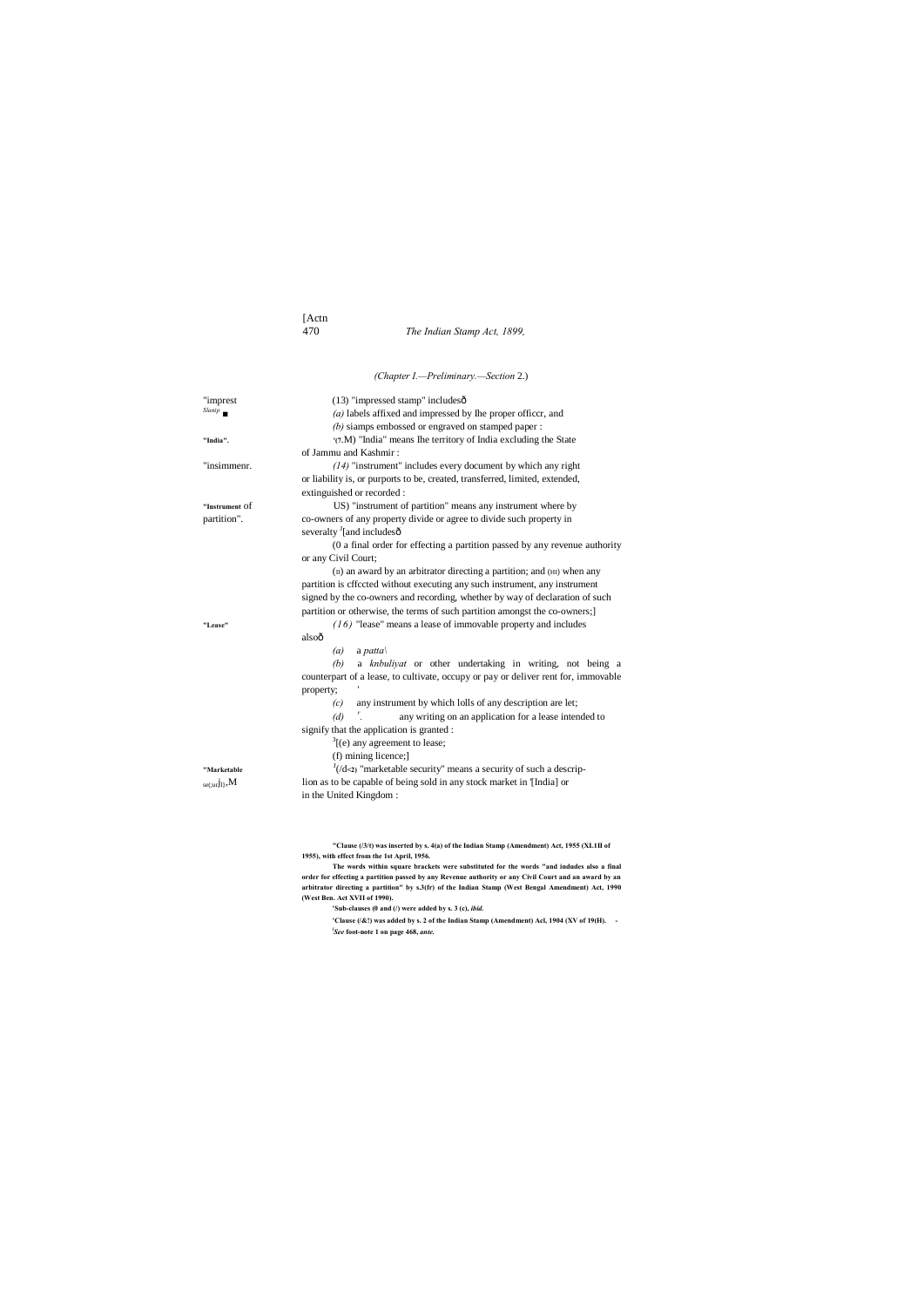# [Actn]<br>470

# 470 *The Indian Stamp Act, 1899,*

# *(Chapter I.—Preliminary.—Section* 2.)

| "imprest          | (13) "impressed stamp" includesô                                                   |  |  |
|-------------------|------------------------------------------------------------------------------------|--|--|
| Slanip            | (a) labels affixed and impressed by Ihe proper officer, and                        |  |  |
|                   | (b) siamps embossed or engraved on stamped paper :                                 |  |  |
| "India".          | '(7.M) "India" means Ihe territory of India excluding the State                    |  |  |
|                   | of Jammu and Kashmir:                                                              |  |  |
| "insimmenr.       | $(14)$ "instrument" includes every document by which any right                     |  |  |
|                   | or liability is, or purports to be, created, transferred, limited, extended,       |  |  |
|                   | extinguished or recorded :                                                         |  |  |
| "Instrument Of    | US) "instrument of partition" means any instrument where by                        |  |  |
| partition".       | co-owners of any property divide or agree to divide such property in               |  |  |
|                   | severalty <sup>J</sup> [and includesô                                              |  |  |
|                   | (0 a final order for effecting a partition passed by any revenue authority         |  |  |
|                   | or any Civil Court;                                                                |  |  |
|                   | (II) an award by an arbitrator directing a partition; and (HI) when any            |  |  |
|                   | partition is cffccted without executing any such instrument, any instrument        |  |  |
|                   | signed by the co-owners and recording, whether by way of declaration of such       |  |  |
|                   | partition or otherwise, the terms of such partition amongst the co-owners;]        |  |  |
| "Lease"           | $(16)$ "lease" means a lease of immovable property and includes                    |  |  |
|                   | alsoô                                                                              |  |  |
|                   | a patta<br>(a)                                                                     |  |  |
|                   | (b)<br>a knbuliyat or other undertaking in writing, not being a                    |  |  |
|                   | counterpart of a lease, to cultivate, occupy or pay or deliver rent for, immovable |  |  |
|                   | property;                                                                          |  |  |
|                   | any instrument by which lolls of any description are let;<br>(c)                   |  |  |
|                   | any writing on an application for a lease intended to<br>(d)                       |  |  |
|                   | signify that the application is granted :                                          |  |  |
|                   | $\frac{3}{2}$ [(e) any agreement to lease;                                         |  |  |
|                   | (f) mining licence;]                                                               |  |  |
| "Marketable       | $J/(d\leq 2)$ "marketable security" means a security of such a descrip-            |  |  |
| $_{se(xu}j_{1},M$ | lion as to be capable of being sold in any stock market in '[India] or             |  |  |
|                   | in the United Kingdom:                                                             |  |  |
|                   |                                                                                    |  |  |
|                   |                                                                                    |  |  |

**"Clause (/3/t) was inserted by s. 4(a) of the Indian Stamp (Amendment) Act, 1955 (XL1II of 1955), with effect from the 1st April, 1956.**

**The words within square brackets were substituted for the words "and indudes also a final order for effecting a partition passed by any Revenue authority or any Civil Court and an award by an arbitrator directing a partition" by s.3(fr) of the Indian Stamp (West Bengal Amendment) Act, 1990 (West Ben. Act XVII of 1990).**

**'Sub-clauses (0 and (/) were added by s. 3 (c),** *ibid.*

**'Clause (/&!) was added by s. 2 of the Indian Stamp (Amendment) Acl, 1904 (XV of 19(H).**  *l See* **foot-note 1 on page 468,** *ante.*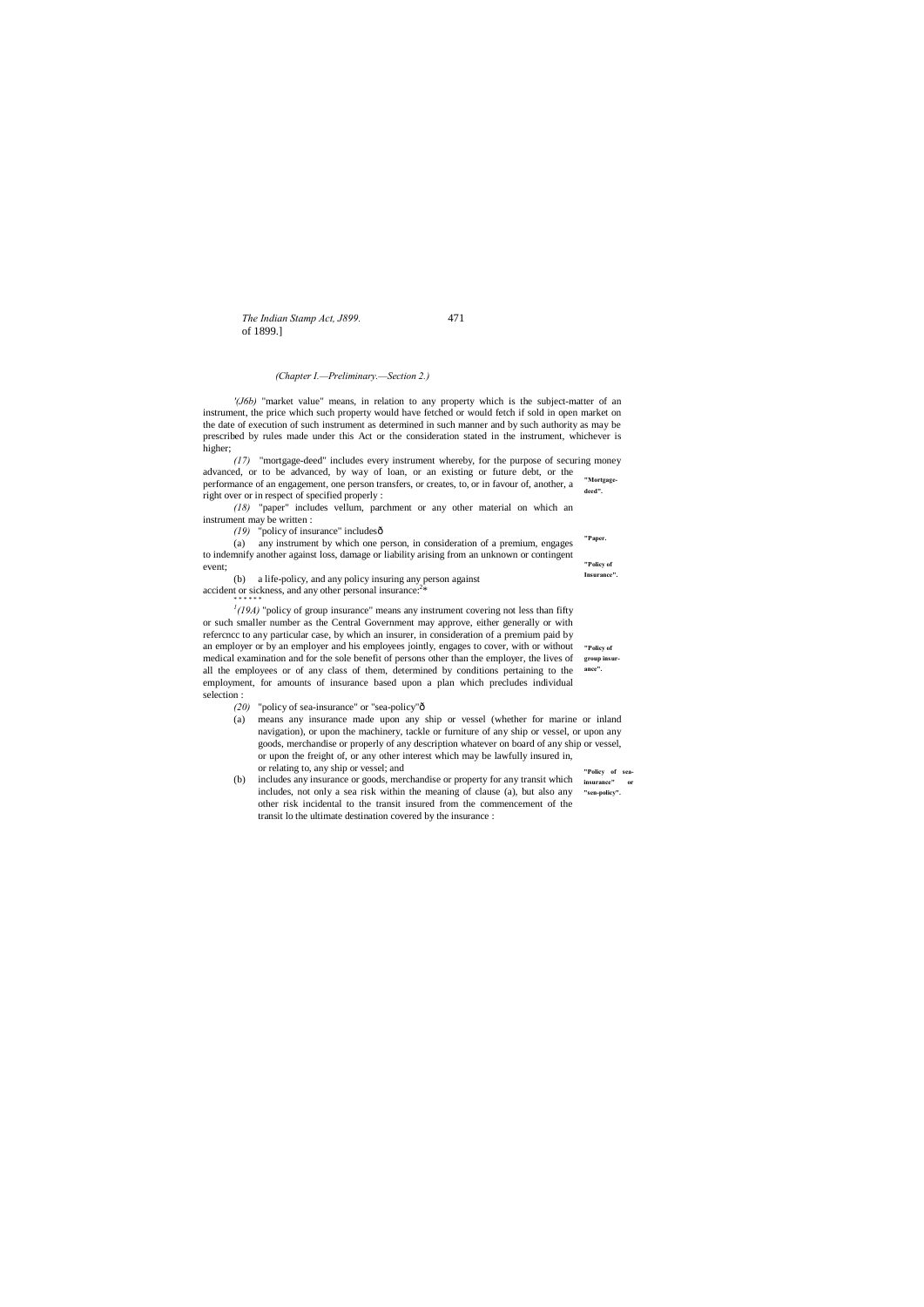*The Indian Stamp Act, J899.* 471 of 1899.]

#### *(Chapter I.—Preliminary.—Section 2.)*

*'(J6b)* "market value" means, in relation to any property which is the subject-matter of an instrument, the price which such property would have fetched or would fetch if sold in open market on the date of execution of such instrument as determined in such manner and by such authority as may be prescribed by rules made under this Act or the consideration stated in the instrument, whichever is higher;

**"Mortgagedeed".** *(17)* "mortgage-deed" includes every instrument whereby, for the purpose of securing money advanced, or to be advanced, by way of loan, or an existing or future debt, or the performance of an engagement, one person transfers, or creates, to, or in favour of, another, a right over or in respect of specified properly :

(b) a life-policy, and any policy insuring any person against accident or sickness, and any other personal insurance: $2*$ 

**"Paper. "Policy of Insurance".** (a) any instrument by which one person, in consideration of a premium, engages to indemnify another against loss, damage or liability arising from an unknown or contingent event;

*(18)* "paper" includes vellum, parchment or any other material on which an instrument may be written :

*(19)* "policy of insurance" includesô

an employer or by an employer and his employees jointly, engages to cover, with or without relation **group insurance".**  $\int$ <sup>1</sup>(19A) "policy of group insurance" means any instrument covering not less than fifty or such smaller number as the Central Government may approve, either generally or with refercncc to any particular case, by which an insurer, in consideration of a premium paid by medical examination and for the sole benefit of persons other than the employer, the lives of all the employees or of any class of them, determined by conditions pertaining to the employment, for amounts of insurance based upon a plan which precludes individual selection :

- *(20)* "policy of sea-insurance" or "sea-policy" $\hat{o}$
- **"Policy of sea-**(a) means any insurance made upon any ship or vessel (whether for marine or inland navigation), or upon the machinery, tackle or furniture of any ship or vessel, or upon any goods, merchandise or properly of any description whatever on board of any ship or vessel, or upon the freight of, or any other interest which may be lawfully insured in, or relating to, any ship or vessel; and
- (b) includes any insurance or goods, merchandise or property for any transit which insurance" or **"sen-policy".** includes, not only a sea risk within the meaning of clause (a), but also any other risk incidental to the transit insured from the commencement of the transit lo the ultimate destination covered by the insurance :

\* \* \* \* \* \*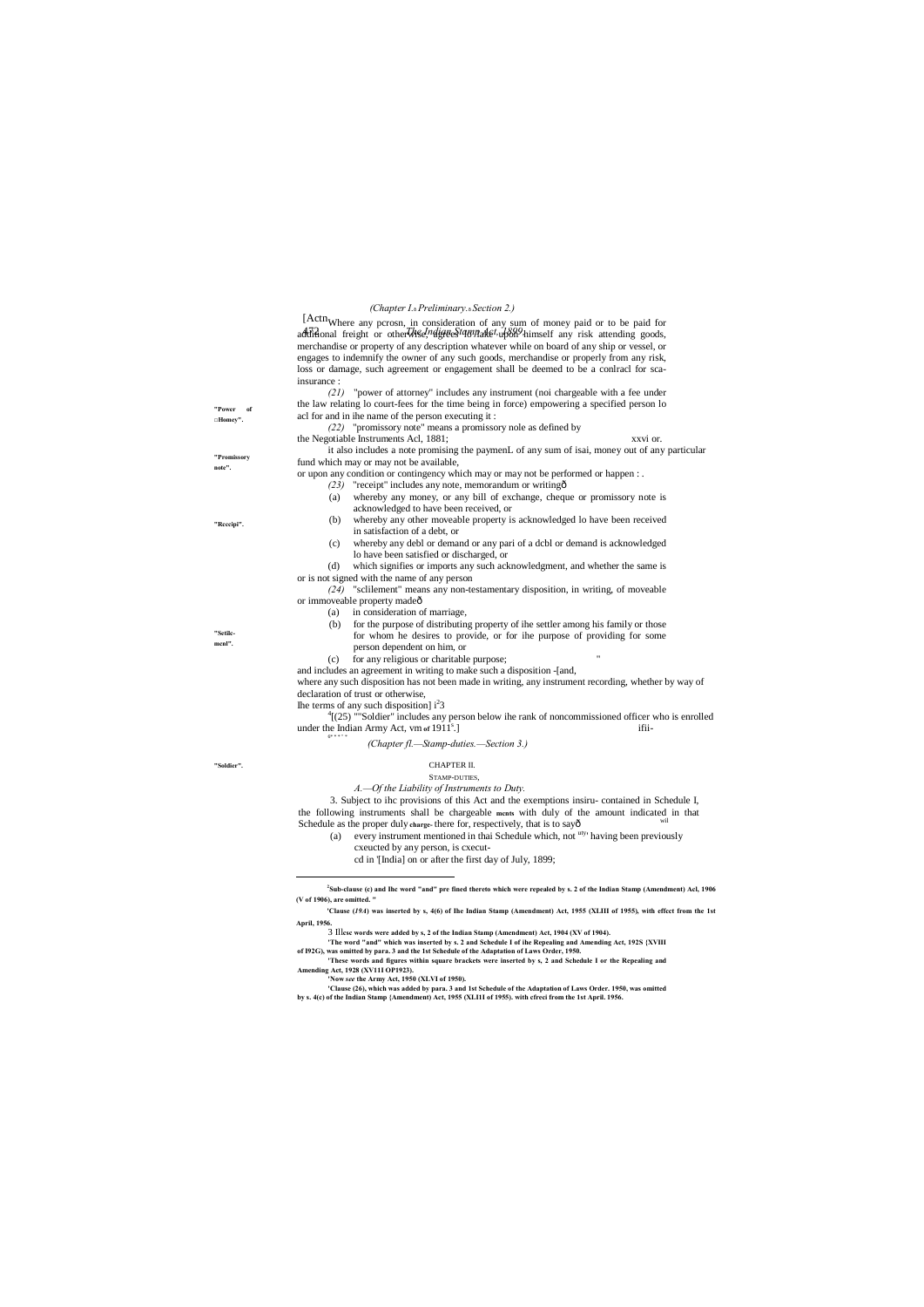**"Power of □Homey".**

**"Promissory note".**

**"Rcccipi".**

**"Setilcmcnl".**

**"Soldier".**

#### *(Chapter I.*—*Preliminary.*—*Section 2.)*

[Actn **Actif** Where any pcrosn, in consideration of any sum of money paid or to be paid for<br><del>ATA</del> onal freight or other *MAC Indiane Stamp ACt* ut 800 himself any risk attending goods. additional freight or otherwise,<sup>nager</sup>es <sup>raggi</sup>arist upon himself any risk attending goods, merchandise or property of any description whatever while on board of any ship or vessel, or engages to indemnify the owner of any such goods, merchandise or properly from any risk, loss or damage, such agreement or engagement shall be deemed to be a conlracl for scainsurance :

*(22)* "promissory note" means a promissory nole as defined by the Negotiable Instruments Acl, 1881; xxvi or.

*(21)* "power of attorney" includes any instrument (noi chargeable with a fee under the law relating lo court-fees for the time being in force) empowering a specified person lo acl for and in ihe name of the person executing it :

it also includes a note promising the paymenL of any sum of isai, money out of any particular fund which may or may not be available,

or upon any condition or contingency which may or may not be performed or happen : .

3. Subject to ihc provisions of this Act and the exemptions insiru- contained in Schedule I, the following instruments shall be chargeable **mcnts** with duly of the amount indicated in that Schedule as the proper duly charge-there for, respectively, that is to sayô

- (a) every instrument mentioned in thai Schedule which, not <sup>uty</sup> having been previously
	- cxeucted by any person, is cxecut-
	- cd in '[India] on or after the first day of July, 1899;
- *(23)* "receipt" includes any note, memorandum or writing—
- (a) whereby any money, or any bill of exchange, cheque or promissory note is acknowledged to have been received, or
- (b) whereby any other moveable property is acknowledged lo have been received in satisfaction of a debt, or
- (c) whereby any debl or demand or any pari of a dcbl or demand is acknowledged lo have been satisfied or discharged, or
- (d) which signifies or imports any such acknowledgment, and whether the same is or is not signed with the name of any person
- *(24)* "sclilement" means any non-testamentary disposition, in writing, of moveable or immoveable property madeô
	- (a) in consideration of marriage,
	- (b) for the purpose of distributing property of ihe settler among his family or those for whom he desires to provide, or for ihe purpose of providing for some person dependent on him, or
	- (c) for any religious or charitable purpose;
- and includes an agreement in writing to make such a disposition -[and,

where any such disposition has not been made in writing, any instrument recording, whether by way of declaration of trust or otherwise,

The terms of any such disposition]  $i^2$ 3

6\* \* \* " \*

 $\overline{a}$ 

 ${}^{4}$ [(25) ""Soldier" includes any person below ihe rank of noncommissioned officer who is enrolled under the Indian Army Act, vm of 1911<sup>s</sup>.]  $\text{ifii-}$ 

*(Chapter fl.—Stamp-duties.—Section 3.)*

### CHAPTER II. STAMP-DUTIES,

*A.—Of the Liability of Instruments to Duty.*

**2 Sub-clause (c) and Ihc word "and" pre fined thereto which were repealed by s. 2 of the Indian Stamp (Amendment) Acl, 1906 (V of 1906), are omitted. "**

- **'Clause (***19A***) was inserted by s, 4(6) of Ihe Indian Stamp (Amendment) Act, 1955 (XLIII of 1955), with effcct from the 1st April, 1956.**
	- 3 Ill**csc words were added by s, 2 of the Indian Stamp (Amendment) Act, 1904 (XV of 1904).**
- **'The word "and" which was inserted by s. 2 and Schedule I of ihe Repealing and Amending Act, 192S {XVIII of I92G), was omitted by para. 3 and the 1st Schedule of the Adaptation of Laws Order, 1950.**

**'These words and figures within square brackets were inserted by s, 2 and Schedule I or the Repealing and Amending Act, 1928 (XV11I OP1923).**

**'Now** *see* **the Army Act, 1950 (XLVI of 1950).**

**'Clause (26), which was added by para. 3 and 1st Schedule of the Adaptation of Laws Order. 1950, was omitted by s. 4(c) of the Indian Stamp {Amendment) Act, 1955 (XLI1I of 1955). with cfreci from the 1st April. 1956.**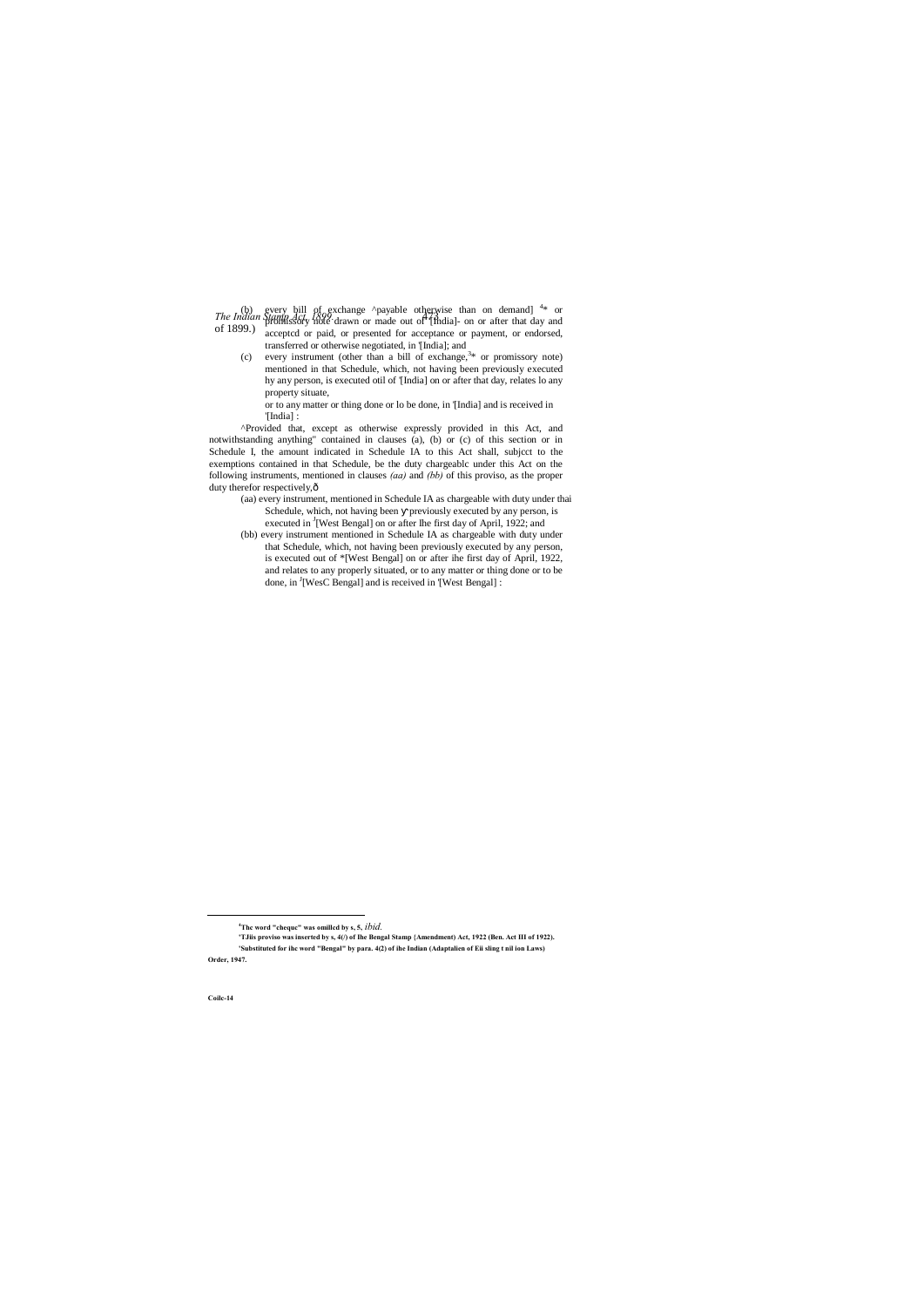(b) every bill of exchange ^payable otherwise than on demand] <sup>4\*</sup> or<br>*The Indian Stamp Act, 1899* drawn or made out of thotal, on or after that day and of 1899.) promissory note drawn or made out of '[India]- on or after that day and acceptcd or paid, or presented for acceptance or payment, or endorsed, transferred or otherwise negotiated, in '[India]; and

(c) every instrument (other than a bill of exchange,  $3*$  or promissory note) mentioned in that Schedule, which, not having been previously executed hy any person, is executed otil of '[India] on or after that day, relates lo any property situate,

^Provided that, except as otherwise expressly provided in this Act, and notwithstanding anything" contained in clauses (a), (b) or (c) of this section or in Schedule I, the amount indicated in Schedule IA to this Act shall, subjcct to the exemptions contained in that Schedule, be the duty chargeablc under this Act on the following instruments, mentioned in clauses *(aa)* and *(bb)* of this proviso, as the proper duty therefor respectively, $\hat{o}$ 

- (aa) every instrument, mentioned in Schedule IA as chargeable with duty under thai Schedule, which, not having been previously executed by any person, is executed in <sup>J</sup>[West Bengal] on or after Ihe first day of April, 1922; and
- (bb) every instrument mentioned in Schedule IA as chargeable with duty under that Schedule, which, not having been previously executed by any person, is executed out of \*[West Bengal] on or after ihe first day of April, 1922, and relates to any properly situated, or to any matter or thing done or to be done, in <sup>J</sup>[WesC Bengal] and is received in '[West Bengal] :

or to any matter or thing done or lo be done, in '[India] and is received in '[India] :

**Coilc-14**

 $\overline{a}$ 

**<sup>4</sup> Thc word "chequc" was omillcd by s, 5,** *ibid.*

**<sup>&#</sup>x27;TJiis proviso was inserted by s, 4(/) of Ihe Bengal Stamp {Amendment) Act, 1922 (Ben. Act III of 1922).**

**<sup>&#</sup>x27;Substituted for ihc word "Bengal" by para. 4(2) of ihe Indian (Adaptalien of Eii sling t nil ion Laws) Order, 1947.**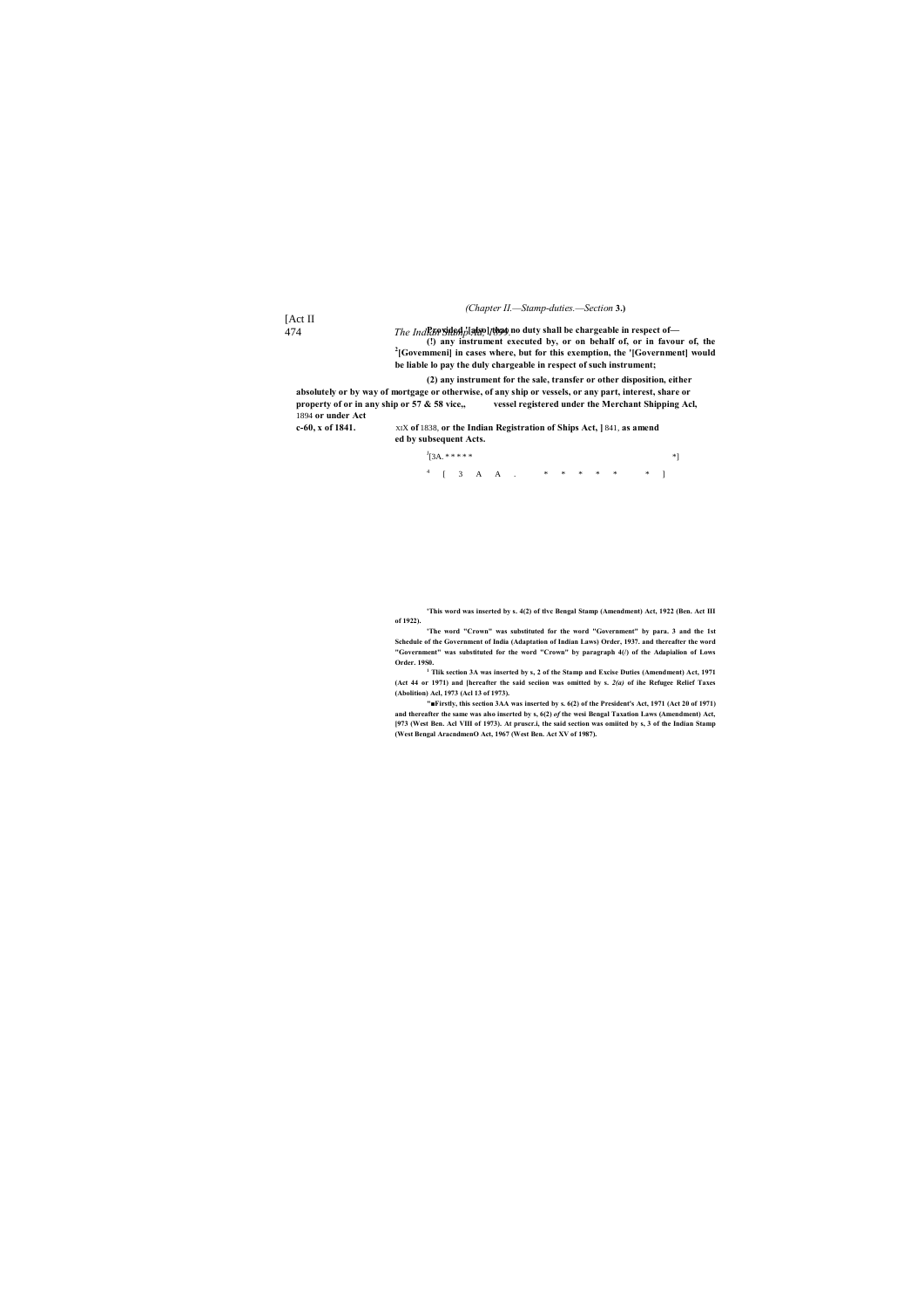[Act II

# *(Chapter II.—Stamp-duties.—Section* **3.)**

474 *The Indian Stamp Ad, 1899.* **Provided '[also] that no duty shall be chargeable in respect of— (!) any instrument executed by, or on behalf of, or in favour of, the 2** <sup>2</sup>[Govemmeni] in cases where, but for this exemption, the '[Government] would **be liable lo pay the duly chargeable in respect of such instrument;**

**(2) any instrument for the sale, transfer or other disposition, either absolutely or by way of mortgage or otherwise, of any ship or vessels, or any part, interest, share or property of or in any ship or 57 & 58 vice,, vessel registered under the Merchant Shipping Acl,** 1894 **or under Act**

**c-60, x of 1841.** XIX **of** 1838, **or the Indian Registration of Ships Act, ]** 841, **as amend ed by subsequent Acts.**

 $J$ [3A.\*\*\*\*\*  $[3A.***$  \* \* \* \* \* \* \* \* \* 1 <sup>4</sup> [ 3 A A . \* \* \* \* \* \* ]

**'This word was inserted by s. 4(2) of tlvc Bengal Stamp (Amendment) Act, 1922 (Ben. Act III of 1922).**

**'The word "Crown" was substituted for the word "Government" by para. 3 and the 1st Schedule of the Government of India (Adaptation of Indian Laws) Order, 1937. and thereafter the word "Government" was substituted for the word "Crown" by paragraph 4(/) of the Adapialion of Lows Order. 19S0.**

**<sup>1</sup> Tlik section 3A was inserted by s, 2 of the Stamp and Excise Duties (Amendment) Act, 1971 (Act 44 or 1971) and [hereafter the said seciion was omitted by s.** *2(a)* **of ihe Refugee Relief Taxes (Abolition) Acl, 1973 (Acl 13 of 1973).**

**"■Firstly, this section 3AA was inserted by s. 6(2) of the President's Act, 1971 (Act 20 of 1971) and thereafter the same was also inserted by s, 6(2)** *of* **the wesi Bengal Taxation Laws (Amendment) Act, [973 (West Ben. Acl VIII of 1973). At pruscr.i, the said section was omiited by s, 3 of the Indian Stamp (West Bengal AracndmenO Act, 1967 (West Ben. Act XV of 1987).**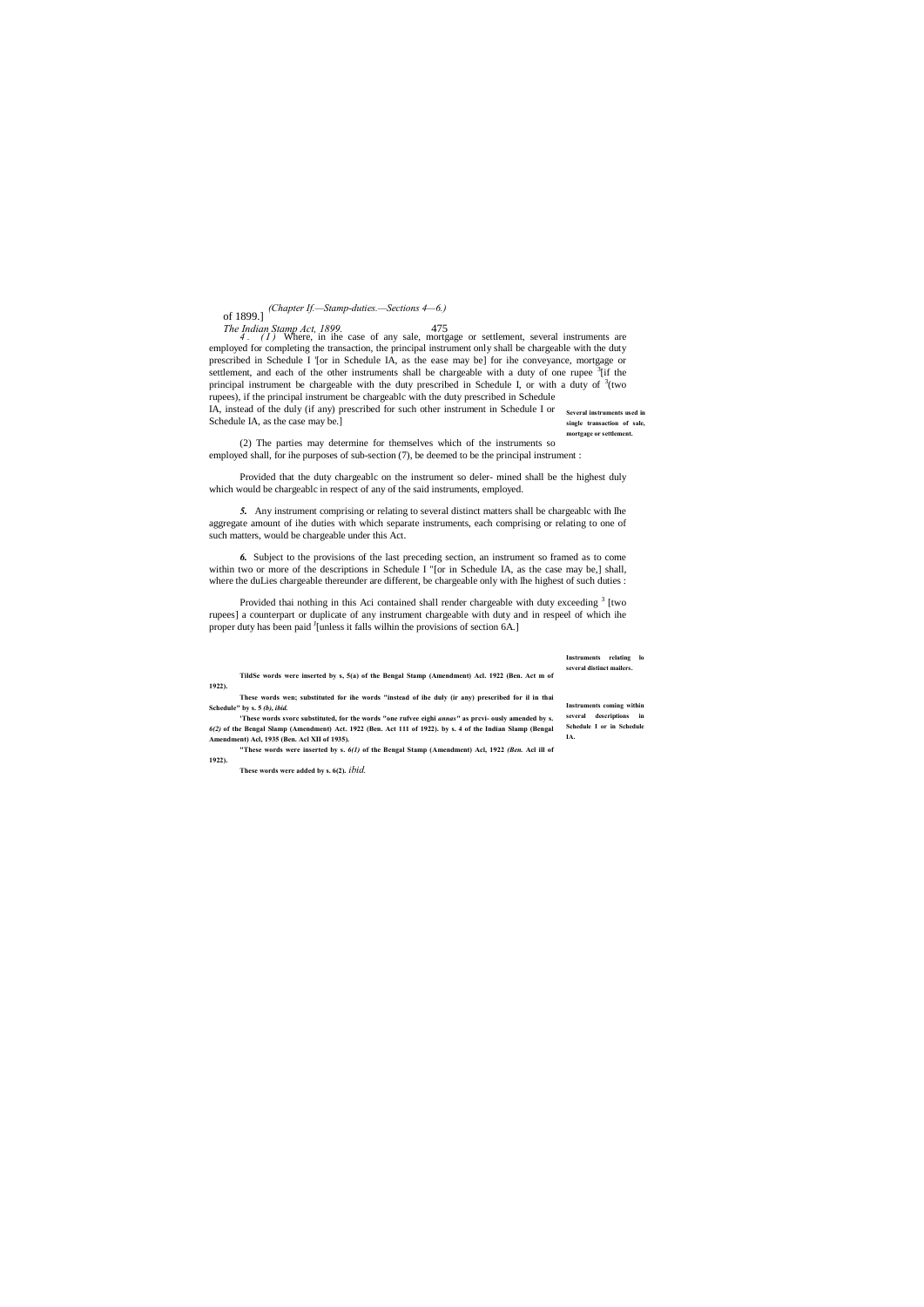**mortgage or settlement.**

of 1899.] *(Chapter If.—Stamp-duties.—Sections 4—6.)*

> **Instruments relating lo several distinct mailers.**

**Instruments coming within** 

**Schedule I or in Schedule** 

**IA.**

*The Indian Stamp Act, 1899.* 475<br>
4. (1) Where, in ihe case of any sale, mortgage or settlement, several instruments are **Several instruments used in single transaction of sale,**  employed for completing the transaction, the principal instrument only shall be chargeable with the duty prescribed in Schedule I '[or in Schedule IA, as the ease may be] for ihe conveyance, mortgage or settlement, and each of the other instruments shall be chargeable with a duty of one rupee <sup>3</sup>[if the principal instrument be chargeable with the duty prescribed in Schedule I, or with a duty of  $3$ <sup>3</sup>(two rupees), if the principal instrument be chargeablc with the duty prescribed in Schedule IA, instead of the duly (if any) prescribed for such other instrument in Schedule I or Schedule IA, as the case may be.]

(2) The parties may determine for themselves which of the instruments so employed shall, for ihe purposes of sub-section (7), be deemed to be the principal instrument :

Provided that the duty chargeablc on the instrument so deler- mined shall be the highest duly which would be chargeablc in respect of any of the said instruments, employed.

**several descriptions in 'These words svorc substituted, for the words "one rufvee eighi** *annas"* **as prcvi- ously amended by s.** *6(2)* **of the Bengal Slamp (Amendment) Act. 1922 (Ben. Act 111 of 1922). by s. 4 of the Indian Slamp (Bengal Amendment) Acl, 1935 (Ben. Acl XII of 1935).**

*5.* Any instrument comprising or relating to several distinct matters shall be chargeablc with Ihe aggregate amount of ihe duties with which separate instruments, each comprising or relating to one of such matters, would be chargeable under this Act.

*6.* Subject to the provisions of the last preceding section, an instrument so framed as to come within two or more of the descriptions in Schedule I "[or in Schedule IA, as the case may be,] shall, where the duLies chargeable thereunder are different, be chargeable only with Ihe highest of such duties :

Provided thai nothing in this Aci contained shall render chargeable with duty exceeding <sup>3</sup> [two rupees] a counterpart or duplicate of any instrument chargeable with duty and in respeel of which ihe proper duty has been paid <sup>J</sup>[unless it falls wilhin the provisions of section 6A.]

**TildSe words were inserted by s, 5(a) of the Bengal Stamp (Amendment) Acl. 1922 (Ben. Act m of 1922).**

**These words wen; substituted for ihe words "instead of ihe duly (ir any) prescribed for il in thai Schedule" by s. 5** *(b), ibid.*

**"These words were inserted by s.** *6(1)* **of the Bengal Stamp (Amendment) Acl, 1922** *(Ben.* **Acl ill of** 

**1922).**

**These words were added by s. 6(2).** *ibid.*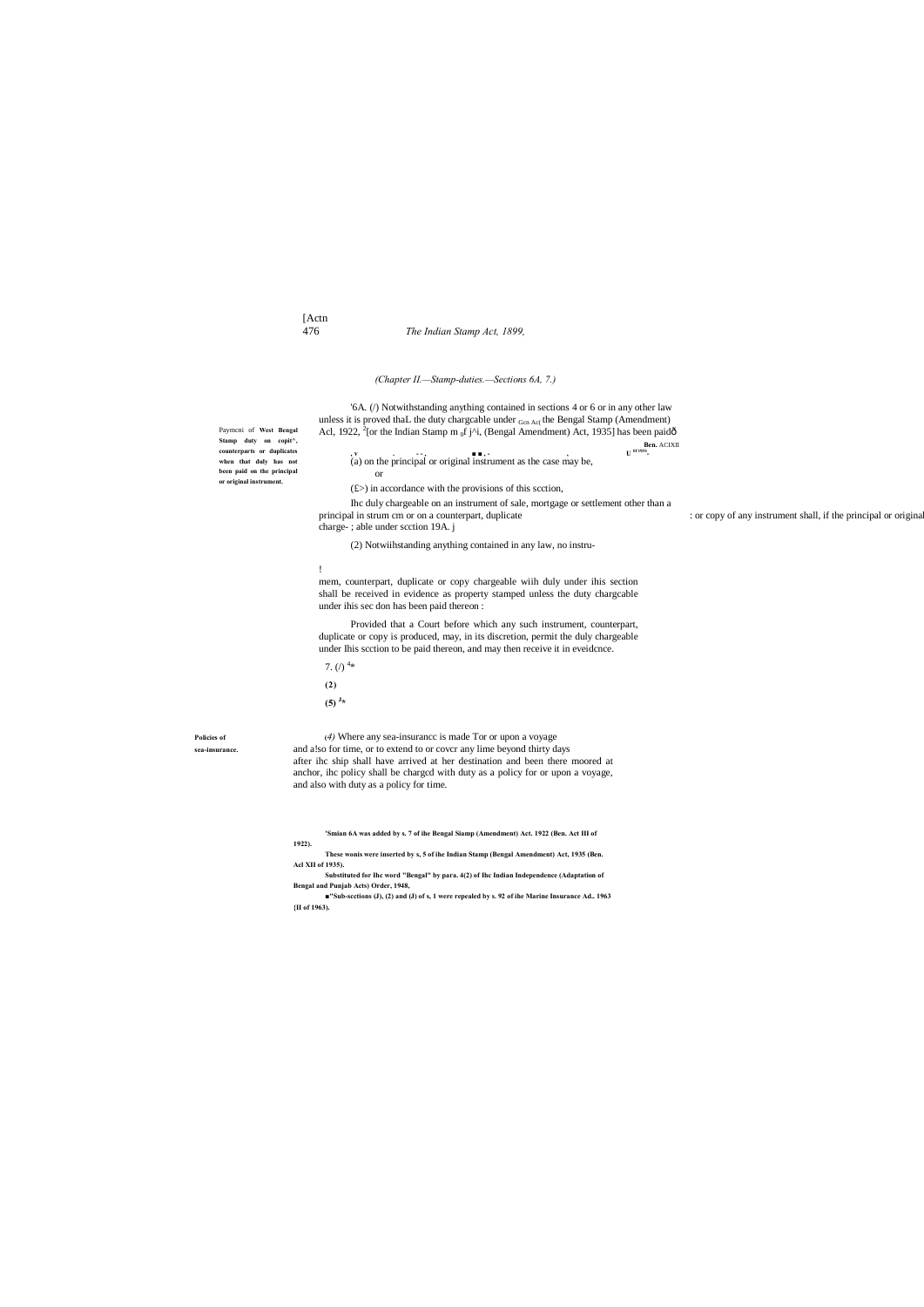[Actn

### 476 *The Indian Stamp Act, 1899,*

Paymcni of **West Bengal Stamp duty on copit^, counterparts or duplicates when that duly has not been paid on the principal or original instrument.**

### *(Chapter II.—Stamp-duties.—Sections 6A, 7.)*

'6A. (/) Notwithstanding anything contained in sections 4 or 6 or in any other law unless it is proved thaL the duty chargcable under Gcn Ac( the Bengal Stamp (Amendment) Acl, 1922, <sup>2</sup> [or the Indian Stamp m of j<sup> $\lambda$ </sup>i, (Bengal Amendment) Act, 1935] has been paidô **Ben.** ACIXII<br>U<sup>0f1938</sup>-

**, v . - - , ■ ■ , - , U 0f 193S-** (a) on the principal or original instrument as the case may be, or

 $(f)$  in accordance with the provisions of this scction,

7.  $($   $)^{4*}$ **(2)**

Ihc duly chargeable on an instrument of sale, mortgage or settlement other than a charge- ; able under scction 19A. j

(2) Notwiihstanding anything contained in any law, no instru-

!

 $(5)$ <sup> $J_{*}$ </sup>

mem, counterpart, duplicate or copy chargeable wiih duly under ihis section shall be received in evidence as property stamped unless the duty chargcable under ihis sec don has been paid thereon :

Provided that a Court before which any such instrument, counterpart, duplicate or copy is produced, may, in its discretion, permit the duly chargeable under Ihis scction to be paid thereon, and may then receive it in eveidcnce.

**Policies of (***4)* Where any sea-insurancc is made Tor or upon a voyage **sea-insurance.** and a!so for time, or to extend to or covcr any lime beyond thirty days after ihc ship shall have arrived at her destination and been there moored at anchor, ihc policy shall be chargcd with duty as a policy for or upon a voyage, and also with duty as a policy for time.

> **'Smian 6A was added by s. 7 of ihe Bengal Siamp (Amendment) Act. 1922 (Ben. Act III of 1922).**

**These wonis were inserted by s, 5 of ihe Indian Stamp (Bengal Amendment) Act, 1935 (Ben. Acl XII of 1935).**

**Substituted for Ihc word "Bengal" by para. 4(2) of Ihc Indian Independence (Adaptation of Bengal and Punjab Acts) Order, 1948,**

**■"Sub-scctions (J), (2) and (J) of s, 1 were repealed by s. 92 of ihe Marine Insurance Ad.. 1963 {II of 1963).**

: or copy of any instrument shall, if the principal or original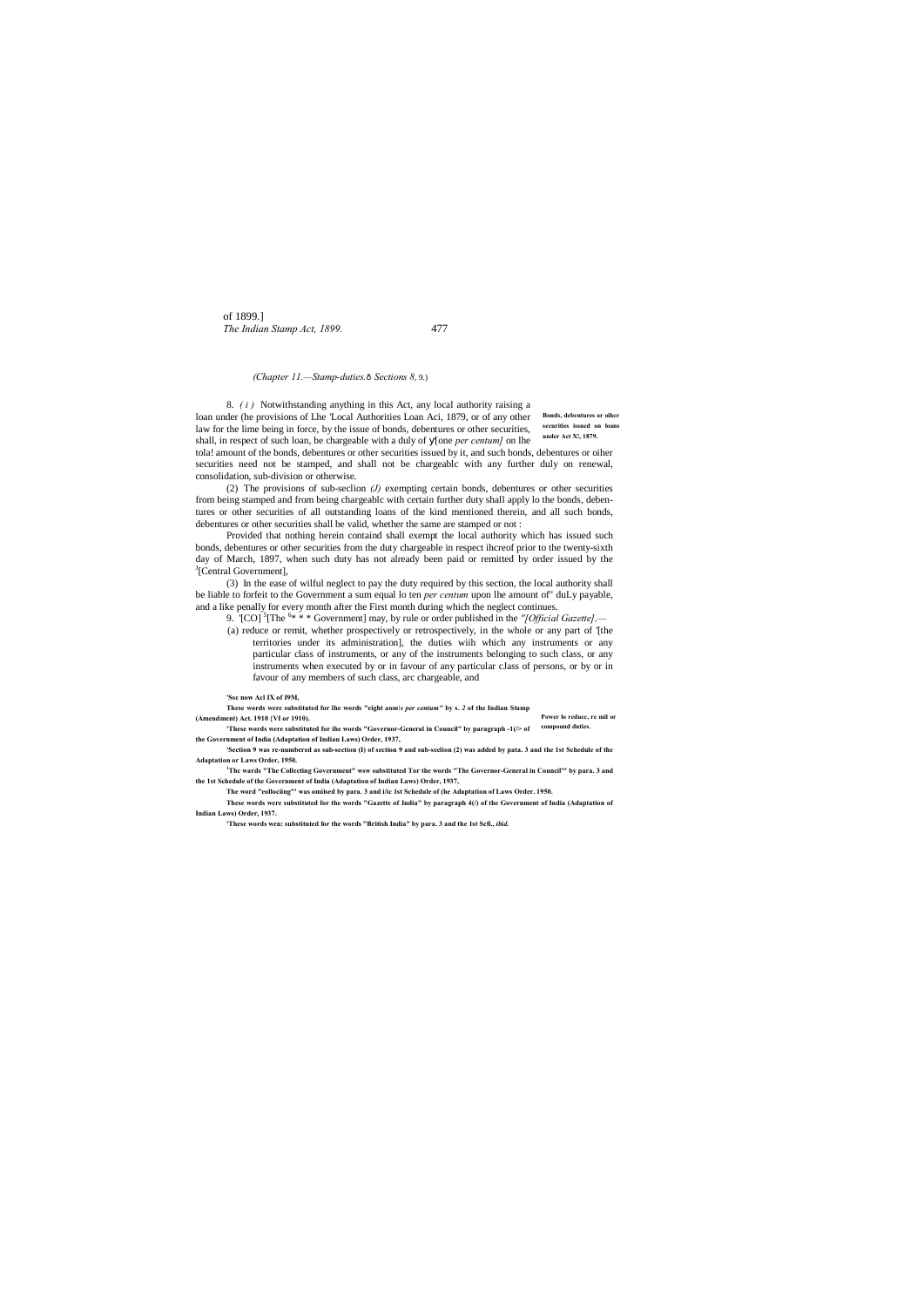**Bonds, debentures or oihcr securities issued on loans under Act X!, 1879.**

of 1899.] *The Indian Stamp Act, 1899.* 477

# *(Chapter 11.—Stamp-duties.*—*Sections 8,* 9.)

8. *( i )* Notwithstanding anything in this Act, any local authority raising a loan under (he provisions of Lhe 'Local Authorities Loan Aci, 1879, or of any other law for the lime being in force, by the issue of bonds, debentures or other securities, shall, in respect of such loan, be chargeable with a duly of [one *per centum]* on lhe

Provided that nothing herein containd shall exempt the local authority which has issued such bonds, debentures or other securities from the duty chargeable in respect ihcreof prior to the twenty-sixth day of March, 1897, when such duty has not already been paid or remitted by order issued by the  $\Gamma$ [Central Government],

tola! amount of the bonds, debentures or other securities issued by it, and such bonds, debentures or oiher securities need not be stamped, and shall not be chargeablc with any further duly on renewal, consolidation, sub-division or otherwise.

(2) The provisions of sub-seclion *(J)* exempting certain bonds, debentures or other securities from being stamped and from being chargeablc with certain further duty shall apply lo the bonds, debentures or other securities of all outstanding loans of the kind mentioned therein, and all such bonds, debentures or other securities shall be valid, whether the same are stamped or not :

**Power lo reducc, re mil or These words were substituted for lhe words "eight** *anm\s per centum"* **by s.** *2* **of the Indian Stamp (Amendment) Act. 1910 {VI or 1910).**

**compound duties. 'These words were substituted for ihe words "Governor-General in Council" by paragraph -1(/> of the Government of India (Adaptation of Indian Laws) Order, 1937,**

(3) In the ease of wilful neglect to pay the duty required by this section, the local authority shall be liable to forfeit to the Government a sum equal lo ten *per centum* upon lhe amount of" duLy payable, and a like penally for every month after the First month during which the neglect continues.

9. <sup>'</sup>[CO]<sup>5</sup>[The <sup>6\*</sup> \* \* Government] may, by rule or order published in the ''[Official Gazette],—

(a) reduce or remit, whether prospectively or retrospectively, in the whole or any part of '[the territories under its administration], the duties wiih which any instruments or any particular class of instruments, or any of the instruments belonging to such class, or any instruments when executed by or in favour of any particular cJass of persons, or by or in favour of any members of such class, arc chargeable, and

#### **'Ssc now Acl IX of I9M,**

**'Section 9 was re-numbered as sub-section (I) of section 9 and sub-seclion (2) was added by pata. 3 and the 1st Schedule of the Adaptation or Laws Order, 1950.**

**1 Thc wards "The Collecting Government" wsw substituted Tor the words "The Governor-General in Council'" by para. 3 and the 1st Schedule of the Government of India (Adaptation of Indian Laws) Order, 1937,**

**The word "eollociing"' was omiised by para. 3 and i/ic 1st Schedule of (he Adaptation of Laws Order. 1950.**

**These words were substituted for the words "Gazette of India" by paragraph 4(/) of the Government of India (Adaptation of Indian Laws) Order, 1937.**

**'These words wen: substituted for the words "British India" by para. 3 and the 1st Scfi.,** *ibid.*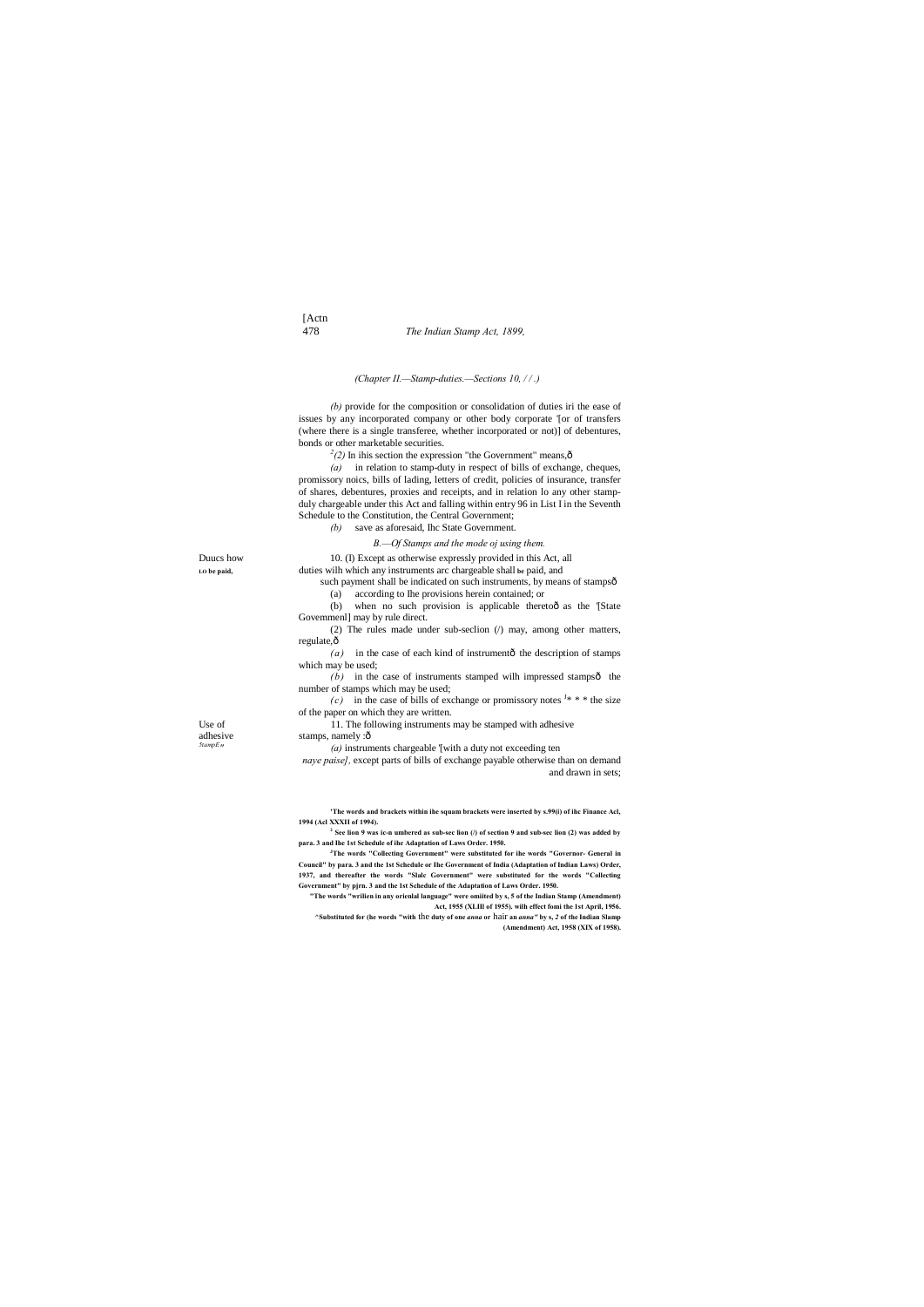[Actn

### 478 *The Indian Stamp Act, 1899,*

#### *(Chapter II.—Stamp-duties.—Sections 10, / / .)*

*(b)* provide for the composition or consolidation of duties iri the ease of issues by any incorporated company or other body corporate '[or of transfers (where there is a single transferee, whether incorporated or not)] of debentures, bonds or other marketable securities.

 $^{2}(2)$  In ihis section the expression "the Government" means, $\hat{\text{o}}$ 

such payment shall be indicated on such instruments, by means of stampsô (a) according to Ihe provisions herein contained; or

(b) when no such provision is applicable theretoô as the '[State

*(a)* in relation to stamp-duty in respect of bills of exchange, cheques, promissory noics, bills of lading, letters of credit, policies of insurance, transfer of shares, debentures, proxies and receipts, and in relation lo any other stampduly chargeable under this Act and falling within entry 96 in List I in the Seventh Schedule to the Constitution, the Central Government;

(2) The rules made under sub-seclion (/) may, among other matters, regulate, $\hat{o}$ 

 $(a)$  in the case of each kind of instrument  $\delta$  the description of stamps which may be used;

 $(b)$  in the case of instruments stamped wilh impressed stamps $\hat{0}$  the number of stamps which may be used;

*(b)* save as aforesaid, Ihc State Government.

 $(c)$  in the case of bills of exchange or promissory notes  $J^*$  \* \* the size of the paper on which they are written.

Use of 11. The following instruments may be stamped with adhesive adhesive stamps, namely : $\hat{\sigma}$ <br>
stamps (a) instrum

*(a)* instruments chargeable '[with a duty not exceeding ten

*B.—Of Stamps and the mode oj using them.*

Duucs how 10. (I) Except as otherwise expressly provided in this Act, all

**LO be paid,** duties wilh which any instruments arc chargeable shall **be** paid, and

<sup>2</sup> See lion 9 was ic-n umbered as sub-sec lion (/) of section 9 and sub-sec lion (2) was added by **para. 3 and Ihe 1st Schedule of ihe Adaptation of Laws Order. 1950.**

Govemmenl] may by rule direct.

*naye paise],* except parts of bills of exchange payable otherwise than on demand and drawn in sets;

**'The words and brackets within ihe squam brackets were inserted by s.99(i) of ihc Finance Acl, 1994 (Acl XXXII of 1994).**

**J The words "Collecting Government" were substituted for ihe words "Governor- General in Council" by para. 3 and the 1st Schedule or Ihe Government of India (Adaptation of Indian Laws) Order, 1937, and thereafter the words "Slalc Government" were substituted for the words "Collecting Government" by pjrn. 3 and the 1st Schedule of the Adaptation of Laws Order. 1950.**

**"The words "wrilien in any orienlal language" were omiited by s, 5 of the Indian Stamp (Amendment) Act, 1955 (XLIIl of 1955). wilh effect fomi the 1st April, 1956.**

**^Substituted for (he words "with** the **duty of one** *anna* **or** hair **an** *anna"* **by s,** *2* **of the Indian Slamp (Amendment) Act, 1958 (XIX of 1958).**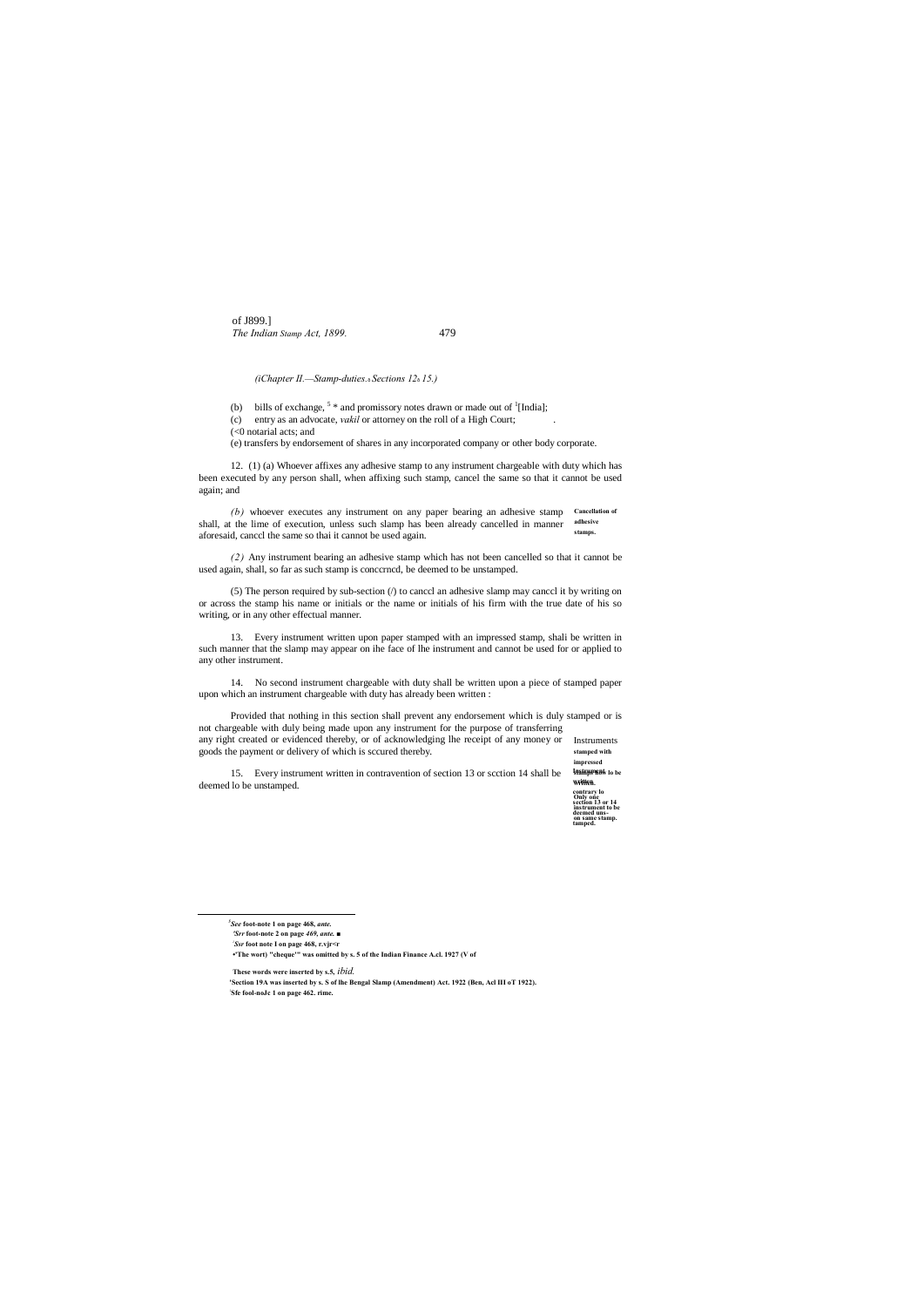of J899.] *The Indian Stamp Act, 1899.* 479

**stamped with impressed** 

**siamps how lo be Instrument** 

**written. written Only one instrument to be on same stamp. tamped. contrary lo section 13 or 14 deemed uns-**

*(iChapter II.—Stamp-duties.*—*Sections 12*—*15.)*

(b) bills of exchange,  $5 *$  and promissory notes drawn or made out of  $^1$ [India];

(c) entry as an advocate, *vakil* or attorney on the roll of a High Court; .

(<0 notarial acts; and

(b) whoever executes any instrument on any paper bearing an adhesive stamp Cancellation of shall, at the lime of execution, unless such slamp has been already cancelled in manner adhesive **stamps.** aforesaid, canccl the same so thai it cannot be used again.

(e) transfers by endorsement of shares in any incorporated company or other body corporate.

12. (1) (a) Whoever affixes any adhesive stamp to any instrument chargeable with duty which has been executed by any person shall, when affixing such stamp, cancel the same so that it cannot be used again; and

(5) The person required by sub-section  $($  ) to canccl an adhesive slamp may canccl it by writing on or across the stamp his name or initials or the name or initials of his firm with the true date of his so writing, or in any other effectual manner.

any right created or evidenced thereby, or of acknowledging lhe receipt of any money or Instruments Provided that nothing in this section shall prevent any endorsement which is duly stamped or is not chargeable with duly being made upon any instrument for the purpose of transferring goods the payment or delivery of which is sccured thereby.

*(2)* Any instrument bearing an adhesive stamp which has not been cancelled so that it cannot be used again, shall, so far as such stamp is conccrncd, be deemed to be unstamped.

13. Every instrument written upon paper stamped with an impressed stamp, shali be written in such manner that the slamp may appear on ihe face of lhe instrument and cannot be used for or applied to any other instrument.

14. No second instrument chargeable with duty shall be written upon a piece of stamped paper upon which an instrument chargeable with duty has already been written :

15. Every instrument written in contravention of section 13 or scction 14 shall be deemed lo be unstamped.

*<sup>5</sup>*

**These words were inserted by s.5,** *ibid.*

**'Section 19A was inserted by s. S of lhe Bengal Slamp (Amendment) Act. 1922 (Ben, Acl III oT 1922).**

**: Sfe fool-noJc 1 on page 462. rime.**

*See* **foot-note 1 on page 468,** *ante.*

*<sup>&#</sup>x27;Srr* **foot-note 2 on page** *469, ante. ■ : Ssr* **foot note I on page 468, r.vjr<r**

**<sup>•</sup>'The wort) "cheque'" was omitted by s. 5 of the Indian Finance A.cl. 1927 (V of**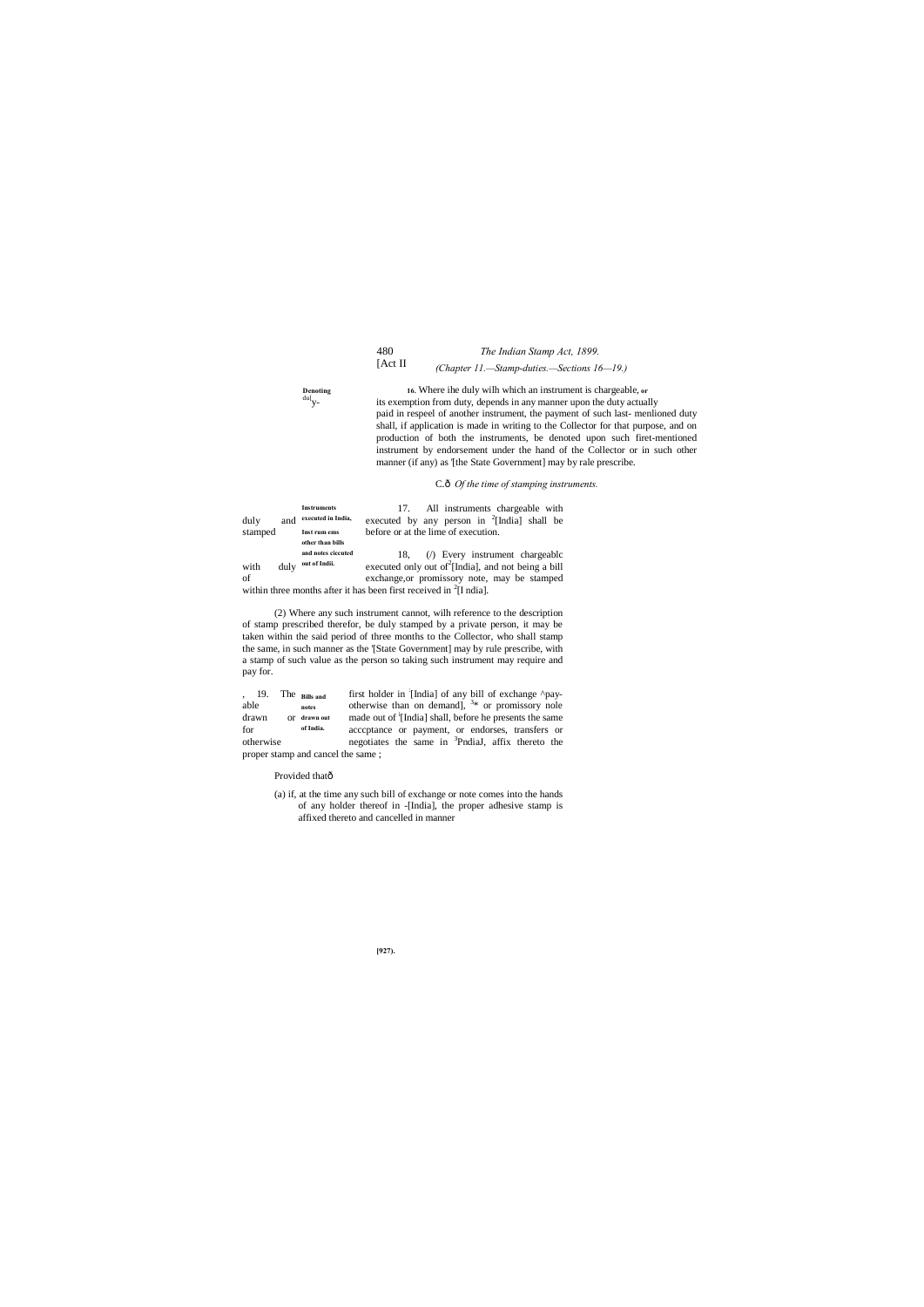#### 480 *The Indian Stamp Act, 1899.* [Act II *(Chapter 11.—Stamp-duties.—Sections 16—19.)*

**Denoting 16.** Where ihe duly wilh which an instrument is chargeable, or duly-<br>its exemption from duty, depends in any manner upon the duty actual its exemption from duty, depends in any manner upon the duty actually paid in respeel of another instrument, the payment of such last- menlioned duty shall, if application is made in writing to the Collector for that purpose, and on production of both the instruments, be denoted upon such firet-mentioned instrument by endorsement under the hand of the Collector or in such other manner (if any) as '[the State Government] may by rale prescribe.

|                                                                            | <b>Instruments</b> | 17. All instruments chargeable with                       |  |
|----------------------------------------------------------------------------|--------------------|-----------------------------------------------------------|--|
| and<br>duly                                                                | executed in India, | executed by any person in $\frac{2}{1}$ [India] shall be  |  |
| stamped                                                                    | Inst rum ems       | before or at the lime of execution.                       |  |
|                                                                            | other than bills   |                                                           |  |
|                                                                            | and notes ciccuted | 18, $\langle \rangle$ Every instrument chargeable         |  |
| with<br>duly                                                               | out of Indii.      | executed only out of $\int$ [India], and not being a bill |  |
| of                                                                         |                    | exchange, or promissory note, may be stamped              |  |
| within three months after it has been first received in ${}^{2}$ [I ndia]. |                    |                                                           |  |

C.—*Of the time of stamping instruments.*

 $,$  19. The  $_{\text{Bills and}}$  first holder in  $\overline{ }$ **notes drawn out of India.** first holder in [India] of any bill of exchange ^payable  $_{\text{notes}}$  otherwise than on demand],  $3*$  or promissory nole drawn or drawn out made out of <sup>i</sup>[India] shall, before he presents the same for of India. acceptance or payment, or endorses, transfers or otherwise negotiates the same in <sup>3</sup>PndiaJ, affix thereto the proper stamp and cancel the same ;

Provided thatô

(2) Where any such instrument cannot, wilh reference to the description of stamp prescribed therefor, be duly stamped by a private person, it may be taken within the said period of three months to the Collector, who shall stamp the same, in such manner as the '[State Government] may by rule prescribe, with a stamp of such value as the person so taking such instrument may require and pay for.

> (a) if, at the time any such bill of exchange or note comes into the hands of any holder thereof in -[India], the proper adhesive stamp is affixed thereto and cancelled in manner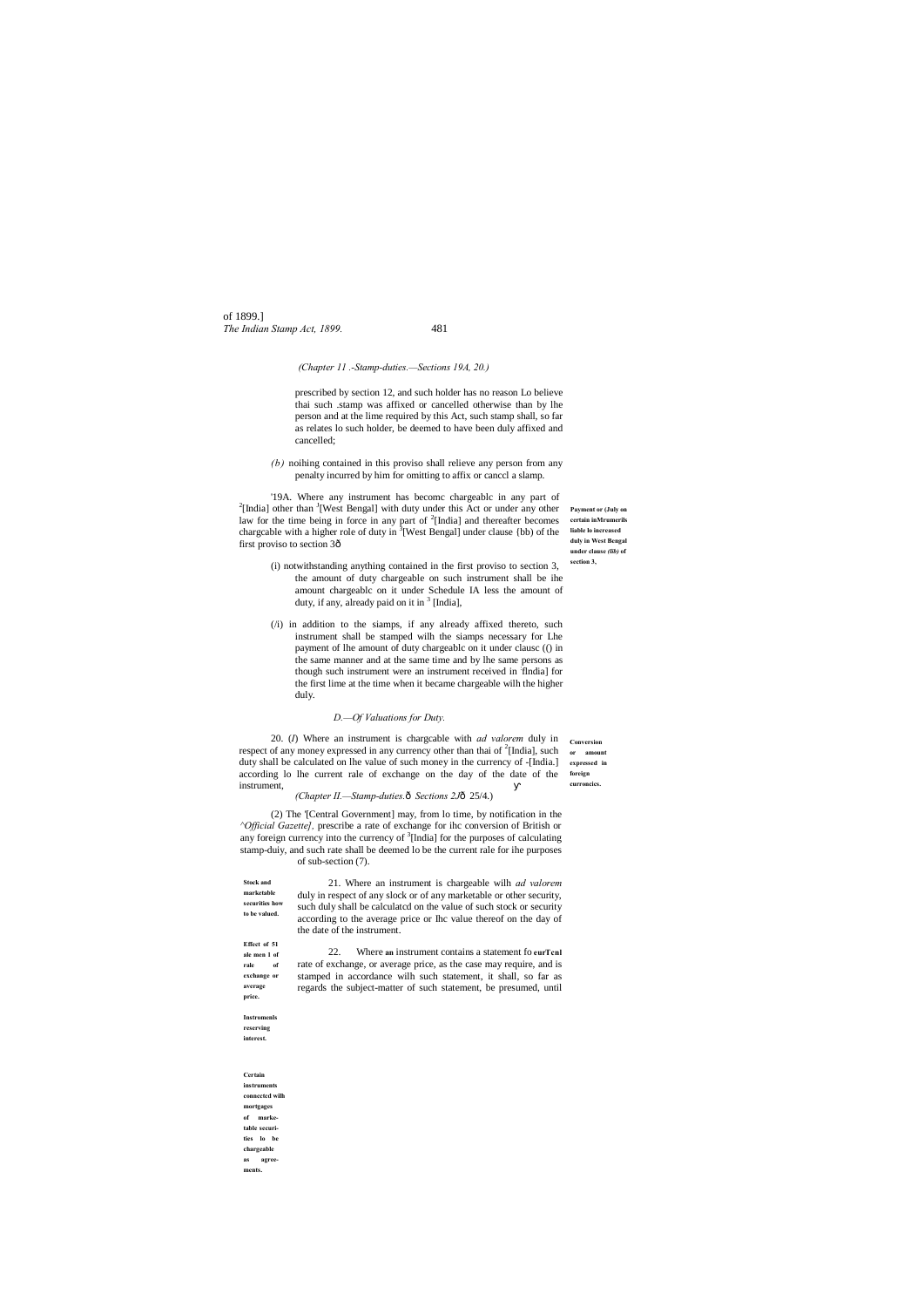or amoun **expressed in** 

**Payment or (July on certain inMrumerils liable lo increased duly in West Bengal under clause** *(lib)* **of section 3,**

**Stock and marketable securities how to be valued.**

**Effect of 51** 

**Instromenls**

**reserving**

**interest.**

**Certain** 

**instruments** 

**conncctcd wilh**

**mortgages** 

**of marke-**

**table securi-**

**ties lo be** 

**chargeable** 

**as agree-**

**ments.**

of 1899.] *The Indian Stamp Act, 1899.* 481

*(Chapter 11 .-Stamp-duties.—Sections 19A, 20.)*

prescribed by section 12, and such holder has no reason Lo believe thai such .stamp was affixed or cancelled otherwise than by lhe person and at the lime required by this Act, such stamp shall, so far as relates lo such holder, be deemed to have been duly affixed and cancelled;

*(b)* noihing contained in this proviso shall relieve any person from any penalty incurred by him for omitting to affix or canccl a slamp.

'19A. Where any instrument has becomc chargeablc in any part of [India] other than <sup>J</sup>[West Bengal] with duty under this Act or under any other law for the time being in force in any part of  $2$ [India] and thereafter becomes chargcable with a higher role of duty in  $\frac{3}{3}$  [West Bengal] under clause {bb) of the first proviso to section 3ô

**Conversion foreign curroncics.** 20. (*I*) Where an instrument is chargcable with *ad valorem* duly in respect of any money expressed in any currency other than thai of  $2$ [India], such duty shall be calculated on lhe value of such money in the currency of -[India.] according lo lhe current rale of exchange on the day of the date of the instrument,

- (i) notwithstanding anything contained in the first proviso to section 3, the amount of duty chargeable on such instrument shall be ihe amount chargeablc on it under Schedule IA less the amount of duty, if any, already paid on it in  $3$  [India],
- (/i) in addition to the siamps, if any already affixed thereto, such instrument shall be stamped wilh the siamps necessary for Lhe payment of lhe amount of duty chargeablc on it under clausc (() in the same manner and at the same time and by lhe same persons as though such instrument were an instrument received in : flndia] for the first lime at the time when it became chargeable wilh the higher duly.

**ale men 1 of rale of exchange or average price.** 22. Where **an** instrument contains a statement fo **eurTcnl** rate of exchange, or average price, as the case may require, and is stamped in accordance wilh such statement, it shall, so far as regards the subject-matter of such statement, be presumed, until

### *D.—Of Valuations for Duty.*

*(Chapter II.—Stamp-duties.*—*Sections 2J*—25/4.)

(2) The '[Central Government] may, from lo time, by notification in the *^Official Gazette],* prescribe a rate of exchange for ihc conversion of British or any foreign currency into the currency of  $3$ [India] for the purposes of calculating stamp-duiy, and such rate shall be deemed lo be the current rale for ihe purposes of sub-section (7).

> 21. Where an instrument is chargeable wilh *ad valorem* duly in respect of any slock or of any marketable or other security, such duly shall be calculatcd on the value of such stock or security according to the average price or Ihc value thereof on the day of the date of the instrument.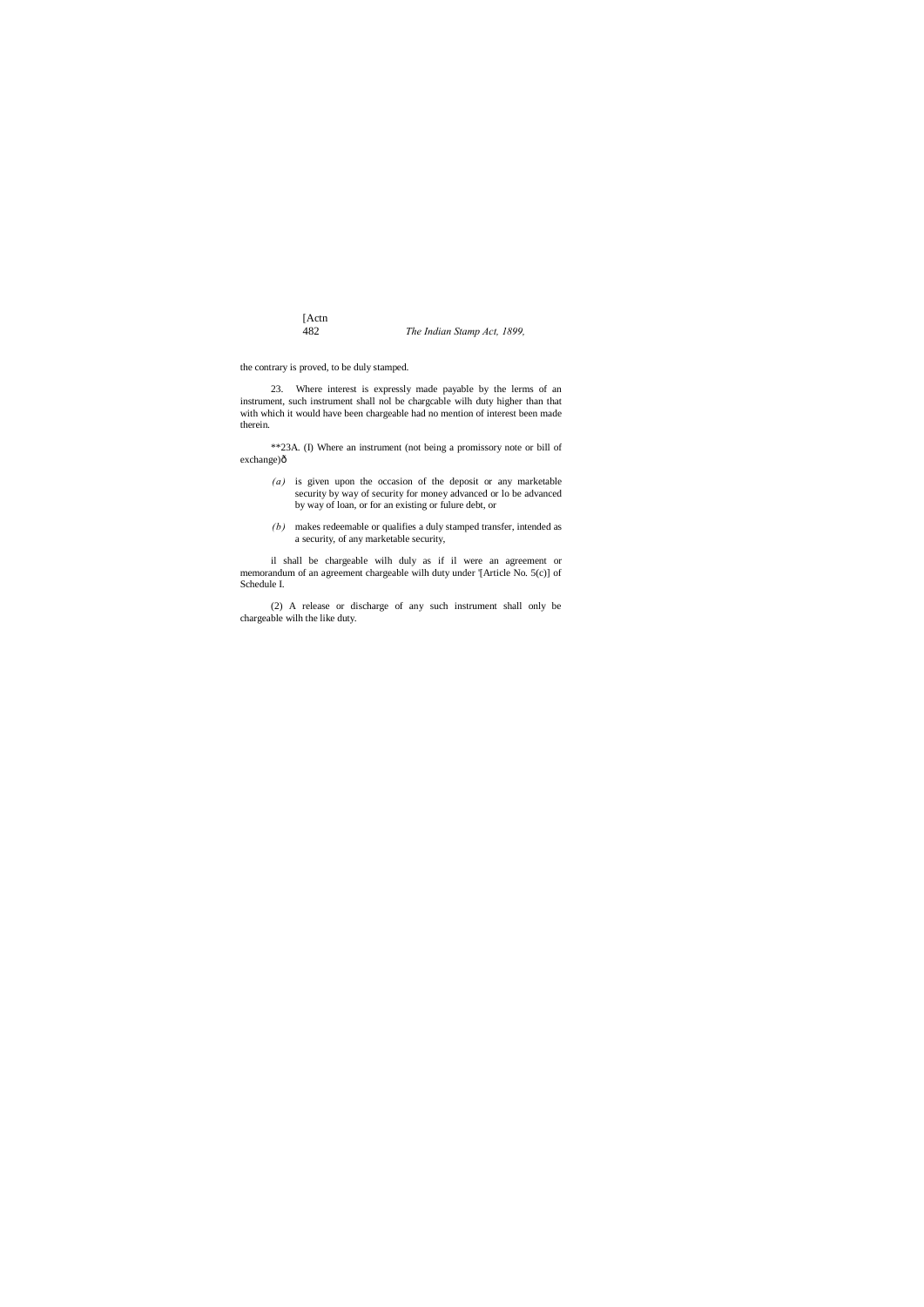[Actn]<br>482 482 *The Indian Stamp Act, 1899,*

the contrary is proved, to be duly stamped.

\*\*23A. (I) Where an instrument (not being a promissory note or bill of exchange)ô

23. Where interest is expressly made payable by the lerms of an instrument, such instrument shall nol be chargcable wilh duty higher than that with which it would have been chargeable had no mention of interest been made therein.

- *(a)* is given upon the occasion of the deposit or any marketable security by way of security for money advanced or lo be advanced by way of loan, or for an existing or fulure debt, or
- *(b)* makes redeemable or qualifies a duly stamped transfer, intended as a security, of any marketable security,

il shall be chargeable wilh duly as if il were an agreement or memorandum of an agreement chargeable wilh duty under '[Article No. 5(c)] of Schedule I.

(2) A release or discharge of any such instrument shall only be chargeable wilh the like duty.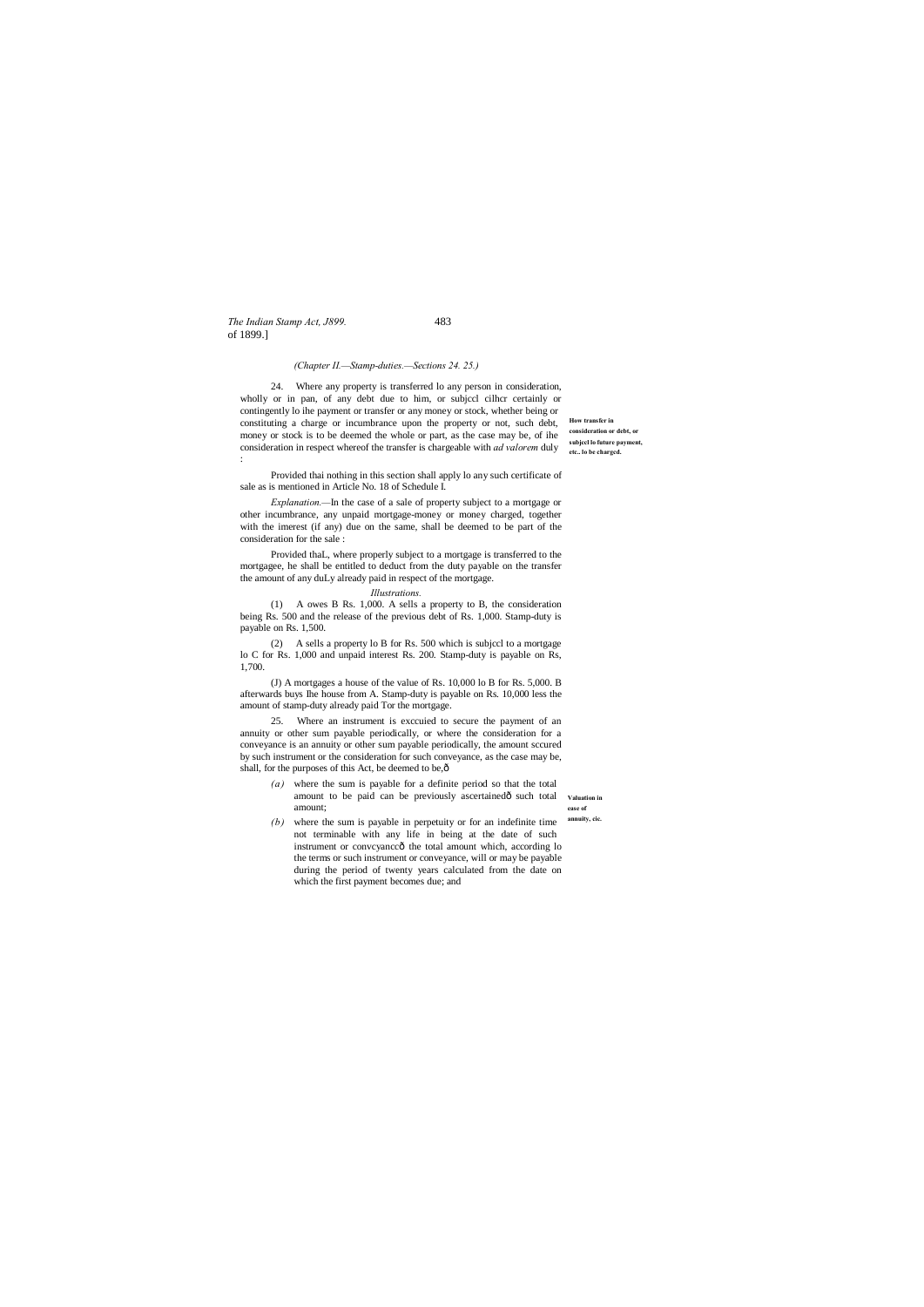*The Indian Stamp Act, J899.* 483 of 1899.]

**How transfer in consideration or debt, or subjccl lo future payment, etc.. lo be chargcd.**

#### *(Chapter II.—Stamp-duties.—Sections 24. 25.)*

24. Where any property is transferred lo any person in consideration, wholly or in pan, of any debt due to him, or subjccl cilhcr certainly or contingently lo ihe payment or transfer or any money or stock, whether being or constituting a charge or incumbrance upon the property or not, such debt, money or stock is to be deemed the whole or part, as the case may be, of ihe consideration in respect whereof the transfer is chargeable with *ad valorem* duly :

Provided thai nothing in this section shall apply lo any such certificate of sale as is mentioned in Article No. 18 of Schedule I.

25. Where an instrument is exccuied to secure the payment of an annuity or other sum payable periodically, or where the consideration for a conveyance is an annuity or other sum payable periodically, the amount sccured by such instrument or the consideration for such conveyance, as the case may be, shall, for the purposes of this Act, be deemed to be, $\hat{o}$ 

*Explanation.—*In the case of a sale of property subject to a mortgage or other incumbrance, any unpaid mortgage-money or money charged, together with the imerest (if any) due on the same, shall be deemed to be part of the consideration for the sale :

Provided thaL, where properly subject to a mortgage is transferred to the mortgagee, he shall be entitled to deduct from the duty payable on the transfer the amount of any duLy already paid in respect of the mortgage.

**Valuation in ease of**  *(a)* where the sum is payable for a definite period so that the total amount to be paid can be previously ascertainedô such total amount;

*Illustrations.*

(1) A owes B Rs. 1,000. A sells a property to B, the consideration being Rs. 500 and the release of the previous debt of Rs. 1,000. Stamp-duty is payable on Rs. 1,500.

**annuity, cic.** *(b)* where the sum is payable in perpetuity or for an indefinite time not terminable with any life in being at the date of such instrument or conveyanceô the total amount which, according lo the terms or such instrument or conveyance, will or may be payable during the period of twenty years calculated from the date on which the first payment becomes due; and

(2) A sells a property lo B for Rs. 500 which is subjccl to a mortgage lo C for Rs. 1,000 and unpaid interest Rs. 200. Stamp-duty is payable on Rs, 1,700.

(J) A mortgages a house of the value of Rs. 10,000 lo B for Rs. 5,000. B afterwards buys Ihe house from A. Stamp-duty is payable on Rs. 10,000 less the amount of stamp-duty already paid Tor the mortgage.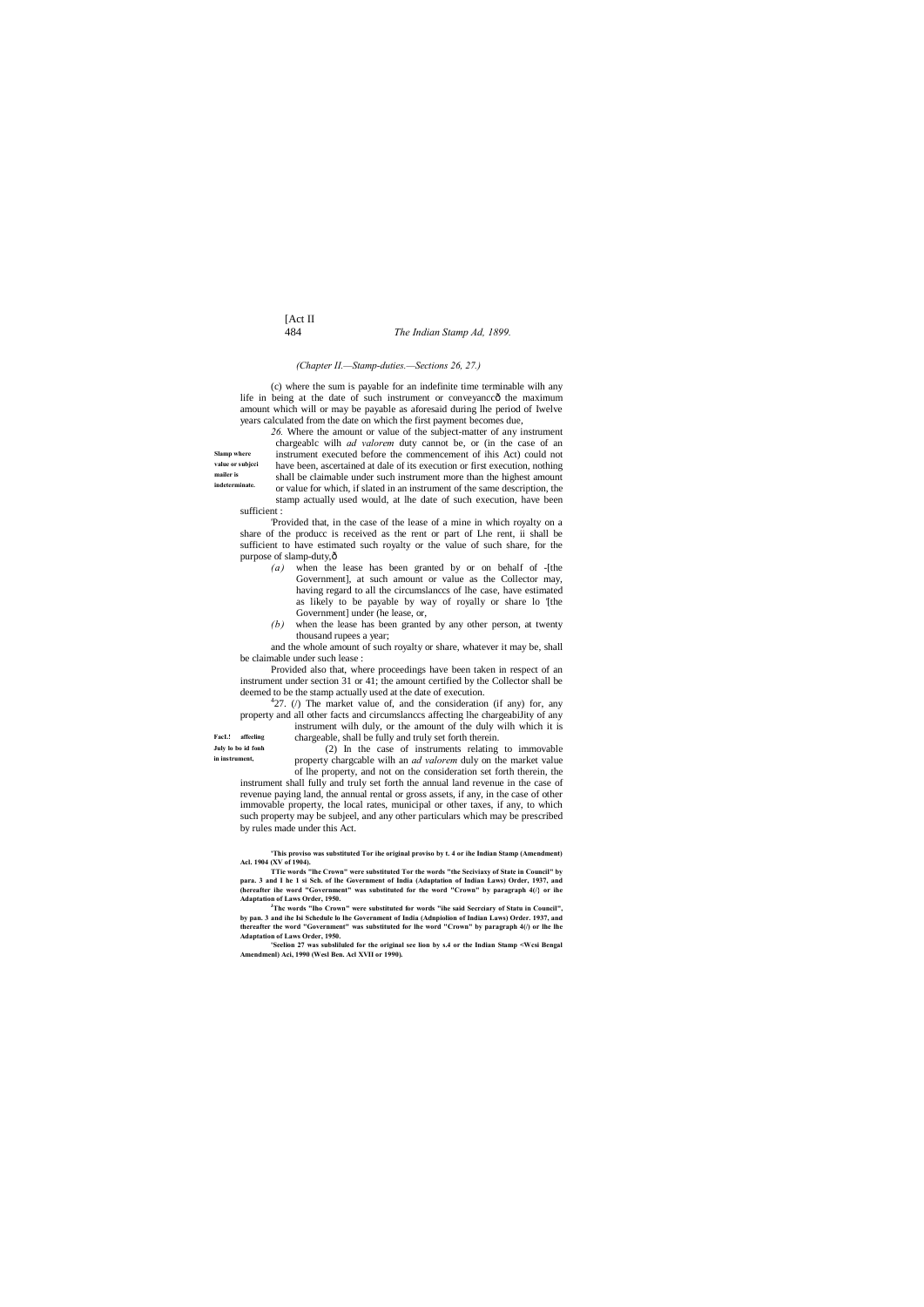[Act II

#### 484 *The Indian Stamp Ad, 1899.*

**Slamp where value or subjcci mailer is indeterminate.**

**FacL! affeeling July lo bo id fonh in instrument,**

### *(Chapter II.—Stamp-duties.—Sections 26, 27.)*

(c) where the sum is payable for an indefinite time terminable wilh any life in being at the date of such instrument or conveyanceô the maximum amount which will or may be payable as aforesaid during lhe period of Iwelve years calculated from the date on which the first payment becomes due,

'Provided that, in the case of the lease of a mine in which royalty on a share of the producc is received as the rent or part of Lhe rent, ii shall be sufficient to have estimated such royalty or the value of such share, for the purpose of slamp-duty, $\hat{o}$ 

*26.* Where the amount or value of the subject-matter of any instrument chargeablc wilh *ad valorem* duty cannot be, or (in the case of an instrument executed before the commencement of ihis Act) could not have been, ascertained at dale of its execution or first execution, nothing shall be claimable under such instrument more than the highest amount or value for which, if slated in an instrument of the same description, the stamp actually used would, at lhe date of such execution, have been sufficient :

 $427.$  (*/*) The market value of, and the consideration (if any) for, any property and all other facts and circumslanccs affecting lhe chargeabiJity of any instrument wilh duly, or the amount of the duly wilh which it is

- *(a)* when the lease has been granted by or on behalf of -[the Government], at such amount or value as the Collector may, having regard to all the circumslanccs of lhe case, have estimated as likely to be payable by way of royally or share lo '[the Government] under (he lease, or,
- *(b)* when the lease has been granted by any other person, at twenty thousand rupees a year;

and the whole amount of such royalty or share, whatever it may be, shall be claimable under such lease :

Provided also that, where proceedings have been taken in respect of an instrument under section 31 or 41; the amount certified by the Collector shall be deemed to be the stamp actually used at the date of execution. <sup>4</sup>

chargeable, shall be fully and truly set forth therein.

(2) In the case of instruments relating to immovable property chargcable wilh an *ad valorem* duly on the market value of lhe property, and not on the consideration set forth therein, the

instrument shall fully and truly set forth the annual land revenue in the case of revenue paying land, the annual rental or gross assets, if any, in the case of other immovable property, the local rates, municipal or other taxes, if any, to which such property may be subjeel, and any other particulars which may be prescribed by rules made under this Act.

**'This proviso was substituted Tor ihe original proviso by t. 4 or ihe Indian Stamp (Amendment) Acl. 1904 (XV of 1904).**

**TTie words "lhe Crown" were substituted Tor the words "the Seciviaxy of State in Council" by para. 3 and I he 1 si Sch. of lhe Government of India (Adaptation of Indian Laws) Order, 1937, and (hereafter ihe word "Government" was substituted for the word "Crown" by paragraph 4(/} or ihe Adaptation of Laws Order, 1950.**

**J Thc words "Iho Crown" were substituted for words "ihe said Secrciary of Statu in Council", by pan. 3 and ihe Isi Schedule lo lhe Government of India (Adnpiolion of Indian Laws) Order. 1937, and thereafter the word "Government" was substituted for lhe word "Crown" by paragraph 4(/) or lhe lhe Adaptation of Laws Order, 1950.**

**'Seelion 27 was subsliluled for the original see lion by s.4 or the Indian Stamp <Wcsi Bengal Amendmenl) Aci, 1990 (Wesl Ben. Acl XVII or 1990).**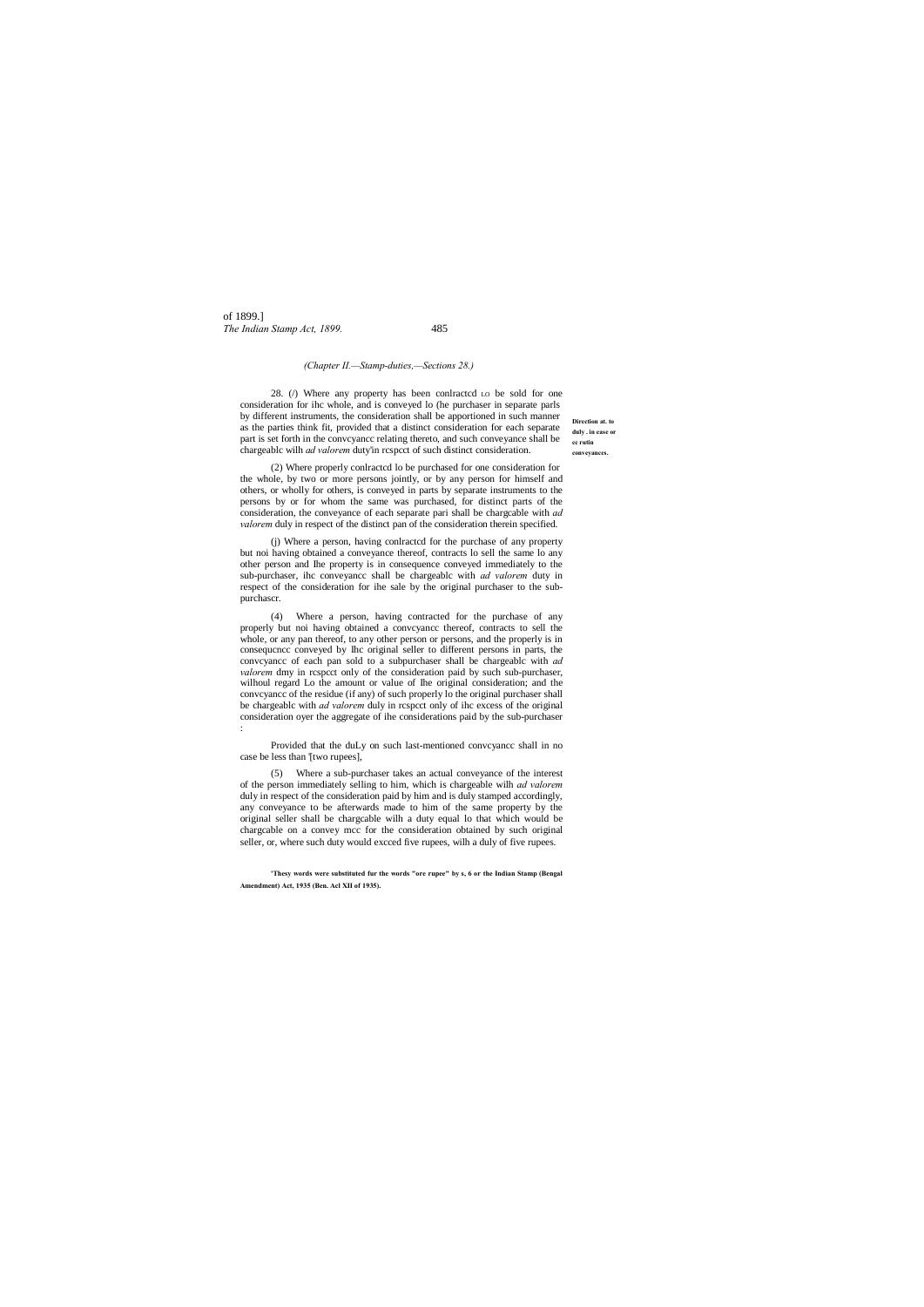**Direction at. to duly . in ease or cc rutin conveyances.**

of 1899.] *The Indian Stamp Act, 1899.* 485

#### *(Chapter II.—Stamp-duties,—Sections 28.)*

28. () Where any property has been conlracted Lo be sold for one consideration for ihc whole, and is conveyed lo (he purchaser in separate parls by different instruments, the consideration shall be apportioned in such manner as the parties think fit, provided that a distinct consideration for each separate part is set forth in the convcyancc relating thereto, and such conveyance shall be chargeablc wilh *ad valorem* duty'in rcspcct of such distinct consideration.

(2) Where properly conlractcd lo be purchased for one consideration for the whole, by two or more persons jointly, or by any person for himself and others, or wholly for others, is conveyed in parts by separate instruments to the persons by or for whom the same was purchased, for distinct parts of the consideration, the conveyance of each separate pari shall be chargcable with *ad valorem* duly in respect of the distinct pan of the consideration therein specified.

(j) Where a person, having conlractcd for the purchase of any property but noi having obtained a conveyance thereof, contracts lo sell the same lo any other person and Ihe property is in consequence conveyed immediately to the sub-purchaser, ihc conveyancc shall be chargeablc with *ad valorem* duty in respect of the consideration for ihe sale by the original purchaser to the subpurchascr.

(4) Where a person, having contracted for the purchase of any properly but noi having obtained a convcyancc thereof, contracts to sell the whole, or any pan thereof, to any other person or persons, and the properly is in consequcncc conveyed by Ihc original seller to different persons in parts, the convcyancc of each pan sold to a subpurchaser shall be chargeablc with *ad valorem* dmy in rcspcct only of the consideration paid by such sub-purchaser, wilhoul regard Lo the amount or value of Ihe original consideration; and the convcyancc of the residue (if any) of such properly lo the original purchaser shall be chargeablc with *ad valorem* duly in rcspcct only of ihc excess of the original consideration oyer the aggregate of ihe considerations paid by the sub-purchaser :

Provided that the duLy on such last-mentioned convcyancc shall in no case be less than '[two rupees],

(5) Where a sub-purchaser takes an actual conveyance of the interest of the person immediately selling to him, which is chargeable wilh *ad valorem* duly in respect of the consideration paid by him and is duly stamped accordingly, any conveyance to be afterwards made to him of the same property by the original seller shall be chargcable wilh a duty equal lo that which would be chargcable on a convey mcc for the consideration obtained by such original seller, or, where such duty would excced five rupees, wilh a duly of five rupees.

**'Thesy words were substituted fur the words "ore rupee" by s, 6 or the Indian Stamp (Bengal Amendment) Act, 1935 (Ben. Acl XII of 1935).**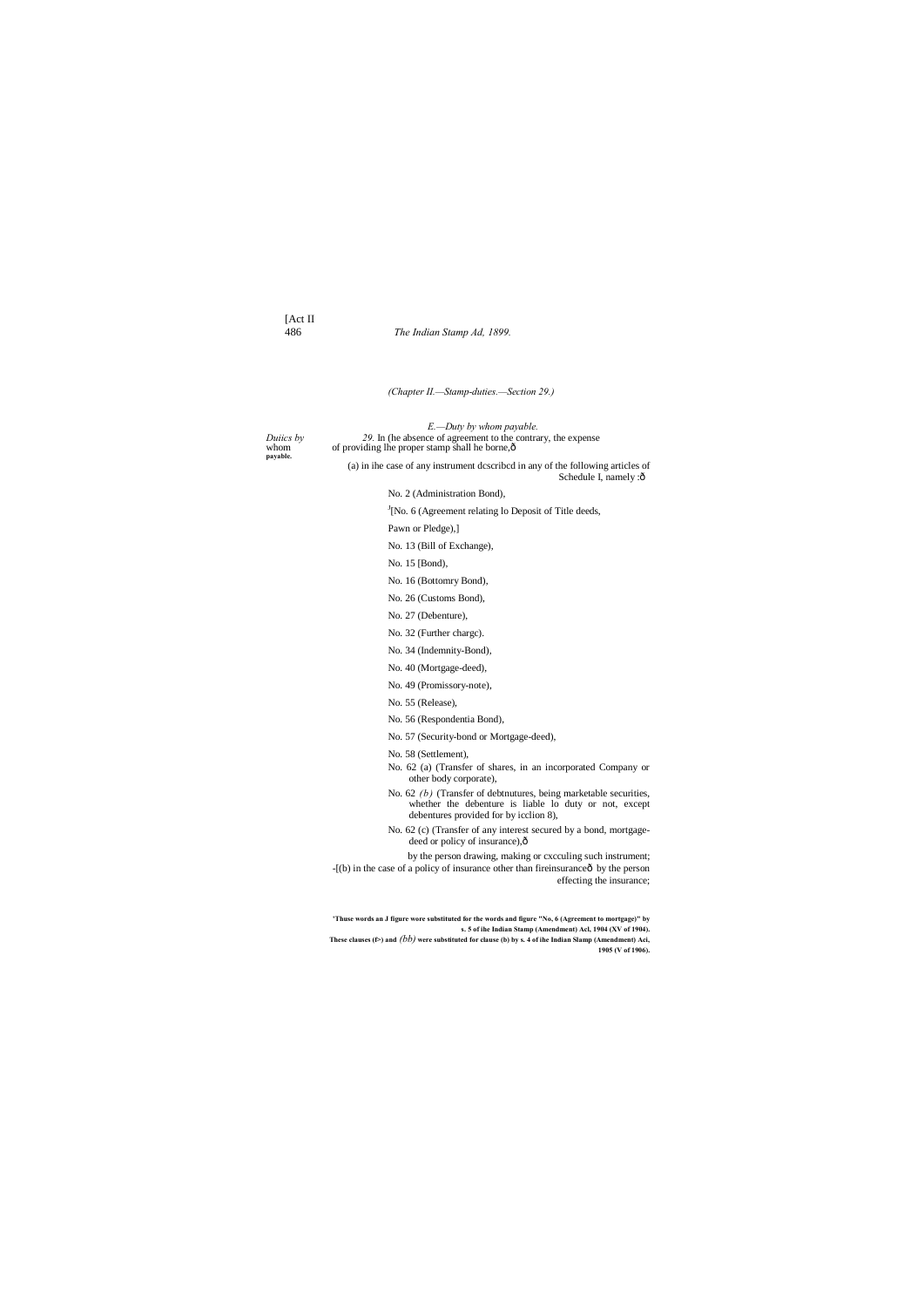[Act II

486 *The Indian Stamp Ad, 1899.*

*(Chapter II.—Stamp-duties.—Section 29.)*

**payable.**

*E.—Duty by whom payable. Duiics by* 29. In (he absence of agreement to the contrary, the expense whom of providing lhe proper stamp shall he borne, $\hat{o}$ of providing lhe proper stamp shall he borne, $\hat{o}$ (a) in ihe case of any instrument dcscribcd in any of the following articles of Schedule I, namely :ô No. 2 (Administration Bond),  $J$ [No. 6 (Agreement relating lo Deposit of Title deeds, Pawn or Pledge),] No. 13 (Bill of Exchange), No. 15 [Bond), No. 16 (Bottomry Bond), No. 26 (Customs Bond), No. 27 (Debenture), No. 32 (Further chargc). No. 34 (Indemnity-Bond), No. 40 (Mortgage-deed), No. 49 (Promissory-note), No. 55 (Release), No. 56 (Respondentia Bond), No. 57 (Security-bond or Mortgage-deed), No. 58 (Settlement), No. 62 (a) (Transfer of shares, in an incorporated Company or other body corporate), No. 62 *(b)* (Transfer of debtnutures, being marketable securities, whether the debenture is liable lo duty or not, except debentures provided for by icclion 8), No. 62 (c) (Transfer of any interest secured by a bond, mortgagedeed or policy of insurance), $\hat{o}$ by the person drawing, making or cxcculing such instrument; -[(b) in the case of a policy of insurance other than fireinsurance<sup>6</sup> by the person effecting the insurance;

> **'Thuse words an J figure wore substituted for the words and figure "No, 6 (Agreement to mortgage)" by s. 5 of ihe Indian Stamp (Amendment) Acl, 1904 (XV of 1904). These clauses (f>) and** *(bb)* **were substituted for clause (b) by s. 4 of ihe Indian Slamp (Amendment) Aci,**

**1905 (V of 1906).**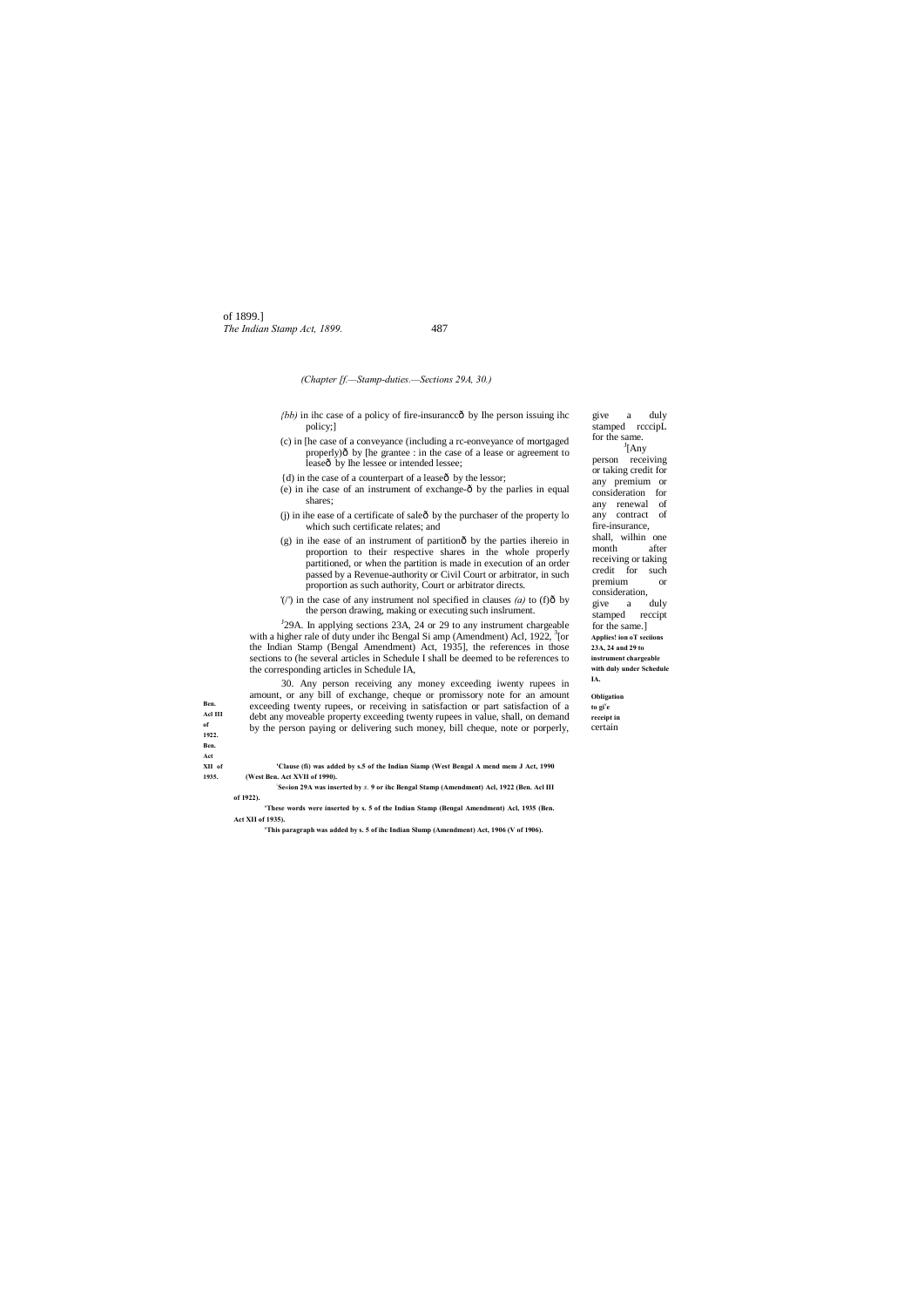**Ben. Acl III of 1922. Ben.** 

**Act** 

of 1899.] *The Indian Stamp Act, 1899.* 487

*(Chapter [f.—Stamp-duties.—Sections 29A, 30.)*

- $f(b)$  in ihc case of a policy of fire-insurance  $\delta$  by Ihe person issuing ihc policy;]
- (c) in [he case of a conveyance (including a rc-eonveyance of mortgaged properly) $\hat{o}$  by [he grantee : in the case of a lease or agreement to leaseô by Ihe lessee or intended lessee;
- ${d}$ ) in the case of a counterpart of a lease $\delta$  by the lessor;
- (e) in ihe case of an instrument of exchange-ô by the parlies in equal shares;
- (j) in ihe ease of a certificate of saleô by the purchaser of the property lo which such certificate relates; and
- (g) in ihe ease of an instrument of partitionô by the parties ihereio in proportion to their respective shares in the whole properly partitioned, or when the partition is made in execution of an order passed by a Revenue-authority or Civil Court or arbitrator, in such proportion as such authority, Court or arbitrator directs.
- '( $\prime$ ) in the case of any instrument nol specified in clauses  $\alpha$ ) to (f) $\delta$  by the person drawing, making or executing such inslrument.

 $J<sup>J</sup>29A$ . In applying sections 23A, 24 or 29 to any instrument chargeable with a higher rale of duty under ihc Bengal Si amp (Amendment) Acl,  $1922$ ,  $3$  [or the Indian Stamp (Bengal Amendment) Act, 1935], the references in those sections to (he several articles in Schedule I shall be deemed to be references to the corresponding articles in Schedule IA,

**XII of 1935. 'Clause (fi) was added by s.5 of the Indian Siamp (West Bengal A mend mem J Act, 1990 (West Ben. Act XVII of 1990).**

30. Any person receiving any money exceeding iwenty rupees in amount, or any bill of exchange, cheque or promissory note for an amount exceeding twenty rupees, or receiving in satisfaction or part satisfaction of a debt any moveable property exceeding twenty rupees in value, shall, on demand by the person paying or delivering such money, bill cheque, note or porperly,

give a duly stamped rcccipL for the same. [Any person receiving or taking credit for any premium or consideration for any renewal of any contract of fire-insurance, shall, wilhin one month after receiving or taking credit for such premium or consideration, give a duly stamped reccipt for the same.] **Applies! ion oT seciions 23A, 24 and 29 to instrument chargeable with duly under Schedule IA.**

**Obligation to gi<sup>v</sup> e receipt in**  certain

**: Se«ion 29A was inserted by** *s.* **9 or ihc Bengal Stamp (Amendment) Acl, 1922 (Ben. Acl III of 1922).**

**'These words were inserted by s. 5 of the Indian Stamp (Bengal Amendment) Acl, 1935 (Ben. Act XII of 1935).**

**'This paragraph was added by s. 5 of ihc Indian Slump (Amendment) Act, 1906 (V of 1906).**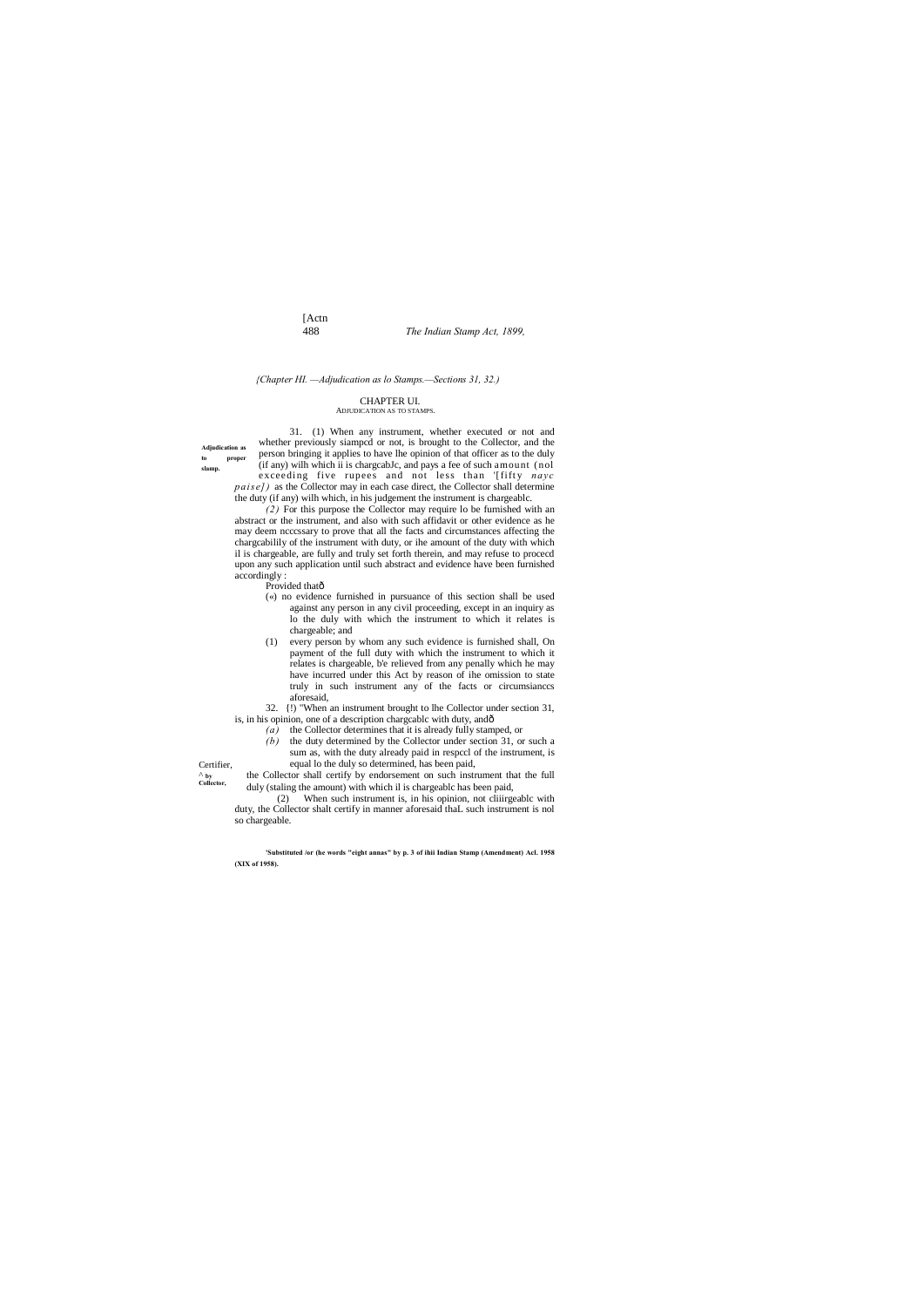[Actn

### 488 *The Indian Stamp Act, 1899,*

**Adjudication as to proper slamp.**

Certifier, ^ **by Collector,**

#### *{Chapter HI. —Adjudication as lo Stamps.—Sections 31, 32.)*

#### CHAPTER UI. ADJUDICATION AS TO STAMPS.

31. (1) When any instrument, whether executed or not and whether previously siampcd or not, is brought to the Collector, and the person bringing it applies to have lhe opinion of that officer as to the duly (if any) wilh which ii is chargcabJc, and pays a fee of such amount (nol exceeding five rupees and not less than '[fifty nayc *paise] )* as the Collector may in each case direct, the Collector shall determine the duty (if any) wilh which, in his judgement the instrument is chargeablc.

*(2)* For this purpose the Collector may require lo be furnished with an abstract or the instrument, and also with such affidavit or other evidence as he may deem ncccssary to prove that all the facts and circumstances affecting the chargcabilily of the instrument with duty, or ihe amount of the duty with which il is chargeable, are fully and truly set forth therein, and may refuse to procecd upon any such application until such abstract and evidence have been furnished accordingly :

Provided thatô

- («) no evidence furnished in pursuance of this section shall be used against any person in any civil proceeding, except in an inquiry as lo the duly with which the instrument to which it relates is chargeable; and
- (1) every person by whom any such evidence is furnished shall, On payment of the full duty with which the instrument to which it relates is chargeable, b'e relieved from any penally which he may have incurred under this Act by reason of ihe omission to state truly in such instrument any of the facts or circumsianccs aforesaid,
- 32. {!) "When an instrument brought to lhe Collector under section 31, is, in his opinion, one of a description chargcablc with duty, and—
	- *(a)* the Collector determines that it is already fully stamped, or
		- *(b)* the duty determined by the Collector under section 31, or such a sum as, with the duty already paid in respccl of the instrument, is equal lo the duly so determined, has been paid,

the Collector shall certify by endorsement on such instrument that the full duly (staling the amount) with which il is chargeablc has been paid,

(2) When such instrument is, in his opinion, not cliiirgeablc with duty, the Collector shalt certify in manner aforesaid thaL such instrument is nol so chargeable.

**'Substituted /or (he words "eight annas" by p. 3 of ihii Indian Stamp (Amendment) Acl. 1958 (XIX of 1958).**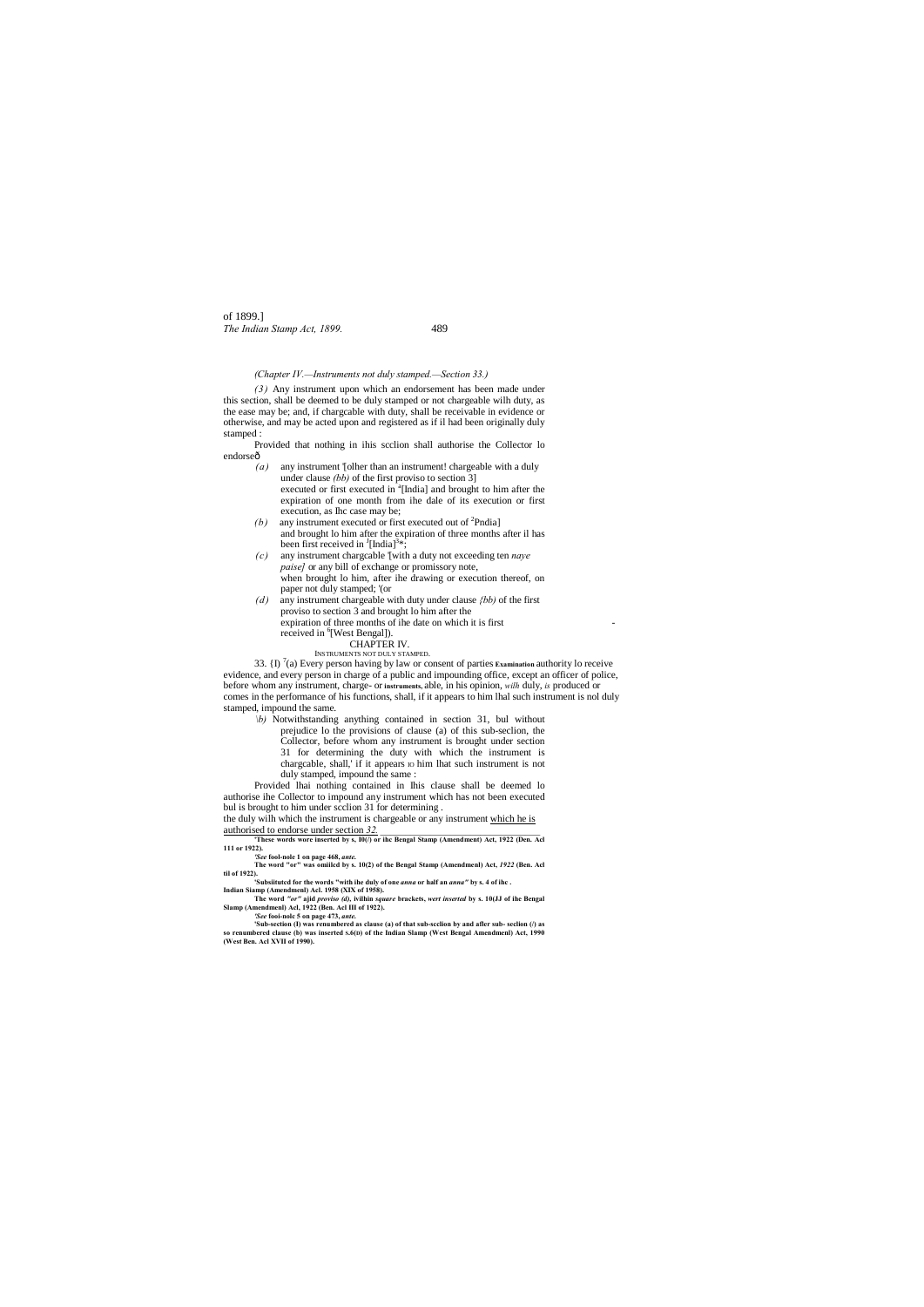# of 1899.] *The Indian Stamp Act, 1899.* 489

#### *(Chapter IV.—Instruments not duly stamped.—Section 33.)*

Provided that nothing in ihis scclion shall authorise the Collector lo endorseô

- *(a)* any instrument '[olher than an instrument! chargeable with a duly under clause *(bb)* of the first proviso to section 3] executed or first executed in <sup>a</sup>[India] and brought to him after the expiration of one month from ihe dale of its execution or first execution, as Ihc case may be;
- $(b)$  any instrument executed or first executed out of <sup>2</sup>Pndia] and brought lo him after the expiration of three months after il has been first received in  $\text{J}[\text{India}]^{3*}$ ;
- *(c)* any instrument chargcable '[with a duty not exceeding ten *naye paise]* or any bill of exchange or promissory note, when brought lo him, after ihe drawing or execution thereof, on paper not duly stamped; '(or
- *(d)* any instrument chargeable with duty under clause *{bb)* of the first proviso to section 3 and brought lo him after the expiration of three months of ihe date on which it is first received in <sup>6</sup>[West Bengal]).

*(3)* Any instrument upon which an endorsement has been made under this section, shall be deemed to be duly stamped or not chargeable wilh duty, as the ease may be; and, if chargcable with duty, shall be receivable in evidence or otherwise, and may be acted upon and registered as if il had been originally duly stamped :

# CHAPTER IV. INSTRUMENTS NOT DULY STAMPED.

33. {I) <sup>7</sup> (a) Every person having by law or consent of parties **Examination** authority lo receive evidence, and every person in charge of a public and impounding office, except an officer of police, before whom any instrument, charge- or **instruments,** able, in his opinion, *wilh* duly, *is* produced or

comes in the performance of his functions, shall, if it appears to him lhal such instrument is nol duly stamped, impound the same.

- *\b)* Notwithstanding anything contained in section 31, bul without prejudice lo the provisions of clause (a) of this sub-seclion, the Collector, before whom any instrument is brought under section
	-
	- 31 for determining the duty with which the instrument is chargcable, shall,' if it appears to him lhat such instrument is not duly stamped, impound the same :

Provided lhai nothing contained in Ihis clause shall be deemed lo authorise ihe Collector to impound any instrument which has not been executed bul is brought to him under scclion 31 for determining .

the duly wilh which the instrument is chargeable or any instrument which he is authorised to endorse under section *32. \_\_\_\_\_\_\_\_\_\_\_\_\_\_\_\_\_\_\_\_\_\_\_\_\_\_\_\_\_\_\_\_*

**'These words wore inserted by s, I0(/) or ihc Bengal Stamp (Amendment) Act, 1922 (Den. Acl 111 or 1922).**

*'See* **fool-nole 1 on page 468,** *ante.*

**The word "or" was omiilcd by s. 10(2) of the Bengal Stamp (Amendmenl) Act,** *1922* **(Ben. Acl til of 1922).**

**'Subsiitutcd for the words "with ihe duly of one** *anna* **or half an** *anna"* **by s. 4 of ihc .**

**Indian Siamp (Amendmenl) Acl. 1958 (XIX of 1958). The word** *"or"* **ajid** *proviso (d),* **ivilhin** *square* **brackets,** *wert inserted* **by s. 10(JJ of ihe Bengal Slamp (Amendmenl) Acl, 1922 (Ben. Acl III of 1922).** *'See* **fooi-nolc 5 on page 473,** *ante.*

**'Sub-section (I) was renumbered as clause (a) of that sub-scclion by and afler sub- seclion (/) as so renumbered clause (b) was inserted S.6(D) of the Indian Slamp (West Bengal Amendmenl) Act, 1990 (West Ben. Acl XVII of 1990).**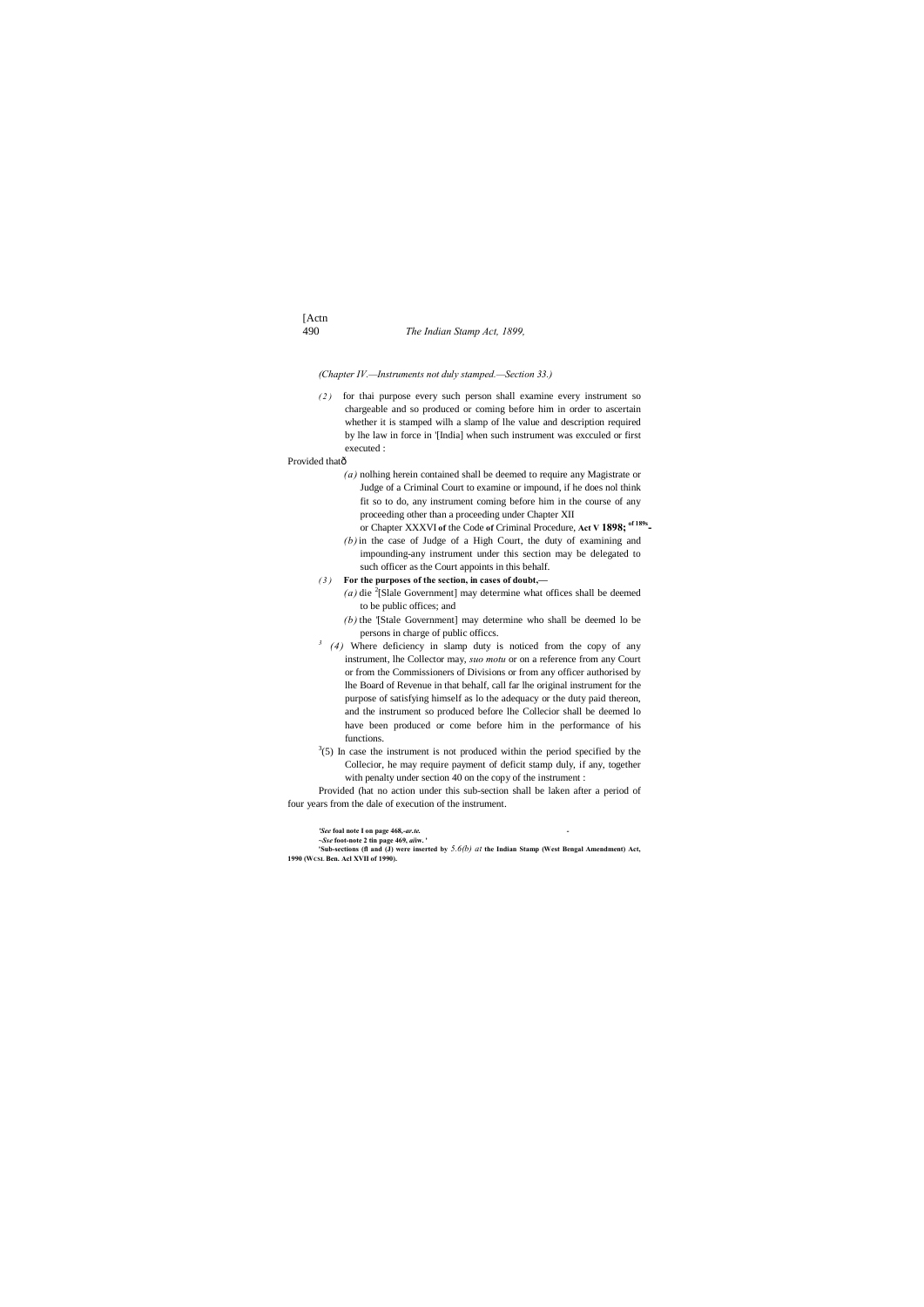# [Actn

### 490 *The Indian Stamp Act, 1899,*

### *(Chapter IV.—Instruments not duly stamped.—Section 33.)*

*( 2 )* for thai purpose every such person shall examine every instrument so chargeable and so produced or coming before him in order to ascertain whether it is stamped wilh a slamp of lhe value and description required by lhe law in force in '[India] when such instrument was excculed or first executed :

#### Provided thatô

- *(a)* nolhing herein contained shall be deemed to require any Magistrate or Judge of a Criminal Court to examine or impound, if he does nol think fit so to do, any instrument coming before him in the course of any proceeding other than a proceeding under Chapter XII or Chapter XXXVI **of** the Code **of** Criminal Procedure, **Act V 1898; of 189s-**
- *(b)*in the case of Judge of a High Court, the duty of examining and impounding-any instrument under this section may be delegated to such officer as the Court appoints in this behalf.
- *( 3 )* **For the purposes of the section, in cases of doubt,—**
	- *(a)* die <sup>2</sup> [Slale Government] may determine what offices shall be deemed to be public offices; and
	- *(b)* the '[Stale Government] may determine who shall be deemed lo be persons in charge of public officcs.
- *<sup>3</sup> (4)* Where deficiency in slamp duty is noticed from the copy of any instrument, lhe Collector may, *suo motu* or on a reference from any Court or from the Commissioners of Divisions or from any officer authorised by lhe Board of Revenue in that behalf, call far lhe original instrument for the purpose of satisfying himself as lo the adequacy or the duty paid thereon, and the instrument so produced before lhe Collecior shall be deemed lo have been produced or come before him in the performance of his functions.
- $3(5)$  In case the instrument is not produced within the period specified by the Collecior, he may require payment of deficit stamp duly, if any, together with penalty under section 40 on the copy of the instrument :

Provided (hat no action under this sub-section shall be laken after a period of four years from the dale of execution of the instrument.

#### *'See* **foal note I on page 468***,-ar.te. -*

*~Sse* **foot-note 2 tin page 469,** *ai***iw. ' 'Sub-sections (fl and (J) were inserted by** *5.6(b) at* **the Indian Stamp (West Bengal Amendment) Act, 1990 (WCSL Ben. Acl XVII of 1990).**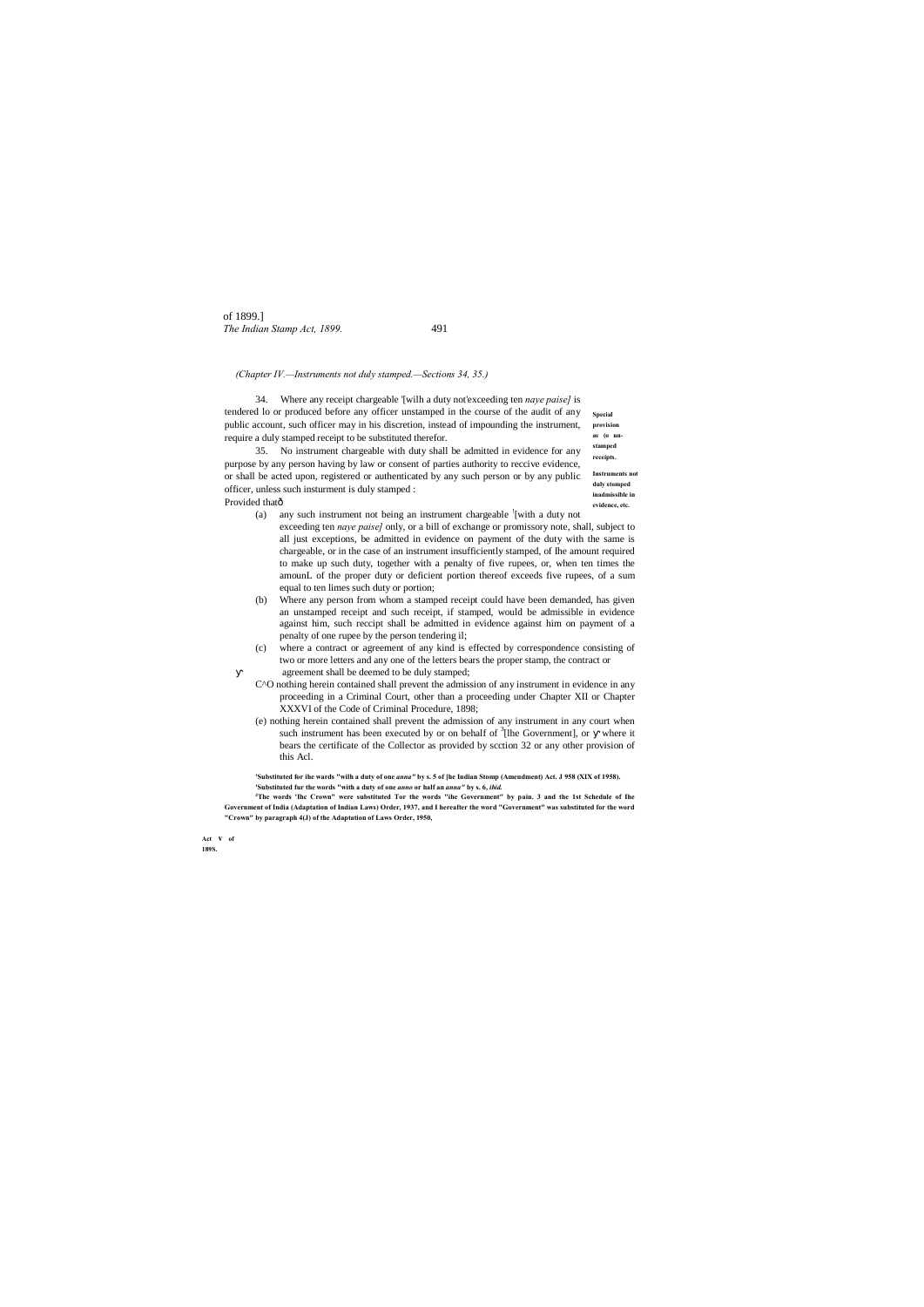**Instruments no duly stomped inadmissible in evidence, etc.**

**receipts.**

of 1899.] *The Indian Stamp Act, 1899.* 491

*(Chapter IV.—Instruments not duly stamped.—Sections 34, 35.)*

35. No instrument chargeable with duty shall be admitted in evidence for any purpose by any person having by law or consent of parties authority to reccive evidence, or shall be acted upon, registered or authenticated by any such person or by any public officer, unless such insturment is duly stamped : Provided thatô

**Special provision as (o unstamped**  34. Where any receipt chargeable '[wilh a duty not'exceeding ten *naye paise]* is tendered lo or produced before any officer unstamped in the course of the audit of any public account, such officer may in his discretion, instead of impounding the instrument, require a duly stamped receipt to be substituted therefor.

- (a) any such instrument not being an instrument chargeable '[with a duty not exceeding ten *naye paise]* only, or a bill of exchange or promissory note, shall, subject to all just exceptions, be admitted in evidence on payment of the duty with the same is chargeable, or in the case of an instrument insufficiently stamped, of Ihe amount required to make up such duty, together with a penalty of five rupees, or, when ten times the amounL of the proper duty or deficient portion thereof exceeds five rupees, of a sum equal to ten limes such duty or portion;
- (b) Where any person from whom a stamped receipt could have been demanded, has given an unstamped receipt and such receipt, if stamped, would be admissible in evidence against him, such reccipt shall be admitted in evidence against him on payment of a penalty of one rupee by the person tendering il;
- (c) where a contract or agreement of any kind is effected by correspondence consisting of two or more letters and any one of the letters bears the proper stamp, the contract or agreement shall be deemed to be duly stamped;
- C^O nothing herein contained shall prevent the admission of any instrument in evidence in any proceeding in a Criminal Court, other than a proceeding under Chapter XII or Chapter XXXVI of the Code of Criminal Procedure, 1898;
- (e) nothing herein contained shall prevent the admission of any instrument in any court when such instrument has been executed by or on behalf of  $3$ [lhe Government], or where it bears the certificate of the Collector as provided by scction 32 or any other provision of this Acl.

**'Substituted for ihe wards "wilh a duty of one** *anna"* **by s. 5 of [he Indian Stomp (Amendment) Act. J 958 (XIX of 1958). 'Substituted fur the words "with a duty of one** *anno* **or half an** *anna"* **by s. 6,** *ibid.*

**J The words 'Ihc Crown" were substituted Tor the words "ihe Government" by pain. 3 and the 1st Schedule of Ihe Government of India (Adaptation of Indian Laws) Order, 1937, and I hereafter the word "Government" was substituted for the word "Crown" by paragraph 4(J) of the Adaptation of Laws Order, 1950,**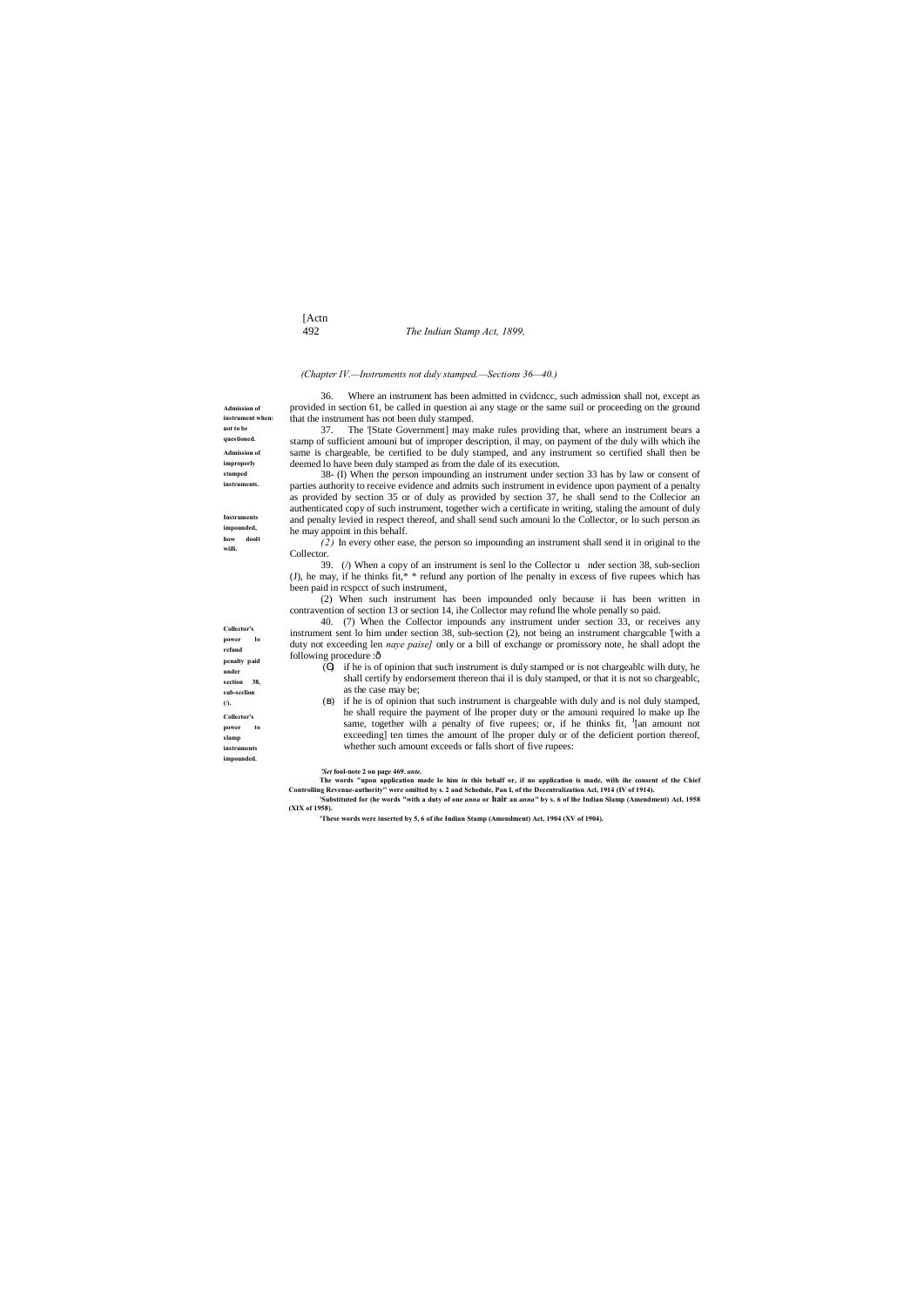[Actn

### 492 *The Indian Stamp Act, 1899,*

**not to be questioned. Admission of improperly stamped instruments.**

**Instruments impounded, how doolt wiili.**

**Collector's power lo refund penalty paid under section 38, sub-seclion (/). Collector's power to slamp instruments** 

**impounded.**

#### *(Chapter IV.—Instruments not duly stamped.—Sections 36—40.)*

**Admission of instrument when:**  36. Where an instrument has been admitted in cvidcncc, such admission shall not, except as provided in section 61, be called in question ai any stage or the same suil or proceeding on the ground that the instrument has not been duly stamped. 37. The '[State Government] may make rules providing that, where an instrument bears a

stamp of sufficient amouni but of improper description, il may, on payment of the duly wilh which ihe same is chargeable, be certified to be duly stamped, and any instrument so certified shall then be deemed lo have been duly stamped as from the dale of its execution.

40. (7) When the Collector impounds any instrument under section 33, or receives any instrument sent lo him under section 38, sub-section (2), not being an instrument chargcable '[with a duty not exceeding len *naye paise]* only or a bill of exchange or promissory note, he shall adopt the following procedure :ô

38- (I) When the person impounding an instrument under section 33 has by law or consent of parties authority to receive evidence and admits such instrument in evidence upon payment of a penalty as provided by section 35 or of duly as provided by section 37, he shall send to the Collecior an authenticated copy of such instrument, together wich a certificate in writing, staling the amount of duly and penalty levied in respect thereof, and shall send such amouni lo the Collector, or lo such person as he may appoint in this behalf.

*(2)* In every other ease, the person so impounding an instrument shall send it in original to the Collector.

39. (/) When a copy of an instrument is senl lo the Collector u nder section 38, sub-seclion (J), he may, if he thinks fit,\* \* refund any portion of lhe penalty in excess of five rupees which has been paid in rcspcct of such instrument,

(2) When such instrument has been impounded only because ii has been written in contravention of section 13 or section 14, ihe Collector may refund lhe whole penally so paid.

- ( ) if he is of opinion that such instrument is duly stamped or is not chargeablc wilh duty, he shall certify by endorsement thereon thai il is duly stamped, or that it is not so chargeablc, as the case may be;
- ( ) if he is of opinion that such instrument is chargeable with duly and is nol duly stamped, he shall require the payment of lhe proper duty or the amouni required lo make up Ihe same, together wilh a penalty of five rupees; or, if he thinks fit, <sup>J</sup>[an amount not exceeding] ten times the amount of lhe proper duly or of the deficient portion thereof, whether such amount exceeds or falls short of five rupees:

*'Set* **fool-note 2 on page 469.** *ante.*

**The words "upon application made lo him in this behalf or, if no application is made, wilh ihe consent of the Chief Controlling Revenue-authority'' were omilted by s. 2 and Schedule, Pan I, of the Decentralization Acl, 1914 (IV of 1914).**

**'Substituted for (he words "with a duty of one** *anna* **or hair an** *anna"* **by s. 6 of lhe Indian Slamp (Amendment) Acl, 1958 (XIX of 1958).**

**'These words were inserted by 5, 6 of ihe Indian Stamp (Amendment) Act, 1904 (XV of 1904).**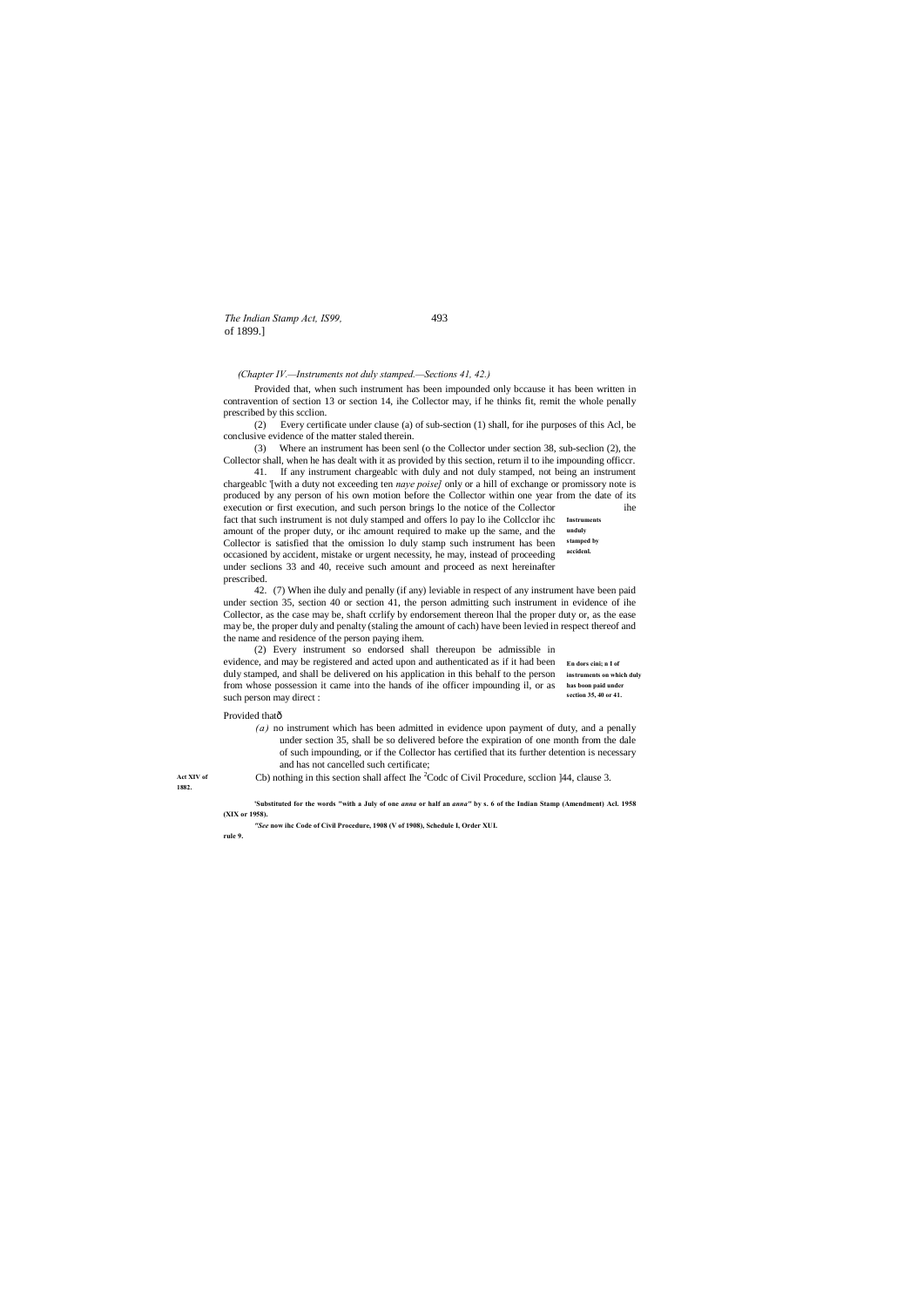*The Indian Stamp Act, IS99,* 493 of 1899.]

**Act XIV of 1882.**

*(Chapter IV.—Instruments not duly stamped.—Sections 41, 42.)*

Provided that, when such instrument has been impounded only bccause it has been written in contravention of section 13 or section 14, ihe Collector may, if he thinks fit, remit the whole penally prescribed by this scclion.

(2) Every certificate under clause (a) of sub-section (1) shall, for ihe purposes of this Acl, be conclusive evidence of the matter staled therein.

(3) Where an instrument has been senl (o the Collector under section 38, sub-seclion (2), the Collector shall, when he has dealt with it as provided by this section, return il to ihe impounding officcr.

**Instruments unduly stamped by accidenl.** 41. If any instrument chargeablc with duly and not duly stamped, not being an instrument chargeablc '[with a duty not exceeding ten *naye poise]* only or a hill of exchange or promissory note is produced by any person of his own motion before the Collector within one year from the date of its execution or first execution, and such person brings lo the notice of the Collector ihe fact that such instrument is not duly stamped and offers lo pay lo ihe Collcclor ihc amount of the proper duty, or ihc amount required to make up the same, and the Collector is satisfied that the omission lo duly stamp such instrument has been occasioned by accident, mistake or urgent necessity, he may, instead of proceeding under seclions 33 and 40, receive such amount and proceed as next hereinafter prescribed.

evidence, and may be registered and acted upon and authenticated as if it had been Endors cini; n I of duly stamped, and shall be delivered on his application in this behalf to the person instruments on which duly from whose possession it came into the hands of ihe officer impounding il, or as has boon paid under **section 35, 40 or 41.** (2) Every instrument so endorsed shall thereupon be admissible in such person may direct :

#### Provided thatô

42. (7) When ihe duly and penally (if any) leviable in respect of any instrument have been paid under section 35, section 40 or section 41, the person admitting such instrument in evidence of ihe Collector, as the case may be, shaft ccrlify by endorsement thereon lhal the proper duty or, as the ease may be, the proper duly and penalty (staling the amount of cach) have been levied in respect thereof and the name and residence of the person paying ihem.

*(a)* no instrument which has been admitted in evidence upon payment of duty, and a penally under section 35, shall be so delivered before the expiration of one month from the dale of such impounding, or if the Collector has certified that its further detention is necessary and has not cancelled such certificate;

Cb) nothing in this section shall affect Ihe  ${}^{2}$ Codc of Civil Procedure, scclion ]44, clause 3.

**'Substituted for the words "with a July of one** *anna* **or half an** *anna"* **by s. 6 of the Indian Stamp (Amendment) Acl. 1958 (XIX or 1958).**

*"See* **now ihc Code of Civil Procedure, 1908 (V of 1908), Schedule I, Order XUI.**

**rule 9.**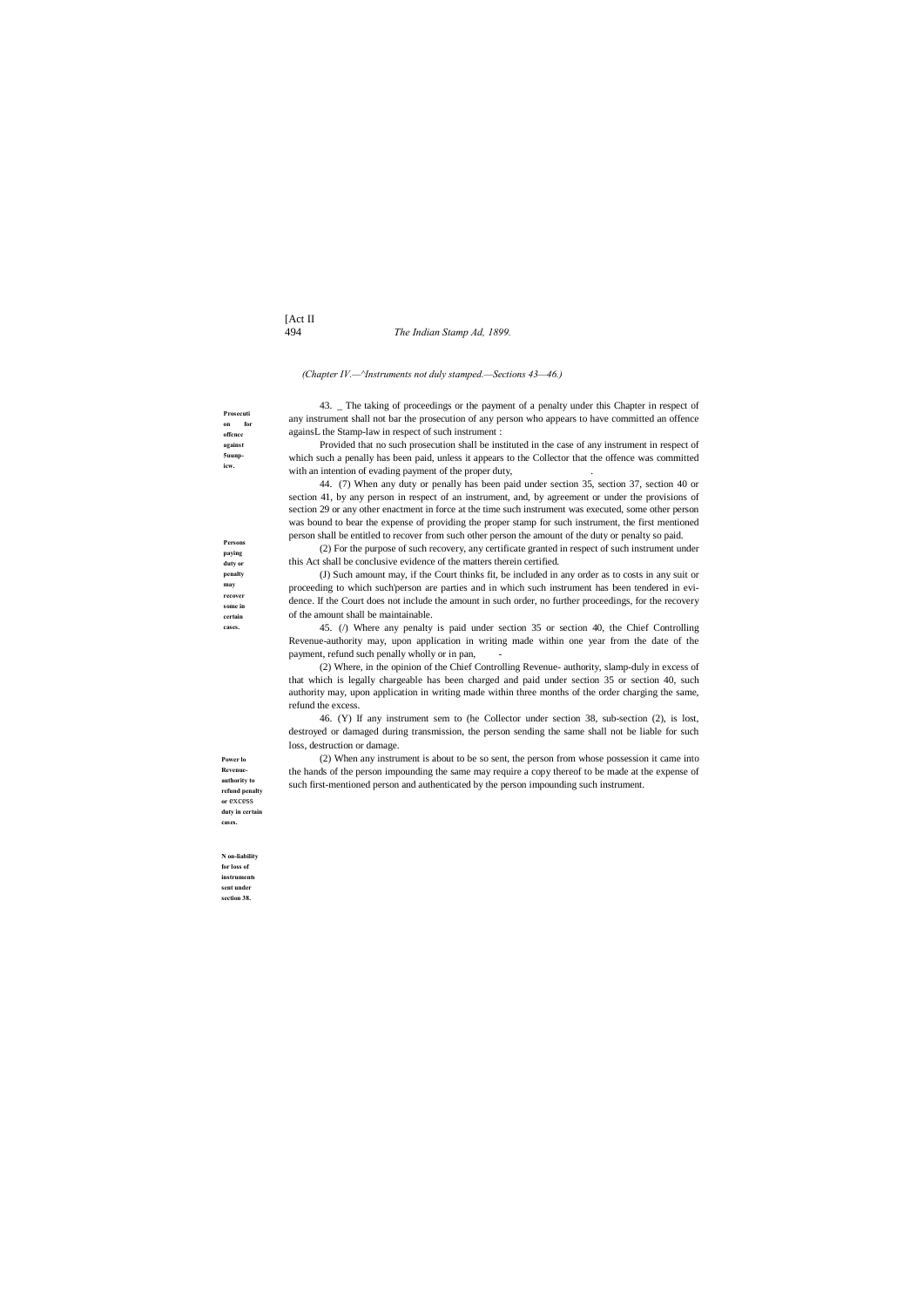# [Act II 494 *The Indian Stamp Ad, 1899.*

**Prosecuti on for offcncc against 5uunpicw.**

**Persons paying duty or penalty may recover some in certain cases.**

**Power lo Revenueauthority to refund penalty or** excess **duty in certain cases.**

**N on-liability for loss of instruments sent under section 38.**

Provided that no such prosecution shall be instituted in the case of any instrument in respect of which such a penally has been paid, unless it appears to the Collector that the offence was committed with an intention of evading payment of the proper duty,

#### *(Chapter IV.—^Instruments not duly stamped.—Sections 43—46.)*

43. \_ The taking of proceedings or the payment of a penalty under this Chapter in respect of any instrument shall not bar the prosecution of any person who appears to have committed an offence againsL the Stamp-law in respect of such instrument :

45. (/) Where any penalty is paid under section 35 or section 40, the Chief Controlling Revenue-authority may, upon application in writing made within one year from the date of the payment, refund such penally wholly or in pan,

44. (7) When any duty or penally has been paid under section 35, section 37, section 40 or section 41, by any person in respect of an instrument, and, by agreement or under the provisions of section 29 or any other enactment in force at the time such instrument was executed, some other person was bound to bear the expense of providing the proper stamp for such instrument, the first mentioned person shall be entitled to recover from such other person the amount of the duty or penalty so paid.

(2) For the purpose of such recovery, any certificate granted in respect of such instrument under this Act shall be conclusive evidence of the matters therein certified.

(J) Such amount may, if the Court thinks fit, be included in any order as to costs in any suit or proceeding to which such'person are parties and in which such instrument has been tendered in evidence. If the Court does not include the amount in such order, no further proceedings, for the recovery of the amount shall be maintainable.

(2) Where, in the opinion of the Chief Controlling Revenue- authority, slamp-duly in excess of that which is legally chargeable has been charged and paid under section 35 or section 40, such authority may, upon application in writing made within three months of the order charging the same, refund the excess.

46. (Y) If any instrument sem to (he Collector under section 38, sub-section (2), is lost, destroyed or damaged during transmission, the person sending the same shall not be liable for such loss, destruction or damage.

(2) When any instrument is about to be so sent, the person from whose possession it came into the hands of the person impounding the same may require a copy thereof to be made at the expense of such first-mentioned person and authenticated by the person impounding such instrument.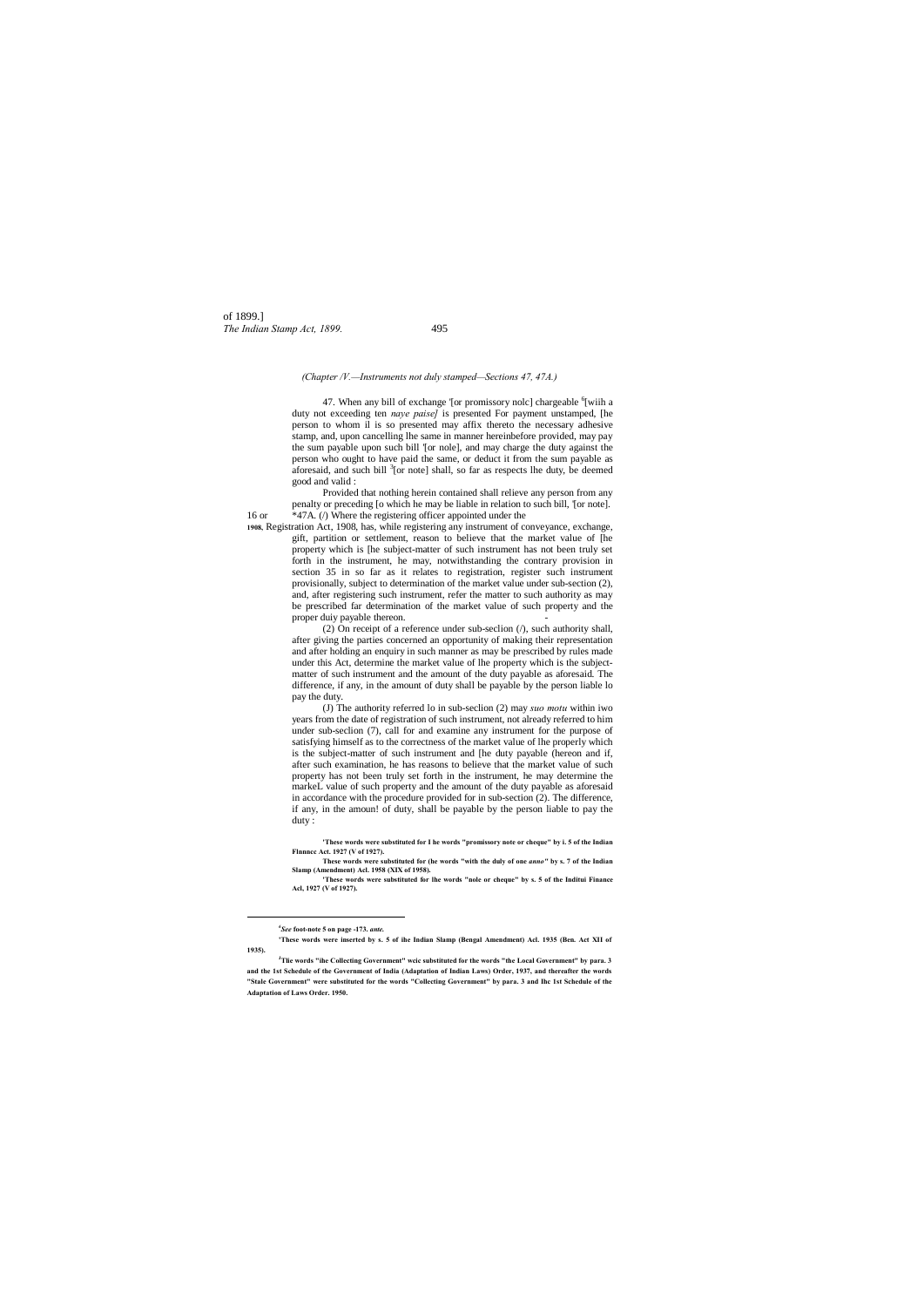of 1899.] *The Indian Stamp Act, 1899.* 495

*(Chapter /V.—Instruments not duly stamped—Sections 47, 47A.)*

47. When any bill of exchange '[or promissory nolc] chargeable <sup>6</sup>[wiih a duty not exceeding ten *naye paise]* is presented For payment unstamped, [he person to whom il is so presented may affix thereto the necessary adhesive stamp, and, upon cancelling lhe same in manner hereinbefore provided, may pay the sum payable upon such bill '[or nole], and may charge the duty against the person who ought to have paid the same, or deduct it from the sum payable as aforesaid, and such bill <sup>3</sup>[or note] shall, so far as respects lhe duty, be deemed good and valid :

Provided that nothing herein contained shall relieve any person from any penalty or preceding [o which he may be liable in relation to such bill, '[or note]. 16 or  $*47A$ . (*/*) Where the registering officer appointed under the

**1908,** Registration Act, 1908, has, while registering any instrument of conveyance, exchange, gift, partition or settlement, reason to believe that the market value of [he property which is [he subject-matter of such instrument has not been truly set forth in the instrument, he may, notwithstanding the contrary provision in section 35 in so far as it relates to registration, register such instrument provisionally, subject to determination of the market value under sub-section (2), and, after registering such instrument, refer the matter to such authority as may be prescribed far determination of the market value of such property and the proper duiy payable thereon.

(2) On receipt of a reference under sub-seclion (/), such authority shall, after giving the parties concerned an opportunity of making their representation and after holding an enquiry in such manner as may be prescribed by rules made under this Act, determine the market value of lhe property which is the subjectmatter of such instrument and the amount of the duty payable as aforesaid. The difference, if any, in the amount of duty shall be payable by the person liable lo pay the duty.

(J) The authority referred lo in sub-seclion (2) may *suo motu* within iwo years from the date of registration of such instrument, not already referred to him under sub-seclion (7), call for and examine any instrument for the purpose of satisfying himself as to the correctness of the market value of lhe properly which is the subject-matter of such instrument and [he duty payable (hereon and if, after such examination, he has reasons to believe that the market value of such property has not been truly set forth in the instrument, he may determine the markeL value of such property and the amount of the duty payable as aforesaid in accordance with the procedure provided for in sub-section (2). The difference, if any, in the amoun! of duty, shall be payable by the person liable to pay the duty :

**'These words were substituted for I he words "promissory note or cheque" by i. 5 of the Indian Flnnncc Act. 1927 (V of 1927).**

**These words were substituted for (he words "with the duly of one** *anno"* **by s. 7 of the Indian Slamp (Amendment) Acl. 1958 (XIX of 1958).**

**'These words were substituted for lhe words "nole or cheque" by s. 5 of the Inditui Finance Acl, 1927 (V of 1927).**

**'These words were inserted by s. 5 of ihe Indian Slamp (Bengal Amendment) Acl. 1935 (Ben. Act XII of** 

**1935).**

**Adaptation of Laws Order. 1950.**

 $\overline{a}$ 

*<sup>6</sup> See* **foot-note 5 on page -173.** *ante.*

**J Tlie words "ihe Collecting Government" wcic substituted for the words "the Local Government" by para. 3 and the 1st Schedule of the Government of India (Adaptation of Indian Laws) Order, 1937, and thereafter the words "Stale Government" were substituted for the words "Collecting Government" by para. 3 and Ihc 1st Schedule of the**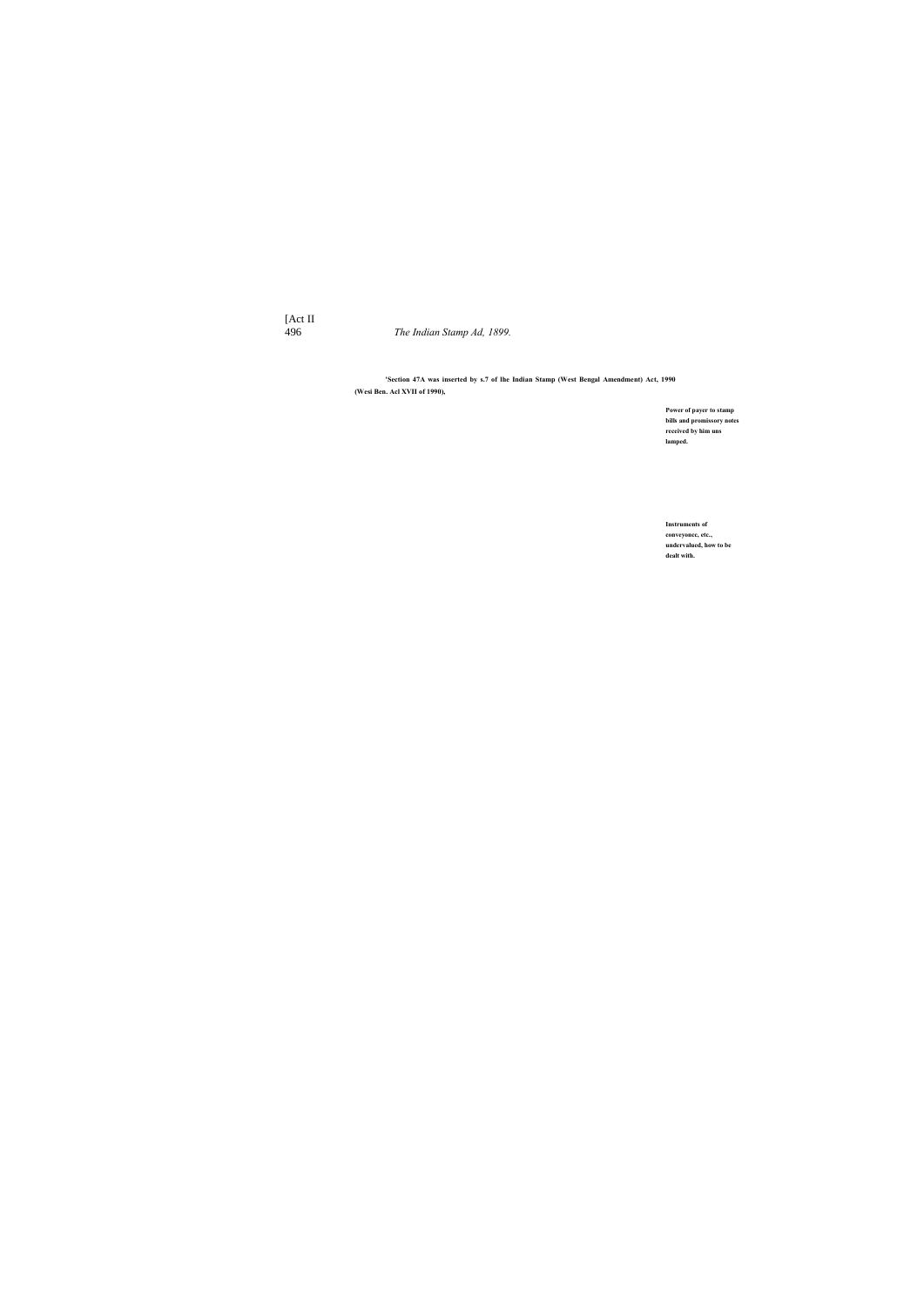[Act II

The Indian Stamp Ad, 1899.

**Power of payer to stamp bills and promissory notes received by him uns lamped.**

**Instruments of conveyoncc, etc., undervalued, how to be dealt with.**

**'Section 47A was inserted by s.7 of lhe Indian Stamp (West Bengal Amendment) Act, 1990 (Wesi Ben. Acl XVII of 1990),**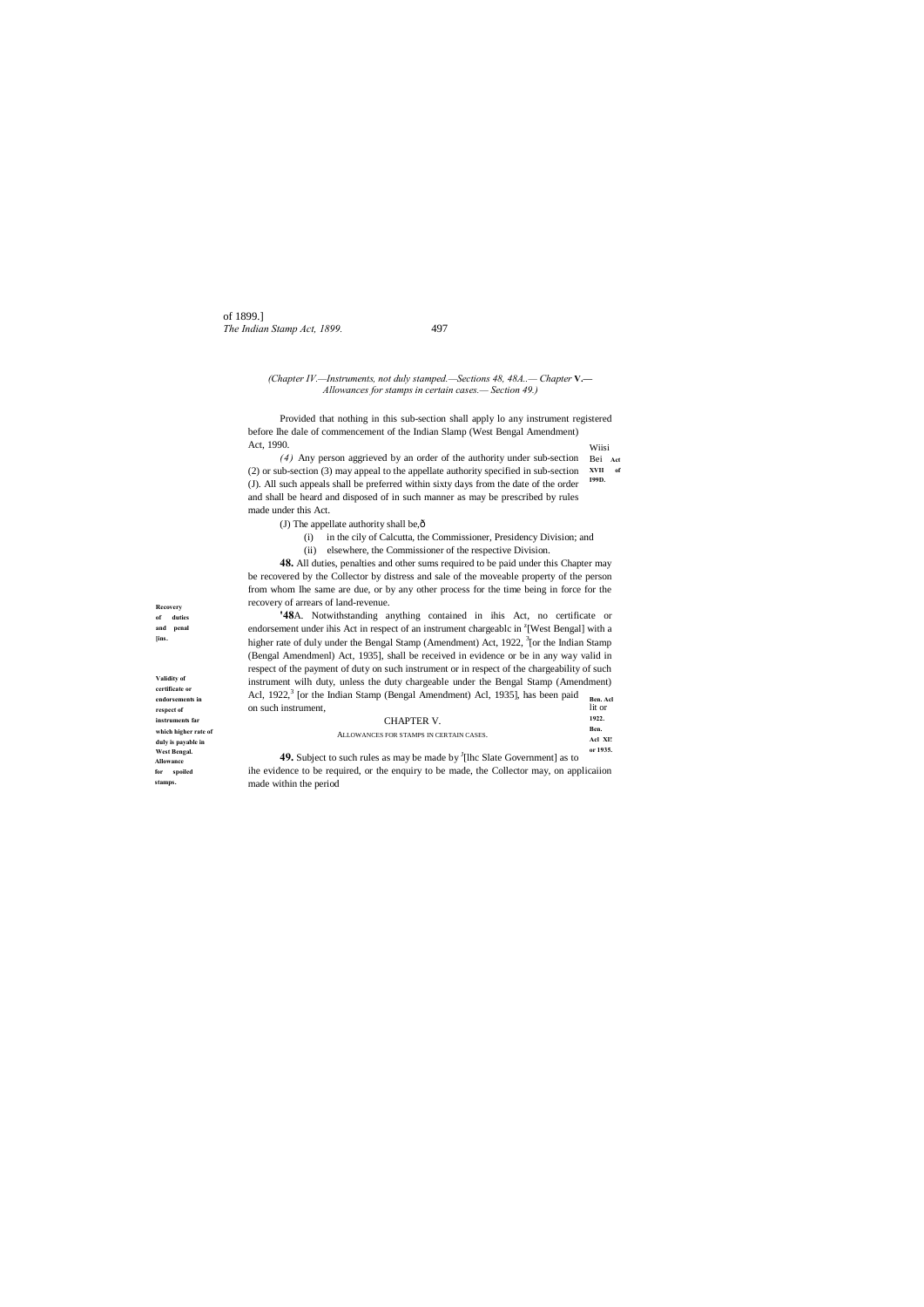**Recovery of duties and penal [ins.**

**Validity of certificate or endorsements in respect of instruments far which higher rate of duly is payable in West Bengal. Allowance for spoiled stamps.**

Wiisi Provided that nothing in this sub-section shall apply lo any instrument registered before Ihe dale of commencement of the Indian Slamp (West Bengal Amendment) Act, 1990.

of 1899.] *The Indian Stamp Act, 1899.* 497

### *(Chapter IV.—Instruments, not duly stamped.—Sections 48, 48A..— Chapter* **V.—** *Allowances for stamps in certain cases.— Section 49.)*

Bei **Act XVII of I99D.** *(4)* Any person aggrieved by an order of the authority under sub-section (2) or sub-section (3) may appeal to the appellate authority specified in sub-section (J). All such appeals shall be preferred within sixty days from the date of the order and shall be heard and disposed of in such manner as may be prescribed by rules made under this Act.

(J) The appellate authority shall be, $\hat{o}$ 

(i) in the cily of Calcutta, the Commissioner, Presidency Division; and

(ii) elsewhere, the Commissioner of the respective Division.

**Ben. Acl** lit or **1922. Ben. '48**A. Notwithstanding anything contained in ihis Act, no certificate or endorsement under ihis Act in respect of an instrument chargeablc in <sup>z</sup>[West Bengal] with a higher rate of duly under the Bengal Stamp (Amendment) Act, 1922, <sup>3</sup>[or the Indian Stamp (Bengal Amendmenl) Act, 1935], shall be received in evidence or be in any way valid in respect of the payment of duty on such instrument or in respect of the chargeability of such instrument wilh duty, unless the duty chargeable under the Bengal Stamp (Amendment) Acl,  $1922$ ,<sup>3</sup> [or the Indian Stamp (Bengal Amendment) Acl, 1935], has been paid on such instrument, CHAPTER V.

|                                                                                               | Ben.     |
|-----------------------------------------------------------------------------------------------|----------|
| ALLOWANCES FOR STAMPS IN CERTAIN CASES.                                                       | Acl XI!  |
|                                                                                               | or 1935. |
| <b>49.</b> Subject to such rules as may be made by $\frac{1}{2}$ [lhc Slate Government] as to |          |

**48.** All duties, penalties and other sums required to be paid under this Chapter may be recovered by the Collector by distress and sale of the moveable property of the person from whom Ihe same are due, or by any other process for the time being in force for the recovery of arrears of land-revenue.

ihe evidence to be required, or the enquiry to be made, the Collector may, on applicaiion made within the period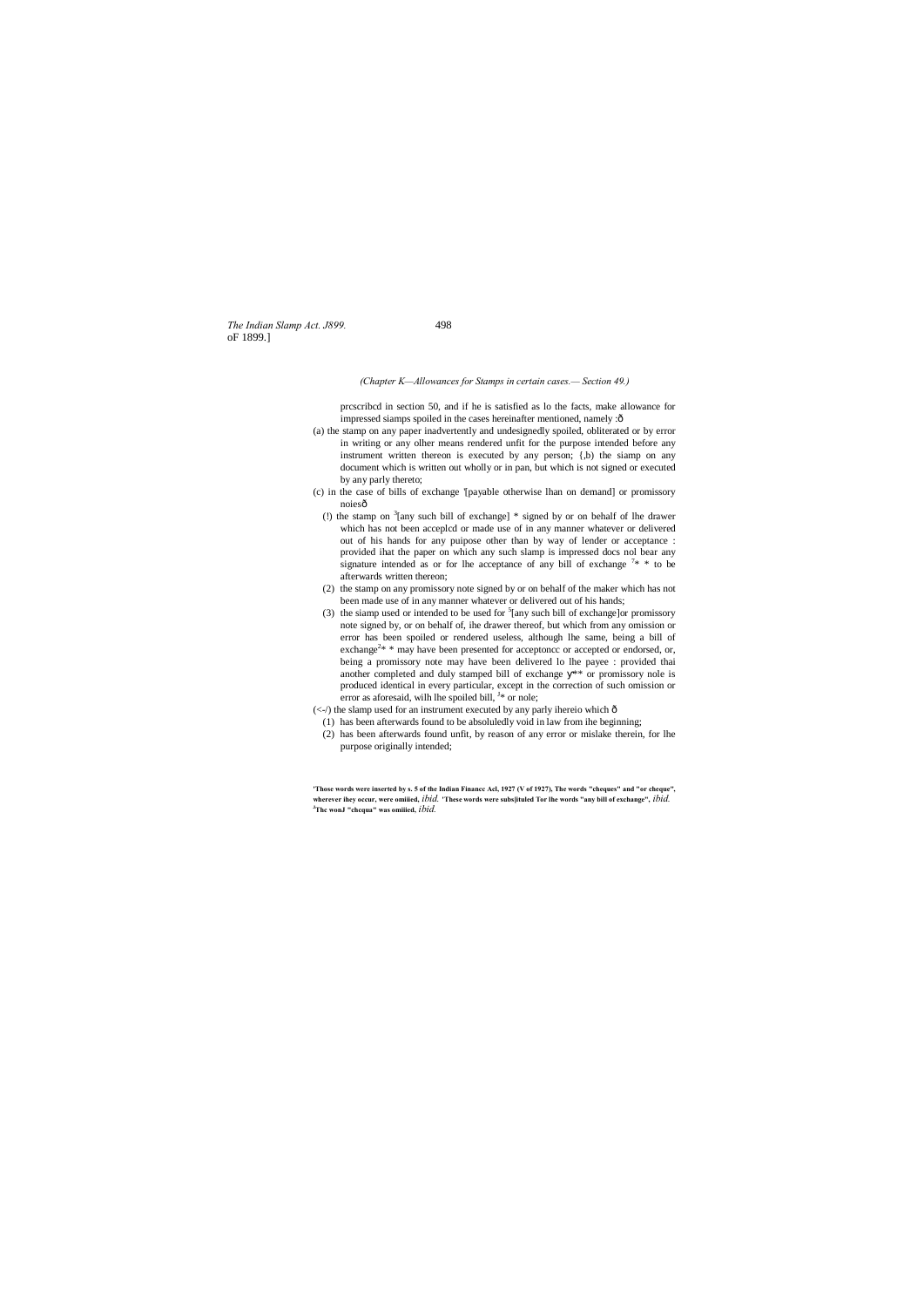*The Indian Slamp Act. J899.* 498 oF 1899.]

prcscribcd in section 50, and if he is satisfied as lo the facts, make allowance for impressed siamps spoiled in the cases hereinafter mentioned, namely : $\hat{o}$ 

*(Chapter K—Allowances for Stamps in certain cases.— Section 49.)*

- (a) the stamp on any paper inadvertently and undesignedly spoiled, obliterated or by error in writing or any olher means rendered unfit for the purpose intended before any instrument written thereon is executed by any person; {b} the siamp on any document which is written out wholly or in pan, but which is not signed or executed by any parly thereto;
- (c) in the case of bills of exchange '[payable otherwise lhan on demand] or promissory noiesô
	- (!) the stamp on <sup>3</sup> [any such bill of exchange] \* signed by or on behalf of lhe drawer which has not been acceplcd or made use of in any manner whatever or delivered out of his hands for any puipose other than by way of lender or acceptance : provided ihat the paper on which any such slamp is impressed docs nol bear any signature intended as or for lhe acceptance of any bill of exchange  $\frac{7}{8}$  \* to be afterwards written thereon;
	- (2) the stamp on any promissory note signed by or on behalf of the maker which has not been made use of in any manner whatever or delivered out of his hands;
	- (3) the siamp used or intended to be used for  $5$ [any such bill of exchange] or promissory note signed by, or on behalf of, ihe drawer thereof, but which from any omission or error has been spoiled or rendered useless, although lhe same, being a bill of exchange<sup>2\*</sup> \* may have been presented for acceptoncc or accepted or endorsed, or, being a promissory note may have been delivered lo lhe payee : provided thai another completed and duly stamped bill of exchange \*\* or promissory nole is produced identical in every particular, except in the correction of such omission or error as aforesaid, wilh lhe spoiled bill,  $J*$  or nole;
- $(<$   $\!\!-\!$  /) the slamp used for an instrument executed by any parly ihereio which  $\rm \hat{o}$ 
	- (1) has been afterwards found to be absoluledly void in law from ihe beginning;
	- (2) has been afterwards found unfit, by reason of any error or mislake therein, for lhe purpose originally intended;

**'Those words were inserted by s. 5 of the Indian Financc Acl, 1927 (V of 1927), The words "cheques" and "or cheque", wherever ihey occur, were omiiied,** *ibid.* **'These words were subs[ituled Tor lhe words "any bill of exchange",** *ibid.* **J Thc wonJ "chcqua" was omiiied,** *ibid.*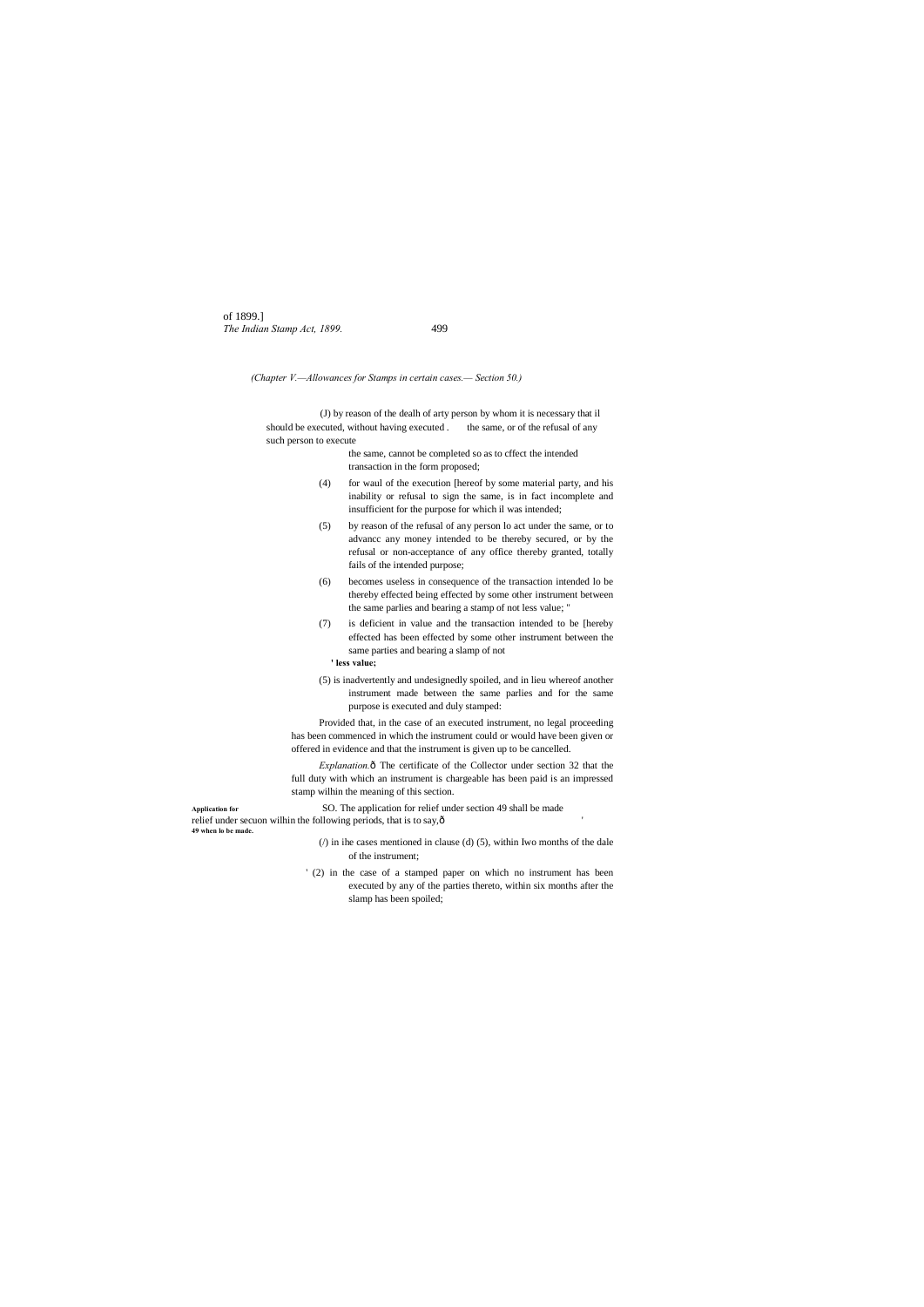of 1899.] *The Indian Stamp Act, 1899.* 499

*(Chapter V.—Allowances for Stamps in certain cases.— Section 50.)*

(J) by reason of the dealh of arty person by whom it is necessary that il should be executed, without having executed . the same, or of the refusal of any such person to execute

> the same, cannot be completed so as to cffect the intended transaction in the form proposed;

- (4) for waul of the execution [hereof by some material party, and his inability or refusal to sign the same, is in fact incomplete and insufficient for the purpose for which il was intended;
- (5) by reason of the refusal of any person lo act under the same, or to advancc any money intended to be thereby secured, or by the refusal or non-acceptance of any office thereby granted, totally fails of the intended purpose;
- (6) becomes useless in consequence of the transaction intended lo be thereby effected being effected by some other instrument between the same parlies and bearing a stamp of not less value; "
- (7) is deficient in value and the transaction intended to be [hereby effected has been effected by some other instrument between the same parties and bearing a slamp of not
	- **' less value;**
- (5) is inadvertently and undesignedly spoiled, and in lieu whereof another instrument made between the same parlies and for the same purpose is executed and duly stamped:

*Explanation.* $\hat{o}$  The certificate of the Collector under section 32 that the full duty with which an instrument is chargeable has been paid is an impressed stamp wilhin the meaning of this section.

- $($ ) in ihe cases mentioned in clause (d) (5), within Iwo months of the dale of the instrument;
- ' (2) in the case of a stamped paper on which no instrument has been executed by any of the parties thereto, within six months after the slamp has been spoiled;

Provided that, in the case of an executed instrument, no legal proceeding has been commenced in which the instrument could or would have been given or offered in evidence and that the instrument is given up to be cancelled.

**Application for** SO. The application for relief under section 49 shall be made relief under secuon wilhin the following periods, that is to say, ô **49 when lo be made.**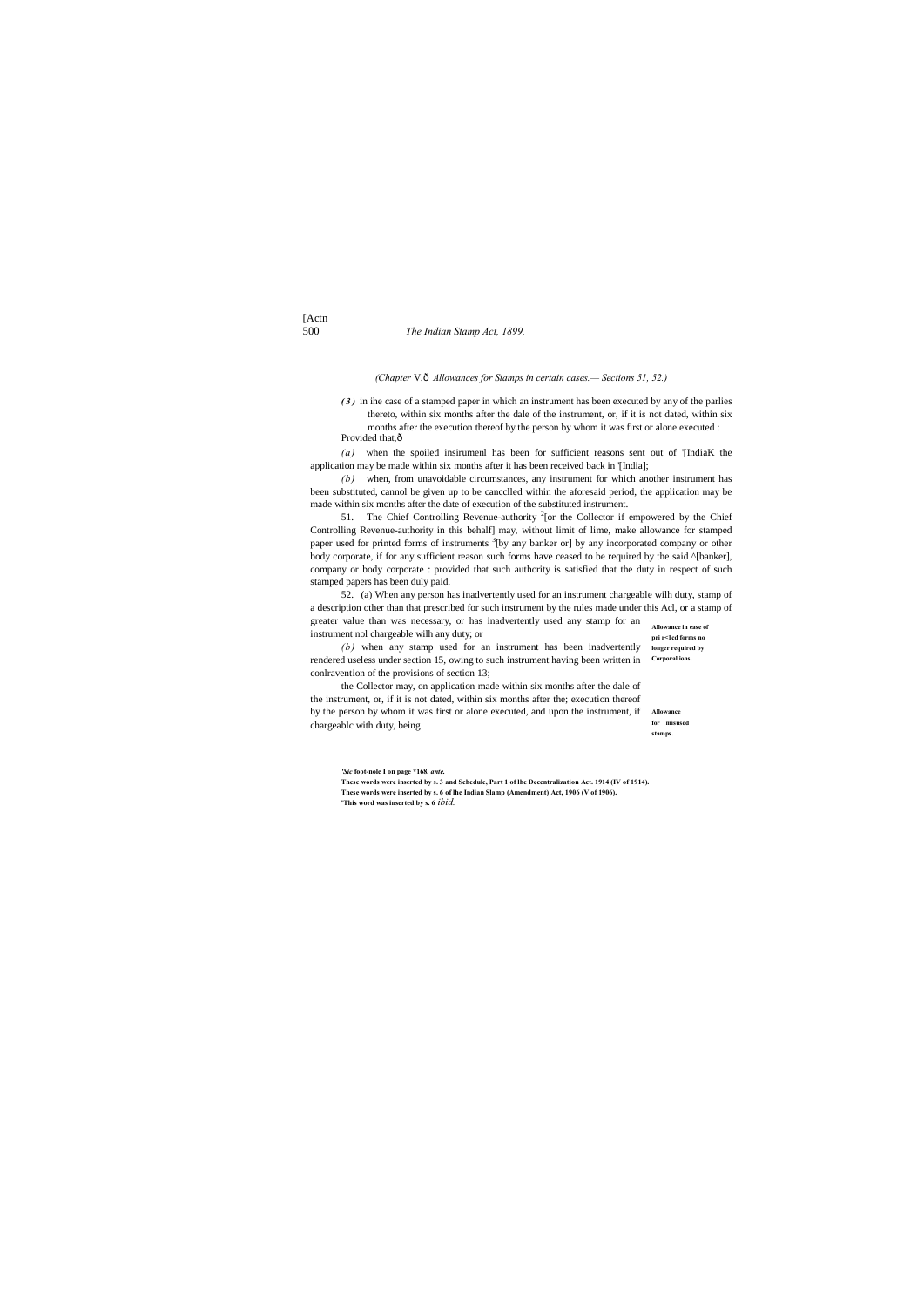[Actn

### 500 *The Indian Stamp Act, 1899,*

**pri r<1cd forms no** 

*( 3 )* in ihe case of a stamped paper in which an instrument has been executed by any of the parlies thereto, within six months after the dale of the instrument, or, if it is not dated, within six months after the execution thereof by the person by whom it was first or alone executed : Provided that, $\hat{o}$ 

> **Allowance for misused stamps.**

*(Chapter* V.—*Allowances for Siamps in certain cases.— Sections 51, 52.)*

*(a)* when the spoiled insirumenl has been for sufficient reasons sent out of '[IndiaK the application may be made within six months after it has been received back in '[India];

51. The Chief Controlling Revenue-authority  $2$  [or the Collector if empowered by the Chief Controlling Revenue-authority in this behalf] may, without limit of lime, make allowance for stamped paper used for printed forms of instruments <sup>3</sup>[by any banker or] by any incorporated company or other body corporate, if for any sufficient reason such forms have ceased to be required by the said ^[banker], company or body corporate : provided that such authority is satisfied that the duty in respect of such stamped papers has been duly paid.

*(b)* when, from unavoidable circumstances, any instrument for which another instrument has been substituted, cannol be given up to be cancclled within the aforesaid period, the application may be made within six months after the date of execution of the substituted instrument.

**Allowance in ease of**  52. (a) When any person has inadvertently used for an instrument chargeable wilh duty, stamp of a description other than that prescribed for such instrument by the rules made under this Acl, or a stamp of greater value than was necessary, or has inadvertently used any stamp for an instrument nol chargeable wilh any duty; or

(b) when any stamp used for an instrument has been inadvertently longer required by rendered useless under section 15, owing to such instrument having been written in Corporal ions.

conlravention of the provisions of section 13; the Collector may, on application made within six months after the dale of the instrument, or, if it is not dated, within six months after the; execution thereof by the person by whom it was first or alone executed, and upon the instrument, if chargeablc with duty, being

*'Sic* **foot-nole I on page \*168,** *ante.*

**These words were inserted by s. 3 and Schedule, Part 1 of lhe Decentralization Act. 1914 (IV of 1914). These words were inserted by s. 6 of lhe Indian Slamp (Amendment) Act, 1906 (V of 1906). 'This word was inserted by s. 6** *ibid.*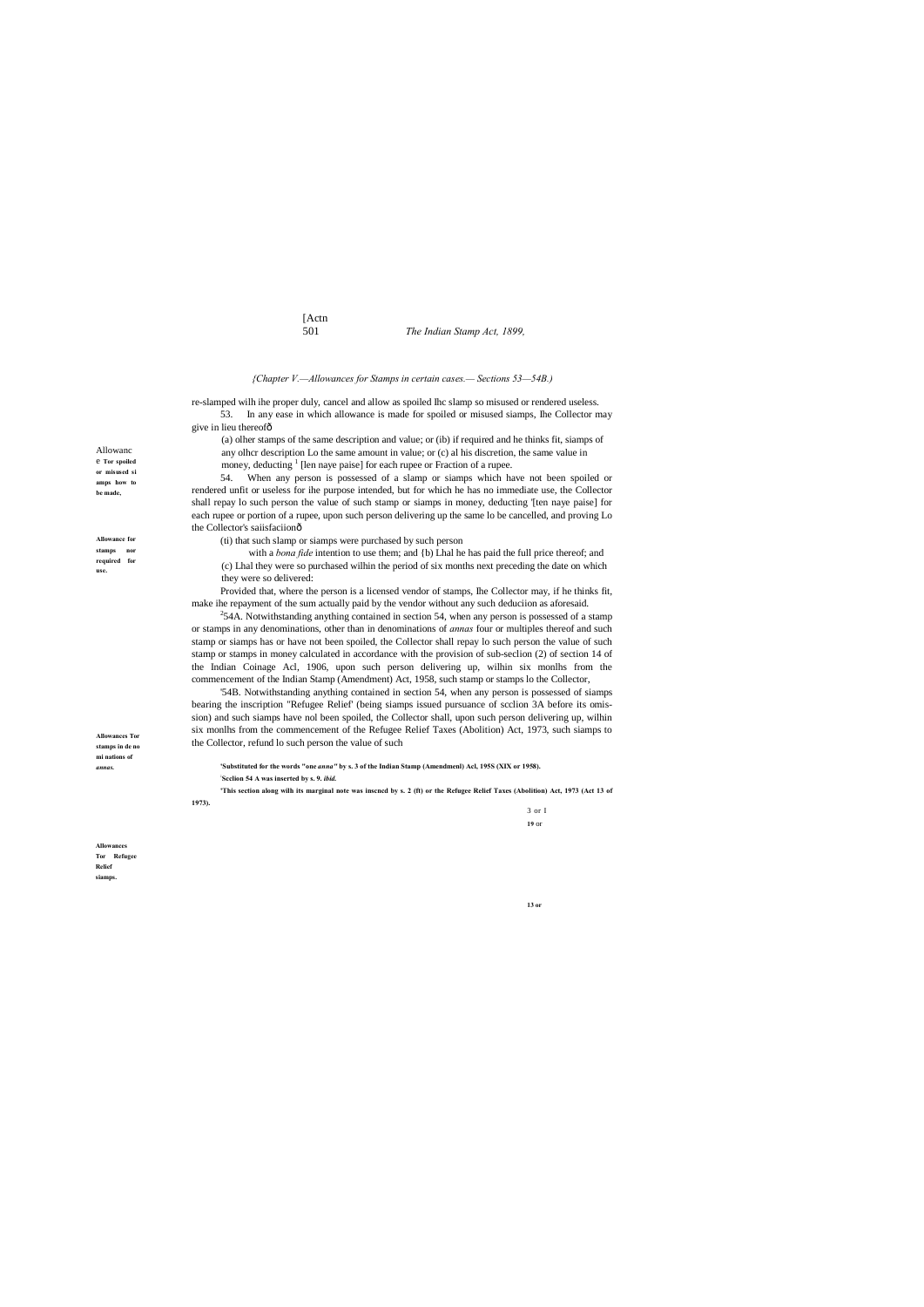$[Actn  
501]$ 

501 *The Indian Stamp Act, 1899,*

Allowanc e **Tor spoiled or misused si amps how to be made,**

**Allowance for stamps nor required for use.**

**Allowances Tor stamps in de no mi nations of** *annas.*

**Allowances Tor Refugee Relief siamps.**

| {Chapter V.--Allowances for Stamps in certain cases.- Sections 53-54B.)                                                                                                                                       |  |
|---------------------------------------------------------------------------------------------------------------------------------------------------------------------------------------------------------------|--|
| re-slamped wilh ihe proper duly, cancel and allow as spoiled lhc slamp so misused or rendered useless.                                                                                                        |  |
| In any ease in which allowance is made for spoiled or misused siamps, Ihe Collector may<br>53.                                                                                                                |  |
| give in lieu thereofô                                                                                                                                                                                         |  |
| (a) other stamps of the same description and value; or (ib) if required and he thinks fit, siamps of<br>any olher description Lo the same amount in value; or (c) al his discretion, the same value in        |  |
| money, deducting <sup>1</sup> [len naye paise] for each rupee or Fraction of a rupee.                                                                                                                         |  |
| When any person is possessed of a slamp or siamps which have not been spoiled or<br>54.                                                                                                                       |  |
| rendered unfit or useless for ihe purpose intended, but for which he has no immediate use, the Collector                                                                                                      |  |
| shall repay lo such person the value of such stamp or siamps in money, deducting '[ten naye paise] for                                                                                                        |  |
| each rupee or portion of a rupee, upon such person delivering up the same lo be cancelled, and proving Lo                                                                                                     |  |
| the Collector's saiisfaciionô                                                                                                                                                                                 |  |
| (ti) that such slamp or siamps were purchased by such person                                                                                                                                                  |  |
| with a <i>bona fide</i> intention to use them; and {b) Lhal he has paid the full price thereof; and                                                                                                           |  |
| (c) Lhal they were so purchased wilhin the period of six months next preceding the date on which                                                                                                              |  |
| they were so delivered:                                                                                                                                                                                       |  |
| Provided that, where the person is a licensed vendor of stamps, Ihe Collector may, if he thinks fit,                                                                                                          |  |
| make ihe repayment of the sum actually paid by the vendor without any such deduciion as aforesaid.<br>${}^{2}$ 54A. Notwithstanding anything contained in section 54, when any person is possessed of a stamp |  |
| or stamps in any denominations, other than in denominations of annas four or multiples thereof and such                                                                                                       |  |
| stamp or siamps has or have not been spoiled, the Collector shall repay lo such person the value of such                                                                                                      |  |
| stamp or stamps in money calculated in accordance with the provision of sub-seclion (2) of section 14 of                                                                                                      |  |
| the Indian Coinage Acl, 1906, upon such person delivering up, wilhin six monlhs from the                                                                                                                      |  |
| commencement of the Indian Stamp (Amendment) Act, 1958, such stamp or stamps lo the Collector,                                                                                                                |  |
| '54B. Notwithstanding anything contained in section 54, when any person is possessed of siamps                                                                                                                |  |
| bearing the inscription "Refugee Relief" (being siamps issued pursuance of scclion 3A before its omis-                                                                                                        |  |
| sion) and such siamps have not been spoiled, the Collector shall, upon such person delivering up, within                                                                                                      |  |
| six monlhs from the commencement of the Refugee Relief Taxes (Abolition) Act, 1973, such siamps to                                                                                                            |  |
| the Collector, refund lo such person the value of such                                                                                                                                                        |  |
| 'Substituted for the words "one anna" by s. 3 of the Indian Stamp (Amendmenl) Acl, 195S (XIX or 1958).                                                                                                        |  |
| Scclion 54 A was inserted by s. 9. ibid.                                                                                                                                                                      |  |
| 'This section along wilh its marginal note was inscncd by s. 2 (ft) or the Refugee Relief Taxes (Abolition) Act, 1973 (Act 13 of                                                                              |  |
| 1973).<br>3 or I                                                                                                                                                                                              |  |
| $19$ or                                                                                                                                                                                                       |  |
|                                                                                                                                                                                                               |  |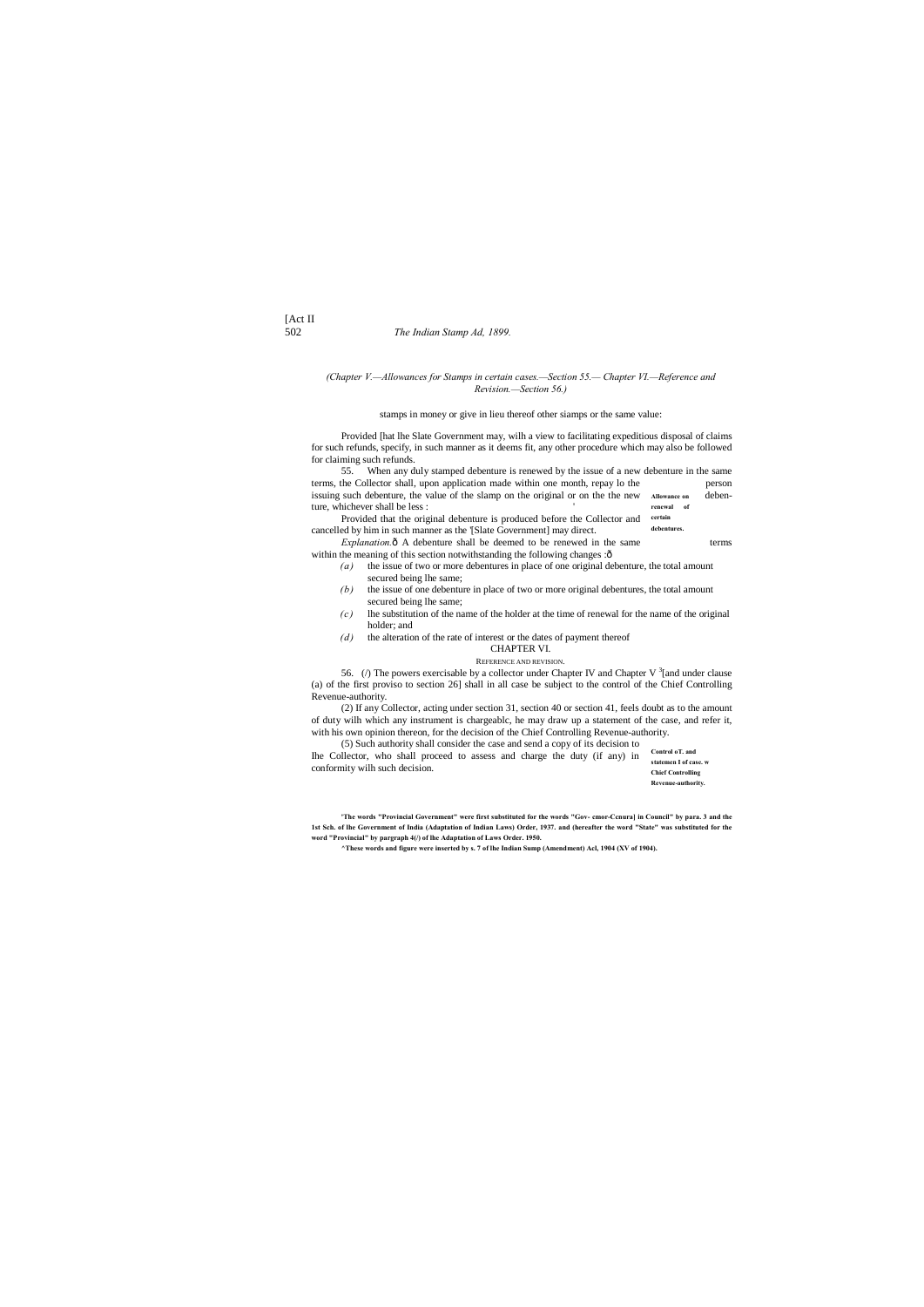[Act II

**Allowance on renewal of**  55. When any duly stamped debenture is renewed by the issue of a new debenture in the same terms, the Collector shall, upon application made within one month, repay lo the person issuing such debenture, the value of the slamp on the original or on the the new Allowance on debenture, whichever shall be less :

### 502 *The Indian Stamp Ad, 1899.*

**statemen I of case. w Chief Controlling Revenue-authority.**

### *(Chapter V.—Allowances for Stamps in certain cases.—Section 55.— Chapter VI.—Reference and Revision.—Section 56.)*

### stamps in money or give in lieu thereof other siamps or the same value:

Provided [hat lhe Slate Government may, wilh a view to facilitating expeditious disposal of claims for such refunds, specify, in such manner as it deems fit, any other procedure which may also be followed for claiming such refunds.

Provided that the original debenture is produced before the Collector and certain **debentures.** cancelled by him in such manner as the '[Slate Government] may direct.

*Explanation.*  $\hat{\text{o}}$  A debenture shall be deemed to be renewed in the same terms

within the meaning of this section notwithstanding the following changes :ô

56. (*/*) The powers exercisable by a collector under Chapter IV and Chapter V<sup>3</sup> [and under clause (a) of the first proviso to section 26] shall in all case be subject to the control of the Chief Controlling Revenue-authority.

**Control oT. and**  (5) Such authority shall consider the case and send a copy of its decision to Ihe Collector, who shall proceed to assess and charge the duty (if any) in conformity wilh such decision.

*(a)* the issue of two or more debentures in place of one original debenture, the total amount secured being lhe same;

- *(b)* the issue of one debenture in place of two or more original debentures, the total amount secured being lhe same;
- *(c)* lhe substitution of the name of the holder at the time of renewal for the name of the original holder; and
- *(d)* the alteration of the rate of interest or the dates of payment thereof

## CHAPTER VI.

### REFERENCE AND REVISION.

(2) If any Collector, acting under section 31, section 40 or section 41, feels doubt as to the amount of duty wilh which any instrument is chargeablc, he may draw up a statement of the case, and refer it, with his own opinion thereon, for the decision of the Chief Controlling Revenue-authority.

**'The words "Provincial Government" were first substituted for the words "Gov- cmor-Ccnura] in Council" by para. 3 and the 1st Sch. of lhe Government of India (Adaptation of Indian Laws) Order, 1937. and (hereafter the word "State" was substituted for the word "Provincial" by pargraph 4(/) of lhe Adaptation of Laws Order. 1950.**

**^These words and figure were inserted by s. 7 of lhe Indian Sump (Amendment) Acl, 1904 (XV of 1904).**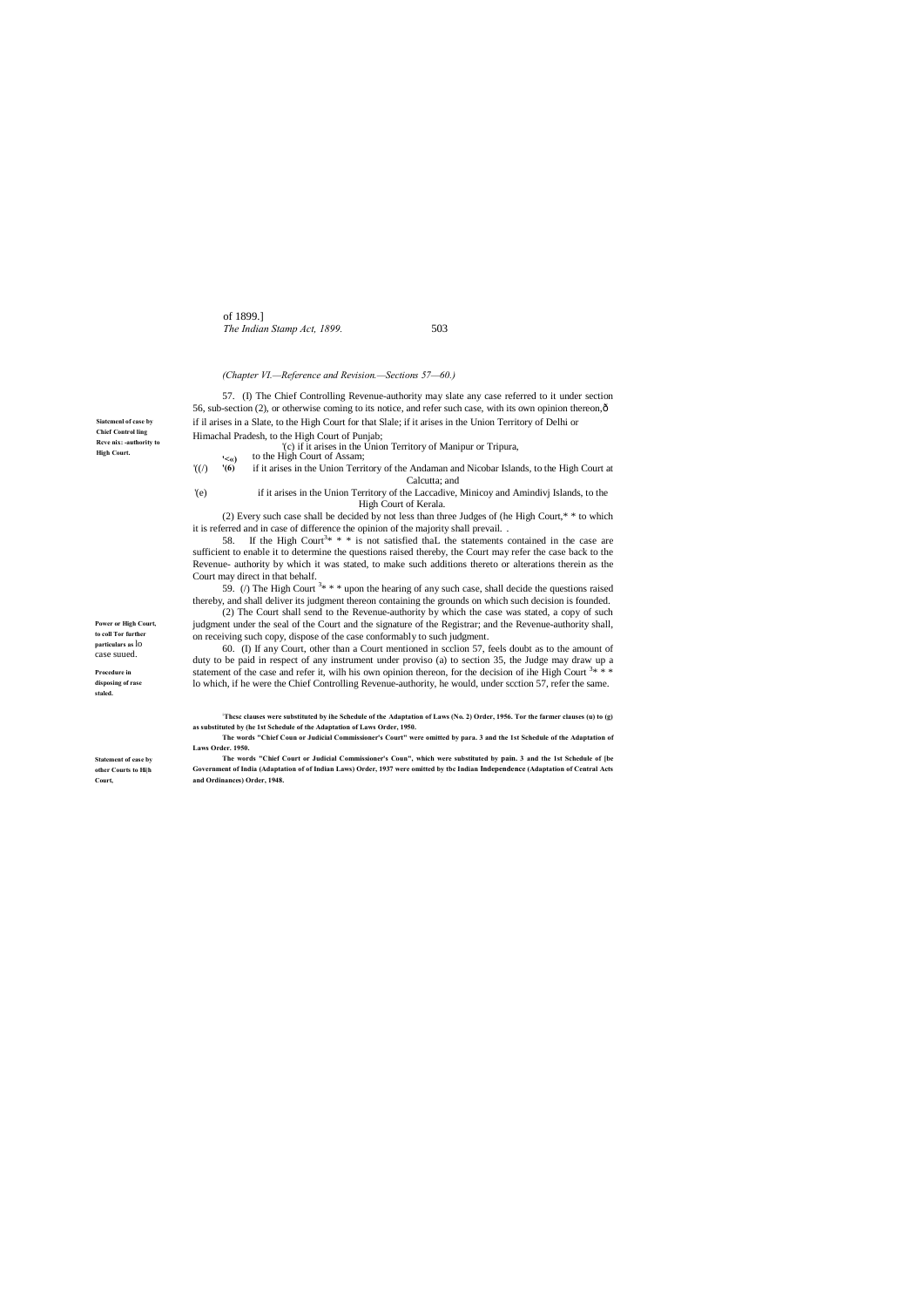of 1899.] *The Indian Stamp Act, 1899.* 503

**Siatcmenl of case by Chief Control ling Rcve nix: -authority to High Court.**

**Power or High Court,** 

**to coll Tor further particulars as** lo case suued.

**Procedure in disposing of rase staled.**

**Statement of ease by other Courts to Hi|h Court,**

*(Chapter VI.—Reference and Revision.—Sections 57—60.)*

**'<«)**  '(c) if it arises in the Union Territory of Manipur or Tripura, to the High Court of Assam;

**'(6)**  $'((') \quad '6')$  if it arises in the Union Territory of the Andaman and Nicobar Islands, to the High Court at Calcutta; and

57. (I) The Chief Controlling Revenue-authority may slate any case referred to it under section 56, sub-section (2), or otherwise coming to its notice, and refer such case, with its own opinion thereon, $\hat{\text{o}}$ if il arises in a Slate, to the High Court for that Slale; if it arises in the Union Territory of Delhi or Himachal Pradesh, to the High Court of Punjab;

58. If the High Court<sup>3\*</sup>  $*$   $*$  is not satisfied thaL the statements contained in the case are sufficient to enable it to determine the questions raised thereby, the Court may refer the case back to the Revenue- authority by which it was stated, to make such additions thereto or alterations therein as the Court may direct in that behalf.

59. ( $\theta$ ) The High Court <sup>3\*</sup> \* \* upon the hearing of any such case, shall decide the questions raised thereby, and shall deliver its judgment thereon containing the grounds on which such decision is founded.

'(e) if it arises in the Union Territory of the Laccadive, Minicoy and Amindivj Islands, to the High Court of Kerala.

(2) Every such case shall be decided by not less than three Judges of (he High Court,\* \* to which it is referred and in case of difference the opinion of the majority shall prevail. .

(2) The Court shall send to the Revenue-authority by which the case was stated, a copy of such judgment under the seal of the Court and the signature of the Registrar; and the Revenue-authority shall, on receiving such copy, dispose of the case conformably to such judgment.

60. (I) If any Court, other than a Court mentioned in scclion 57, feels doubt as to the amount of duty to be paid in respect of any instrument under proviso (a) to section 35, the Judge may draw up a statement of the case and refer it, wilh his own opinion thereon, for the decision of ihe High Court  $3* * *$ lo which, if he were the Chief Controlling Revenue-authority, he would, under scction 57, refer the same.

**; Thcsc clauses were substituted by ihe Schedule of the Adaptation of Laws (No. 2) Order, 1956. Tor the farmer clauses (u) to (g) as substituted by (he 1st Schedule of the Adaptation of Laws Order, 1950.**

**The words "Chief Coun or Judicial Commissioner's Court" were omitted by para. 3 and the 1st Schedule of the Adaptation of Laws Order. 1950.**

**The words "Chief Court or Judicial Commissioner's Coun", which were substituted by pain. 3 and the 1st Schedule of [be Government of India (Adaptation of of Indian Laws) Order, 1937 were omitted by tbc Indian Independence (Adaptation of Central Acts and Ordinances) Order, 1948.**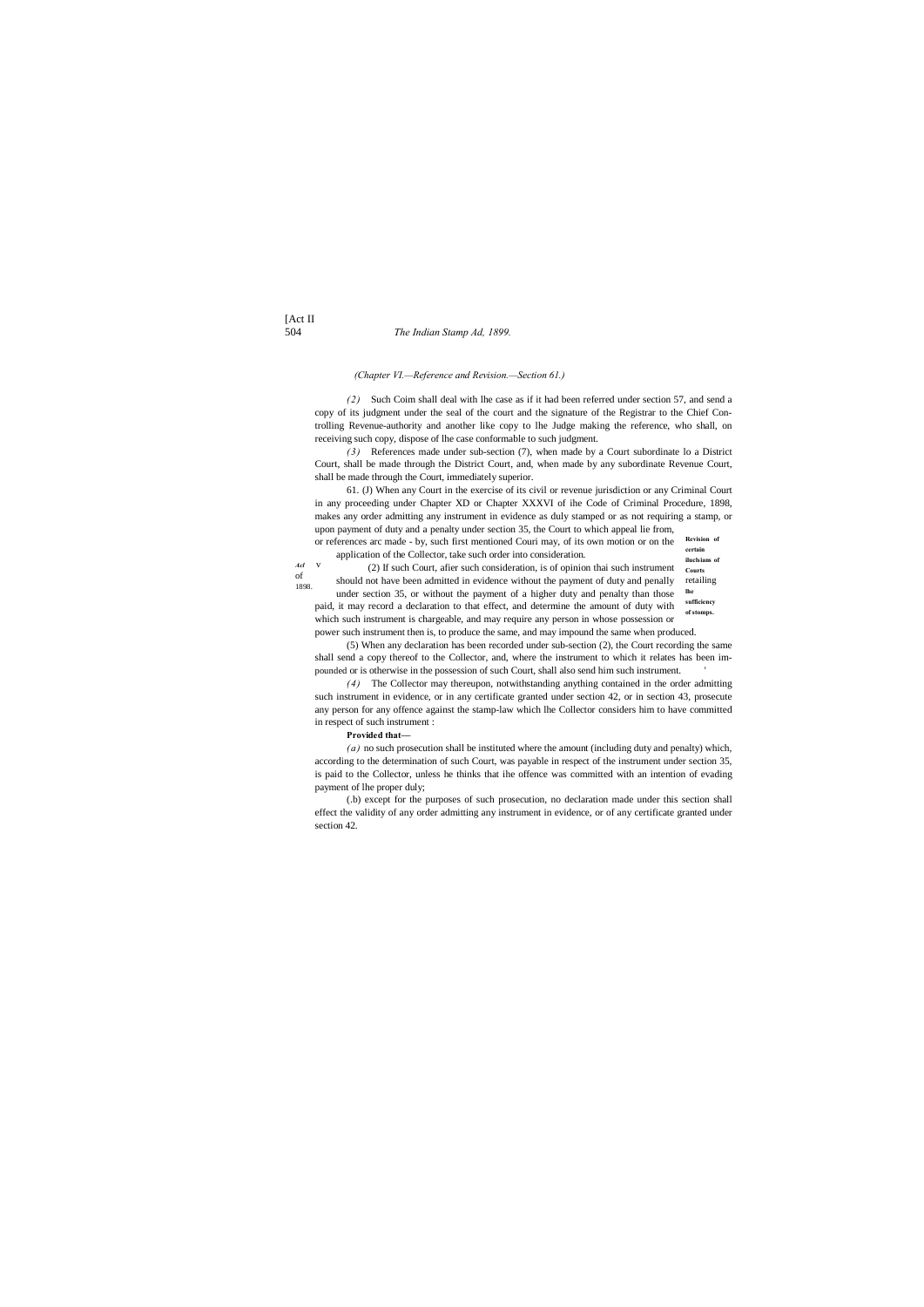# [Act II

### 504 *The Indian Stamp Ad, 1899.*

**iluclsians of** 

*Acl* v of 1898.

### *(Chapter VI.—Reference and Revision.—Section 61.)*

*(2)* Such Coim shall deal with lhe case as if it had been referred under section 57, and send a copy of its judgment under the seal of the court and the signature of the Registrar to the Chief Controlling Revenue-authority and another like copy to lhe Judge making the reference, who shall, on receiving such copy, dispose of lhe case conformable to such judgment.

*(3)* References made under sub-section (7), when made by a Court subordinate lo a District Court, shall be made through the District Court, and, when made by any subordinate Revenue Court, shall be made through the Court, immediately superior.

**Revision of certain**  or references arc made - by, such first mentioned Couri may, of its own motion or on the application of the Collector, take such order into consideration.

**Courts**  retailing **lhe**  (2) If such Court, afier such consideration, is of opinion thai such instrument should not have been admitted in evidence without the payment of duty and penally under section 35, or without the payment of a higher duty and penalty than those

**sufficiency of stomps.** paid, it may record a declaration to that effect, and determine the amount of duty with which such instrument is chargeable, and may require any person in whose possession or power such instrument then is, to produce the same, and may impound the same when produced.

61. (J) When any Court in the exercise of its civil or revenue jurisdiction or any Criminal Court in any proceeding under Chapter XD or Chapter XXXVI of ihe Code of Criminal Procedure, 1898, makes any order admitting any instrument in evidence as duly stamped or as not requiring a stamp, or upon payment of duty and a penalty under section 35, the Court to which appeal lie from,

(5) When any declaration has been recorded under sub-section (2), the Court recording the same shall send a copy thereof to the Collector, and, where the instrument to which it relates has been impounded or is otherwise in the possession of such Court, shall also send him such instrument. '

*(4)* The Collector may thereupon, notwithstanding anything contained in the order admitting such instrument in evidence, or in any certificate granted under section 42, or in section 43, prosecute any person for any offence against the stamp-law which lhe Collector considers him to have committed in respect of such instrument :

### **Provided that—**

*(a)* no such prosecution shall be instituted where the amount (including duty and penalty) which, according to the determination of such Court, was payable in respect of the instrument under section 35, is paid to the Collector, unless he thinks that ihe offence was committed with an intention of evading payment of lhe proper duly;

(.b) except for the purposes of such prosecution, no declaration made under this section shall effect the validity of any order admitting any instrument in evidence, or of any certificate granted under section 42.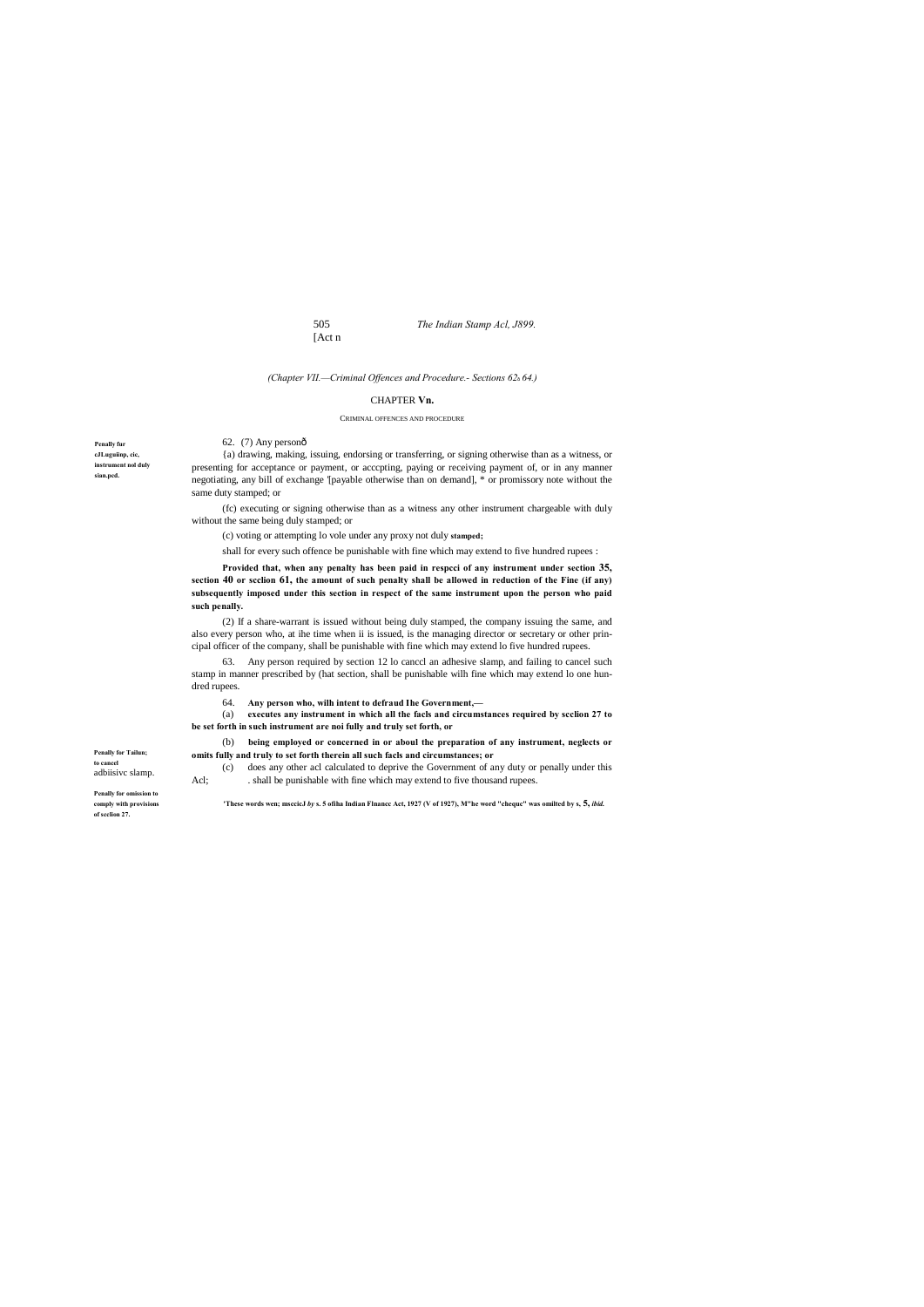505 *The Indian Stamp Acl, J899.*

[Act n

**Penally fur cJLuguiinp, cic, instrument nol duly sian.pcd.**

**Penally for Tailun; to cancel** adbiisivc slamp.

**Penally for omission to comply with provisions of scclion 27.**

*(Chapter VII.—Criminal Offences and Procedure.- Sections 62*—*64.)*

### CHAPTER **Vn.**

### CRIMINAL OFFENCES AND PROCEDURE

62. (7) Any personô {a) drawing, making, issuing, endorsing or transferring, or signing otherwise than as a witness, or presenting for acceptance or payment, or acccpting, paying or receiving payment of, or in any manner negotiating, any bill of exchange '[payable otherwise than on demand], \* or promissory note without the same duty stamped; or

(fc) executing or signing otherwise than as a witness any other instrument chargeable with duly without the same being duly stamped; or

(c) voting or attempting lo vole under any proxy not duly **stamped;**

shall for every such offence be punishable with fine which may extend to five hundred rupees :

(c) does any other acl calculated to deprive the Government of any duty or penally under this Acl; . shall be punishable with fine which may extend to five thousand rupees.

**Provided that, when any penalty has been paid in respcci of any instrument under section 35, section 40 or scclion 61, the amount of such penalty shall be allowed in reduction of the Fine (if any) subsequently imposed under this section in respect of the same instrument upon the person who paid such penally.**

(2) If a share-warrant is issued without being duly stamped, the company issuing the same, and also every person who, at ihe time when ii is issued, is the managing director or secretary or other principal officer of the company, shall be punishable with fine which may extend lo five hundred rupees.

63. Any person required by section 12 lo canccl an adhesive slamp, and failing to cancel such stamp in manner prescribed by (hat section, shall be punishable wilh fine which may extend lo one hundred rupees.

64. **Any person who, wilh intent to defraud Ihe Government,—**

(a) **executes any instrument in which all the facls and circumstances required by scclion 27 to be set forth in such instrument are noi fully and truly set forth, or**

(b) **being employed or concerned in or aboul the preparation of any instrument, neglects or omits fully and truly to set forth therein all such facls and circumstances; or**

**'These words wen; msccicJ** *by* **s. 5 ofiha Indian Flnancc Act, 1927 (V of 1927), M"he word "chequc" was omilted by s, 5,** *ibid.*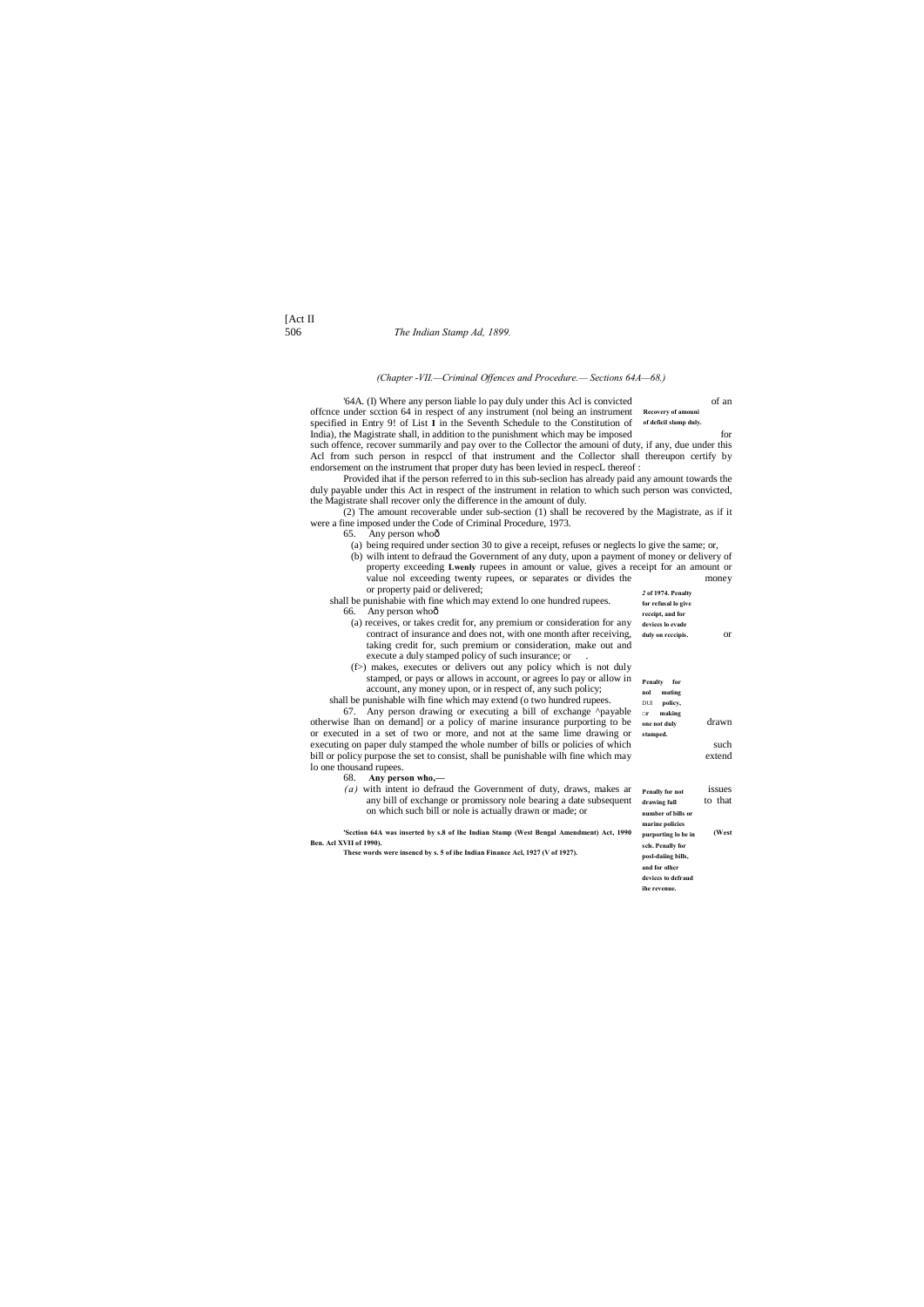[Act II

### 506 *The Indian Stamp Ad, 1899.*

### *(Chapter -VII.—Criminal Offences and Procedure.— Sections 64A—68.)*

**Recovery of amouni**  offcnce under scction 64 in respect of any instrument (nol being an instrument Recovery of amouni<br>specified in Entry 9! of List I in the Seventh Schedule to the Constitution of of deficil slamp duly. '64A. (I) Where any person liable lo pay duly under this Acl is convicted of an specified in Entry 9! of List **I** in the Seventh Schedule to the Constitution of India), the Magistrate shall, in addition to the punishment which may be imposed for such offence, recover summarily and pay over to the Collector the amouni of duty, if any, due under this Acl from such person in respccl of that instrument and the Collector shall thereupon certify by endorsement on the instrument that proper duty has been levied in respecL thereof :

Provided ihat if the person referred to in this sub-seclion has already paid any amount towards the duly payable under this Act in respect of the instrument in relation to which such person was convicted, the Magistrate shall recover only the difference in the amount of duly.

(2) The amount recoverable under sub-section (1) shall be recovered by the Magistrate, as if it were a fine imposed under the Code of Criminal Procedure, 1973.

65. Any person whoô

(a) being required under section 30 to give a receipt, refuses or neglects lo give the same; or,

| (b) wilh intent to defraud the Government of any duty, upon a payment of money or delivery of |                     |               |
|-----------------------------------------------------------------------------------------------|---------------------|---------------|
| property exceeding Lwenly rupees in amount or value, gives a receipt for an amount or         |                     |               |
| value nol exceeding twenty rupees, or separates or divides the                                |                     | money         |
| or property paid or delivered;                                                                | 2 of 1974. Penalty  |               |
| shall be punishabie with fine which may extend lo one hundred rupees.                         | for refusal lo give |               |
| Any person whoô<br>66.                                                                        | receipt, and for    |               |
| (a) receives, or takes credit for, any premium or consideration for any                       | devices lo evade    |               |
| contract of insurance and does not, with one month after receiving,                           | duly on receipis.   | <sub>or</sub> |
| taking credit for, such premium or consideration, make out and                                |                     |               |
| execute a duly stamped policy of such insurance; or                                           |                     |               |
| $(f)$ makes, executes or delivers out any policy which is not duly                            |                     |               |
| stamped, or pays or allows in account, or agrees lo pay or allow in                           | Penalty<br>for      |               |
| account, any money upon, or in respect of, any such policy;                                   | nol<br>mating       |               |
| shall be punishable wilh fine which may extend (o two hundred rupees.                         | DUI<br>policy,      |               |
| 67. Any person drawing or executing a bill of exchange $\alpha$ payable                       | making<br>$\Box$ r  |               |
| otherwise lhan on demand] or a policy of marine insurance purporting to be                    | one not duly        | drawn         |
| or executed in a set of two or more, and not at the same lime drawing or                      | stamped.            |               |
| executing on paper duly stamped the whole number of bills or policies of which                |                     | such          |
| bill or policy purpose the set to consist, shall be punishable wilh fine which may            |                     | extend        |
| lo one thousand rupees.                                                                       |                     |               |
| 68.<br>Any person who,—                                                                       |                     |               |
| $(a)$ with intent io defraud the Government of duty, draws, makes are                         | Penally for not     | issues        |
| any bill of exchange or promissory nole bearing a date subsequent                             | drawing full        | to that       |
| on which such bill or nole is actually drawn or made; or                                      | number of bills or  |               |
|                                                                                               | marine policies     |               |
| 'Scction 64A was inserted by s.8 of lhe Indian Stamp (West Bengal Amendment) Act, 1990        | purporting lo be in | (West         |
| Ben. Acl XVII of 1990).                                                                       | scls. Penally for   |               |
| These words were insencd by s. 5 of ihe Indian Finance Acl, 1927 (V of 1927).                 | posl-daiing bills,  |               |
|                                                                                               | and for olher       |               |
|                                                                                               | devices to defraud  |               |
|                                                                                               | ihe revenue.        |               |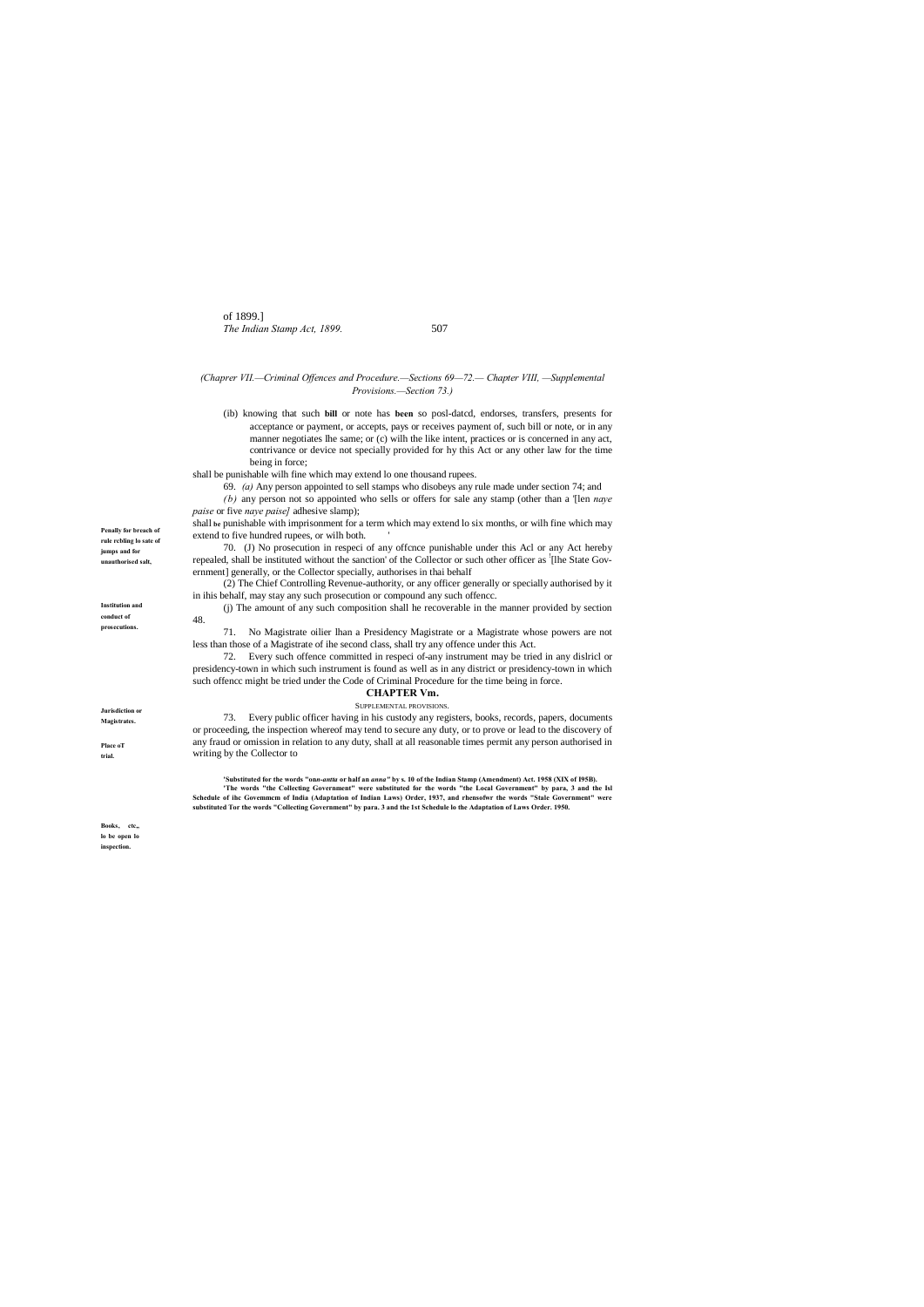**lo be open lo inspection.**

| of 1899.                    |     |
|-----------------------------|-----|
| The Indian Stamp Act, 1899. | 507 |

### *(Chaprer VII.—Criminal Offences and Procedure.—Sections 69—72.— Chapter VIII, —Supplemental Provisions.—Section 73.)*

**Penally for breach of rule rcbling lo sate of jumps and for unauthorised salt, Institution and conduct of prosecutions. Jurisdiction or Magistrates. Place oT trial.** Books, ctc, (ib) knowing that such **bill** or note has **been** so posl-datcd, endorses, transfers, presents for acceptance or payment, or accepts, pays or receives payment of, such bill or note, or in any manner negotiates Ihe same; or (c) wilh the like intent, practices or is concerned in any act, contrivance or device not specially provided for hy this Act or any other law for the time being in force; shall be punishable wilh fine which may extend lo one thousand rupees. 69. *(a)* Any person appointed to sell stamps who disobeys any rule made under section 74; and *(b)* any person not so appointed who sells or offers for sale any stamp (other than a '[len *naye paise* or five *naye paise]* adhesive slamp); shall **be** punishable with imprisonment for a term which may extend lo six months, or wilh fine which may extend to five hundred rupees, or wilh both. 70. (J) No prosecution in respeci of any offcnce punishable under this Acl or any Act hereby repealed, shall be instituted without the sanction' of the Collector or such other officer as <sup>1</sup>[lhe State Government] generally, or the Collector specially, authorises in thai behalf (2) The Chief Controlling Revenue-authority, or any officer generally or specially authorised by it in ihis behalf, may stay any such prosecution or compound any such offencc. (j) The amount of any such composition shall he recoverable in the manner provided by section 48. 71. No Magistrate oilier lhan a Presidency Magistrate or a Magistrate whose powers are not less than those of a Magistrate of ihe second class, shall try any offence under this Act. 72. Every such offence committed in respeci of-any instrument may be tried in any dislricl or presidency-town in which such instrument is found as well as in any district or presidency-town in which such offencc might be tried under the Code of Criminal Procedure for the time being in force. **CHAPTER Vm.** SUPPLEMENTAL PROVISIONS. 73. Every public officer having in his custody any registers, books, records, papers, documents or proceeding, the inspection whereof may tend to secure any duty, or to prove or lead to the discovery of any fraud or omission in relation to any duty, shall at all reasonable times permit any person authorised in writing by the Collector to **'Substituted for the words "on***n-antta* **or half an** *anna"* **by s. 10 of the Indian Stamp (Amendment) Act. 1958 (XIX of I95B). 'The words "the Collecting Government" were substituted for the words "the Local Government" by para, 3 and the Isl Schedule of ihc Govemmcm of India (Adaptation of Indian Laws) Order, 1937, and rhensofwr the words "Stale Government" were substituted Tor the words "Collecting Government" by para. 3 and the 1st Schedule lo the Adaptation of Laws Order. 1950.**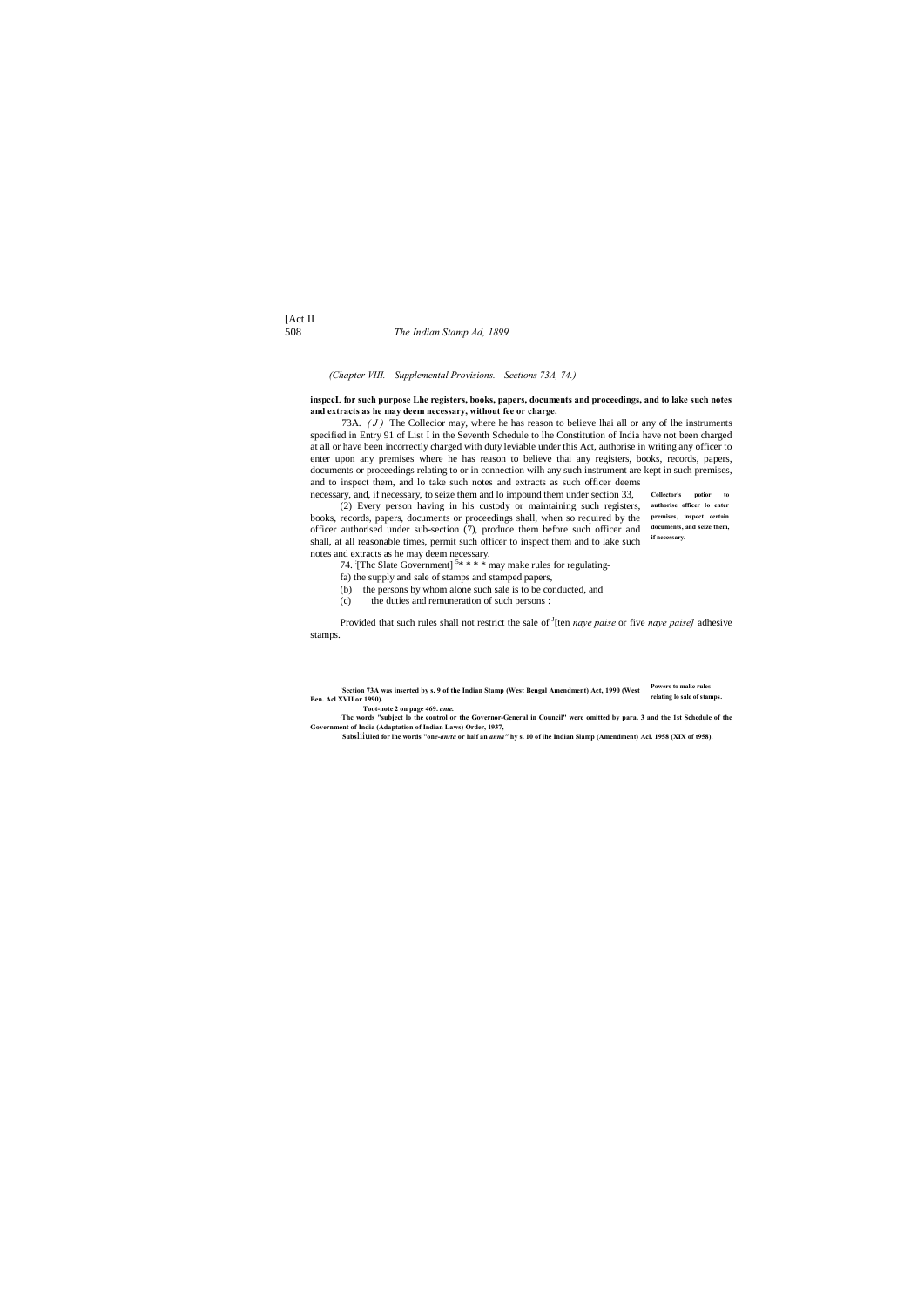[Act II

### 508 *The Indian Stamp Ad, 1899.*

**Collector's potior to if necessary.**

*(Chapter VIII.—Supplemental Provisions.—Sections 73A, 74.)*

### **inspccL for such purpose Lhe registers, books, papers, documents and proceedings, and to lake such notes and extracts as he may deem necessary, without fee or charge.**

'73A. (*J*) The Collecior may, where he has reason to believe lhai all or any of lhe instruments specified in Entry 91 of List I in the Seventh Schedule to lhe Constitution of India have not been charged at all or have been incorrectly charged with duty leviable under this Act, authorise in writing any officer to enter upon any premises where he has reason to believe thai any registers, books, records, papers, documents or proceedings relating to or in connection wilh any such instrument are kept in such premises, and to inspect them, and lo take such notes and extracts as such officer deems

(2) Every person having in his custody or maintaining such registers, authorise officer lo enter books, records, papers, documents or proceedings shall, when so required by the **premises**, inspect certain officer authorised under sub-section (7), produce them before such officer and documents, and seize them, necessary, and, if necessary, to seize them and lo impound them under section 33, shall, at all reasonable times, permit such officer to inspect them and to lake such notes and extracts as he may deem necessary.

- 74. [The Slate Government]<sup>5\*</sup>\*\*\*\* may make rules for regulating-
- fa) the supply and sale of stamps and stamped papers,
- (b) the persons by whom alone such sale is to be conducted, and
- (c) the duties and remuneration of such persons :

Provided that such rules shall not restrict the sale of <sup>J</sup>[ten *naye paise* or five *naye paise]* adhesive stamps.

**Powers to make rules relating lo sale of stamps. 'Section 73A was inserted by s. 9 of the Indian Stamp (West Bengal Amendment) Act, 1990 (West Ben. Acl XVII or 1990). Toot-note 2 on page 469.** *ante.*

**) Thc words "subject lo the control or the Governor-General in Council" were omitted by para. 3 and the 1st Schedule of the Government of India (Adaptation of Indian Laws) Order, 1937,**

**'Subs**liiu**led for lhe words "on***e-anrta* **or half an** *anna"* **hy s. 10 of ihe Indian Slamp (Amendment) Acl. 1958 (XIX of t958).**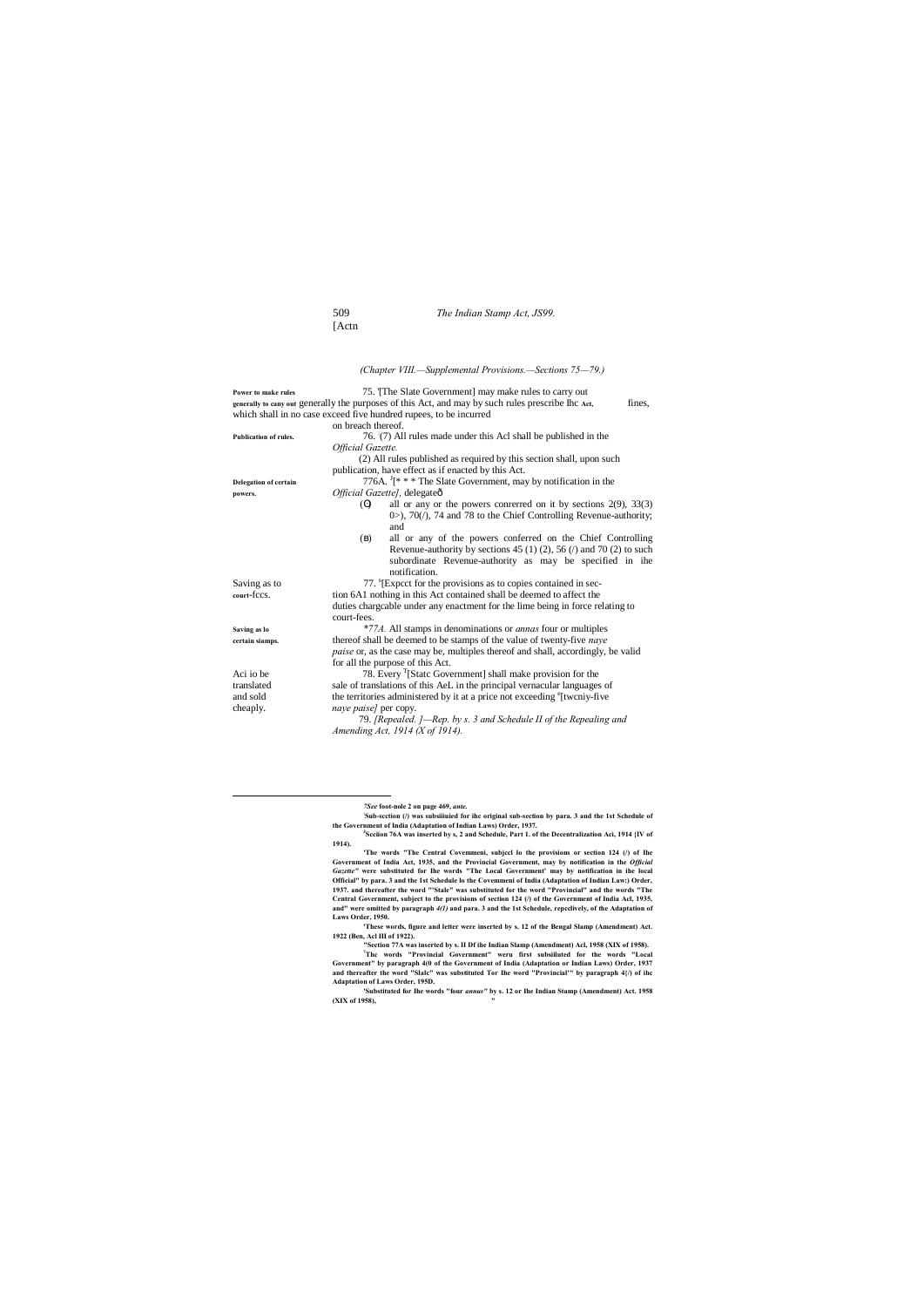### 509 *The Indian Stamp Act, JS99.* [Actn

# *(Chapter VIII.—Supplemental Provisions.—Sections 75—79.)*

| Power to make rules          | 75. The Slate Government may make rules to carry out                                                         |  |
|------------------------------|--------------------------------------------------------------------------------------------------------------|--|
|                              | generally to cany out generally the purposes of this Act, and may by such rules prescribe Ihc Act,<br>fines. |  |
|                              | which shall in no case exceed five hundred rupees, to be incurred                                            |  |
|                              | on breach thereof.                                                                                           |  |
| <b>Publication of rules.</b> | 76. (7) All rules made under this Acl shall be published in the                                              |  |
|                              | Official Gazette.                                                                                            |  |
|                              | (2) All rules published as required by this section shall, upon such                                         |  |
|                              | publication, have effect as if enacted by this Act.                                                          |  |
| <b>Delegation of certain</b> | 776A. $\left[$ * * * The Slate Government, may by notification in the                                        |  |
| powers.                      | Official Gazettel, delegateô                                                                                 |  |
|                              | all or any or the powers conrerred on it by sections $2(9)$ , $33(3)$<br>( )                                 |  |
|                              | $0$ >), 70( $/$ ), 74 and 78 to the Chief Controlling Revenue-authority;                                     |  |
|                              | and                                                                                                          |  |
|                              | all or any of the powers conferred on the Chief Controlling<br>( )                                           |  |
|                              | Revenue-authority by sections 45 (1) (2), 56 ( $\prime$ ) and 70 (2) to such                                 |  |
|                              | subordinate Revenue-authority as may be specified in ihe                                                     |  |
|                              | notification.                                                                                                |  |
| Saving as to                 | 77. <sup>s</sup> [Expect for the provisions as to copies contained in sec-                                   |  |
| court-fccs.                  | tion 6A1 nothing in this Act contained shall be deemed to affect the                                         |  |
|                              | duties chargcable under any enactment for the lime being in force relating to                                |  |
|                              | court-fees.                                                                                                  |  |
| Saving as lo                 | *77A. All stamps in denominations or <i>annas</i> four or multiples                                          |  |
| certain siamps.              | thereof shall be deemed to be stamps of the value of twenty-five naye                                        |  |
|                              | paise or, as the case may be, multiples thereof and shall, accordingly, be valid                             |  |
|                              | for all the purpose of this Act.                                                                             |  |
| Aci io be                    | 78. Every <sup>T</sup> [State Government] shall make provision for the                                       |  |
| translated                   | sale of translations of this AeL in the principal vernacular languages of                                    |  |
| and sold                     | the territories administered by it at a price not exceeding <sup>e</sup> [twcniy-five                        |  |
| cheaply.                     | <i>naye paise</i> per copy.                                                                                  |  |
|                              | 79. [Repealed.]—Rep. by s. 3 and Schedule II of the Repealing and                                            |  |
|                              | Amending Act, 1914 (X of 1914).                                                                              |  |
|                              |                                                                                                              |  |

*<sup>7</sup>See* **foot-nole 2 on page 469,** *ante.*

<u>.</u>

**'Substituted for Ihe words "four** *annus"* **by s. 12 or Ihe Indian Stamp (Amendment) Act. 1958 (XIX of 1958), "**

<sup>&#</sup>x27;The words "The Central Covemmeni, subjccl lo the provisions or section 124 (/) of Ihe **Government of India Act, 1935, and the Provincial Government, may by notification in the** *Official Gazette"* **were substituted for Ihe words "The Local Government' may by notification in ihe local Official" by para. 3 and the 1st Schedule lo the Covemmeni of India (Adaptation of Indian Law:) Order, 1937. and thereafter the word "'Stale" was substituted for the word "Provincial" and the words "The Central Government, subject to the provisions of section 124 (/) of the Government of India Acl, 1935, and" were omitted by paragraph** *4(1)* **and para. 3 and the 1st Schedule, repcclively, of the Adaptation of Laws Order, 1950.**

**<sup>;</sup> Sub-scction (/) was subsiiiuied for ihc original sub-section by para. 3 and the 1st Schedule of the Government of India (Adaptation of Indian Laws) Order, 1937.**

**J Scciion 76A was inserted by s, 2 and Schedule, Part 1. of the Decentralization Aci, 1914 {IV of 1914).**

**<sup>&#</sup>x27;These words, figure and letter were inserted by s. 12 of the Bengal Slamp (Amendment) Act. 1922 (Ben, Acl III of 1922).**

**<sup>&</sup>quot;Section 77A was inserted by s. II Df ihe Indian Slamp (Amendment) Acl, 1958 (XIX of 1958). 7 Thc words "Provincial Government" weru first subsiiluted for the words "Local Government" by paragraph 4(0 of the Government of India (Adaptation or Indian Laws) Order, 1937 and thereafter the word "Slalc" was substituted Tor Ihe word "Provincial'" by paragraph 4{/) of ihc Adaptation of Laws Order, 195D.**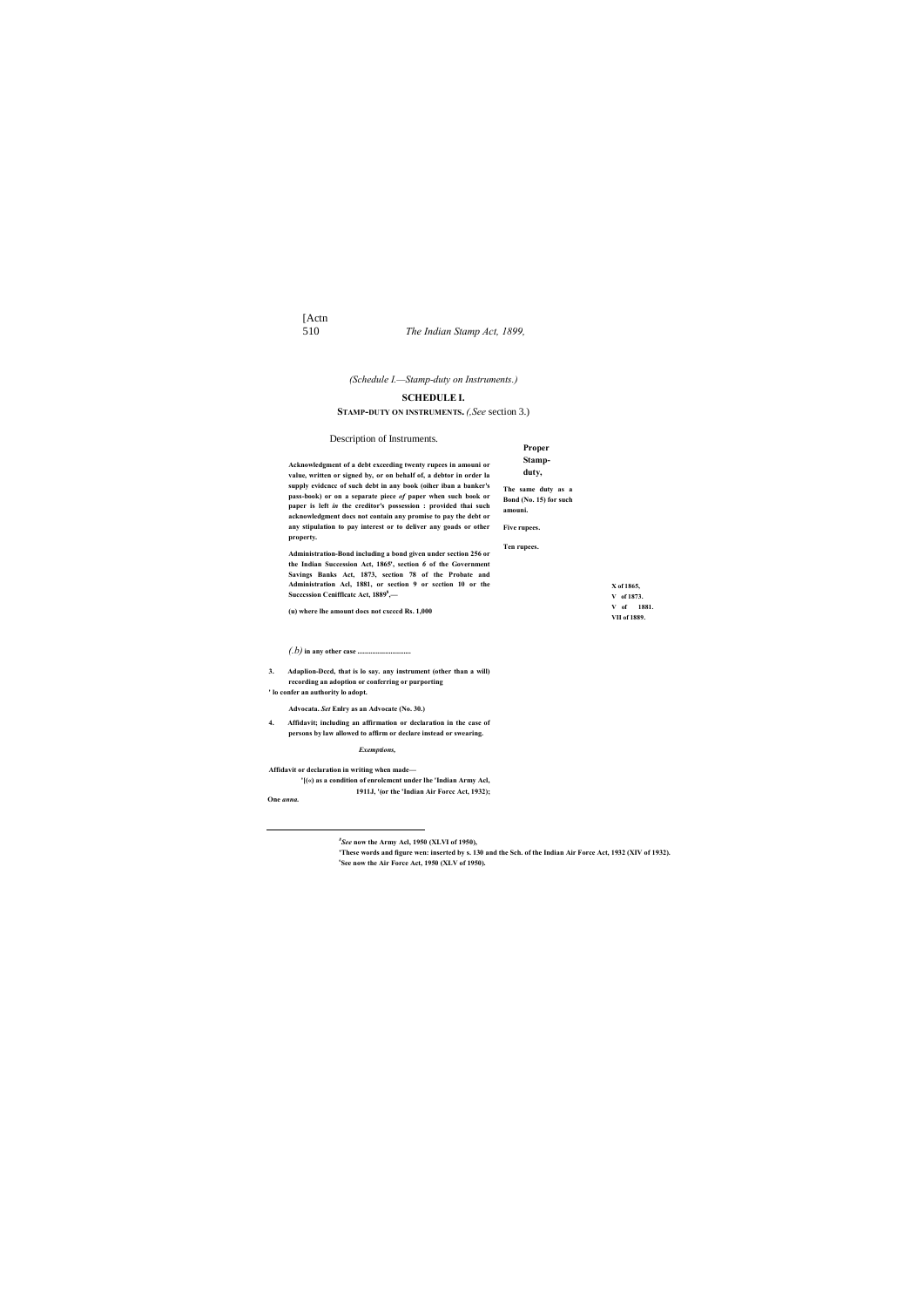[Actn

510 *The Indian Stamp Act, 1899,*

### **Proper Stampduty,**

**X of 1865, V of 1873. V of 1881. VII of 1889.**

*(Schedule I.—Stamp-duty on Instruments.)*

### **SCHEDULE I.**

### **STAMP-DUTY ON INSTRUMENTS.** *(,See* section 3.)

### Description of Instruments.

**Acknowledgment of a debt exceeding twenty rupees in amouni or value, written or signed by, or on behalf of, a debtor in order la supply evidcncc of such debt in any book (oiher iban a banker's pass-book) or on a separate piece** *of* **paper when such book or paper is left** *in* **the creditor's possession : provided thai such acknowledgment docs not contain any promise to pay the debt or any stipulation to pay interest or to deliver any goads or other property. Administration-Bond including a bond given under section 256 or** 

**the Indian Succession Act, 1865', section** *6* **of the Government Savings Banks Act, 1873, section 78 of the Probate and Administration Acl, 1881, or section 9 or scction 10 or the Succcssion Cenifflcatc Act, 18898 ,—**

**(u) where lhe amount docs not cxcccd Rs. 1,000**

*(.b)* **in any other case .............................**

**3. Adaplion-Dccd, that is lo say. any instrument (other than a will) recording an adoption or conferring or purporting ' lo confer an authority lo adopt.**

**Advocata.** *Set* **Enlry as an Advocate (No. 30.)**

 $\overline{a}$ 

**4. Affidavit; including an affirmation or declaration in the case of persons by law allowed to affirm or declare instead or swearing.**

### *Exemptions,*

**Affidavit or declaration in writing when made— '[(«) as a condition of enrolcmcnt under lhe 'Indian Army Acl, 1911J, '(or the 'Indian Air Forcc Act, 1932); One** *anna.*

*8 See* **now the Army Acl, 1950 (XLVI of 1950),**

**'These words and figure wen: inserted by s. 130 and the Sch. of the Indian Air Force Act, 1932 (XIV of 1932). s See now the Air Force Act, 1950 (XLV of 1950).**

**The same duty as a Bond (No. 15) for such** 

**amouni. Five rupees. Ten rupees.**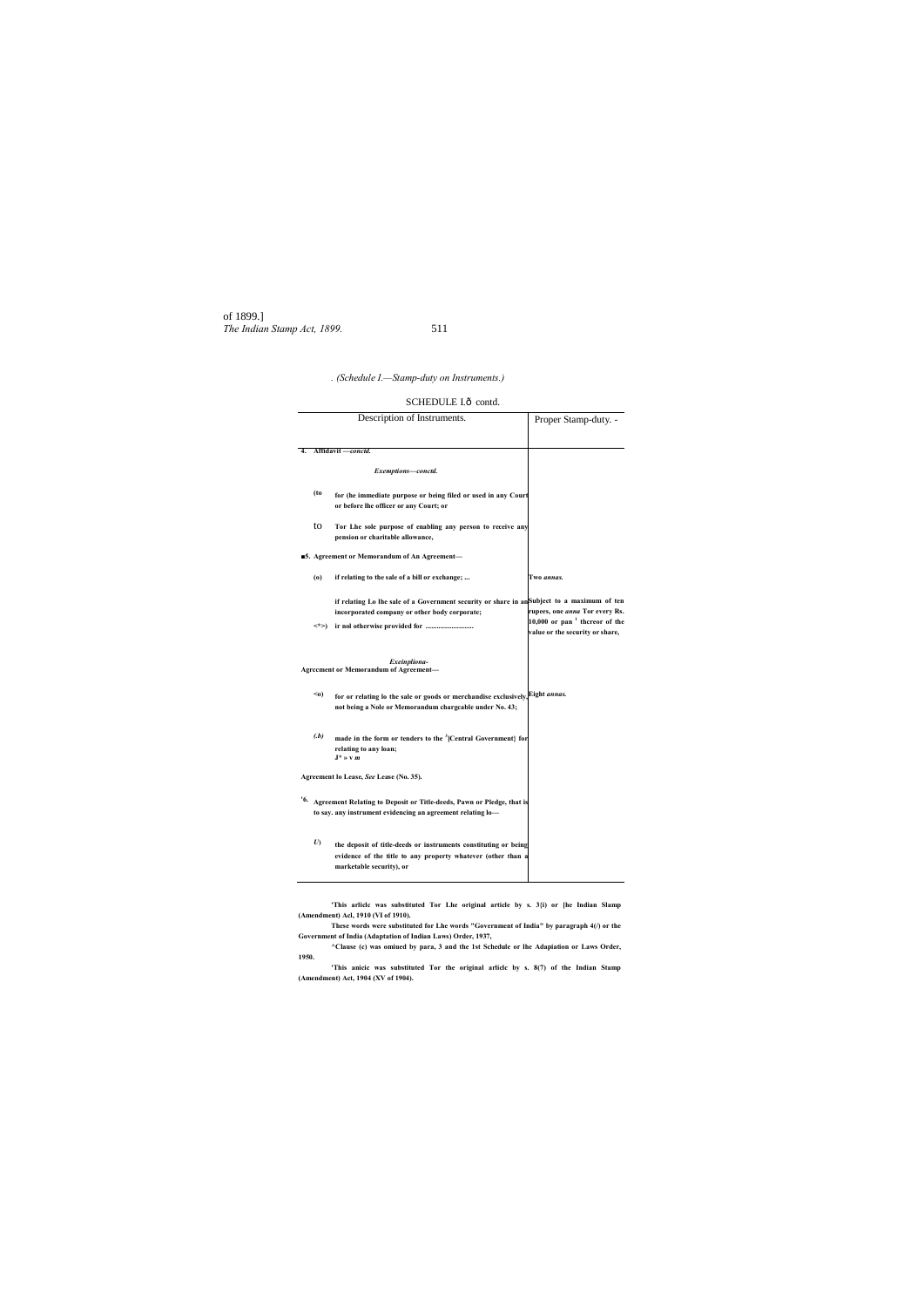of 1899.] *The Indian Stamp Act, 1899.* 511

*. (Schedule I.—Stamp-duty on Instruments.)*

### SCHEDULE I.ô contd.

**'This arliclc was substituted Tor Lhe original article by s. 3{i) or [he Indian Slamp (Amendment) Acl, 1910 (VI of 1910).**

**These words were substituted for Lhe words "Government of India" by paragraph 4(/) or the Government of India (Adaptation of Indian Laws) Order, 1937,**

**^Clause (c) was omiued by para, 3 and the 1st Schedule or lhe Adapiation or Laws Order, 1950.**

**'This anicic was substituted Tor the original arliclc by s. 8(7) of the Indian Stamp (Amendment) Act, 1904 (XV of 1904).**

|                  | Description of Instruments.                                                                                                                                 | Proper Stamp-duty. -                                                                                  |
|------------------|-------------------------------------------------------------------------------------------------------------------------------------------------------------|-------------------------------------------------------------------------------------------------------|
|                  |                                                                                                                                                             |                                                                                                       |
| $\overline{4}$ . | Affidavit -conctd.                                                                                                                                          |                                                                                                       |
|                  | Exemptions-conctd.                                                                                                                                          |                                                                                                       |
| (to              | for (he immediate purpose or being filed or used in any Court<br>or before lhe officer or any Court; or                                                     |                                                                                                       |
| to               | Tor Lhe sole purpose of enabling any person to receive any<br>pension or charitable allowance,                                                              |                                                                                                       |
|                  | ■5. Agreement or Memorandum of An Agreement-                                                                                                                |                                                                                                       |
| (0)              | if relating to the sale of a bill or exchange;                                                                                                              | Two annas.                                                                                            |
|                  | if relating Lo lhe sale of a Government security or share in an Subject to a maximum of ten<br>incorporated company or other body corporate;                | rupees, one anna Tor every Rs.<br>10,000 or pan $1$ thereor of the<br>value or the security or share, |
|                  | Exeinpliona-<br>Agreement or Memorandum of Agreement-                                                                                                       |                                                                                                       |
| $\leq_0$         | for or relating lo the sale or goods or merchandise exclusively. Eight annas.<br>not being a Nole or Memorandum chargeable under No. 43;                    |                                                                                                       |
| (b)              | made in the form or tenders to the <sup>3</sup> [Central Government} for<br>relating to any loan;<br>$J^* \times v$ m                                       |                                                                                                       |
|                  | Agreement lo Lease, See Lease (No. 35).                                                                                                                     |                                                                                                       |
|                  | '6. Agreement Relating to Deposit or Title-deeds, Pawn or Pledge, that is<br>to say. any instrument evidencing an agreement relating lo-                    |                                                                                                       |
| U                | the deposit of title-deeds or instruments constituting or being<br>evidence of the title to any property whatever (other than a<br>marketable security), or |                                                                                                       |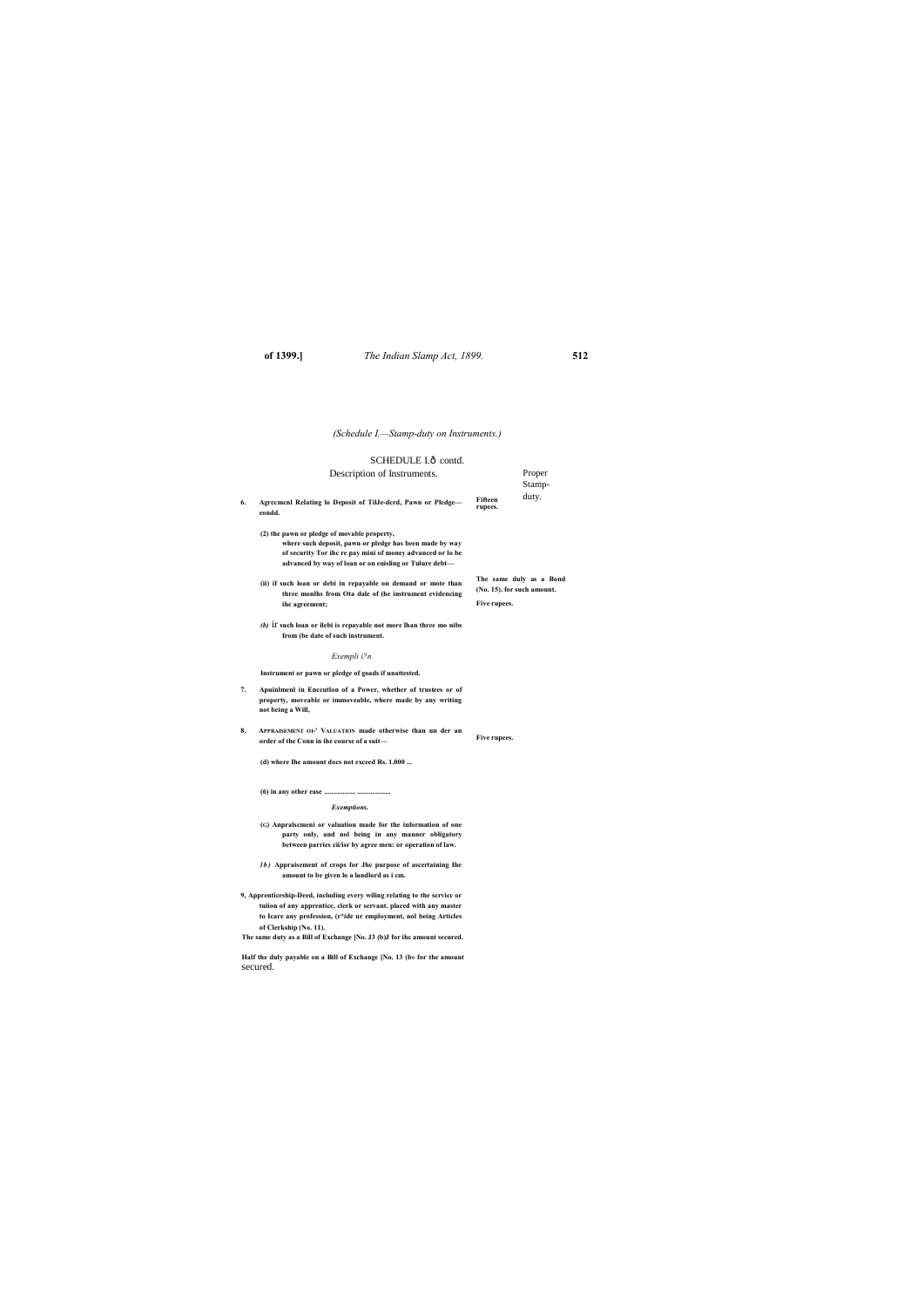**of 1399.]** *The Indian Slamp Act, 1899.* **512**

*(Schedule I.—Stamp-duty on Instruments.)* 

|    | SCHEDULE I.ô contd.                                                                                                                                                                                                            |                    |                                                       |
|----|--------------------------------------------------------------------------------------------------------------------------------------------------------------------------------------------------------------------------------|--------------------|-------------------------------------------------------|
|    | Description of Instruments.                                                                                                                                                                                                    |                    | Proper<br>Stamp-                                      |
| 6. | Agreemenl Relating lo Deposit of TilJe-derd, Pawn or Pledge-<br>eondd.                                                                                                                                                         | Fifteen<br>rupees. | duty.                                                 |
|    | (2) the pawn or pledge of movable property,<br>where such deposit, pawn or pledge has been made by way<br>of security Tor ihc re pay mini of money advanced or lo be<br>advanced by way of loan or on enisling or Tulure debt- |                    |                                                       |
|    | (ii) if such loan or debi in repayable on demand or mote than<br>three monlhs from Ota dale of (he instrument evidencing<br>ihc agreement;                                                                                     | Five rupees.       | The same duly as a Bond<br>(No. 15). for such amount. |
|    | (b) 11 such loan or ilebi is repayable not more lhan three mo nibs<br>from (be date of such instrument.                                                                                                                        |                    |                                                       |
|    | Exempli i?n.                                                                                                                                                                                                                   |                    |                                                       |
|    | Instrument or pawn or pledge of goads if unattested.                                                                                                                                                                           |                    |                                                       |
| 7. | Apuinlmenl in Enccutlon of a Power, whether of trustees or of<br>property, moveable or immoveable, where made by any writing<br>not being a Will,                                                                              |                    |                                                       |
| 8. | APPRAISEMENT OI-' VALUATION made otherwise than un der an<br>order of the Conn in ihe course of a suit-                                                                                                                        | Five rupees.       |                                                       |
|    | (d) where Ihe amount docs not exceed Rs. 1.000                                                                                                                                                                                 |                    |                                                       |
|    |                                                                                                                                                                                                                                |                    |                                                       |
|    | <b>Exemptions.</b>                                                                                                                                                                                                             |                    |                                                       |
|    | (G) Anpralscmeni or valuation made for the information of one<br>party only, and nol being in any manner obligatory<br>between parries cii/isr by agree men: or operation of law.                                              |                    |                                                       |
|    | (b) Appraisement of crops for Jhc purpose of ascertaining Ihe<br>amount to be given lo a landlord as i cm.                                                                                                                     |                    |                                                       |
|    | 9, Apprenticeship-Deed, including every wiling relating to the scrvicc or<br>tuiion of any apprentice, clerk or servant. placed with any master                                                                                |                    |                                                       |
|    | to Icare any profession, (r*ide ur employment, nol being Articles                                                                                                                                                              |                    |                                                       |

**of Clerkship (No. 11).**

**The same duty as a Bill of Exchange [No. J3 (b)J for ihc amount secured.**

**Half the duly payable on a Bill of Exchange [No. 13 (b» for the amount**  secured.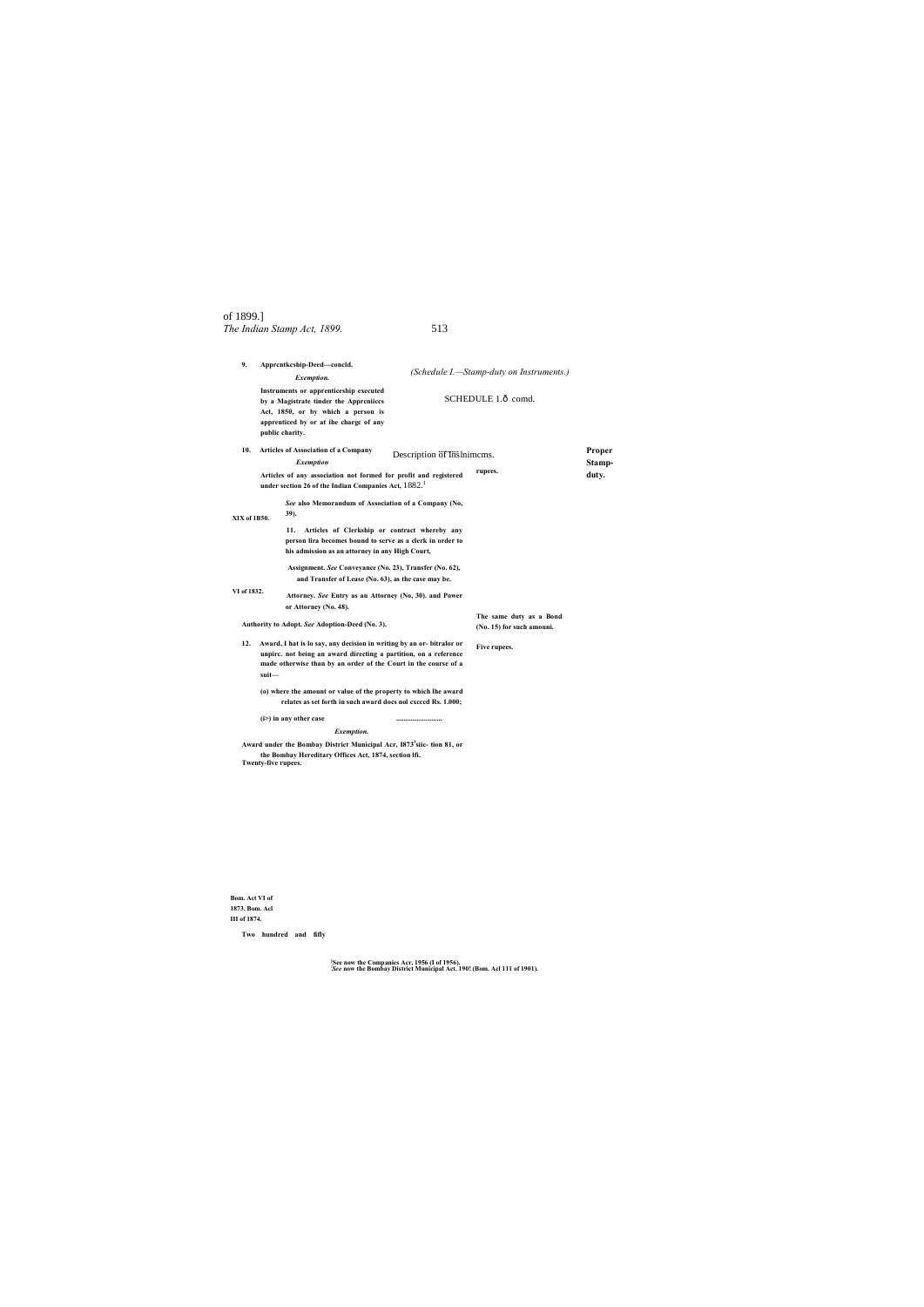### of 1899.] *The Indian Stamp Act, 1899.* 513

**Bom. Act VI of 1873. Bom. Acl III of 1874.**

| 9.           | Apprentkeship-Deed-concld.<br>Exemption.                                                                                                                                                                             |                             | (Schedule I.—Stamp-duty on Instruments.)             |                           |
|--------------|----------------------------------------------------------------------------------------------------------------------------------------------------------------------------------------------------------------------|-----------------------------|------------------------------------------------------|---------------------------|
|              | Instruments or apprenticeship executed<br>by a Magistrate tinder the Appreniices<br>Act, 1850, or by which a person is<br>apprenticed by or at ihe charge of any<br>public charity.                                  |                             | SCHEDULE 1.ô comd.                                   |                           |
| 10.          | <b>Articles of Association cf a Company</b><br><b>Exemption</b><br>Articles of any association not formed for profit and registered<br>under section 26 of the Indian Companies Act, 1882.                           | Description öf Tiislnimcms. | rupees.                                              | Proper<br>Stamp-<br>duty. |
| XIX of 1B50. | See also Memorandum of Association of a Company (No,<br>39).                                                                                                                                                         |                             |                                                      |                           |
|              | Articles of Clerkship or contract whereby any<br>11.<br>person lira becomes bound to serve as a clerk in order to<br>his admission as an attorney in any High Court,                                                 |                             |                                                      |                           |
|              | Assignment. See Conveyance (No. 23), Transfer (No. 62),<br>and Transfer of Lease (No. 63), as the case may be.                                                                                                       |                             |                                                      |                           |
| VI of 1832.  | Attorney. See Entry as an Attorney (No, 30). and Power<br>or Attorney (No. 48).                                                                                                                                      |                             |                                                      |                           |
|              | Authority to Adopt. See Adoption-Deed (No. 3).                                                                                                                                                                       |                             | The same duty as a Bond<br>(No. 15) for such amouni. |                           |
| 12.          | Award, I hat is lo say, any decision in writing by an or-bitralor or<br>unpirc. not being an award directing a partition, on a reference<br>made otherwise than by an order of the Court in the course of a<br>suit- |                             | Five rupees.                                         |                           |
|              | (o) where the amount or value of the property to which lhe award<br>relates as set forth in such award docs nol exceed Rs. 1.000;                                                                                    |                             |                                                      |                           |
|              | (i>) in any other case                                                                                                                                                                                               |                             |                                                      |                           |
|              | Exemption.                                                                                                                                                                                                           |                             |                                                      |                           |
|              | Award under the Bombay District Municipal Acr, 1873 <sup>3</sup> siic- tion 81, or<br>the Bombay Hereditary Offices Act, 1874, section Ifi.<br>Twenty-five rupees.                                                   |                             |                                                      |                           |

**Two hundred and fifly**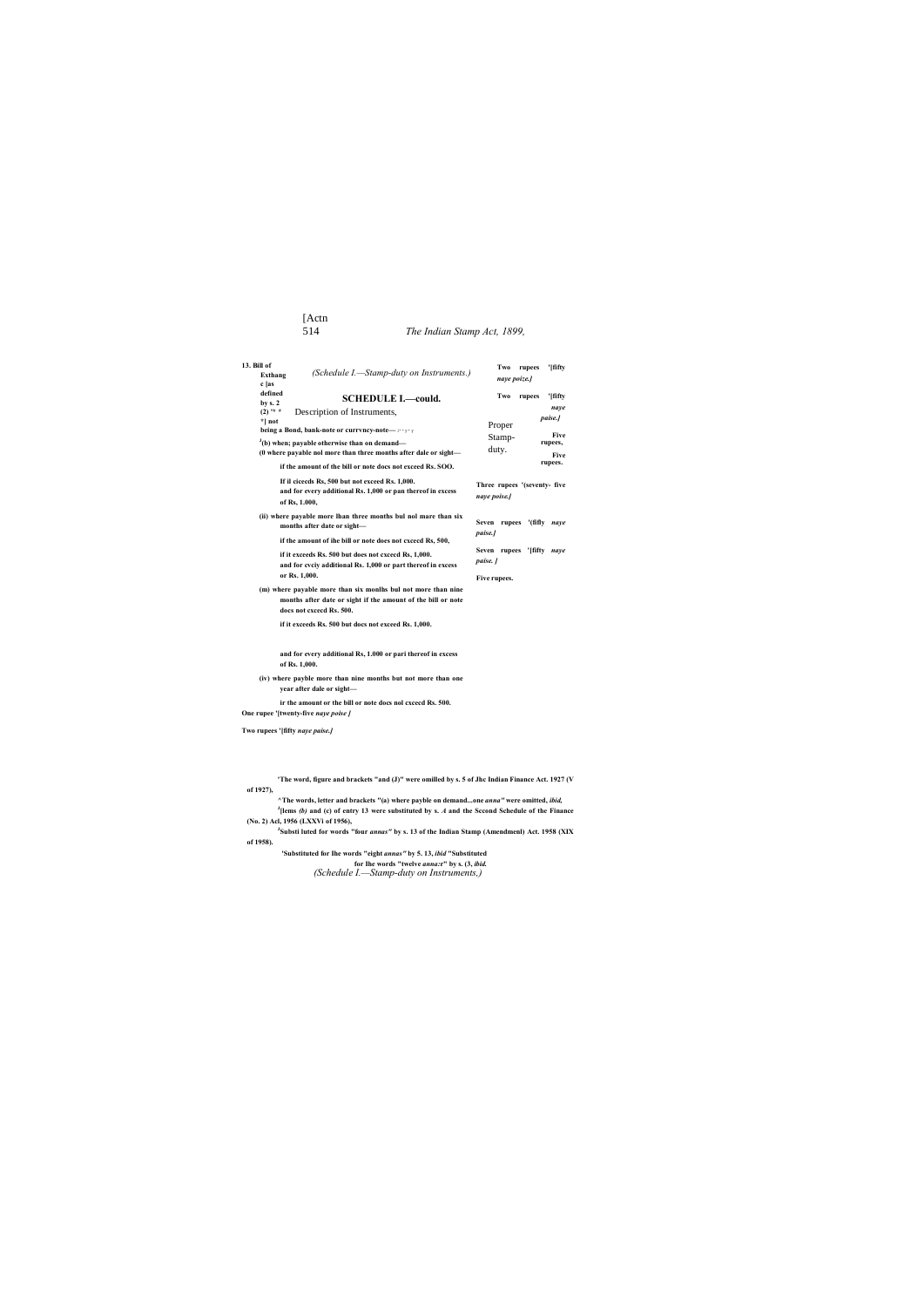# [Actn

514 *The Indian Stamp Act, 1899,*

### Proper Stampduty. *(Schedule I.—Stamp-duty on Instruments.)*  **SCHEDULE I.—could.** Description of Instruments, **13. Bill of Exthang c [as defined by s. 2 (2) '\* \* \*] not being a Bond, bank-note or currvncy-note—** 2 \* \* \* **J (b) when; payable otherwise than on demand— (0 where payable nol more than three months after dale or sight if the amount of the bill or note docs not exceed Rs. SOO. If il cicecds Rs, 500 but not exceed Rs. 1,000. and for every additional Rs. 1,000 or pan thereof in excess of Rs, 1.000, (ii) where payable more lhan three months bul nol mare than six months after date or sight if the amount of ihe bill or note does not cxcecd Rs, 500, if it exceeds Rs. 500 but does not cxcecd Rs, 1,000. and for cvciy additional Rs. 1,000 or part thereof in excess or Rs. 1,000. (m) where payable more than six monlhs bul not more than nine months after date or sight if the amount of the bill or note docs not cxcecd Rs. 500. if it exceeds Rs. 500 but docs not exceed Rs. 1,000. and for every additional Rs, 1.000 or pari thereof in excess of Rs. 1,000. (iv) where payble more than nine months but not more than one year after dale or sight ir the amount or the bill or note docs nol cxcecd Rs. 500. One rupee '[twenty-five** *naye poise ]* **Two rupees '[fifty** *naye paise.]* **Two rupees '[fifty** *naye poize.]* **Two rupees '[fifty** *naye paise.]* **Five rupees, Five rupees. Three rupees '(seventy- five** *naye poise.]* **Seven rupees '(fifly** *naye paise.]* **Seven rupees '[fifty** *naye paise. ]* **Five rupees.**

**'The word, figure and brackets "and (J)" were omilled by s. 5 of Jhc Indian Finance Act. 1927 (V of 1927), ^The words, letter and brackets "(a) where payble on demand...one** *anna"* **were omitted,** *ibid,* **J [lems** *(b)* **and (c) of entry 13 were substituted by s.** *A* **and the Sccond Schedule of the Finance (No. 2) Acl, 1956 (LXXVi of 1956), J Substi luted for words "four** *annas"* **by s. 13 of the Indian Stamp (Amendmenl) Act. 1958 (XIX of 1958). 'Substituted for Ihe words "eight** *annas"* **by 5. 13,** *ibid* **"Substituted for Ihe words "twelve** *anna:***r" by s. (3,** *ibid. (Schedule I.—Stamp-duty on Instruments,)*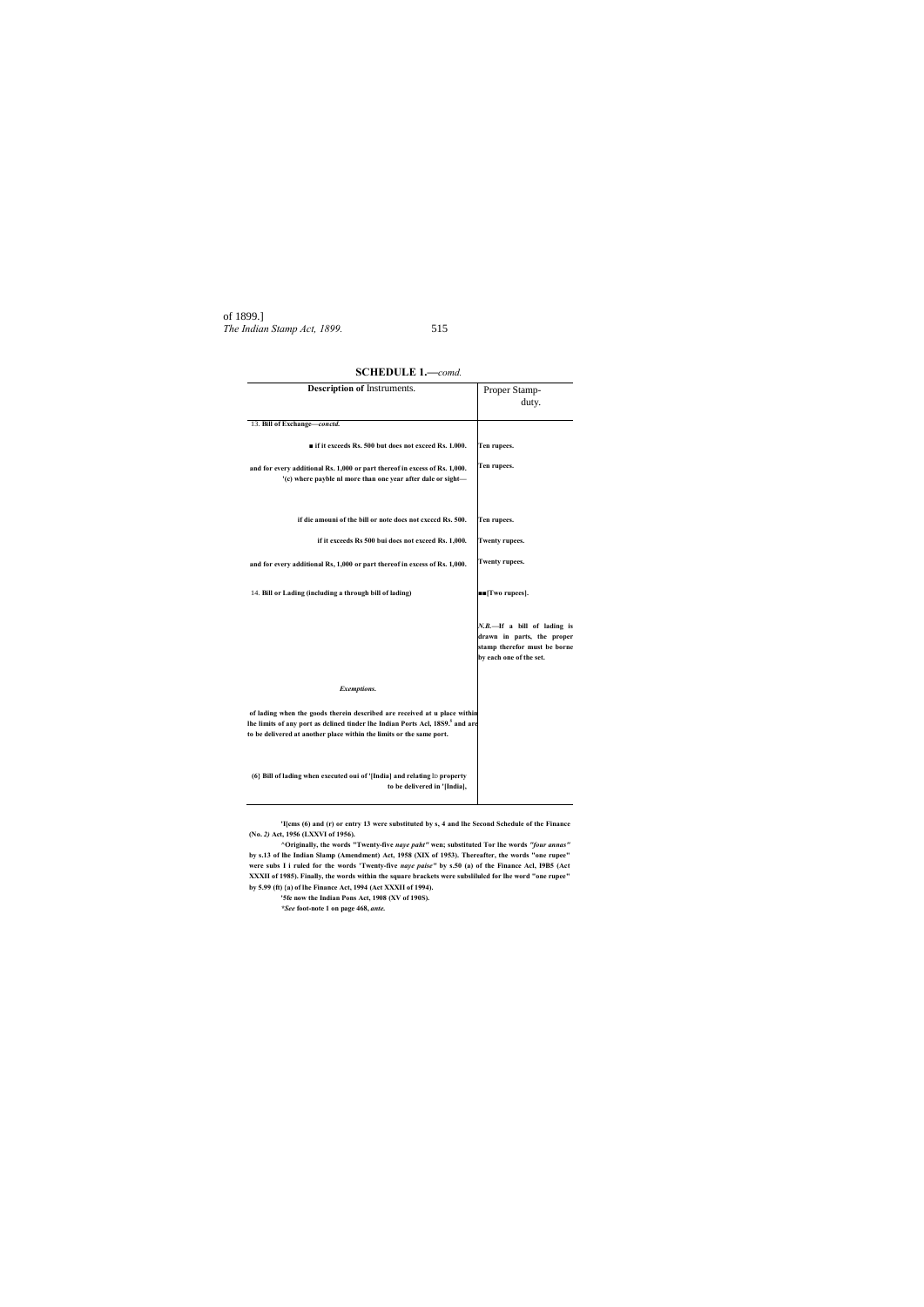### of 1899.] *The Indian Stamp Act, 1899.* 515

### **SCHEDULE 1.—***comd.*

**'I[cms (6) and (r) or entry 13 were substituted by s, 4 and lhe Second Schedule of the Finance (No.** *2)* **Act, 1956 (LXXVI of 1956).**

**^Originally, the words "Twenty-five** *naye paht"* **wen; substituted Tor lhe words** *"four annas"* **by s.13 of lhe Indian Slamp (Amendment) Act, 1958 (XIX of 1953). Thereafter, the words "one rupee" were subs I i ruled for the words 'Twenty-five** *naye paise"* **by s.50 (a) of the Finance Acl, I9B5 (Act XXXII of 1985). Finally, the words within the square brackets were subslilulcd for lhe word "one rupee" by 5.99 (ft) {a) of lhe Finance Act, 1994 (Act XXXII of 1994).**

**'5fe now the Indian Pons Act, 1908 (XV of 190S).**

*\*See* **foot-note 1 on page 468,** *ante.*

# **Description of Instruments.** Proper Stampduty. 13. **Bill of Exchange—***conctd.* ■ **if it exceeds Rs. 500 but does not exceed Rs. 1.000.** Ten rupees. **and for every additional Rs. 1,000 or part thereof in excess of Rs. 1,000. '(c) where payble nl more than one year after dale or sight— Ten rupees. if die amouni of the bill or note docs not cxcccd Rs. 500. Ten rupees. if it exceeds Rs 500 bui docs not exceed Rs. 1,000. Twenty rupees. and for every additional Rs, 1,000 or part thereof in excess of Rs. 1,000. Twenty rupees.** 14. **Bill or Lading (including a through bill of lading) ■■[Two rupees].** *N.B.***—If a bill of lading is drawn in parts, the proper stamp therefor must be borne by each one of the set.** *Exemptions.* **(a) Bill of lading when the goods therein described are received at u place within**

**lhe limits of any port as dclined tinder lhe Indian Ports Acl, 18S9.5 and are to be delivered at another place within the limits or the same port.**

**(6} Bill of lading when executed oui of '[India] and relating** ID **property** 

**to be delivered in '[India],**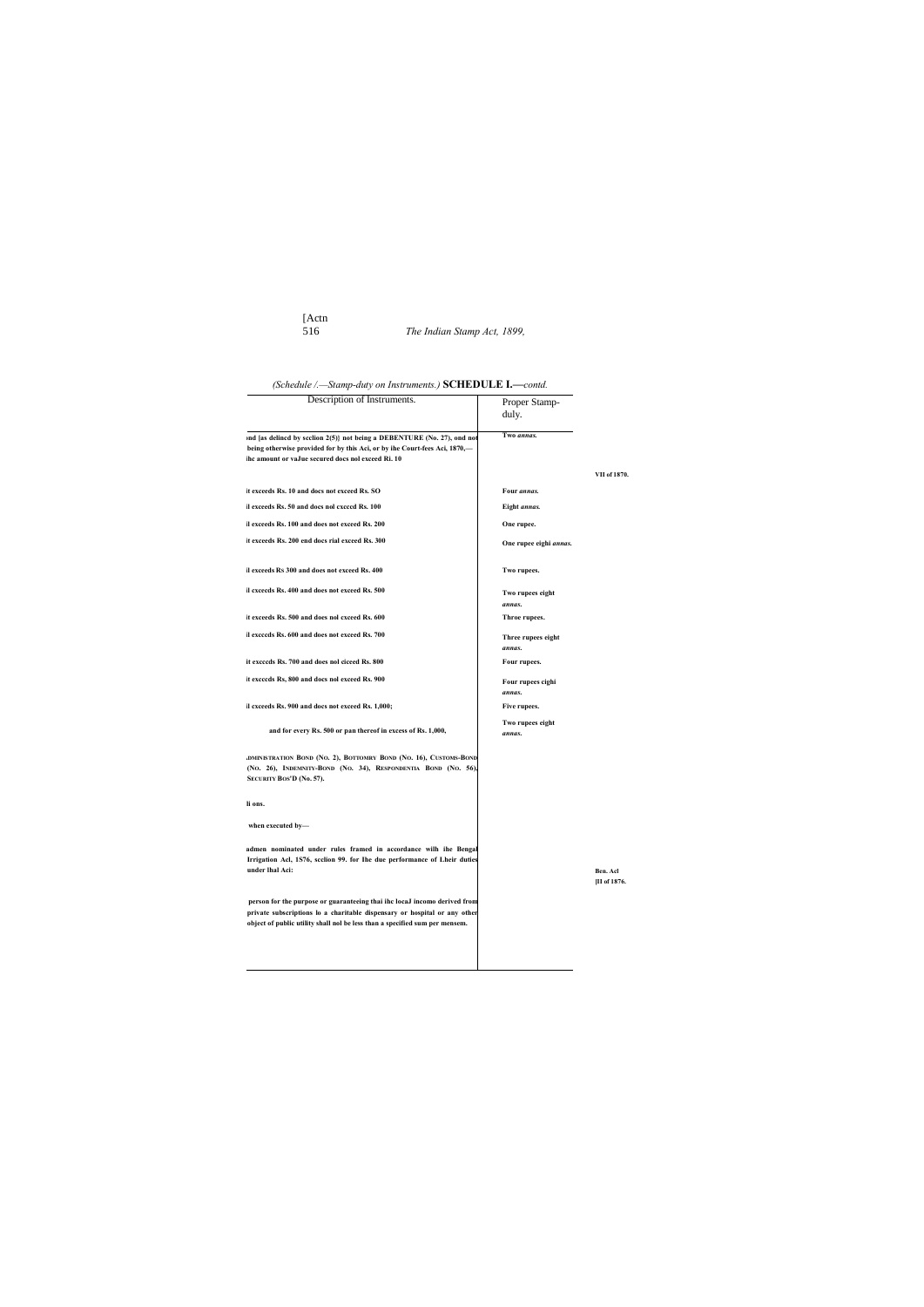[Actn

516 *The Indian Stamp Act, 1899,*

**Ben. Acl [II of 1876.**

### *(Schedule /.—Stamp-duty on Instruments.)* **SCHEDULE I.—***contd.*

| Description of Instruments.                                                                                                                                                                                 | Proper Stamp-                |              |
|-------------------------------------------------------------------------------------------------------------------------------------------------------------------------------------------------------------|------------------------------|--------------|
|                                                                                                                                                                                                             | duly.                        |              |
| ind [as delined by section 2(5)} not being a DEBENTURE (No. 27), ond not<br>being otherwise provided for by this Aci, or by ihe Court-fees Aci, 1870,-<br>hc amount or vaJue secured docs nol exceed Ri. 10 | Two annas.                   |              |
|                                                                                                                                                                                                             |                              | VII of 1870. |
| t exceeds Rs. 10 and docs not exceed Rs. SO                                                                                                                                                                 | Four annas.                  |              |
| 1 exceeds Rs. 50 and docs nol exceed Rs. 100                                                                                                                                                                | Eight annas.                 |              |
| 1 exceeds Rs. 100 and does not exceed Rs. 200                                                                                                                                                               | One rupee.                   |              |
| t exceeds Rs. 200 end docs rial exceed Rs. 300                                                                                                                                                              | One rupee eighi annas.       |              |
| 1 exceeds Rs 300 and does not exceed Rs. 400                                                                                                                                                                | Two rupees.                  |              |
| 1 cxcecds Rs. 400 and does not exceed Rs. 500                                                                                                                                                               | Two rupees eight<br>annas.   |              |
| t exceeds Rs. 500 and does nol cxceed Rs. 600                                                                                                                                                               | Throe rupees.                |              |
| 1 exceeds Rs. 600 and does not exceed Rs. 700                                                                                                                                                               | Three rupees eight<br>annas. |              |
| it exceeds Rs. 700 and does nol ciceed Rs. 800                                                                                                                                                              | Four rupees.                 |              |
| t exceeds Rs, 800 and docs nol exceed Rs. 900                                                                                                                                                               | Four rupees cighi<br>annas.  |              |
| 1 cxceeds Rs. 900 and docs not exceed Rs. 1,000;                                                                                                                                                            | Five rupees.                 |              |
| and for every Rs. 500 or pan thereof in excess of Rs. 1,000,                                                                                                                                                | Two rupees eight<br>annas.   |              |
| DMINISTRATION BOND (NO. 2), BOTTOMRY BOND (NO. 16), CUSTOMS-BOND<br>(No. 26), INDEMNITY-BOND (No. 34), RESPONDENTIA BOND (No. 56),                                                                          |                              |              |

admen nominated under rules framed in accordance wilh ihe Benga **Irrigation Acl, 1S76, scclion 99. for Ihe due performance of Lheir duties under lhal Aci:**

**SECURITY BOS'D (No. 57).**

**Exempli ons.**

**Bond, when executed by—**

**(6) any person for the purpose or guaranteeing thai ihc locaJ incomo derived from**  private subscriptions lo a charitable dispensary or hospital or any other **object of public utility shall nol be less than a specified sum per mensem.**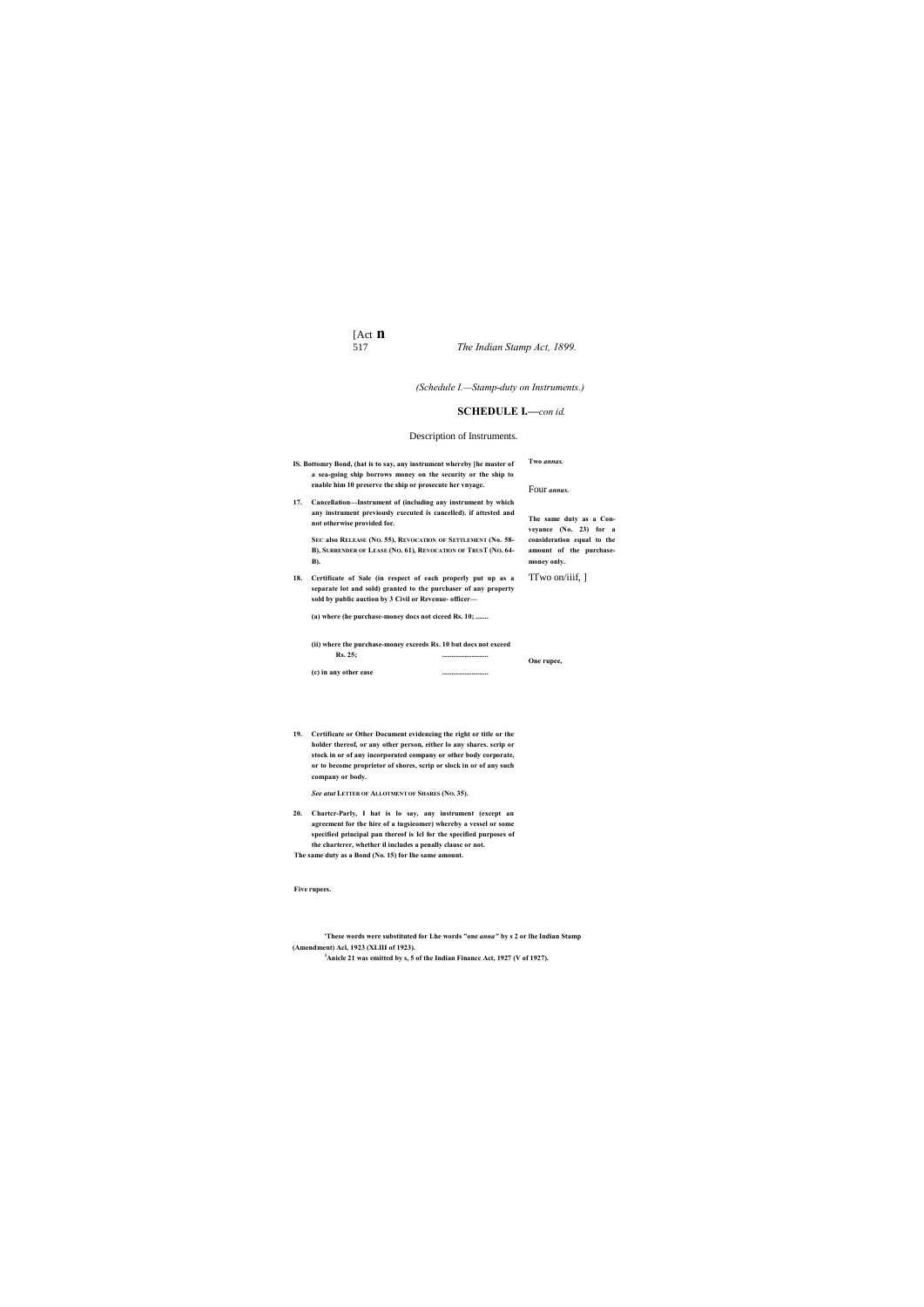# [Act **n**

## 517 *The Indian Stamp Act, 1899.*

### *(Schedule I.—Stamp-duty on Instruments.)*

### **SCHEDULE I.—***con id.*

### Description of Instruments.

|     | IS. Bottomry Bond, (hat is to say, any instrument whereby [he master of                                                                                                                   | Two annas.                                        |
|-----|-------------------------------------------------------------------------------------------------------------------------------------------------------------------------------------------|---------------------------------------------------|
|     | a sea-going ship borrows money on the security or the ship to<br>enable him 10 preserve the ship or prosecute her vnyage.                                                                 | Four annus.                                       |
| 17. | Cancellation-Instrument of (including any instrument by which                                                                                                                             |                                                   |
|     | any instrument previously executed is cancelled). if attested and<br>not otherwise provided for.                                                                                          | The same duty as a Con-<br>veyance (No. 23) for a |
|     | SEC also RELEASE (NO. 55), REVOCATION OF SETTLEMENT (No. 58-                                                                                                                              | consideration equal to the                        |
|     | B), SURRENDER OF LEASE (NO. 61), REVOCATION OF TRUST (NO. 64-                                                                                                                             | amount of the purchase-                           |
|     | <b>B</b> ).                                                                                                                                                                               | money only.                                       |
| 18. | Certificate of Sale (in respect of each properly put up as a<br>separate lot and sold) granted to the purchaser of any property<br>sold by public auction by 3 Civil or Revenue- officer- | TTwo on/iiif, 1                                   |
|     | (a) where (he purchase-money docs not ciceed Rs. 10;                                                                                                                                      |                                                   |
|     | (ii) where the purchase-money exceeds Rs. 10 but docs not exceed                                                                                                                          |                                                   |
|     | Rs. 25;                                                                                                                                                                                   | <br>One rupee,                                    |
|     | (c) in any other ease                                                                                                                                                                     |                                                   |
|     |                                                                                                                                                                                           |                                                   |

**19. Certificate or Other Document evidencing the right or title or the holder thereof, or any other person, either lo any shares. scrip or stock in or of any incorporated company or other body corporate, or to become proprietor of shores, scrip or slock in or of any such company or body.**

*See atut* **LETTER OF ALLOTMENT OF SHARES (NO. 35).**

**20. Chartcr-Parly, I hat is lo say, any instrument (except an agreement for the hire of a tugsieomer) whereby a vessel or some specified principal pan thereof is Icl for the specified purposes of the charterer, whether il includes a penally clausc or not. The same duty as a Bond (No. 15) for Ihe same amount.**

### **Five rupees.**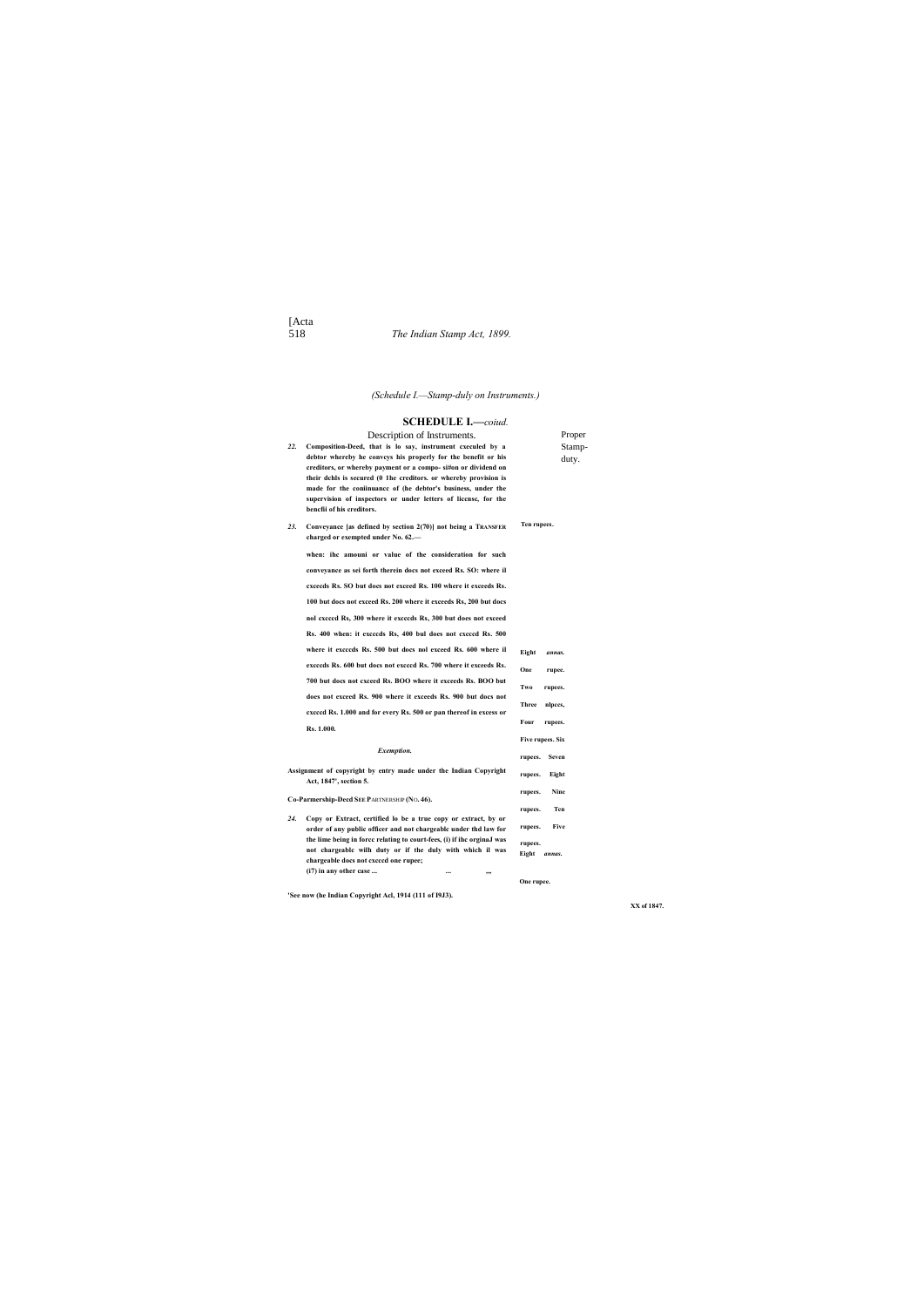$[Acta  
518]$ 

518 *The Indian Stamp Act, 1899.*

**XX of 1847.**

**One rupee.**

## *(Schedule I.—Stamp-duly on Instruments.)*

# **SCHEDULE I.—***coiud.*

| <b>SCHEDULE 1.</b> Coiud.                                                                                                                                                                                                                                                                                                                                                                                                              |                                   |
|----------------------------------------------------------------------------------------------------------------------------------------------------------------------------------------------------------------------------------------------------------------------------------------------------------------------------------------------------------------------------------------------------------------------------------------|-----------------------------------|
| Description of Instruments.                                                                                                                                                                                                                                                                                                                                                                                                            | Proper                            |
| Composition-Deed, that is lo say, instrument cxeculed by a<br>22.<br>debtor whereby he conveys his properly for the benefit or his<br>creditors, or whereby payment or a compo-si#on or dividend on<br>their dchls is secured (0 1he creditors. or whereby provision is<br>made for the coniinuance of (he debtor's business, under the<br>supervision of inspectors or under letters of license, for the<br>benefii of his creditors. | Stamp-<br>duty.                   |
| 23.<br>Conveyance [as defined by section 2(70)] not being a TRANSFER<br>charged or exempted under No. 62.-                                                                                                                                                                                                                                                                                                                             | Ten rupees.                       |
| when: ihc amouni or value of the consideration for such                                                                                                                                                                                                                                                                                                                                                                                |                                   |
| conveyance as sei forth therein docs not exceed Rs. SO: where il                                                                                                                                                                                                                                                                                                                                                                       |                                   |
| exceeds Rs. SO but does not exceed Rs. 100 where it exceeds Rs.                                                                                                                                                                                                                                                                                                                                                                        |                                   |
| 100 but docs not exceed Rs. 200 where it exceeds Rs, 200 but docs                                                                                                                                                                                                                                                                                                                                                                      |                                   |
| nol cxcccd Rs, 300 where it excccds Rs, 300 but does not exceed                                                                                                                                                                                                                                                                                                                                                                        |                                   |
| Rs. 400 when: it exceeds Rs, 400 bul does not exceed Rs. 500                                                                                                                                                                                                                                                                                                                                                                           |                                   |
| where it exceeds Rs. 500 but does nol exceed Rs. 600 where il                                                                                                                                                                                                                                                                                                                                                                          | Eight<br>annas.                   |
| execeds Rs. 600 but does not execed Rs. 700 where it exceeds Rs.                                                                                                                                                                                                                                                                                                                                                                       | One<br>rupee.                     |
| 700 but docs not cxceed Rs. BOO where it exceeds Rs. BOO but                                                                                                                                                                                                                                                                                                                                                                           | Two<br>rupees.                    |
| does not exceed Rs. 900 where it exceeds Rs. 900 but docs not                                                                                                                                                                                                                                                                                                                                                                          | Three<br>nlpccs,                  |
| execed Rs. 1.000 and for every Rs. 500 or pan thereof in excess or                                                                                                                                                                                                                                                                                                                                                                     | Four<br>rupees.                   |
| Rs. 1.000.                                                                                                                                                                                                                                                                                                                                                                                                                             | Five rupees. Six                  |
| Exemption.                                                                                                                                                                                                                                                                                                                                                                                                                             | rupees.<br>Seven                  |
| Assignment of copyright by entry made under the Indian Copyright<br>Act, 1847', section 5.                                                                                                                                                                                                                                                                                                                                             | Eight<br>rupees.                  |
| Co-Parmership-Decd SEE PARTNERSHIP (No. 46).                                                                                                                                                                                                                                                                                                                                                                                           | rupees.<br>Nine                   |
| 24.<br>Copy or Extract, certified lo be a true copy or extract, by or                                                                                                                                                                                                                                                                                                                                                                  | Ten<br>rupees.<br>Five<br>rupees. |
| order of any public officer and not chargeable under thd law for<br>the lime being in force relating to court-fees, (i) if ihe orginaJ was<br>not chargeable wilh duty or if the duly with which il was<br>chargeable docs not exceed one rupee;<br>(i7) in any other case<br>,,,                                                                                                                                                      | rupees.<br>Eight<br>annas.        |

**'See now (he Indian Copyright Acl, 1914 (111 of I9J3).**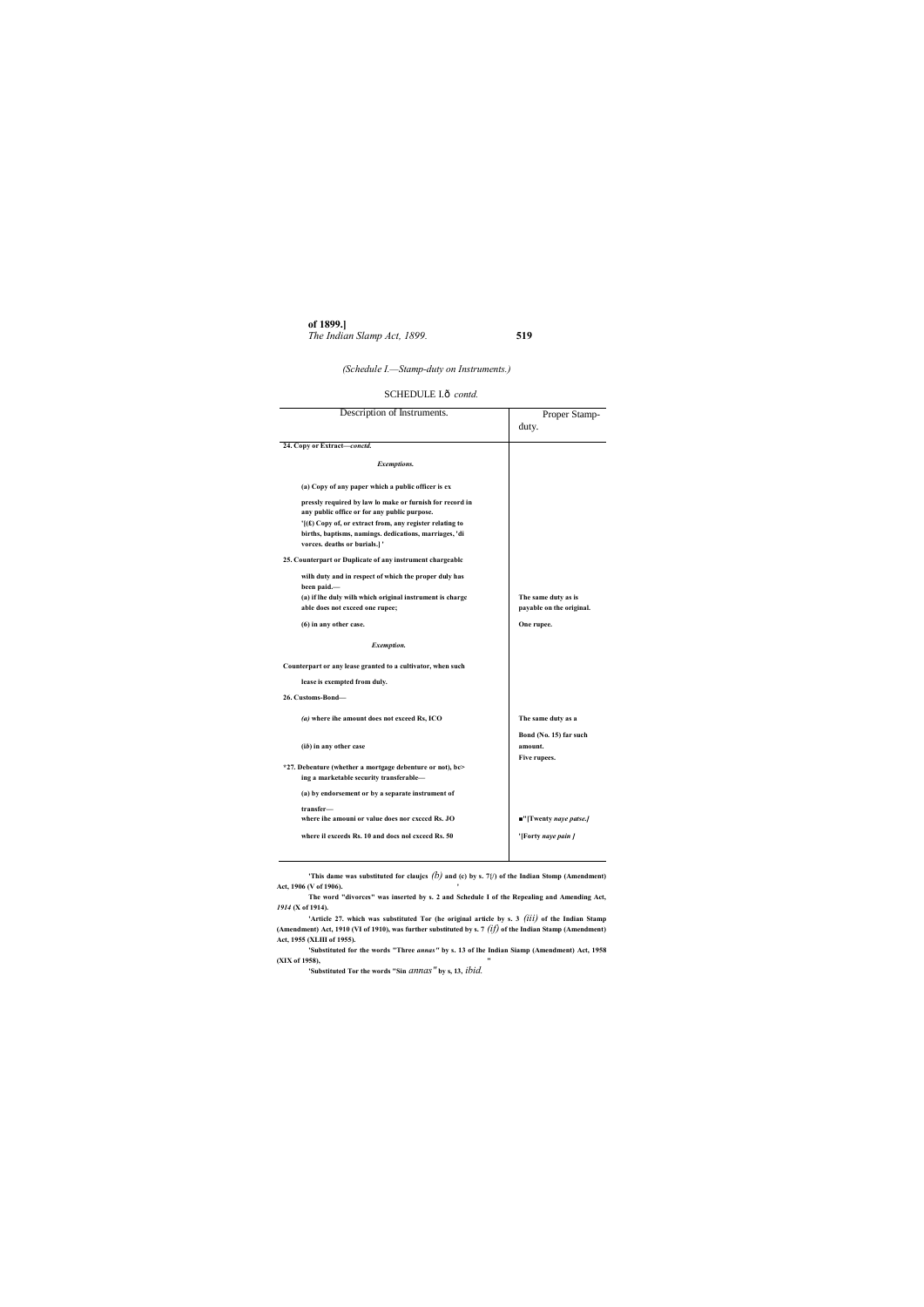**of 1899.]** *The Indian Slamp Act, 1899.* **519**

*(Schedule I.—Stamp-duty on Instruments.)*

### SCHEDULE I.ô contd.

**'This dame was substituted for claujcs** *(b)* **and (c) by s. 7{/) of the Indian Stomp (Amendment) Act, 1906 (V of 1906). '**

**The word "divorces" was inserted by s. 2 and Schedule I of the Repealing and Amending Act,** *1914* **(X of 1914).**

**'Article 27. which was substituted Tor (he original article by s. 3** *(iii)* **of the Indian Stamp (Amendment) Act, 1910 (VI of 1910), was further substituted by s. 7** *(if)* **of the Indian Stamp (Amendment) Act, 1955 (XLIII of 1955).**

**'Substituted for the words "Three** *annas"* **by s. 13 of lhe Indian Siamp (Amendment) Act, 1958 (XIX of 1958), "**

**'Substituted Tor the words "Sin** *annas"* **by s, 13,** *ibid.*

| Description of Instruments.                                                                                                                                | Proper Stamp-                                     |
|------------------------------------------------------------------------------------------------------------------------------------------------------------|---------------------------------------------------|
|                                                                                                                                                            | duty.                                             |
|                                                                                                                                                            |                                                   |
| 24. Copy or Extract-conctd.                                                                                                                                |                                                   |
| <b>Exemptions.</b>                                                                                                                                         |                                                   |
| (a) Copy of any paper which a public officer is ex                                                                                                         |                                                   |
| pressly required by law lo make or furnish for record in<br>any public office or for any public purpose.                                                   |                                                   |
| $'$ [ $(f)$ ] Copy of, or extract from, any register relating to<br>births, baptisms, namings. dedications, marriages, 'di<br>vorces. deaths or burials.]' |                                                   |
| 25. Counterpart or Duplicate of any instrument chargeable                                                                                                  |                                                   |
| wilh duty and in respect of which the proper duly has<br>been paid.—                                                                                       |                                                   |
| (a) if lhe duly wilh which original instrument is charge                                                                                                   | The same duty as is                               |
| able does not exceed one rupee;                                                                                                                            | payable on the original.                          |
| (6) in any other case.                                                                                                                                     | One rupee.                                        |
| Exemption.                                                                                                                                                 |                                                   |
| Counterpart or any lease granted to a cultivator, when such                                                                                                |                                                   |
| lease is exempted from duly.                                                                                                                               |                                                   |
| 26. Customs-Bond-                                                                                                                                          |                                                   |
| (a) where ihe amount does not exceed Rs, ICO                                                                                                               | The same duty as a                                |
| (ib) in any other case                                                                                                                                     | Bond (No. 15) far such<br>amount.<br>Five rupees. |
| *27. Debenture (whether a mortgage debenture or not), bc>                                                                                                  |                                                   |
| ing a marketable security transferable-                                                                                                                    |                                                   |
| (a) by endorsement or by a separate instrument of                                                                                                          |                                                   |
| transfer-                                                                                                                                                  |                                                   |
| where ihe amouni or value does nor exceed Rs. JO                                                                                                           | ■"[Twenty naye patse.]                            |
| where il exceeds Rs. 10 and docs nol exceed Rs. 50                                                                                                         | '[Forty naye pain ]                               |
|                                                                                                                                                            |                                                   |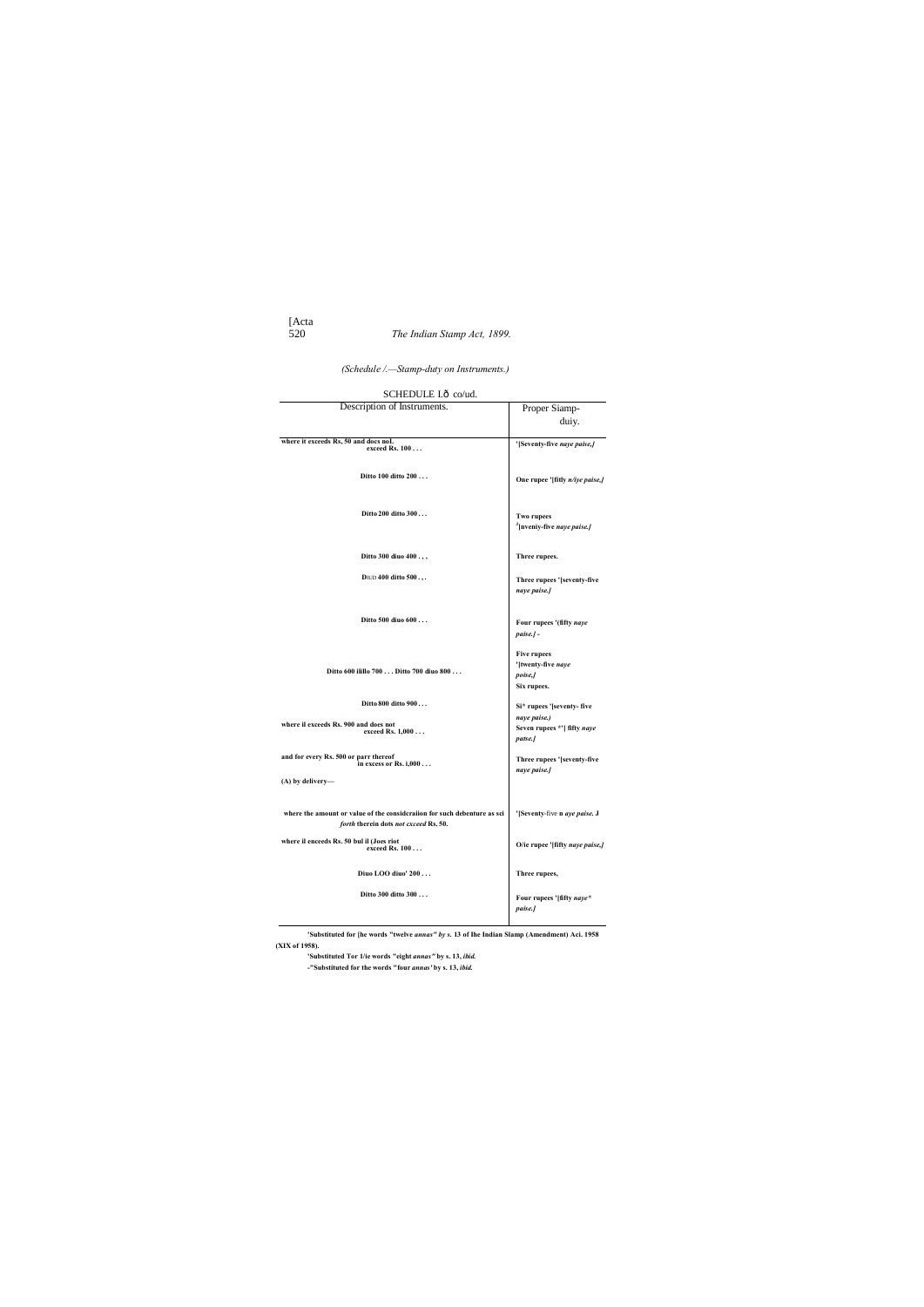$[Acta  
520$ 

520 *The Indian Stamp Act, 1899.*

*(Schedule /.—Stamp-duty on Instruments.)*

**'Substituted for [he words "twelve** *annas" by s.* **13 of Ihe Indian Slamp (Amendment) Aci. 1958** 

**(XIX of 1958).**

**'Substituted Tor 1/ie words "eight** *annas"* **by s. 13,** *ibid.*

**-"Substituted for the words "four** *annas'* **by s. 13,** *ibid.*

| SCHEDULE I.ô co/ud.                                                                                               |                                                                    |
|-------------------------------------------------------------------------------------------------------------------|--------------------------------------------------------------------|
| Description of Instruments.                                                                                       | Proper Siamp-                                                      |
|                                                                                                                   | duiy.                                                              |
| where it exceeds Rs, 50 and docs noL<br>exceed Rs. 100                                                            | '[Seventy-five naye paise,]                                        |
| Ditto 100 ditto 200                                                                                               | One rupee '[fitly n/iye paise,]                                    |
| Ditto 200 ditto 300                                                                                               | Two rupees<br><sup>J</sup> [nveniy-five naye paise.]               |
| Ditto 300 diuo 400.,,                                                                                             | Three rupees.                                                      |
| DIUD 400 ditto 500.,.                                                                                             | Three rupees '[seventy-five<br>naye paise.]                        |
| Ditto 500 diuo 600                                                                                                | Four rupees '(fifty naye<br>paise.] -                              |
| Ditto 600 ilillo 700  Ditto 700 diuo 800                                                                          | <b>Five rupees</b><br>'[twenty-five naye<br>poise,]<br>Six rupees. |
| Ditto 800 ditto 900                                                                                               | Si* rupees '[seventy- five                                         |
| where il exceeds Rs. 900 and does not<br>exceed Rs. 1,000                                                         | naye paise.)<br>Seven rupees *'[ fifty naye<br>patse.]             |
| and for every Rs. 500 or parr thereof<br>in excess or Rs. $i,000$                                                 | Three rupees '[seventy-five<br>naye paise.]                        |
| (A) by delivery—                                                                                                  |                                                                    |
| where the amount or value of the consideraiion for such debenture as sci<br>forth therein dots not cxceed Rs. 50. | '[Seventy-five n aye paise. J                                      |
| where il enceeds Rs. 50 bul il (Joes riot<br>exceed Rs. 100                                                       | O/ie rupee '[fifty naye paise,]                                    |
| Diuo LOO diuo' 200                                                                                                | Three rupees,                                                      |
| Ditto 300 ditto 300                                                                                               | Four rupees '[fifty naye*<br>paise.]                               |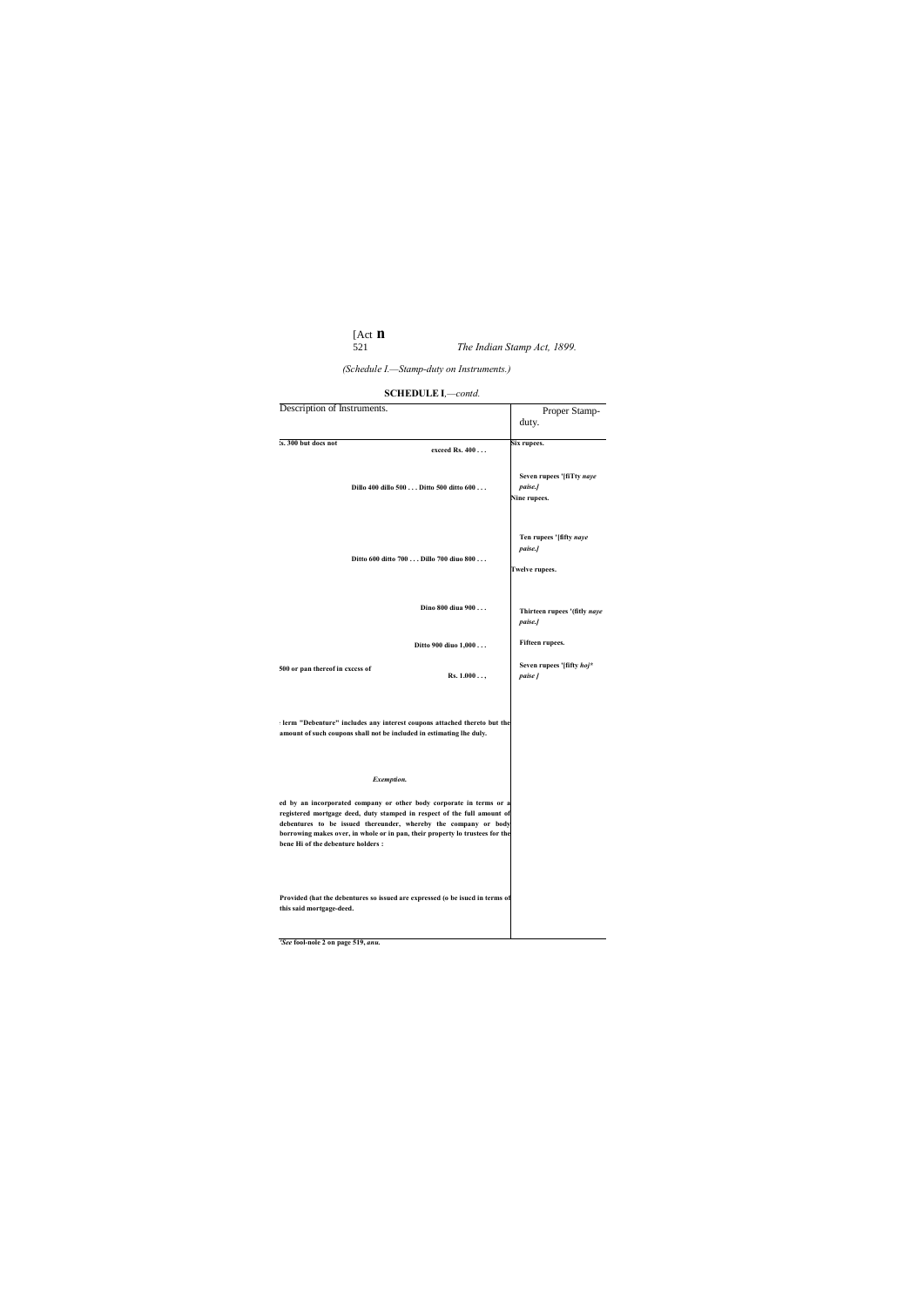# $[Act \n**n**$ <br>521

The Indian Stamp Act, 1899.

*(Schedule I.—Stamp-duty on Instruments.)*

## **SCHEDULE I***,—contd.*

| SCHEDULE 1 <i>,—conia.</i>                                                                                                                                                                                                                                                                                                             |                                                      |
|----------------------------------------------------------------------------------------------------------------------------------------------------------------------------------------------------------------------------------------------------------------------------------------------------------------------------------------|------------------------------------------------------|
| Description of Instruments.                                                                                                                                                                                                                                                                                                            | Proper Stamp-<br>duty.                               |
| ls. 300 but docs not<br>exceed Rs. 400                                                                                                                                                                                                                                                                                                 | Six rupees.                                          |
| Dillo 400 dillo 500  Ditto 500 ditto 600                                                                                                                                                                                                                                                                                               | Seven rupees '[fiTty naye<br>paise.]<br>Nine rupees. |
| Ditto 600 ditto 700 Dillo 700 diuo 800                                                                                                                                                                                                                                                                                                 | Ten rupees '[fifty naye<br>paise.]<br>Twelve rupees. |
| Dino 800 diua 900                                                                                                                                                                                                                                                                                                                      | Thirteen rupees '(fitly naye<br>paise.]              |
| Ditto 900 diuo 1,000                                                                                                                                                                                                                                                                                                                   | Fifteen rupees.                                      |
| 500 or pan thereof in cxccss of<br>Rs. 1.000                                                                                                                                                                                                                                                                                           | Seven rupees '[fifty hoj*<br>paise ]                 |
| : lerm "Debenture" includes any interest coupons attached thereto but the<br>amount of such coupons shall not be included in estimating lhe duly.                                                                                                                                                                                      |                                                      |
| Exemption.                                                                                                                                                                                                                                                                                                                             |                                                      |
| ed by an incorporated company or other body corporate in terms or a<br>registered mortgage deed, duty stamped in respect of the full amount of<br>debentures to be issued thereunder, whereby the company or body<br>borrowing makes over, in whole or in pan, their property lo trustees for the<br>bene Hi of the debenture holders: |                                                      |
| Provided (hat the debentures so issued are expressed (o be isued in terms of<br>this said mortgage-deed.                                                                                                                                                                                                                               |                                                      |
|                                                                                                                                                                                                                                                                                                                                        |                                                      |

*'See* **fool-nole 2 on page 519,** *anu.*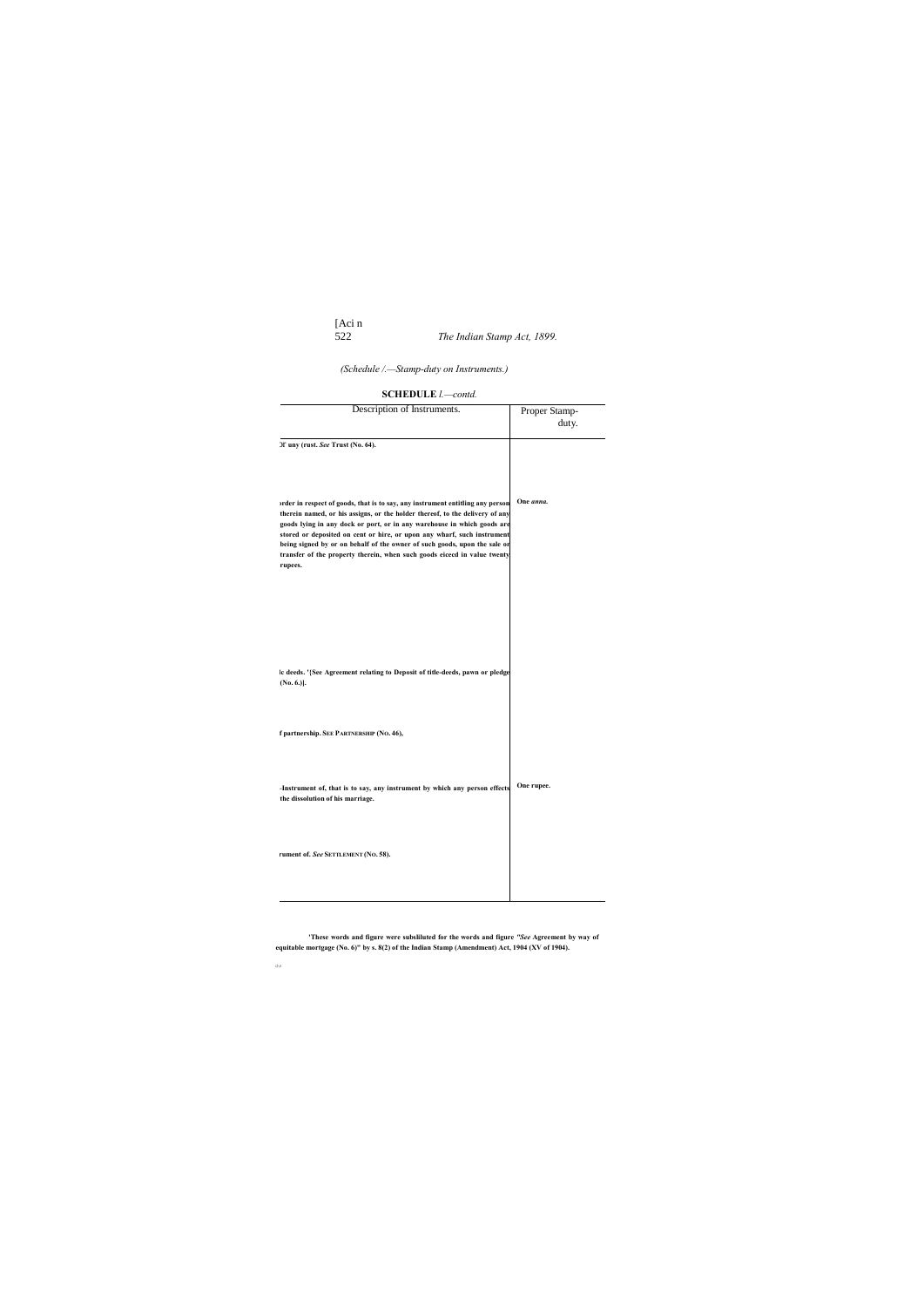[Aci n

522 *The Indian Stamp Act, 1899.*

*(Schedule /.—Stamp-duty on Instruments.)*

## **SCHEDULE** *l.—contd.*

**'These words and figure were subsliluted for the words and figure** *"See* **Agreement by way of equitable mortgage (No. 6)" by s. 8(2) of the Indian Stamp (Amendment) Act, 1904 (XV of 1904).**

| Description of Instruments.                                                                                                                                                                                                                                                                                                                                                                                                                                                              | Proper Stamp- |
|------------------------------------------------------------------------------------------------------------------------------------------------------------------------------------------------------------------------------------------------------------------------------------------------------------------------------------------------------------------------------------------------------------------------------------------------------------------------------------------|---------------|
|                                                                                                                                                                                                                                                                                                                                                                                                                                                                                          | duty.         |
| Of uny (rust. See Trust (No. 64).                                                                                                                                                                                                                                                                                                                                                                                                                                                        |               |
| order in respect of goods, that is to say, any instrument entitling any person<br>therein named, or his assigns, or the holder thereof, to the delivery of any<br>goods lying in any dock or port, or in any warehouse in which goods are<br>stored or deposited on cent or hire, or upon any wharf, such instrument<br>being signed by or on behalf of the owner of such goods, upon the sale or<br>transfer of the property therein, when such goods eiceed in value twenty<br>rupees. | One anna.     |
| c deeds. '{See Agreement relating to Deposit of title-deeds, pawn or pledge<br>$(N_0.6.)$ .                                                                                                                                                                                                                                                                                                                                                                                              |               |
| f partnership. SEE PARTNERSHIP (NO. 46),                                                                                                                                                                                                                                                                                                                                                                                                                                                 |               |
| -Instrument of, that is to say, any instrument by which any person effects<br>the dissolution of his marriage.<br>rument of. See SETTLEMENT (NO. 58).                                                                                                                                                                                                                                                                                                                                    | One rupee.    |
|                                                                                                                                                                                                                                                                                                                                                                                                                                                                                          |               |
|                                                                                                                                                                                                                                                                                                                                                                                                                                                                                          |               |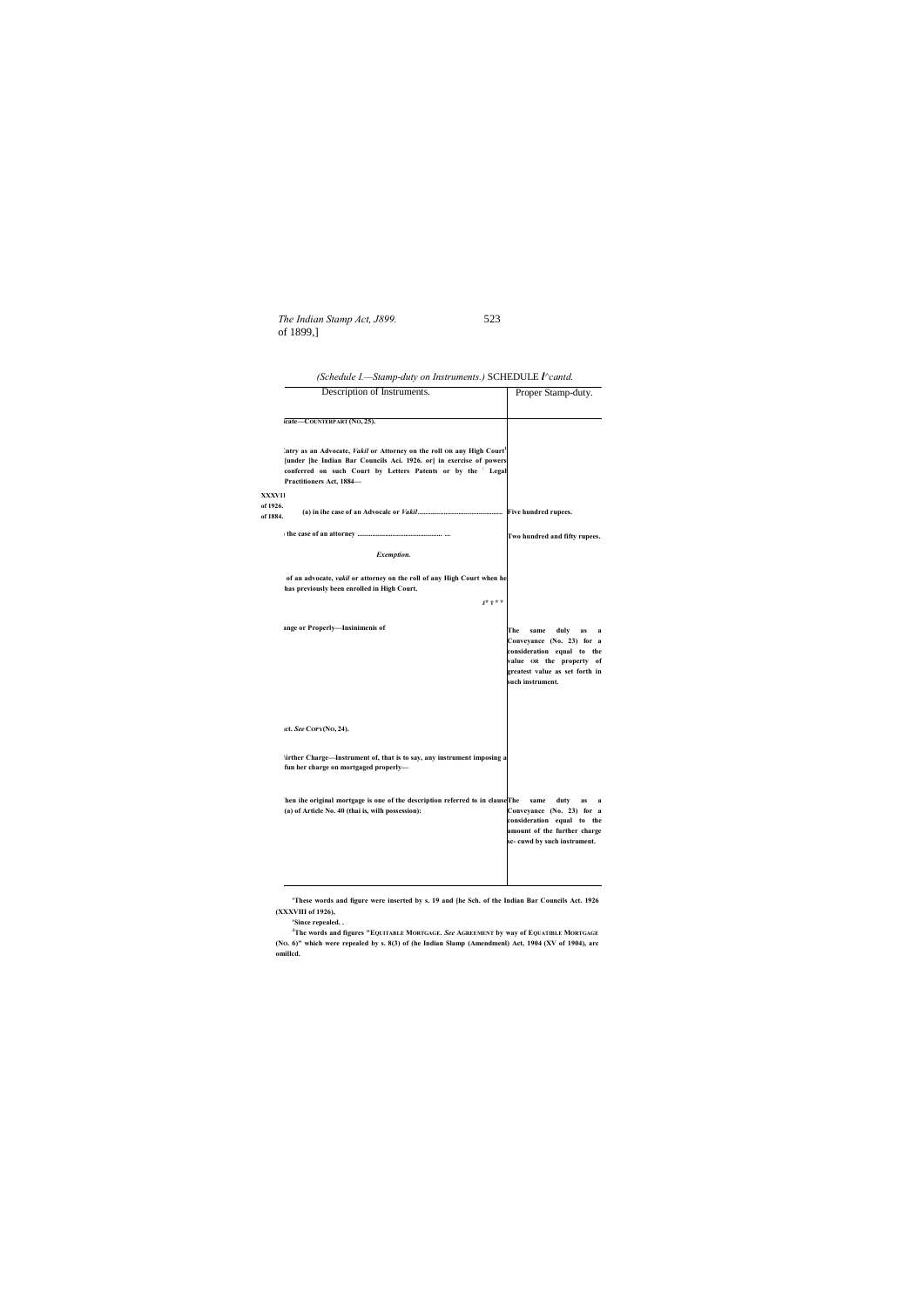### *The Indian Stamp Act, J899.* 523 of 1899,]

**'These words and figure were inserted by s. 19 and [he Sch. of the Indian Bar Councils Act. 1926 (XXXVIII of 1926),**

*(Schedule I.—Stamp-duty on Instruments.)* SCHEDULE *l^cantd.*

| Description of Instruments.                                                                                                                                                                                                                           | Proper Stamp-duty.                                                                                                                                                          |
|-------------------------------------------------------------------------------------------------------------------------------------------------------------------------------------------------------------------------------------------------------|-----------------------------------------------------------------------------------------------------------------------------------------------------------------------------|
|                                                                                                                                                                                                                                                       |                                                                                                                                                                             |
| icate-COUNTERPART (No, 25).                                                                                                                                                                                                                           |                                                                                                                                                                             |
|                                                                                                                                                                                                                                                       |                                                                                                                                                                             |
| Intry as an Advocate, Vakil or Attorney on the roll OR any High Court <sup>1</sup><br>[under [he Indian Bar Councils Aci. 1926. or] in exercise of powers<br>conferred on such Court by Letters Patents or by the ' Legal<br>Practitioners Act, 1884- |                                                                                                                                                                             |
| XXXV1                                                                                                                                                                                                                                                 |                                                                                                                                                                             |
| of 1926.                                                                                                                                                                                                                                              |                                                                                                                                                                             |
| of 1884.                                                                                                                                                                                                                                              | Five hundred rupees.                                                                                                                                                        |
|                                                                                                                                                                                                                                                       | Two hundred and fifty rupees.                                                                                                                                               |
| Exemption.                                                                                                                                                                                                                                            |                                                                                                                                                                             |
| of an advocate, vakil or attorney on the roll of any High Court when he<br>has previously been enrolled in High Court.                                                                                                                                |                                                                                                                                                                             |
| $J^*T^*$                                                                                                                                                                                                                                              |                                                                                                                                                                             |
|                                                                                                                                                                                                                                                       |                                                                                                                                                                             |
| ange or Properly-Insinimenis of                                                                                                                                                                                                                       | The<br>same<br>duly<br>as<br>я<br>Conveyance (No. 23) for a<br>consideration equal to the<br>value OR the property of<br>greatest value as set forth in<br>such instrument. |
| ict. See COPY(NO, 24).                                                                                                                                                                                                                                |                                                                                                                                                                             |
| <b>Sum</b> \irther Charge—Instrument of, that is to say, any instrument imposing a<br>fun her charge on mortgaged properly-                                                                                                                           |                                                                                                                                                                             |
| hen ihe original mortgage is one of the description referred to in clause The<br>(a) of Article No. 40 (thai is, wilh possession):                                                                                                                    | duty<br>same<br>as<br>я<br>Conveyance (No. 23) for a<br>consideration equal to the<br>amount of the further charge<br>sc- cuwd by such instrument.                          |

**<sup>&#</sup>x27;Since repealed. .**

**J The words and figures "EQUITABLE MORTGAGE.** *See* **AGREEMENT by way of EQUATIBLE MORTGAGE (NO. 6)" which were repealed by s. 8(3) of (he Indian Slamp (Amendmenl) Act, 1904 (XV of 1904), arc omillcd.**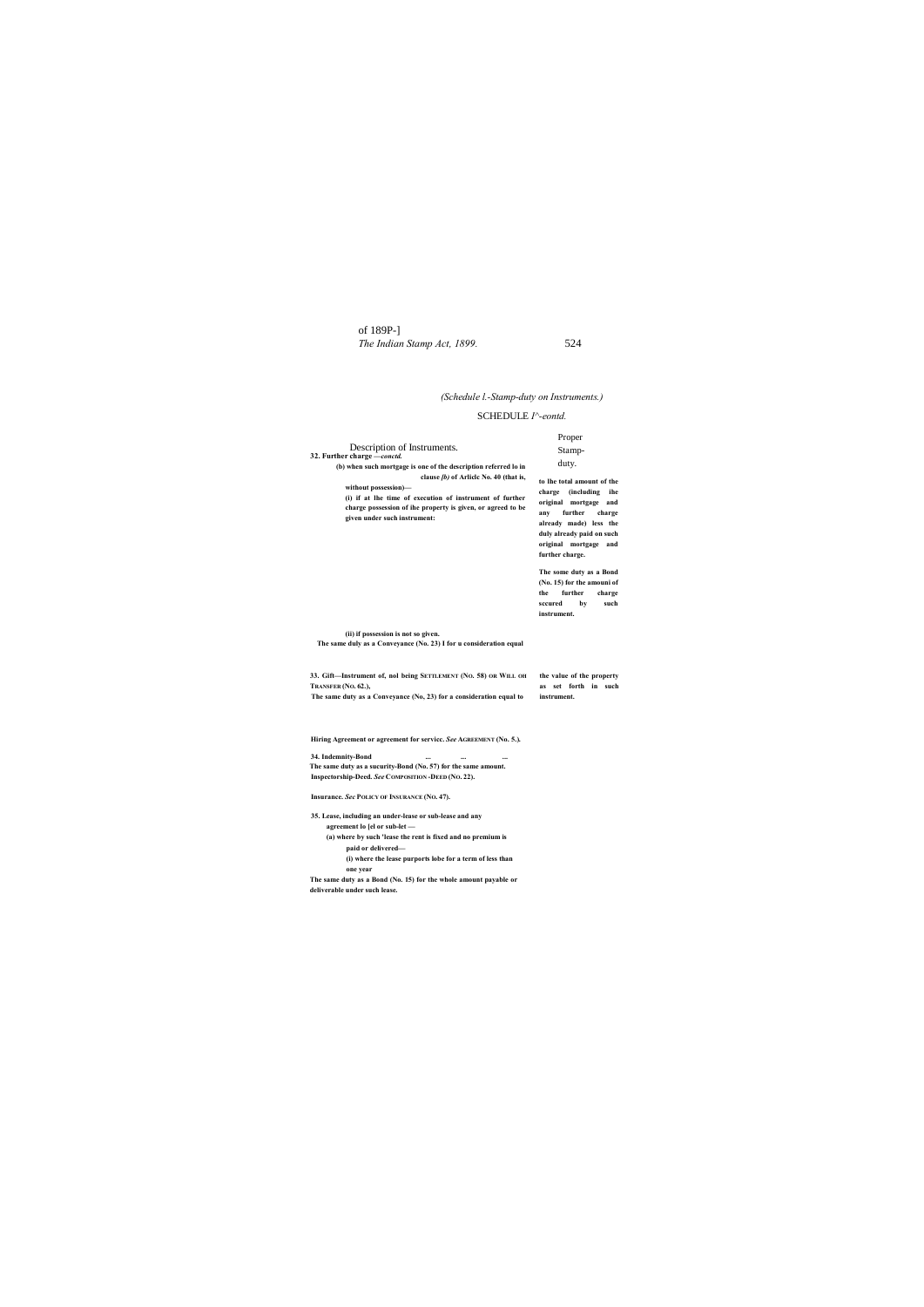### of 189P-] *The Indian Stamp Act, 1899.* 524

## *(Schedule l.-Stamp-duty on Instruments.)*

# SCHEDULE *I^-eontd.*

|                                                                                                                                                                                 | Proper                                                                                                                                                                                                                     |  |
|---------------------------------------------------------------------------------------------------------------------------------------------------------------------------------|----------------------------------------------------------------------------------------------------------------------------------------------------------------------------------------------------------------------------|--|
| Description of Instruments.                                                                                                                                                     | Stamp-                                                                                                                                                                                                                     |  |
| 32. Further charge <i>-conctd.</i>                                                                                                                                              | duty.                                                                                                                                                                                                                      |  |
| (b) when such mortgage is one of the description referred lo in<br>clause (b) of Arlicle No. 40 (that is,                                                                       |                                                                                                                                                                                                                            |  |
| without possession)-<br>(i) if at lhe time of execution of instrument of further<br>charge possession of ihe property is given, or agreed to be<br>given under such instrument: | to lhe total amount of the<br>(including<br>charge<br>ihe<br>original<br>mortgage<br>and<br>further<br>any<br>charge<br>already made) less the<br>duly already paid on such<br>original mortgage<br>and<br>further charge. |  |
|                                                                                                                                                                                 | The some duty as a Bond<br>(No. 15) for the amouni of<br>further<br>the<br>charge<br>sccured<br>bv<br>such<br>instrument.                                                                                                  |  |
| (ii) if possession is not so given.<br>The same duly as a Conveyance (No. 23) I for u consideration equal                                                                       |                                                                                                                                                                                                                            |  |
| 33. Gift-Instrument of, nol being SETTLEMENT (NO. 58) OR WILL OH<br>TRANSFER (NO. 62.),<br>The same duty as a Conveyance $(N_0, 23)$ for a consideration equal to               | the value of the property<br>as set forth in such<br>instrument.                                                                                                                                                           |  |
| Hiring Agreement or agreement for service. See AGREEMENT (No. 5.).                                                                                                              |                                                                                                                                                                                                                            |  |
| 34. Indemnity-Bond<br>$\ddotsc$                                                                                                                                                 |                                                                                                                                                                                                                            |  |
| The same duty as a sucurity-Bond (No. 57) for the same amount.                                                                                                                  |                                                                                                                                                                                                                            |  |
| Inspectorship-Deed. See COMPOSITION -DEED (NO. 22).                                                                                                                             |                                                                                                                                                                                                                            |  |
| <b>Insurance. Sec POLICY OF INSURANCE (NO. 47).</b>                                                                                                                             |                                                                                                                                                                                                                            |  |
| 35. Lease, including an under-lease or sub-lease and any<br>agreement lo [el or sub-let —<br>(a) where by such 'lease the rent is fixed and no premium is<br>paid or delivered- |                                                                                                                                                                                                                            |  |
| (i) where the lease purports lobe for a term of less than                                                                                                                       |                                                                                                                                                                                                                            |  |

**one year The same duty as a Bond (No. 15) for the whole amount payable or deliverable under such lease.**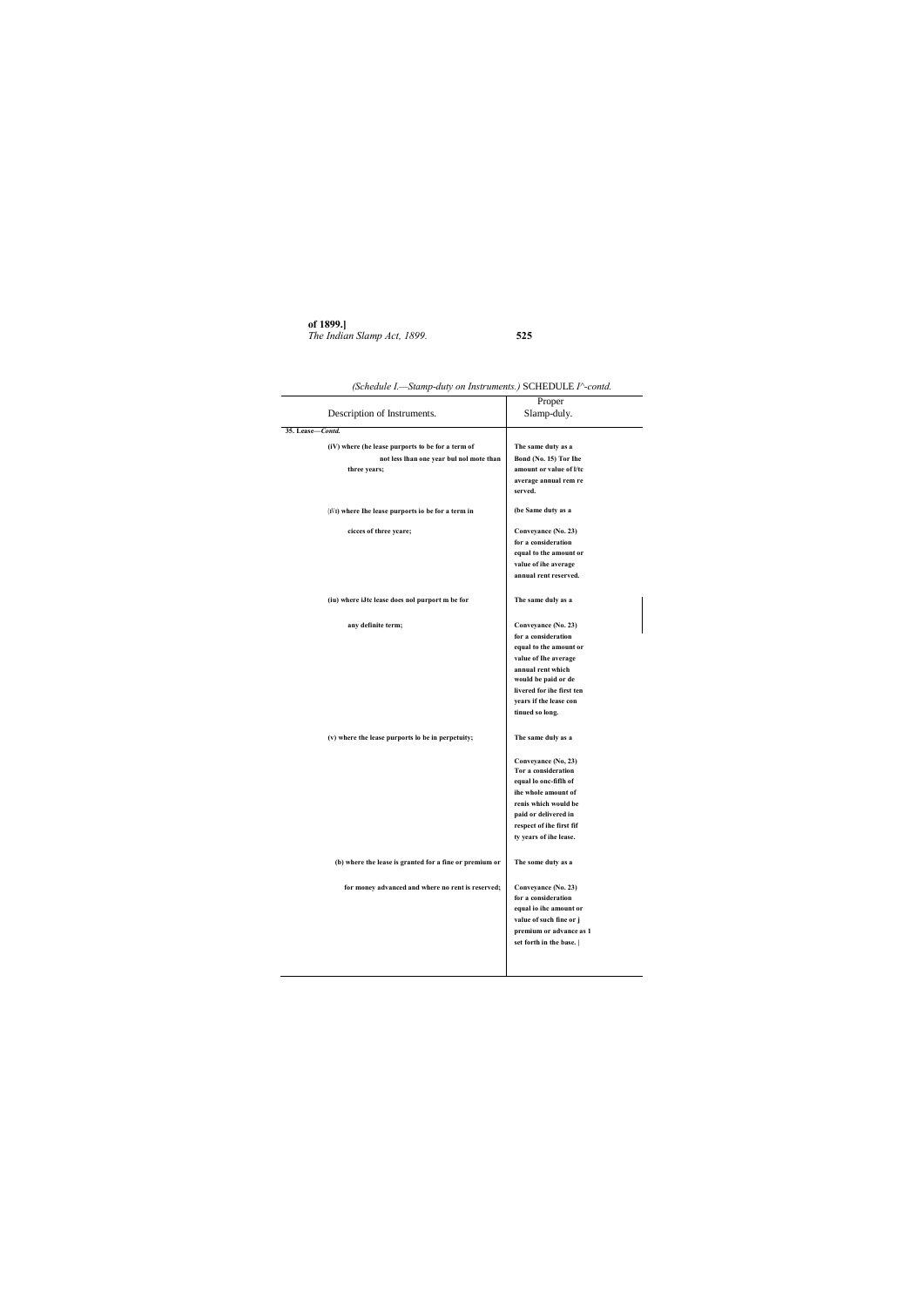**of 1899.]** *The Indian Slamp Act, 1899.* **525**

*(Schedule I.—Stamp-duty on Instruments.)* SCHEDULE *I^-contd.*

|                                                         | Proper                    |
|---------------------------------------------------------|---------------------------|
| Description of Instruments.                             | Slamp-duly.               |
| 35. Lease-Contd.                                        |                           |
| (iV) where (he lease purports to be for a term of       | The same duty as a        |
| not less lhan one year bul nol mote than                | Bond (No. 15) Tor Ihe     |
| three years;                                            | amount or value of l/tc   |
|                                                         | average annual rem re     |
|                                                         | served.                   |
|                                                         |                           |
| (IVI) where Ihe lease purports io be for a term in      | (be Same duty as a        |
| cicces of three ycare;                                  | Conveyance (No. 23)       |
|                                                         | for a consideration       |
|                                                         | equal to the amount or    |
|                                                         | value of ihe average      |
|                                                         | annual rent reserved.     |
| (iu) where iJtc lease does nol purport m be for         | The same duly as a        |
| any definite term;                                      | Conveyance (No. 23)       |
|                                                         | for a consideration       |
|                                                         | equal to the amount or    |
|                                                         | value of Ihe average      |
|                                                         | annual rent which         |
|                                                         | would be paid or de       |
|                                                         | livered for ihe first ten |
|                                                         | years if the lease con    |
|                                                         | tinued so long.           |
| (v) where the lease purports lo be in perpetuity;       | The same duly as a        |
|                                                         | Conveyance (No, 23)       |
|                                                         | Tor a consideration       |
|                                                         | equal lo onc-fiflh of     |
|                                                         | ihe whole amount of       |
|                                                         | renis which would be      |
|                                                         | paid or delivered in      |
|                                                         | respect of ihe first fif  |
|                                                         | ty years of ihe lease.    |
| (b) where the lease is granted for a fine or premium or | The some duty as a        |
| for money advanced and where no rent is reserved;       | Conveyance (No. 23)       |
|                                                         | for a consideration       |
|                                                         | equal io ihc amount or    |
|                                                         | value of such fine or j   |
|                                                         | premium or advance as 1   |
|                                                         | set forth in the base.    |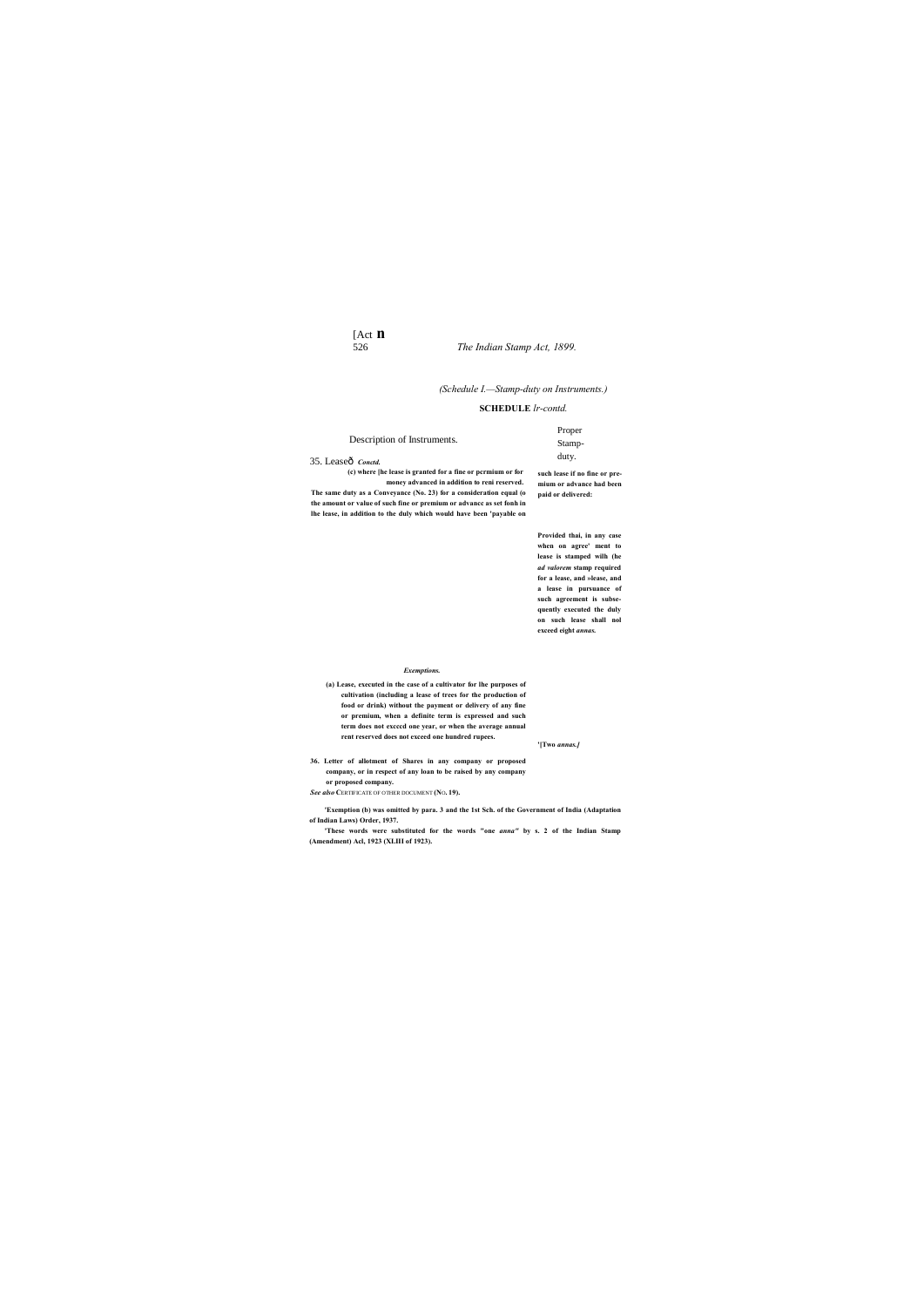[Act **n**

526 *The Indian Stamp Act, 1899.*

Proper Stampduty.

*(Schedule I.—Stamp-duty on Instruments.)* 

### **SCHEDULE** *lr-contd.*

Description of Instruments. 35. Leaseô Conctd. **(c) where [he lease is granted for a fine or pcrmium or for money advanced in addition to reni reserved. The same duty as a Conveyance (No. 23) for a consideration equal (o the amount or value of such fine or premium or advancc as set fonh in lhe lease, in addition to the duly which would have been 'payable on** 

**such lease if no fine or premium or advance had been paid or delivered:**

**Provided thai, in any case when on agree' ment to lease is stamped wilh (he** *ad valorem* **stamp required for a lease, and »lease, and a lease in pursuance of such agreement is subsequently executed the duly on such lease shall nol exceed eight** *annas.*

### *Exemptions.*

**(a) Lease, executed in the case of a cultivator for lhe purposes of cultivation (including a lease of trees for the production of food or drink) without the payment or delivery of any fine or premium, when a definite term is expressed and such term does not excccd one year, or when the average annual rent reserved does not exceed one hundred rupees.**

**'[Two** *annas.]*

**36. Letter of allotment of Shares in any company or proposed company, or in respect of any loan to be raised by any company or proposed company.** *See also* **C**ERTIFICATE OF OTHER DOCUMENT **(N**O**. 19).**

**'Exemption (b) was omitted by para. 3 and the 1st Sch. of the Government of India (Adaptation of Indian Laws) Order, 1937.**

**'These words were substituted for the words "one** *anna"* **by s. 2 of the Indian Stamp (Amendment) Acl, 1923 (XLIII of 1923).**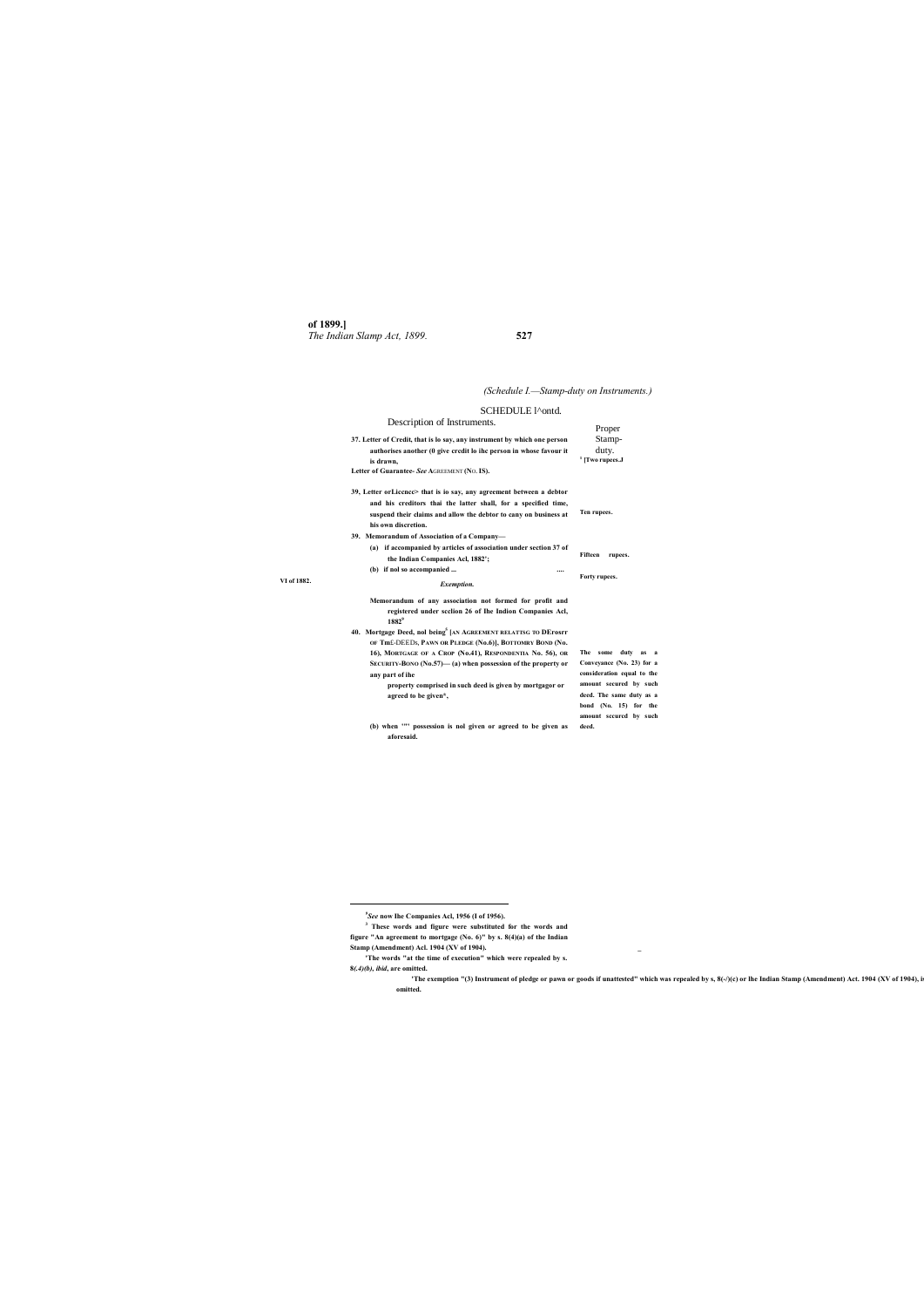### **of 1899.]** *The Indian Slamp Act, 1899.* **527**

**The some duty as a** 

*(Schedule I.—Stamp-duty on Instruments.)* 

|             | SCHEDULE 1^ontd.                                                                                                                                                                                                                                                                                                                                                                                                                                                                                                             |                                                                                                                                                                                        |
|-------------|------------------------------------------------------------------------------------------------------------------------------------------------------------------------------------------------------------------------------------------------------------------------------------------------------------------------------------------------------------------------------------------------------------------------------------------------------------------------------------------------------------------------------|----------------------------------------------------------------------------------------------------------------------------------------------------------------------------------------|
|             | Description of Instruments.<br>37. Letter of Credit, that is lo say, any instrument by which one person<br>authorises another (0 give credit lo ihe person in whose favour it<br>is drawn,<br>Letter of Guarantee- See AGREEMENT (No. IS).                                                                                                                                                                                                                                                                                   | Proper<br>Stamp-<br>duty.<br><sup>1</sup> [Two rupees.J                                                                                                                                |
|             | 39, Letter or Licence> that is io say, any agreement between a debtor<br>and his creditors thai the latter shall, for a specified time,<br>suspend their claims and allow the debtor to cany on business at<br>his own discretion.                                                                                                                                                                                                                                                                                           | Ten rupees.                                                                                                                                                                            |
|             | 39. Memorandum of Association of a Company-<br>(a) if accompanied by articles of association under section 37 of<br>the Indian Companies Acl, 1882';                                                                                                                                                                                                                                                                                                                                                                         | Fifteen<br>rupees.                                                                                                                                                                     |
| VI of 1882. | (b) if nol so accompanied<br><br>Exemption.                                                                                                                                                                                                                                                                                                                                                                                                                                                                                  | Forty rupees.                                                                                                                                                                          |
|             | Memorandum of any association not formed for profit and<br>registered under seclion 26 of Ihe Indion Companies Acl,<br>1882 <sup>9</sup><br>40. Mortgage Deed, nol being <sup>5</sup> [AN AGREEMENT RELATTSG TO DErosrr<br>OF Tmf-DEEDs, PAWN OR PLEDGE (No.6)], BOTTOMRY BOND (No.<br>16), MORTGAGE OF A CROP (No.41), RESPONDENTIA No. 56), OR<br>SECURITY-BONO ( $No.57$ )— (a) when possession of the property or<br>any part of ihe<br>property comprised in such deed is given by mortgagor or<br>agreed to be given*, | The some duty as a<br>Conveyance (No. 23) for a<br>consideration equal to the<br>amount secured by such<br>deed. The same duty as a<br>bond (No. 15) for the<br>amount sccured by such |
|             | (b) when "" possession is nol given or agreed to be given as<br>aforesaid.                                                                                                                                                                                                                                                                                                                                                                                                                                                   | deed.                                                                                                                                                                                  |

**<sup>3</sup> These words and figure were substituted for the words and** 

**figure "An agreement to mortgage (No. 6)" by s. 8(4)(a) of the Indian** 

**Stamp (Amendment) Acl. 1904 (XV of 1904). \_**

**'The words "at the time of execution" which were repealed by s.** 

**8***(.4)(b), ibid***, are omitted.**

'The exemption "(3) Instrument of pledge or pawn or goods if unattested" which was repealed by s, 8(-/)(c) or lhe Indian Stamp (Amendment) Act. 1904 (XV of 1904), i

 $\overline{a}$ 

*<sup>9</sup> See* **now Ihe Companies Acl, 1956 (I of 1956).**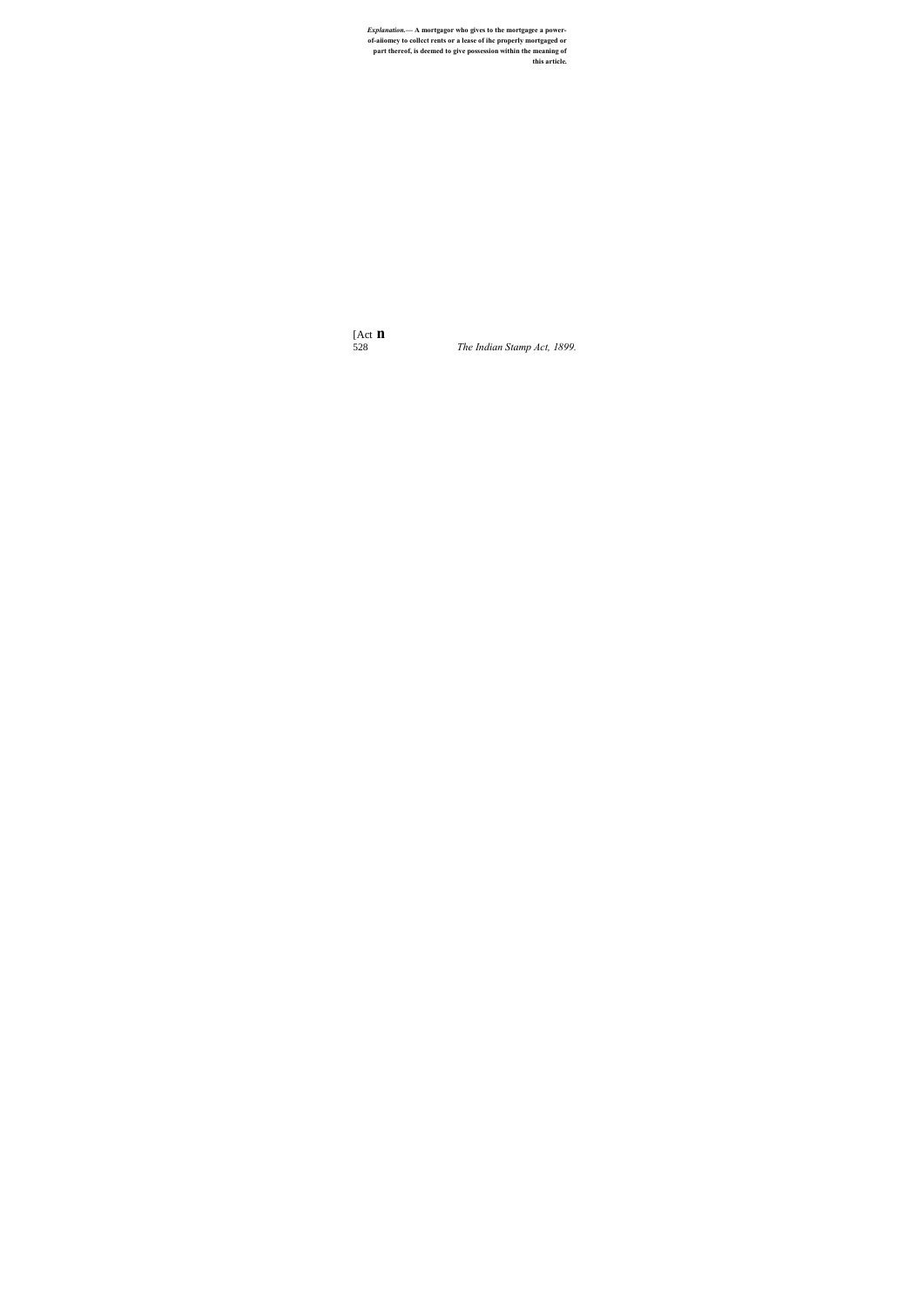[Act **n**

528 *The Indian Stamp Act, 1899.*

*Explanation.***— A mortgagor who gives to the mortgagee a powerof-aiiomey to collcct rents or a lease of ihc properly mortgaged or part thereof, is deemed to give possession within the meaning of this article.**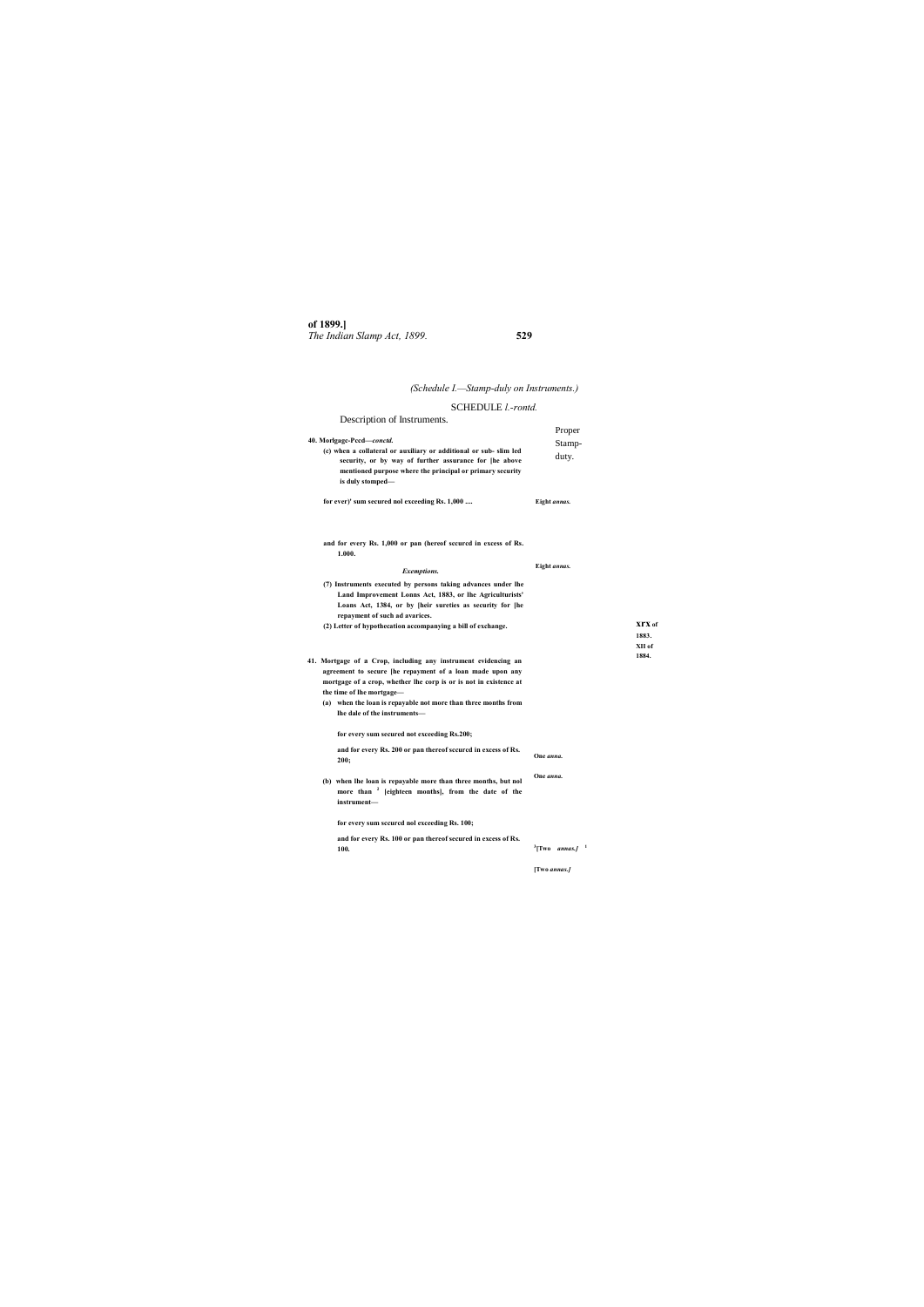### **of 1899.]** *The Indian Slamp Act, 1899.* **529**

**xrx of 1883. XII of 1884.**

**[Two** *annas.]*

### Proper Stampduty. **Eight** *annas.* **Eight** *annas.* **One** *anna.* **One** *anna. (Schedule I.—Stamp-duly on Instruments.)*  SCHEDULE *l.-rontd.* Description of Instruments. **40. Morlgagc-Pccd—***conctd.* **(c) when a collateral or auxiliary or additional or sub- slim led security, or by way of further assurance for [he above mentioned purpose where the principal or primary security is duly stomped for ever)' sum secured nol exceeding Rs. 1,000 .... and for every Rs. 1,000 or pan (hereof sccurcd in excess of Rs. 1.000.** *Exemptions.* **(7) Instruments executed by persons taking advances under lhe Land Improvement Lonns Act, 1883, or lhe Agriculturists' Loans Act, 1384, or by [heir sureties as security for [he repayment of such ad avarices. (2) Letter of hypothecation accompanying a bill of exchange. 41. Mortgage of a Crop, including any instrument evidencing an agreement to secure [he repayment of a loan made upon any mortgage of a crop, whether lhe corp is or is not in existence at the time of lhe mortgage— (a) when the loan is repayable not more than three months from lhe dale of the instruments for every sum secured not exceeding Rs.200; and for every Rs. 200 or pan thereof sccurcd in excess of Rs. 200; (b) when lhe loan is repayable more than three months, but nol more than <sup>2</sup> [eighteen months], from the date of the instrument—**

**3 [Two** *annas.]* **<sup>1</sup> for every sum sccurcd nol exceeding Rs. 100; and for every Rs. 100 or pan thereof secured in excess of Rs. 100.**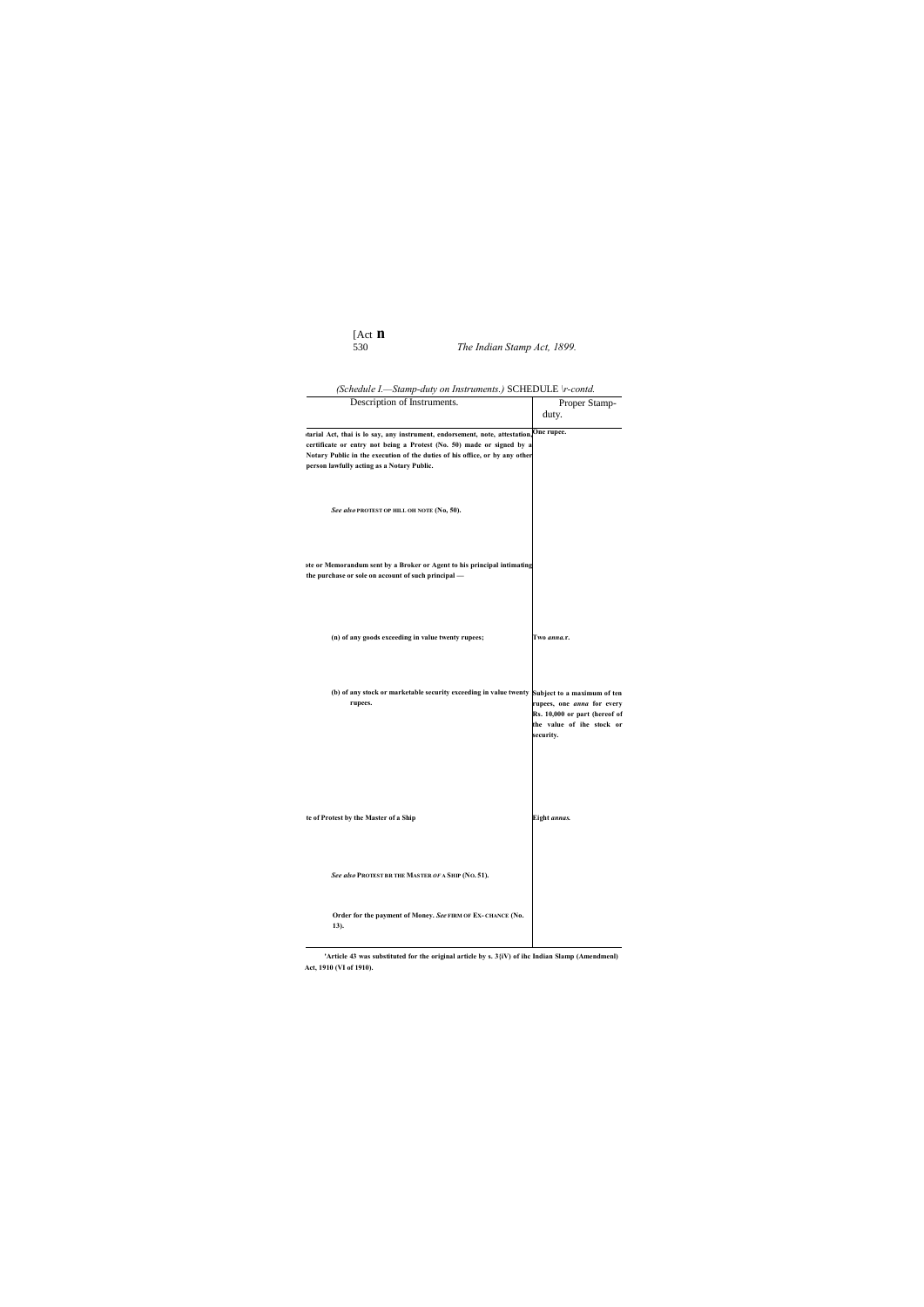| Act |  |  |
|-----|--|--|
| 530 |  |  |

530 *The Indian Stamp Act, 1899.*

*(Schedule I.—Stamp-duty on Instruments.)* SCHEDULE *\r-contd.*

**'Article 43 was substituted for the original article by s. 3{iV) of ihc Indian Slamp (Amendmenl) Act, 1910 (VI of 1910).**

| $\beta$ cheanne I.—Siamp-anty on their aments.) SCTIEDOLE \tr-contains                                                         |                                                                                                       |
|--------------------------------------------------------------------------------------------------------------------------------|-------------------------------------------------------------------------------------------------------|
| Description of Instruments.                                                                                                    | Proper Stamp-                                                                                         |
|                                                                                                                                | duty.                                                                                                 |
| tarial Act, thai is lo say, any instrument, endorsement, note, attestation, One rupee.                                         |                                                                                                       |
| certificate or entry not being a Protest (No. 50) made or signed by a                                                          |                                                                                                       |
| Notary Public in the execution of the duties of his office, or by any other                                                    |                                                                                                       |
| person lawfully acting as a Notary Public.                                                                                     |                                                                                                       |
| See also PROTEST OP HILL OH NOTE (No, 50).                                                                                     |                                                                                                       |
|                                                                                                                                |                                                                                                       |
| ote or Memorandum sent by a Broker or Agent to his principal intimating<br>the purchase or sole on account of such principal - |                                                                                                       |
|                                                                                                                                |                                                                                                       |
| (n) of any goods exceeding in value twenty rupees;                                                                             | Two anna.r.                                                                                           |
| (b) of any stock or marketable security exceeding in value twenty Subject to a maximum of ten<br>rupees.                       | rupees, one anna for every<br>Rs. 10,000 or part (hereof of<br>the value of ihe stock or<br>security. |
| te of Protest by the Master of a Ship                                                                                          | Eight annas.                                                                                          |
| See also PROTEST BR THE MASTER OF A SHIP (NO. 51).                                                                             |                                                                                                       |
| Order for the payment of Money. See FIRM OF EX-CHANCE (No.<br>13).                                                             |                                                                                                       |
|                                                                                                                                |                                                                                                       |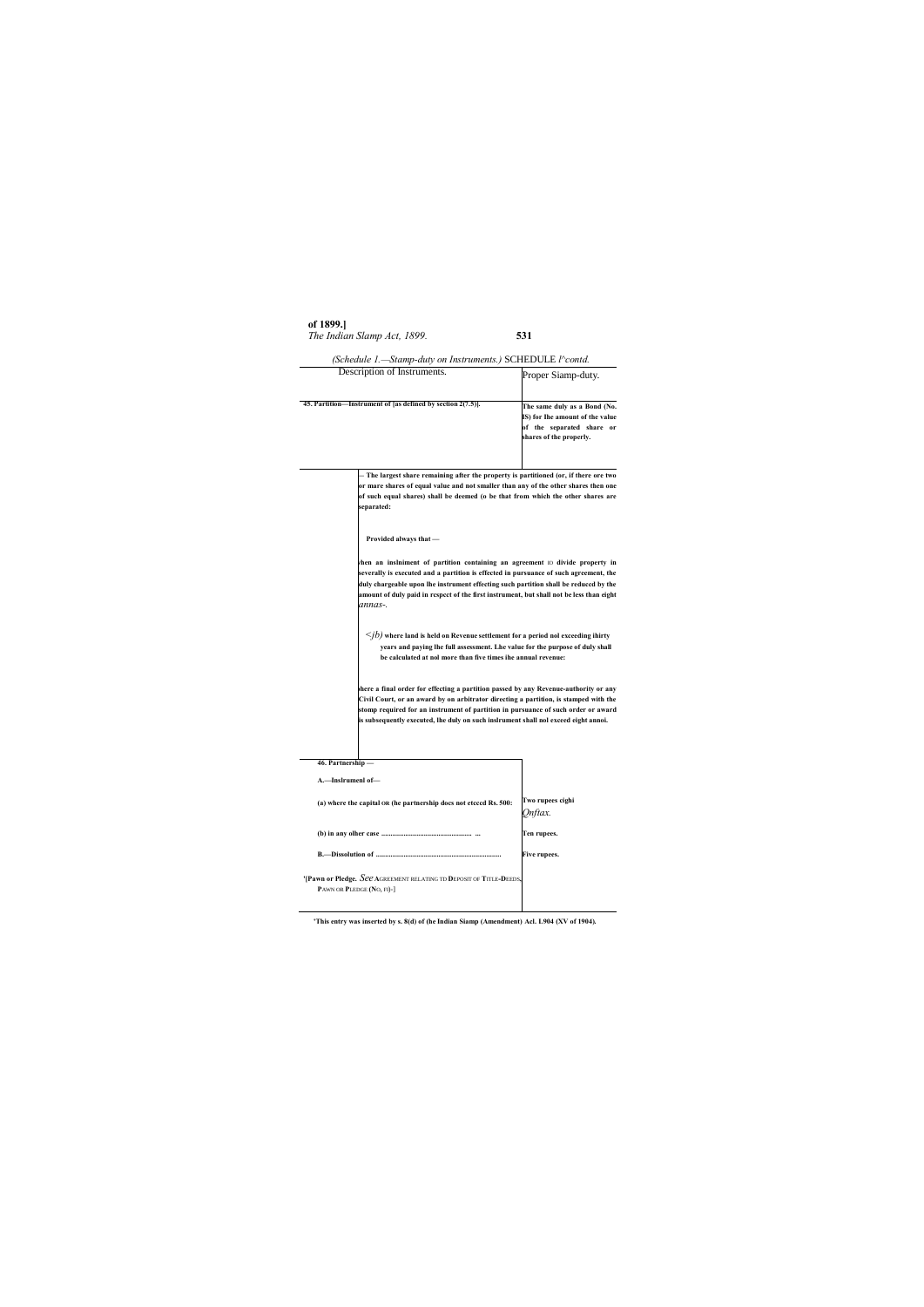**of 1899.]** *The Indian Slamp Act, 1899.* **531**

*(Schedule 1.—Stamp-duty on Instruments.)* SCHEDULE *l^contd.*

| Description of Instruments.                                                                                                                                                                                                                                                                                                                                           | Proper Siamp-duty.                                                                                                      |  |
|-----------------------------------------------------------------------------------------------------------------------------------------------------------------------------------------------------------------------------------------------------------------------------------------------------------------------------------------------------------------------|-------------------------------------------------------------------------------------------------------------------------|--|
|                                                                                                                                                                                                                                                                                                                                                                       |                                                                                                                         |  |
| 45. Partition—Instrument of [as defined by section 2(7.5)].                                                                                                                                                                                                                                                                                                           | The same duly as a Bond (No.<br>IS) for Ihe amount of the value<br>of the separated share or<br>shares of the properly. |  |
|                                                                                                                                                                                                                                                                                                                                                                       |                                                                                                                         |  |
| - The largest share remaining after the property is partitioned (or, if there ore two                                                                                                                                                                                                                                                                                 |                                                                                                                         |  |
| or mare shares of equal value and not smaller than any of the other shares then one                                                                                                                                                                                                                                                                                   |                                                                                                                         |  |
| of such equal shares) shall be deemed (o be that from which the other shares are<br>separated:                                                                                                                                                                                                                                                                        |                                                                                                                         |  |
| Provided always that-                                                                                                                                                                                                                                                                                                                                                 |                                                                                                                         |  |
| when an inslniment of partition containing an agreement to divide property in<br>severally is executed and a partition is effected in pursuance of such agreement, the<br>duly chargeable upon lhe instrument effecting such partition shall be reduccd by the<br>amount of duly paid in respect of the first instrument, but shall not be less than eight<br>annas-. |                                                                                                                         |  |
| $\leq$ j $b)$ where land is held on Revenue settlement for a period nol exceeding ihirty<br>years and paying lhe full assessment. Lhe value for the purpose of duly shall<br>be calculated at nol more than five times ihe annual revenue:                                                                                                                            |                                                                                                                         |  |
| there a final order for effecting a partition passed by any Revenue-authority or any<br>Civil Court, or an award by on arbitrator directing a partition, is stamped with the<br>stomp required for an instrument of partition in pursuance of such order or award<br>is subsequently executed, lhe duly on such inslrument shall nol exceed eight annoi.              |                                                                                                                         |  |
|                                                                                                                                                                                                                                                                                                                                                                       |                                                                                                                         |  |
| 46. Partnership -<br>A.-Instrument of-                                                                                                                                                                                                                                                                                                                                |                                                                                                                         |  |
| (a) where the capital OR (he partnership docs not etcccd Rs. 500:                                                                                                                                                                                                                                                                                                     | Two rupees cighi<br>Onftax.                                                                                             |  |
|                                                                                                                                                                                                                                                                                                                                                                       | Ten rupees.                                                                                                             |  |
| <b>B.</b> —Dissolution of                                                                                                                                                                                                                                                                                                                                             | Five rupees.                                                                                                            |  |
| '[Pawn or Pledge. See AGREEMENT RELATING TD DEPOSIT OF TITLE-DEEDS,<br>PAWN OR PLEDGE (NO, FI)-]                                                                                                                                                                                                                                                                      |                                                                                                                         |  |

**'This entry was inserted by s. 8(d) of (he Indian Siamp (Amendment) Acl. L904 (XV of 1904).**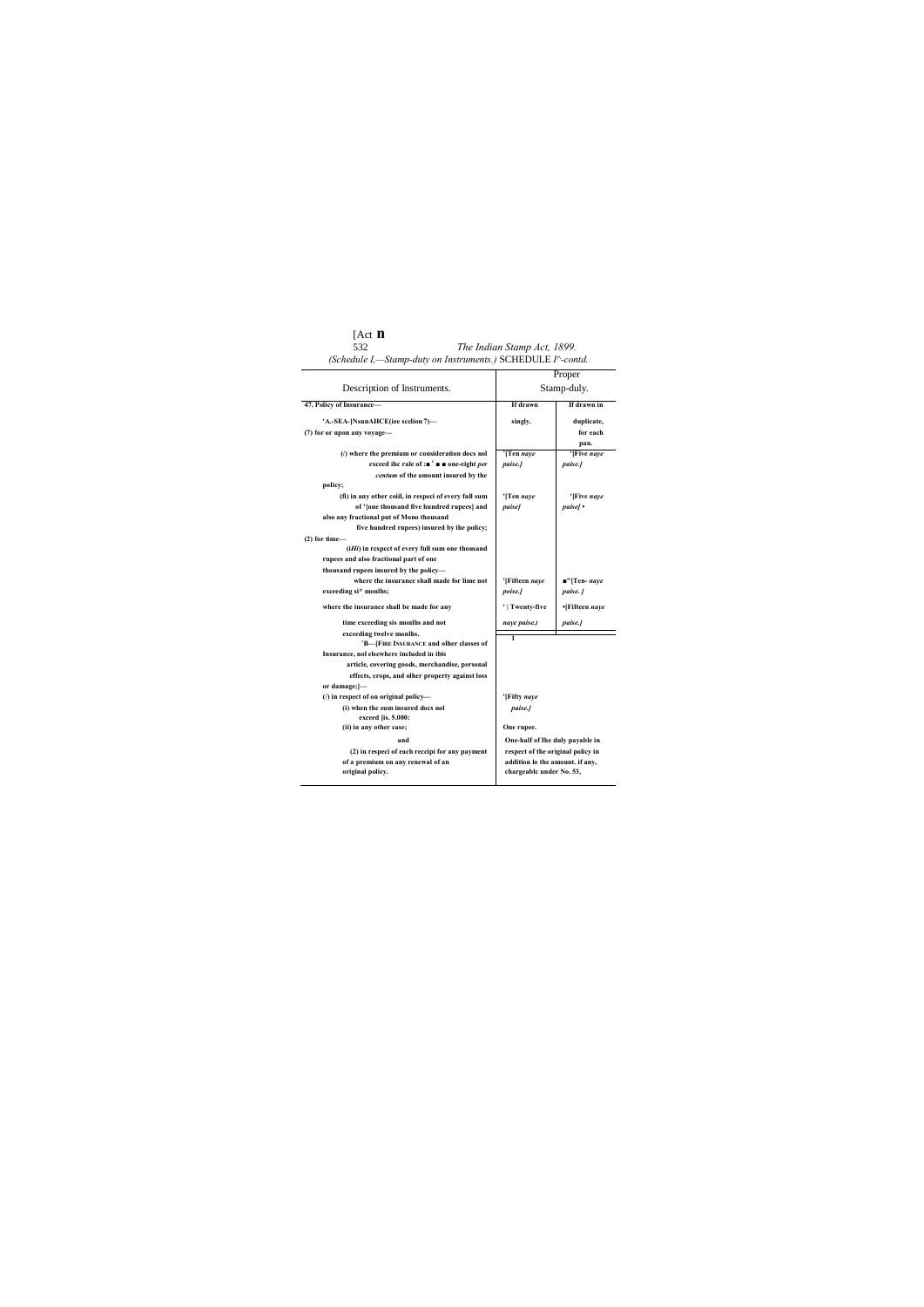| $\Delta$ ct <b>n</b> |                             |
|----------------------|-----------------------------|
| 532                  | The Indian Stamp Act, 1899. |

| (Schedule I,-Stamp-duty on Instruments.) SCHEDULE I^-contd. |  |  |
|-------------------------------------------------------------|--|--|

|                                                                                          | Proper<br>Stamp-duly.                                                |                             |
|------------------------------------------------------------------------------------------|----------------------------------------------------------------------|-----------------------------|
| Description of Instruments.                                                              |                                                                      |                             |
| 47. Policy of Insurance-                                                                 | If drawn                                                             | If drawn in                 |
| 'A.-SEA- NsunAHCE(iee scclion 7)-                                                        | singly.                                                              | duplicate,                  |
| (7) for or upon any voyage-                                                              |                                                                      | for each                    |
|                                                                                          |                                                                      | pan.                        |
| (/) where the premium or consideration docs nol                                          | <sup>1</sup> [Ten naye                                               | '[Five naye                 |
| exceed ihc rale of : $\blacksquare$ $\blacksquare$ and $\blacksquare$ and $\blacksquare$ | paise.]                                                              | paise.]                     |
| centum of the amount insured by the                                                      |                                                                      |                             |
| policy;                                                                                  |                                                                      |                             |
| (fi) in any other coil, in respeci of every full sum                                     | '[Ten naye                                                           | '[Five naye                 |
| of '{one thousand five hundred rupees] and                                               | paisel                                                               | paisel •                    |
| also any fractional put of Mono thousand                                                 |                                                                      |                             |
| five hundred rupees) insured by ihe policy;                                              |                                                                      |                             |
| $(2)$ for time-                                                                          |                                                                      |                             |
| (iHi) in respect of every full sum one thousand                                          |                                                                      |                             |
| rupees and also fractional part of one                                                   |                                                                      |                             |
| thousand rupees insured by the policy-                                                   |                                                                      |                             |
| where the insurance shall made for lime not                                              | '[Fifteen naye                                                       | $\blacksquare$ " [Ten- naye |
| exceeding si* monlhs;                                                                    | poise.]                                                              | paise. ]                    |
| where the insurance shall be made for any                                                | '   Twenty-five                                                      | •[Fifteen naye              |
| time exceeding sis monlhs and not                                                        | naye paise.)                                                         | paise.]                     |
| exceeding twelve monlhs.                                                                 |                                                                      |                             |
| <sup>1</sup> B-[FIRE INSURANCE and olher classes of                                      | T                                                                    |                             |
| Insurance, nol elsewhere included in ibis                                                |                                                                      |                             |
| article, covering goods, merchandise, personal                                           |                                                                      |                             |
| effects, crops, and olher property against loss                                          |                                                                      |                             |
| or damage;  -                                                                            |                                                                      |                             |
| $($ ) in respect of on original policy--                                                 | '[Fifty naye                                                         |                             |
| (i) when the sum insured docs nol                                                        | paise.]                                                              |                             |
| exceed [is. 5.000:                                                                       |                                                                      |                             |
| (ii) in any other case;                                                                  | One rupee.                                                           |                             |
| and                                                                                      | One-half of Ihe duly payable in                                      |                             |
| (2) in respeci of each reccipi for any payment                                           | respect of the original policy in<br>addition lo the amount, if any, |                             |
| of a premium on any renewal of an                                                        |                                                                      |                             |
|                                                                                          | chargeablc under No. 53,                                             |                             |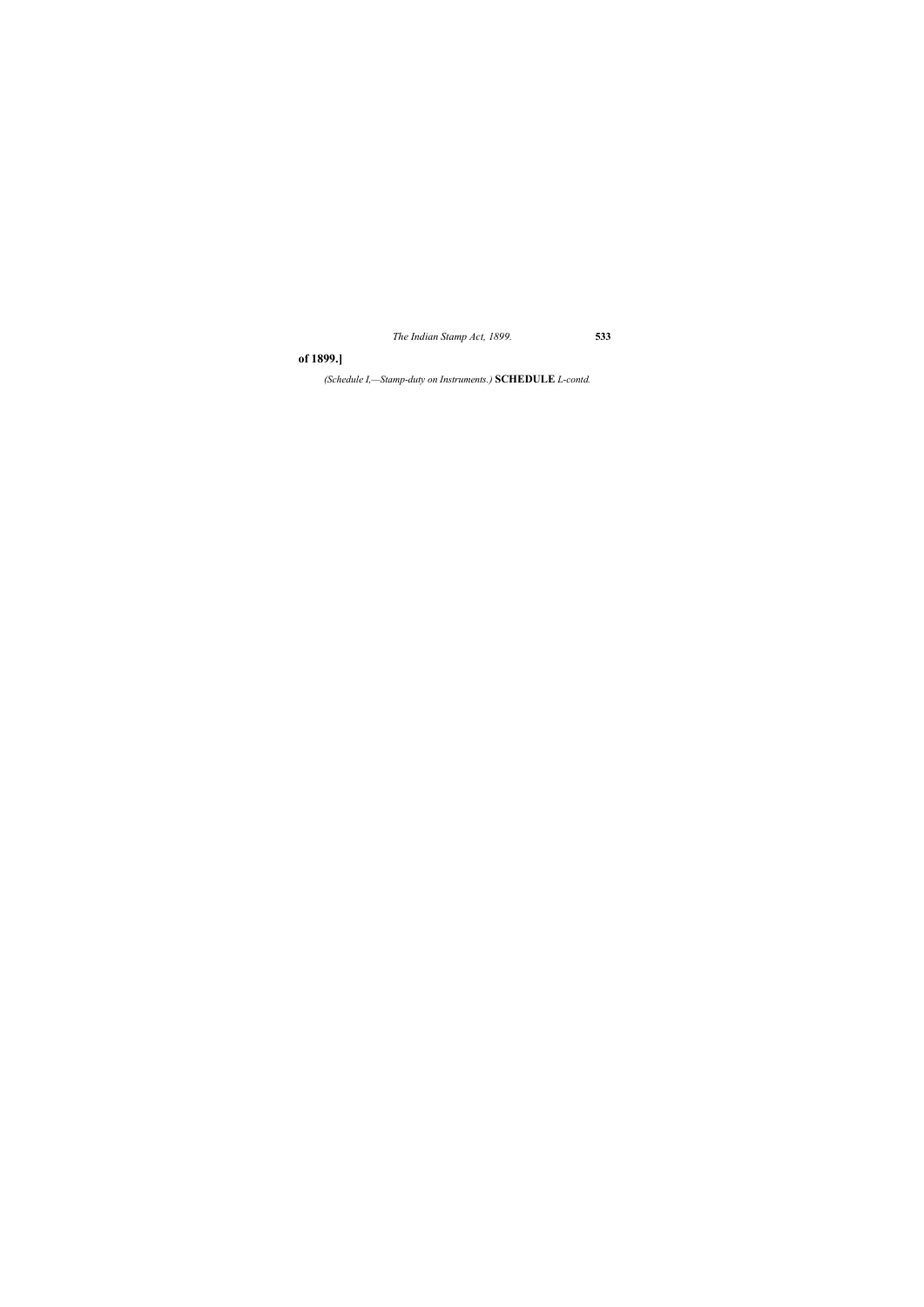*The Indian Stamp Act, 1899.* **533**

## **of 1899.]**

*(Schedule I,—Stamp-duty on Instruments.)* **SCHEDULE** *L-contd.*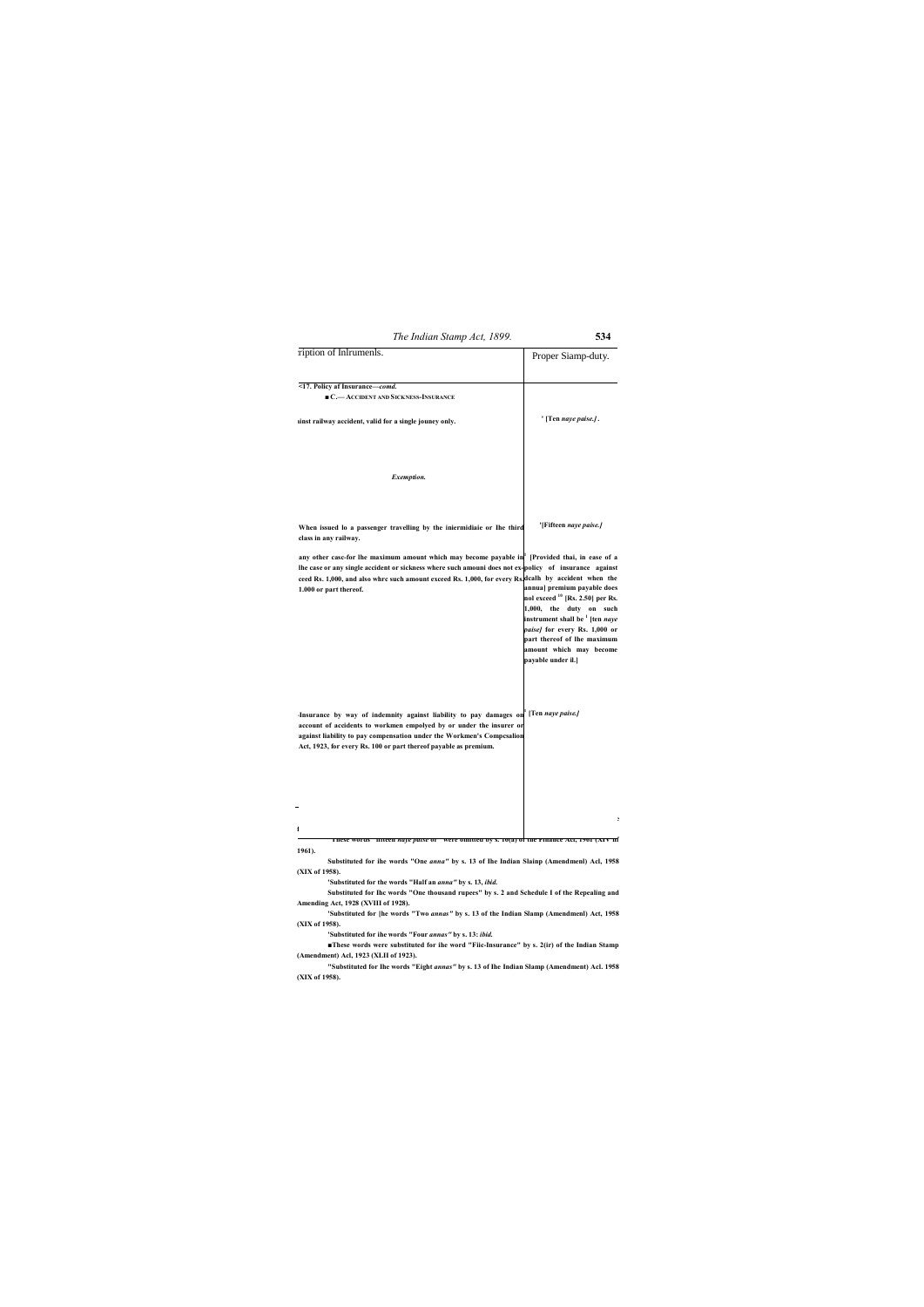**(Amendment) Acl, 1923 (XLII of 1923). "Substituted for Ihe words "Eight** *annas"* **by s. 13 of Ihe Indian Slamp (Amendment) Acl. 1958** 

**(XIX of 1958).**

## *The Indian Stamp Act, 1899.* **534**  $\overline{a}$ **<sup>10</sup> These divisions A and B were substituted for Ihc original divisions A and B by s, 7(5) of the fridian Sump (Amendment) Act, 1906 (V of 1906), : These words "fifteen** *naye paise* **or" were omitted by s. 16(a) of the Finance Aci, 1961 (XIV nf 1961). Substituted for ihe words "One** *anna"* **by s. 13 of Ihe Indian Slainp (Amendmenl) Acl, 1958 (XIX of 1958). 'Substituted for the words "Half an** *anna"* **by s. 13,** *ibid.* **Substituted for Ihc words "One thousand rupees" by s. 2 and Schedule I of the Repealing and Amending Act, 1928 (XVIII of 1928). 'Substituted for [he words "Two** *annas"* **by s. 13 of the Indian Slamp (Amendmenl) Act, 1958 (XIX of 1958). 'Substituted for ihe words "Four** *annas"* **by s. 13:** *ibid.* **■These words were substituted for ihe word "Fiic-Insurance" by s. 2(ir) of the Indian Stamp**   $\boxed{\text{prior of Inlrumenls.}}$  Proper Siamp-duty. **<17. Policy af Insurance—***comd.* **■ C.— ACCIDENT AND SICKNESS-INSURANCE (a) against railway accident, valid for a single jouney only. ' [Ten** *naye paise.] . Exemption.* **When issued lo a passenger travelling by the iniermidiaie or Ihe third class in any railway. '[Fifteen** *naye paise.]* **(b) in any other casc-for lhe maximum amount which may become payable in <sup>1</sup> [Provided thai, in ease of a lhe case or any single accident or sickness where such amouni does not ex-policy of insurance against ceed Rs. 1,000, and also whrc such amount exceed Rs. 1,000, for every Rs. dcalh by accident when the 1.000 or part thereof. annua] premium payable does nol exceed <sup>10</sup> [Rs. 2.50] per Rs. 1,000, the duty on such instrument shall be <sup>1</sup> [ten** *naye paise]* **for every Rs. 1,000 or part thereof of lhe maximum amount which may become payable under il.]** Insurance by way of indemnity against liability to pay damages on <sup>I</sup> [Ten *naye paise.]* **account of accidents to workmen empolyed by or under the insurer or against liability to pay compensation under the Workmen's Compcsalion Act, 1923, for every Rs. 100 or part thereof payable as premium.**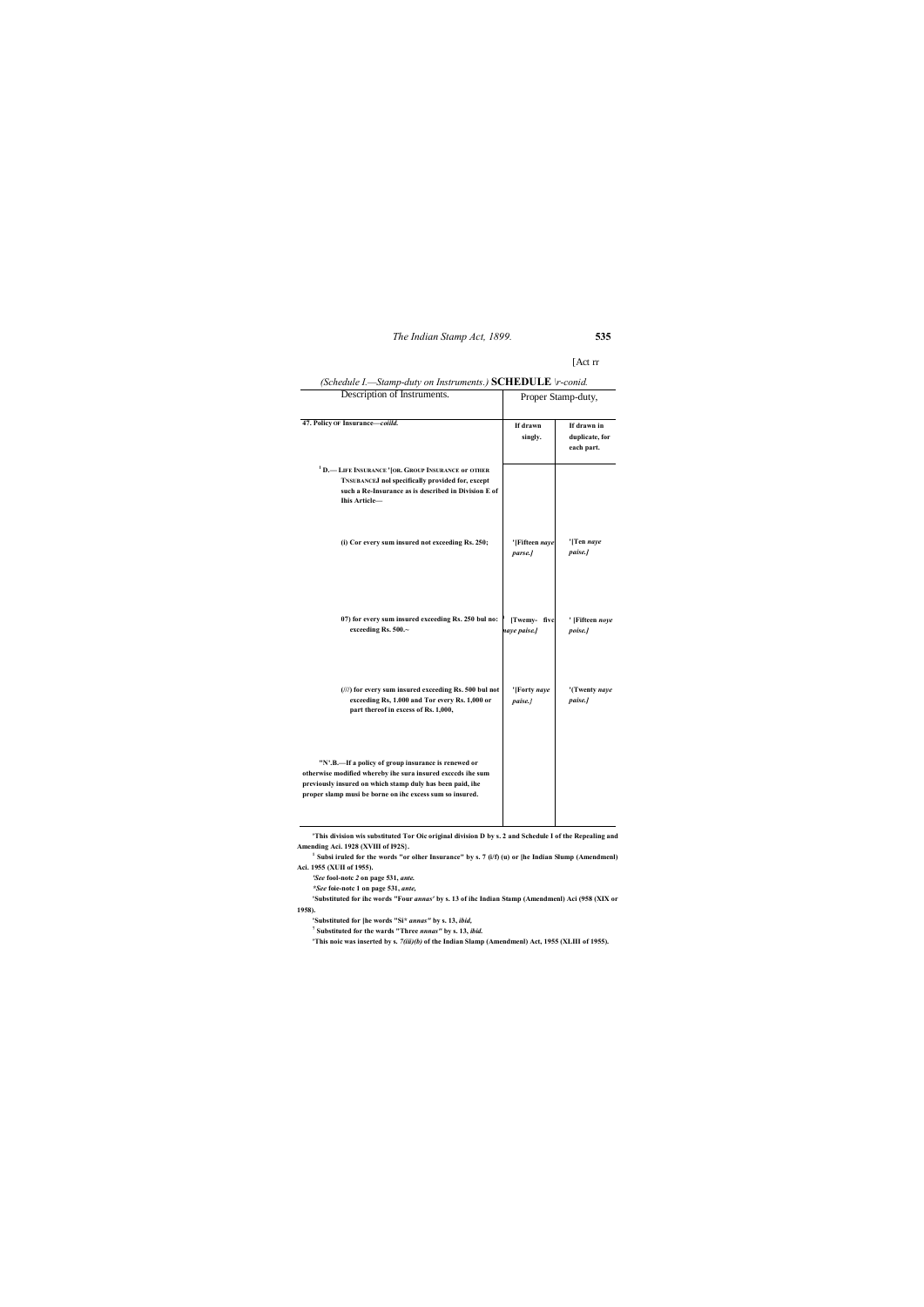*The Indian Stamp Act, 1899.* **535**

[Act rr

**'This division wis substituted Tor Oic original division D by s. 2 and Schedule I of the Repealing and Amending Aci. 1928 (XVIII of I92S}.**

<sup>1</sup> Subsi iruled for the words "or olher Insurance" by s. 7 (i/f) (u) or [he Indian Slump (Amendmenl) **Aci. 1955 (XUII of 1955).**

*'See* **fool-notc** *2* **on page 531,** *ante.*

*\*See* **foie-notc 1 on page 531,** *ante,*

**'Substituted for ihc words "Four** *annas'* **by s. 13 of ihc Indian Stamp (Amendmenl) Aci (958 (XIX or** 

**1958).**

**'Substituted for [he words "Si\*** *annas"* **by s. 13,** *ibid,*

**<sup>7</sup> Substituted for the wards "Three** *nnnas"* **by s. 13,** *ibid.*

**'This noic was inserted by s.** *7(iii)(b)* **of the Indian Slamp (Amendmenl) Act, 1955 (XLIII of 1955).**

| (Schedule I.-Stamp-duty on Instruments.) SCHEDULE \r-conid.                                                                                                                                                                                 |                             |                                             |  |
|---------------------------------------------------------------------------------------------------------------------------------------------------------------------------------------------------------------------------------------------|-----------------------------|---------------------------------------------|--|
| Description of Instruments.                                                                                                                                                                                                                 | Proper Stamp-duty,          |                                             |  |
| 47. Policy OF Insurance-coild.                                                                                                                                                                                                              | If drawn<br>singly.         | If drawn in<br>duplicate, for<br>each part. |  |
| <sup>1</sup> D.— Life Insurance '[or. Group Insurance or other<br>TNSUBANCEJ nol specifically provided for, except<br>such a Re-Insurance as is described in Division E of<br><b>Ihis Article-</b>                                          |                             |                                             |  |
| (i) Cor every sum insured not exceeding Rs. 250;                                                                                                                                                                                            | '[Fifteen naye<br>parse.]   | '[Ten naye<br>paise.]                       |  |
| 07) for every sum insured exceeding Rs. 250 bul no:<br>exceeding Rs. 500.~                                                                                                                                                                  | [Twemy-five<br>naye paise.] | ' [Fifteen noye<br>poise.]                  |  |
| (///) for every sum insured exceeding Rs. 500 bul not<br>exceeding Rs, 1.000 and Tor every Rs. 1,000 or<br>part thereof in excess of Rs. 1,000,                                                                                             | '[Forty naye<br>paise.}     | '(Twenty naye<br>paise.]                    |  |
| "N'.B.-If a policy of group insurance is renewed or<br>otherwise modified whereby ihe sura insured excccds ihe sum<br>previously insured on which stamp duly has been paid, ihe<br>proper slamp musi be borne on ihc excess sum so insured. |                             |                                             |  |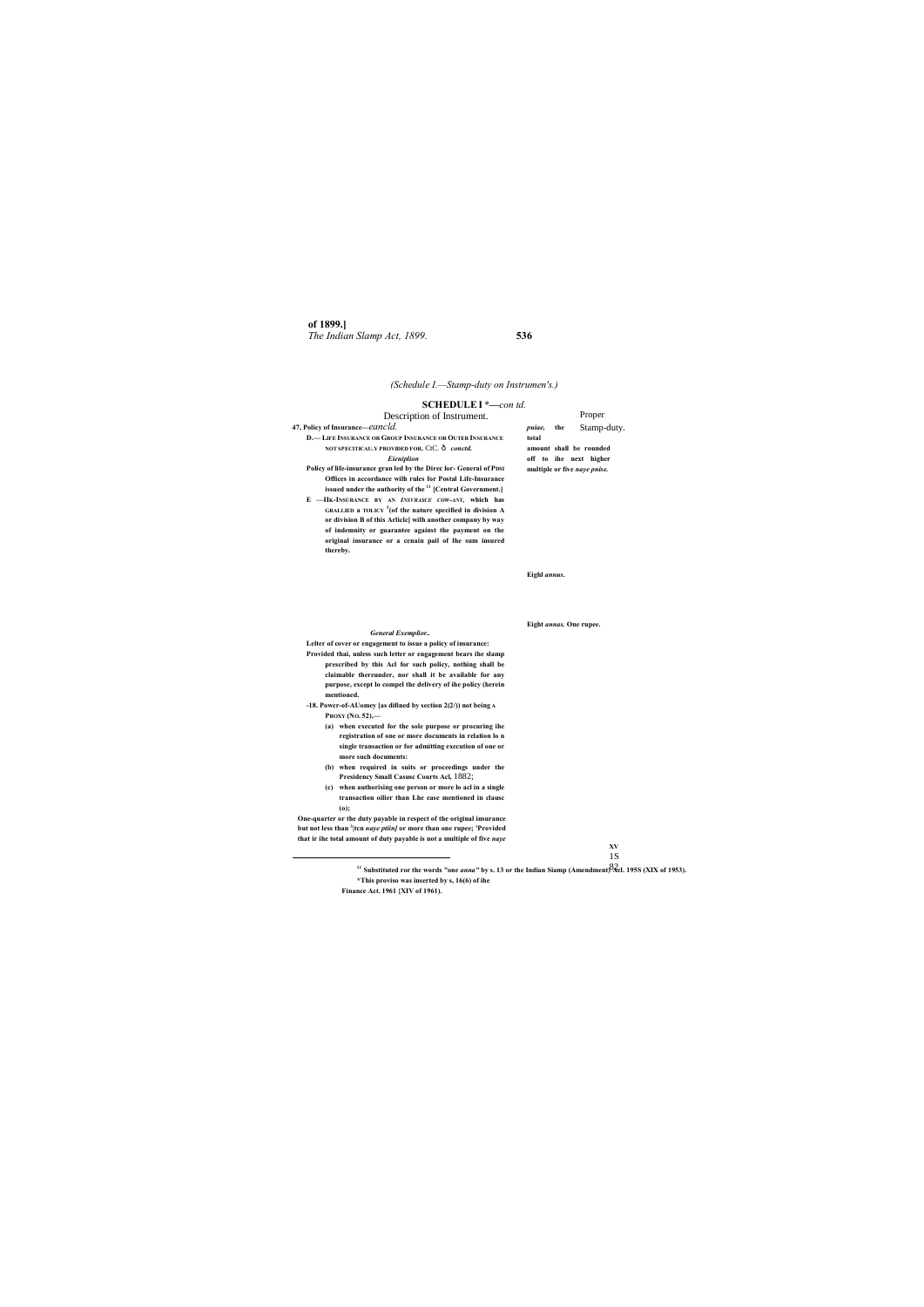**of 1899.]** *The Indian Slamp Act, 1899.* **536**

*(Schedule I.—Stamp-duty on Instrumen's.)* 

82 **<sup>11</sup> Substituted ror the words "one** *anna"* **by s. 13 or the Indian Siamp (Amendment) Acl. 195S (XIX of 1953). \*This proviso was inserted by s, 16(6) of ihe** 

| SCHEDULE I*-con td.                                                                                                               |                              |
|-----------------------------------------------------------------------------------------------------------------------------------|------------------------------|
| Description of Instrument.                                                                                                        | Proper                       |
| 47, Policy of Insurance-eancld.                                                                                                   | Stamp-duty.<br>puiae,<br>the |
| <b>D. - LIFE INSURANCE OR GROUP INSURANCE OR OUTER INSURANCE</b>                                                                  | total                        |
| NOT SPECITICAU.Y PROVIDED FOR. CtC. ô conctd.                                                                                     | amount shall be rounded      |
| Eieniplion                                                                                                                        | off to ihe next higher       |
| Policy of life-insurance gran led by the Direc lor- General of PDSI<br>Offices in accordance wilh rules for Postal Life-Insurance | multiple or five nave pnise. |
| issued under the authority of the <sup>11</sup> [Central Government.]                                                             |                              |
| E -IIK-INSURANCE BY AN INSVRASCE COW-ANY, which has                                                                               |                              |
| GRALLIED a TOLICY $5$ (of the nature specified in division A                                                                      |                              |
| or division B of this Arlicle  wilh another company by way                                                                        |                              |
| of indemnity or guarantee against the payment on the                                                                              |                              |
| original insurance or a cenain pail of lhe sum insured                                                                            |                              |
| thereby.                                                                                                                          |                              |
|                                                                                                                                   | Eighl annus.                 |
|                                                                                                                                   |                              |
|                                                                                                                                   |                              |
|                                                                                                                                   |                              |
| <b>General Exemplior</b>                                                                                                          | Eight annas. One rupee.      |
| Lelter of cover or engagement to issue a policy of insurance:                                                                     |                              |
| Provided thai, unless such letter or engagement bears ihe slamp                                                                   |                              |
| prescribed by this Acl for such policy, nothing shall be                                                                          |                              |
| claimable thereunder, nor shall it be available for any                                                                           |                              |
| purpose, except lo compel the delivery of ihe policy (herein                                                                      |                              |
| mentioned.                                                                                                                        |                              |
| -18. Powcr-of-AUomey [as difined by section $2(2/1)$ not being A                                                                  |                              |
| <b>PROXY</b> (No. 52),—                                                                                                           |                              |
| (a) when executed for the sole purpose or procuring ihe                                                                           |                              |
| registration of one or more documents in relation lo n<br>single transaction or for admitting execution of one or                 |                              |
| more such documents:                                                                                                              |                              |
| (b) when required in suits or proceedings under the                                                                               |                              |
| Presidency Small Casusc Courts Acl, 1882;                                                                                         |                              |
| (c) when authorising one person or more lo acl in a single                                                                        |                              |
| transaction oilier than Lhe ease mentioned in clausc                                                                              |                              |
| (o);                                                                                                                              |                              |
| One-quarter or the duty payable in respect of the original insurance                                                              |                              |
| but not less than <sup>3</sup> ten <i>naye ptiin</i> / or more than one rupee; 'Provided                                          |                              |
| that ir ihe total amount of duty payable is not a multiple of five naye                                                           |                              |
|                                                                                                                                   | XV<br>1S                     |
|                                                                                                                                   |                              |

**Finance Act. 1961 {XIV of 1961).**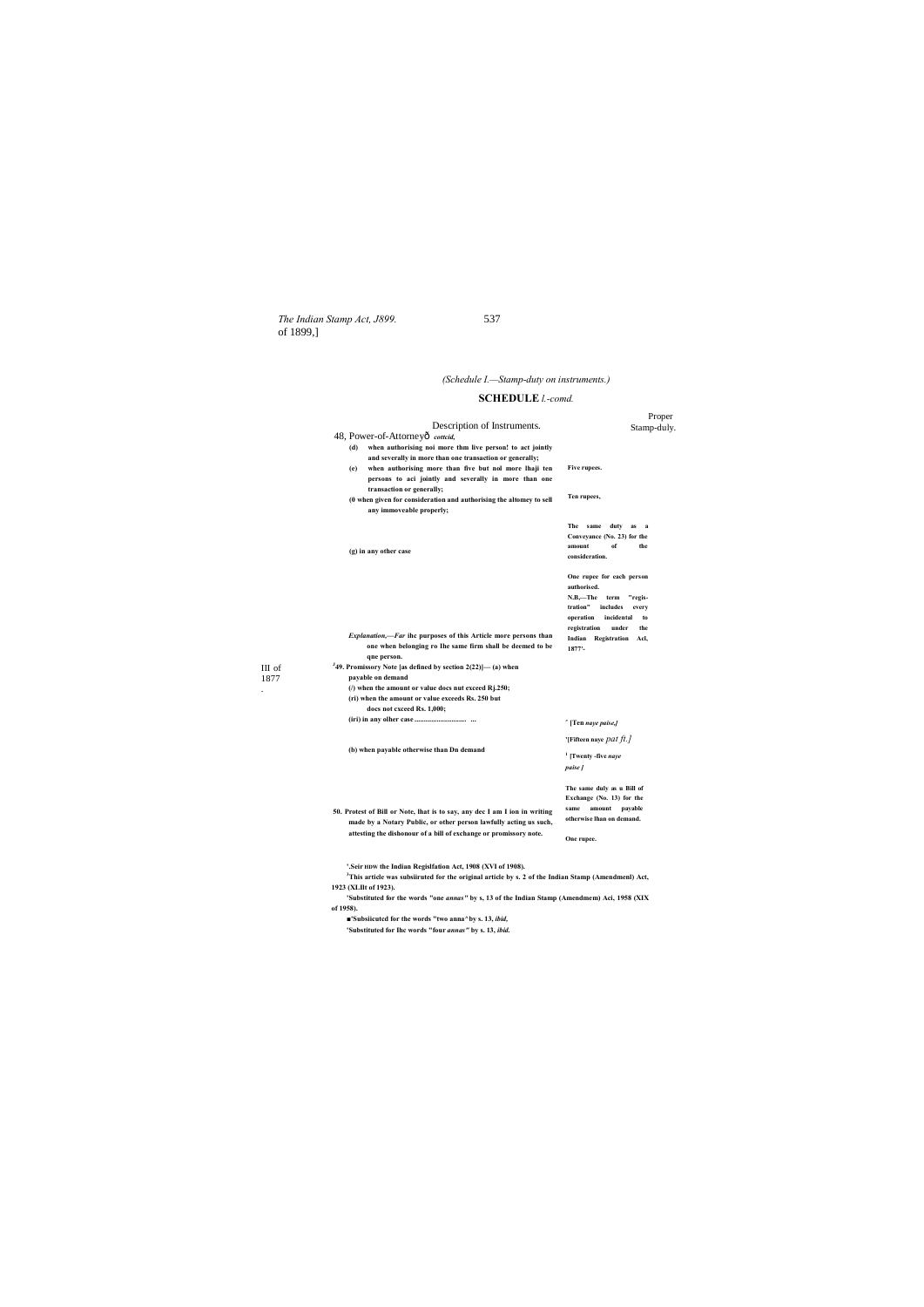*The Indian Stamp Act, J899.* 537 of 1899,]

III of 1877 .

*(Schedule I.—Stamp-duty on instruments.)* 

## **SCHEDULE** *l.-comd.*

|                                                                                                                                          | Proper                               |
|------------------------------------------------------------------------------------------------------------------------------------------|--------------------------------------|
| Description of Instruments.                                                                                                              | Stamp-duly.                          |
| 48, Power-of-Attorneyô cottcid,                                                                                                          |                                      |
| when authorising noi more thm live person! to act jointly<br>(d)                                                                         |                                      |
| and severally in more than one transaction or generally;                                                                                 | Five rupees.                         |
| when authorising more than five but nol more lhaji ten<br>(e)                                                                            |                                      |
| persons to aci jointly and severally in more than one                                                                                    |                                      |
| transaction or generally;                                                                                                                | Ten rupees,                          |
| (0 when given for consideration and authorising the altomey to sell<br>any immoveable properly;                                          |                                      |
|                                                                                                                                          | The same<br>duty<br><b>as</b><br>— я |
|                                                                                                                                          | Conveyance (No. 23) for the          |
|                                                                                                                                          | amount<br>of<br>the                  |
| (g) in any other case                                                                                                                    | consideration.                       |
|                                                                                                                                          | One rupee for each person            |
|                                                                                                                                          | authorised.                          |
|                                                                                                                                          | N.B.—The<br>term "regis-             |
|                                                                                                                                          | tration"<br>includes<br>every        |
|                                                                                                                                          | operation<br>incidental<br>to        |
|                                                                                                                                          | registration<br>under<br>the         |
| <i>Explanation,—Far</i> ihe purposes of this Article more persons than                                                                   | Registration<br>Indian<br>Acl,       |
| one when belonging ro Ihe same firm shall be deemed to be<br>qne person.                                                                 | 1877'-                               |
| $-$ 49. Promissory Note [as defined by section 2(22)]—(a) when                                                                           |                                      |
| payable on demand                                                                                                                        |                                      |
| $($ ) when the amount or value docs nut exceed Rj.250;                                                                                   |                                      |
| (ri) when the amount or value exceeds Rs. 250 but                                                                                        |                                      |
| docs not exceed Rs. 1,000;                                                                                                               |                                      |
|                                                                                                                                          | $\degree$ [Ten naye paise,]          |
|                                                                                                                                          | '[Fifteen naye $pat \, \hat{t}$ ].]  |
| (b) when payable otherwise than Dn demand                                                                                                | <sup>1</sup> [Twenty -five naye      |
|                                                                                                                                          | paise ]                              |
|                                                                                                                                          | The same duly as u Bill of           |
|                                                                                                                                          | Exchange (No. 13) for the            |
| 50. Protest of Bill or Note, lhat is to say, any dec I am I ion in writing                                                               | same<br>amount<br>payable            |
| made by a Notary Public, or other person lawfully acting us such,                                                                        | otherwise lhan on demand.            |
| attesting the dishonour of a bill of exchange or promissory note.                                                                        | One rupee.                           |
|                                                                                                                                          |                                      |
| '.Seir HDW the Indian Regislfation Act, 1908 (XVI of 1908).                                                                              |                                      |
| <sup>3</sup> This article was subsiiruted for the original article by s. 2 of the Indian Stamp (Amendmenl) Act,<br>1923 (XLIIt of 1923). |                                      |
| 'Substituted for the words "one annas" by s, 13 of the Indian Stamp (Amendmem) Aci, 1958 (XIX                                            |                                      |
| of 1958).                                                                                                                                |                                      |

**■'Subsiicutcd for the words "two anna^by s. 13,** *ibid,* **'Substituted for Ihc words "four** *annas"* **by s. 13,** *ibid.*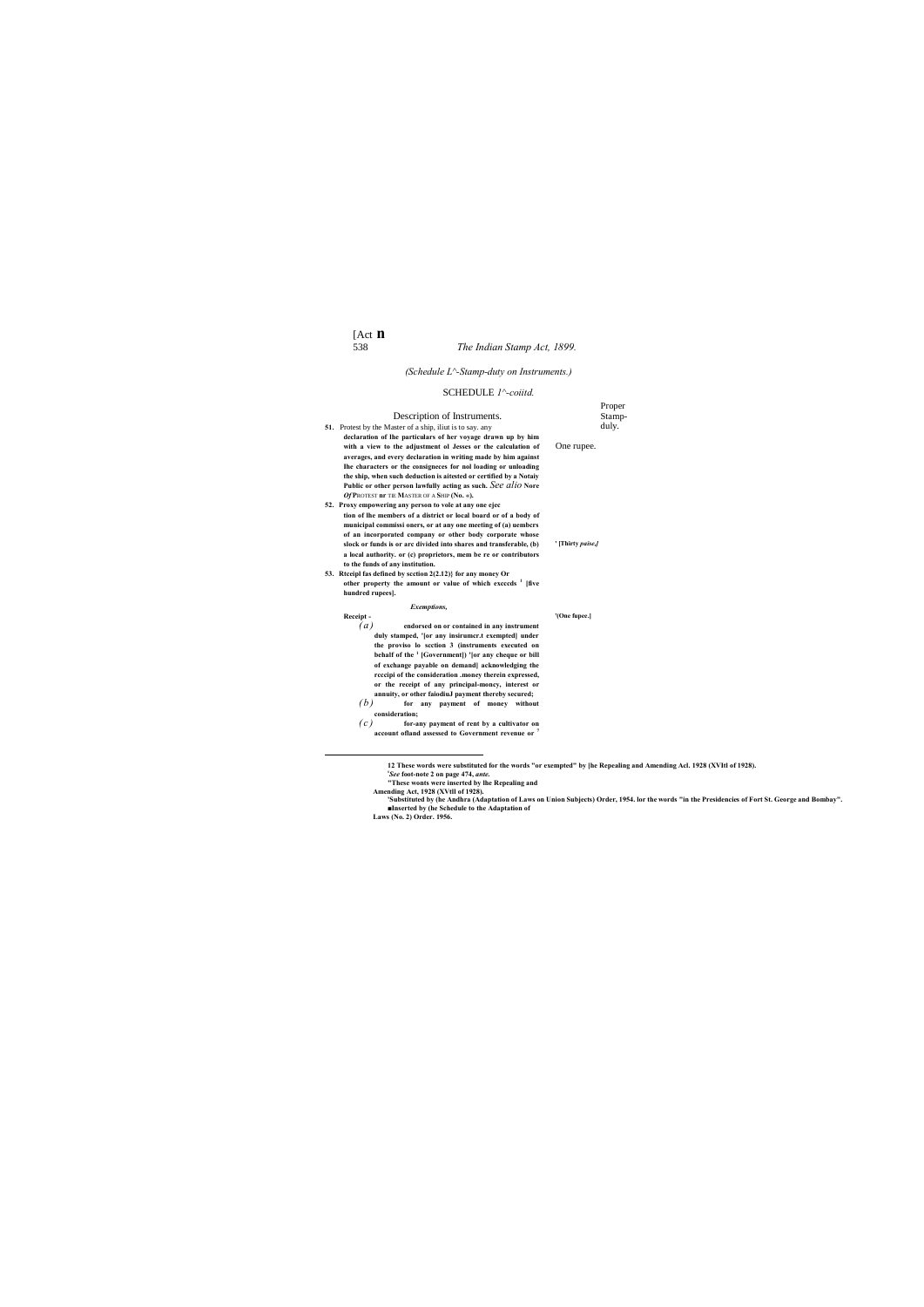## 538 *The Indian Stamp Act, 1899.*

Proper

*(Schedule L^-Stamp-duty on Instruments.)* 

## SCHEDULE *1^-coiitd.*

| Description of Instruments.                                            |                   | Stamp- |
|------------------------------------------------------------------------|-------------------|--------|
| 51. Protest by the Master of a ship, iliut is to say. any              |                   | duly.  |
| declaration of lhe particulars of her voyage drawn up by him           |                   |        |
| with a view to the adjustment ol Jesses or the calculation of          | One rupee.        |        |
| averages, and every declaration in writing made by him against         |                   |        |
| Ihe characters or the consigneces for nol loading or unloading         |                   |        |
| the ship, when such deduction is aitested or certified by a Notaiy     |                   |        |
| Public or other person lawfully acting as such. See alio Nore          |                   |        |
| Of PROTEST nr TIE MASTER OF A SHIP (No. «).                            |                   |        |
| 52. Proxy empowering any person to vole at any one ejec                |                   |        |
| tion of lhe members of a district or local board or of a body of       |                   |        |
| municipal commissi oners, or at any one meeting of (a) uembers         |                   |        |
| of an incorporated company or other body corporate whose               |                   |        |
| slock or funds is or arc divided into shares and transferable, (b)     | ' [Thirty paise,] |        |
| a local authority. or (c) proprietors, mem be re or contributors       |                   |        |
| to the funds of any institution.                                       |                   |        |
| 53. Rtceipl fas defined by scction 2(2.12)} for any money Or           |                   |        |
| other property the amount or value of which exceeds <sup>1</sup> [five |                   |        |
| hundred rupees].                                                       |                   |        |
| Exemptions,                                                            |                   |        |
| Receipt-                                                               | '(One fupee.]     |        |
| (a)<br>endorsed on or contained in any instrument                      |                   |        |
| duly stamped, '[or any insirumcr.t exempted] under                     |                   |        |
| the proviso lo section 3 (instruments executed on                      |                   |        |
| behalf of the <sup>1</sup> [Government]) '[or any cheque or bill       |                   |        |
| of exchange payable on demand] acknowledging the                       |                   |        |
| reccipi of the consideration .money therein expressed,                 |                   |        |
| or the receipt of any principal-moncy, interest or                     |                   |        |
| annuity, or other faiodiuJ payment thereby secured;                    |                   |        |
| (b)<br>any payment of money without<br>for                             |                   |        |
| consideration;                                                         |                   |        |
| (c)<br>for-any payment of rent by a cultivator on                      |                   |        |
| account ofland assessed to Government revenue or <sup>7</sup>          |                   |        |
|                                                                        |                   |        |
|                                                                        |                   |        |

12 These words were substituted for the words "or exempted" by [he Repealing and Amending Acl. 1928 (XVIt1 of 1928).<br>
"See foot-note 2 on page 474, *ante.*<br>
"These wonts were inserted by lhe Repealing and<br>
Amending Act, 19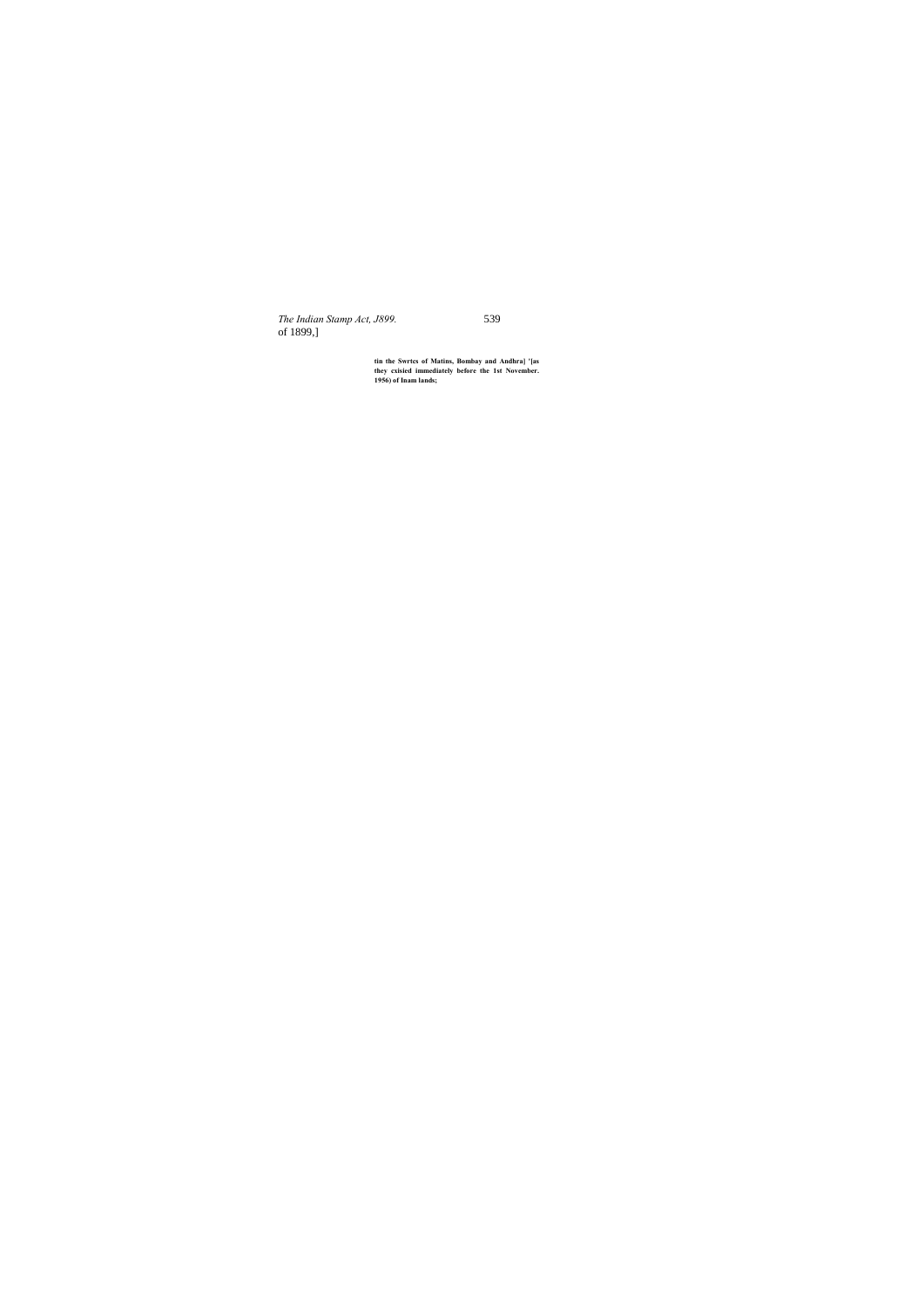*The Indian Stamp Act, J899.* 539 of 1899,]

**tin the Swrtcs of Matins, Bombay and Andhra] '[as they cxisied immediately before the 1st November. 1956) of Inam lands;**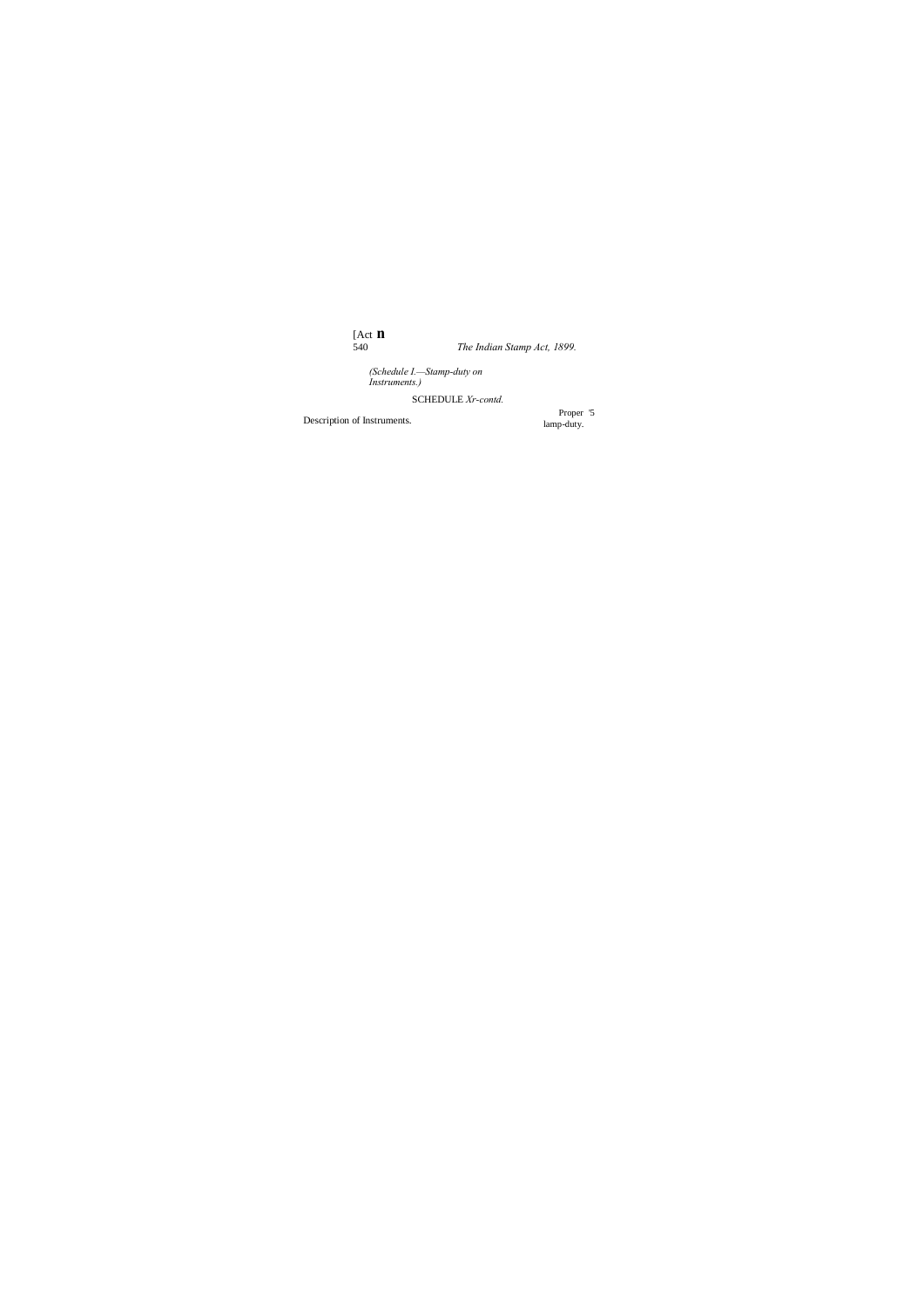The Indian Stamp Act, 1899.

Proper '5 lamp-duty.

*(Schedule I.—Stamp-duty on Instruments.)*

SCHEDULE *Xr-contd.*

Description of Instruments.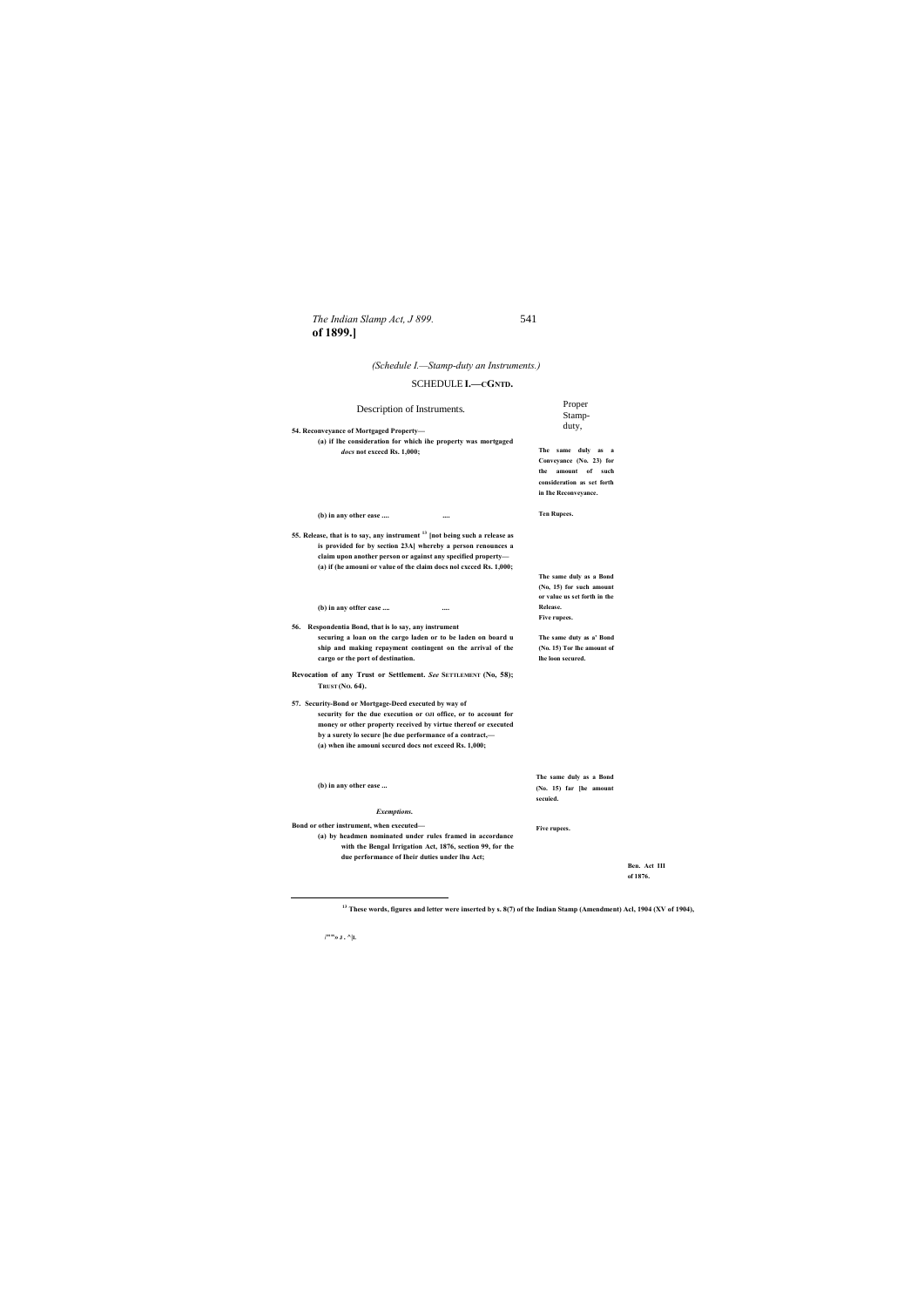## *The Indian Slamp Act, J 899.* 541 **of 1899.]**

**The same duly as a Bond (No. 15) far [he amount secuied.**

**Five rupees.**

**Ben. Act III of 1876.**

## *(Schedule I.—Stamp-duty an Instruments.)* SCHEDULE **I.—CGNTD.**

### Proper Stampduty, **The same duly as a Conveyance (No. 23) for the amount of such consideration as set forth in Ihe Reconveyance. Ten Rupees. The same duly as a Bond (No, 15) for such amount or value us set forth in the Release. Five rupees. The same duty as a' Bond (No. 15) Tor lhe amount of lhe loon secured.** Description of Instruments. **54. Reconveyance of Mortgaged Property— (a) if lhe consideration for which ihe property was mortgaged** *docs* **not excecd Rs. 1,000; (b) in any other ease .... .... 55. Release, that is to say, any instrument <sup>13</sup> [not being such a release as is provided for by section 23A] whereby a person renounces a claim upon another person or against any specified property— (a) if (he amouni or value of the claim docs nol cxcced Rs. 1,000; (b) in any otfter case .... .... 56. Respondentia Bond, that is lo say, any instrument securing a loan on the cargo laden or to be laden on board u ship and making repayment contingent on the arrival of the cargo or the port of destination. Revocation of any Trust or Settlement.** *See* **SETTLEMENT (No, 58); TRUST (NO. 64).**

**57. Security-Bond or Mortgage-Deed executed by way of security for the due execution or OJI office, or to account for money or other property received by virtue thereof or executed by a surety lo secure [he due performance of a contract,— (a) when ihe amouni sccurcd docs not exceed Rs. 1,000;**

**(b) in any other ease ...**

*Exemptions.*

**Bond or other instrument, when executed— (a) by headmen nominated under rules framed in accordance with the Bengal Irrigation Act, 1876, section 99, for the due performance of Iheir duties under lhu Act;**

**<sup>13</sup> These words, figures and letter were inserted by s. 8(7) of the Indian Stamp (Amendment) Acl, 1904 (XV of 1904),**

 $\overline{a}$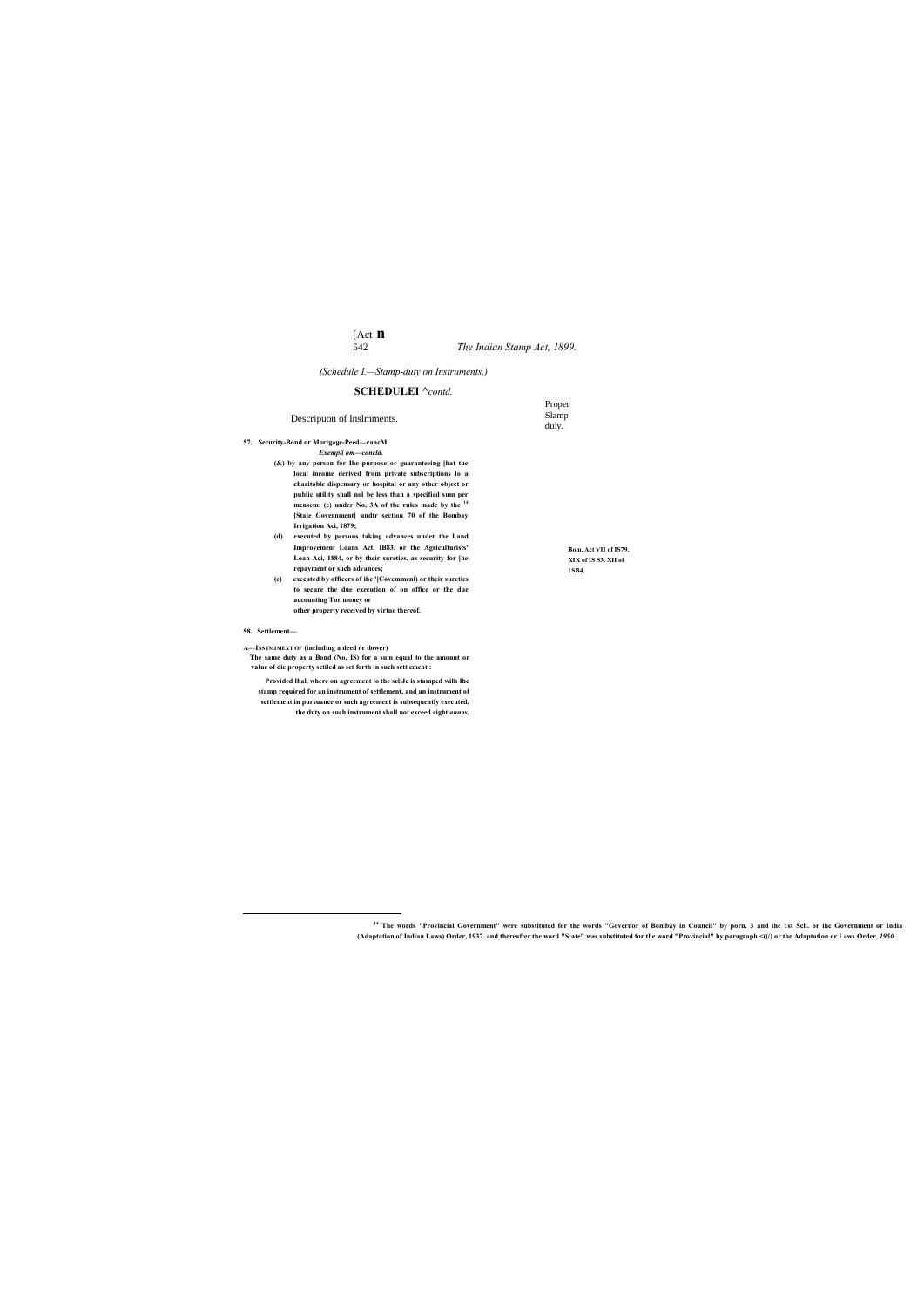# $[Act \n**n**$ <sup>542</sup>

542 *The Indian Stamp Act, 1899.*

Proper Slampduly.

> **Bom. Act VII of IS79. XIX of IS S3. XII of 1SB4.**

*(Schedule I.—Stamp-duty on Instruments.)* 

## **SCHEDULEI ^***contd.*

Descripuon of Inslmments.

**57. Security-Bond or Mortgage-Peed—cancM.**

*Exempli om—concld.*

- **(&) by any person for Ihe purpose or guaranteeing [hat the local income derived from private subscriptions lo a charitable dispensary or hospital or any other object or public utility shall nol be less than a specified sum per mensem: (e) under No, 3A of the rules made by the <sup>14</sup> [Stale Government] undtr section 70 of the Bombay Irrigation Aci, 1879;**
- **(d) executed by persons taking advances under the Land Improvement Loans Act. IB83, or the Agriculturists' Loan Aci, 1884, or by their sureties, as security for [he repayment or such advances;**
- **(e) executed by officers of ihc '[Covemmeni) or their sureties to secure the due execution of on office or the due accounting Tor money or other property received by virtue thereof.**

**58. Settlement—**

 $\overline{a}$ 

**A—INSTMJMEXT OF (including a deed or dower)**

**The same duty as a Bond (No, IS) for a sum equal to the amount or value of die property sctiled as set forth in such settlement :**

**Provided lhal, where on agreement lo the seliJc is stamped wilh Ihc stamp required for an instrument of settlement, and an instrument of settlement in pursuance or such agreement is subsequently executed, the duty on such instrument shall not exceed eight** *annas.*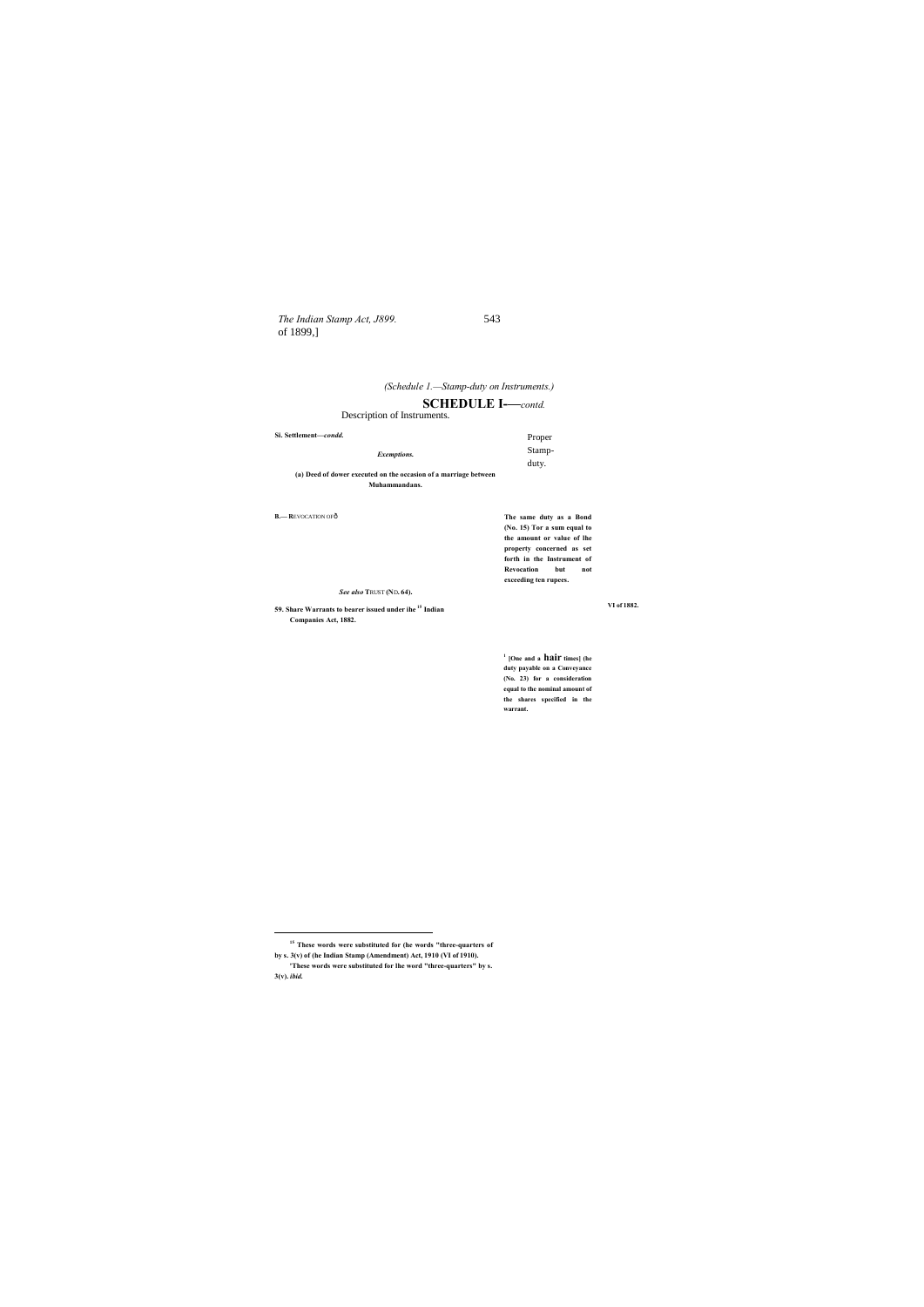*The Indian Stamp Act, J899.* 543 of 1899,]

**<sup>1</sup> [One and a hair times] (he duty payable on a Conveyance (No. 23) for a consideration equal to the nominal amount of the shares specified in the warrant.**

| Si. Settlement—condd. | Proper |
|-----------------------|--------|
| <i>Exemptions.</i>    | Stamp- |
|                       | duty.  |
|                       |        |

**VI of 1882.**

*(Schedule 1.—Stamp-duty on Instruments.)*

## **SCHEDULE I-—***contd.*

Description of Instruments.

**(a) Deed of dower executed on the occasion of a marriage between Muhammandans.**

**B.**—**R**EVOCATION OFÔ

**The same duty as a Bond (No. 15) Tor a sum equal to the amount or value of lhe property concerned as set forth in the Instrument of Revocation but not exceeding ten rupees.**

*See also* **T**RUST **(N**D**. 64).**

**59. Share Warrants to bearer issued under ihe 15 Indian Companies Act, 1882.**

 $\overline{a}$ 

**<sup>15</sup> These words were substituted for (he words "three-quarters of** 

**by s. 3(v) of (he Indian Stamp (Amendment) Act, 1910 (VI of 1910).**

**<sup>&#</sup>x27;These words were substituted for lhe word "three-quarters" by s. 3(v).** *ibid.*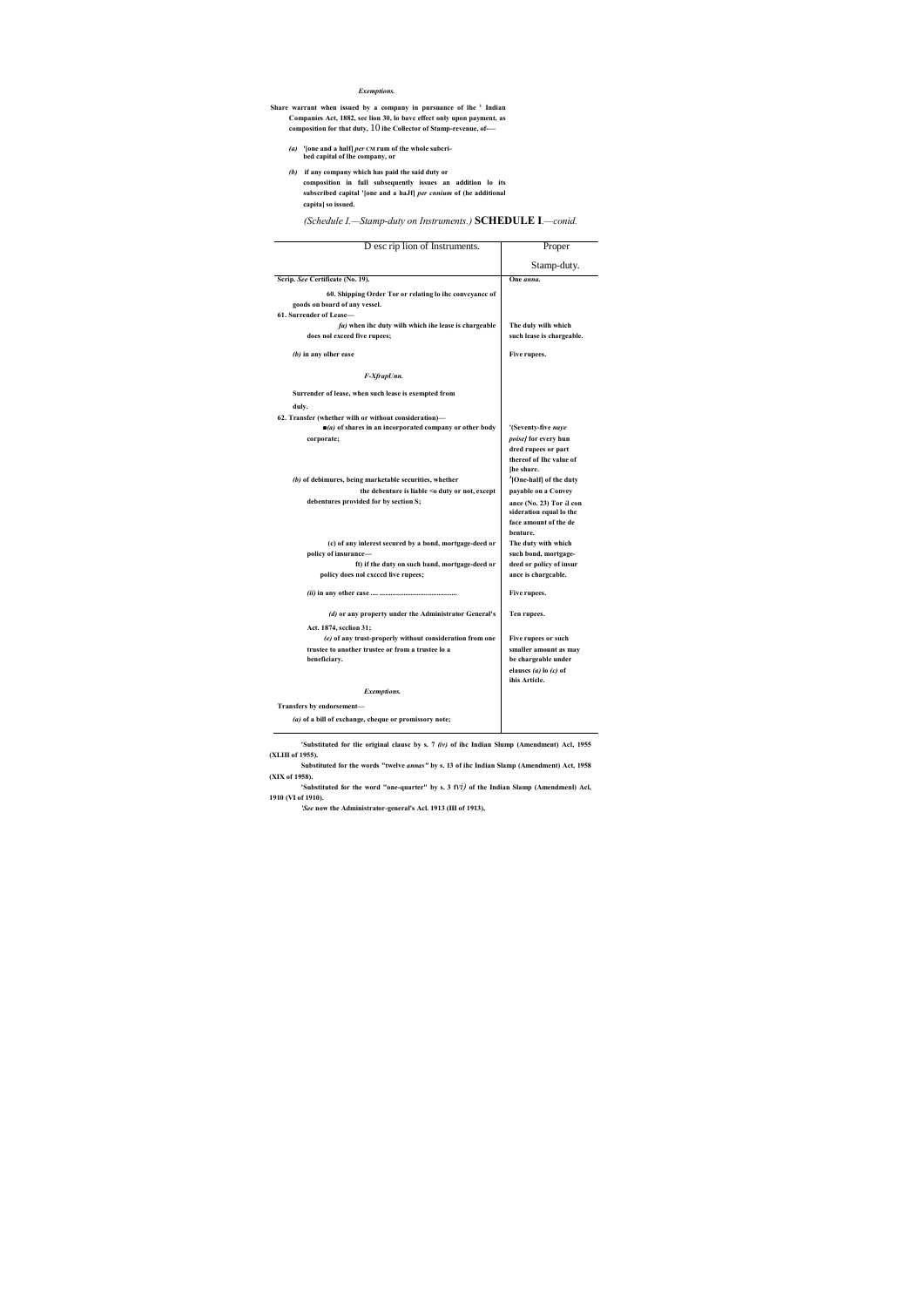### *Exemptions.*

**Share warrant when issued by a company in pursuance of lhe <sup>1</sup> Indian Companies Act, 1882, sec lion 30, lo bavc effect only upon payment, as composition for that duty,** 10 **ihe Collector of Stamp-revenue, of-—**

- *(a)* **'[one and a half]** *per* **CM rum of the whole subcri-bed capital of lhe company, or**
- *(b)* **if any company which has paid the said duty or composition in full subsequently issues an addition lo its subscribed capital '[one and a haJf]** *per cnnium* **of (he additional capita] so issued.**

*(Schedule I.—Stamp-duty on Instruments.)* **SCHEDULE I***.—conid.*

**'Substituted for tlie original clausc by s. 7** *(iv)* **of ihc Indian Slump (Amendment) Acl, 1955 (XLIII of 1955).**

**Substituted for the words "twelve** *annas"* **by s. 13 of ihc Indian Slamp (Amendment) Act, 1958 (XIX of 1958).**

**'Substituted for the word "one-quarter" by s. 3 f***vi)* **of the Indian Slamp (Amendmenl) Acl, 1910 (VI of 1910).**

*'See* **now the Administrator-general's Acl. 1913 (III of 1913),**

| D esc rip lion of Instruments.                                                                                                                                                                                                                                                                                                                                                                                                                                                                    | Proper                                                                                                                                                                                                                                                                                                                                                    |
|---------------------------------------------------------------------------------------------------------------------------------------------------------------------------------------------------------------------------------------------------------------------------------------------------------------------------------------------------------------------------------------------------------------------------------------------------------------------------------------------------|-----------------------------------------------------------------------------------------------------------------------------------------------------------------------------------------------------------------------------------------------------------------------------------------------------------------------------------------------------------|
|                                                                                                                                                                                                                                                                                                                                                                                                                                                                                                   | Stamp-duty.                                                                                                                                                                                                                                                                                                                                               |
| Scrip. See Certificate (No. 19).                                                                                                                                                                                                                                                                                                                                                                                                                                                                  | One anna.                                                                                                                                                                                                                                                                                                                                                 |
| 60. Shipping Order Tor or relating lo ihe conveyance of<br>goods on board of any vessel.<br>61. Surrender of Lease-<br>fa) when ihe duty wilh which ihe lease is chargeable<br>does nol exceed five rupees;                                                                                                                                                                                                                                                                                       | The duly wilh which<br>such lease is chargeable.                                                                                                                                                                                                                                                                                                          |
| $(b)$ in any olher ease                                                                                                                                                                                                                                                                                                                                                                                                                                                                           | Five rupees.                                                                                                                                                                                                                                                                                                                                              |
| F-XfrapUnn.                                                                                                                                                                                                                                                                                                                                                                                                                                                                                       |                                                                                                                                                                                                                                                                                                                                                           |
| Surrender of lease, when such lease is exempted from                                                                                                                                                                                                                                                                                                                                                                                                                                              |                                                                                                                                                                                                                                                                                                                                                           |
| duly.                                                                                                                                                                                                                                                                                                                                                                                                                                                                                             |                                                                                                                                                                                                                                                                                                                                                           |
| 62. Transfer (whether wilh or without consideration)-<br>$\blacksquare$ (a) of shares in an incorporated company or other body<br>corporate;<br>(b) of debimures, being marketable securities, whether<br>the debenture is liable <o duty="" except<br="" not,="" or="">debentures provided for by section S;<br/>(c) of any inlerest secured by a bond, mortgage-deed or<br/>policy of insurance-<br/>ft) if the duty on such band, mortgage-deed or<br/>policy does nol cxcccd live rupees;</o> | '(Seventy-five naye<br>poise] for every hun<br>dred rupees or part<br>thereof of Ihc value of<br>[he share.<br>'[One-half] of the duty<br>payable on a Convey<br>ance (No. 23) Tor a con<br>sideration equal lo the<br>face amount of the de<br>benture.<br>The duty with which<br>such bond, mortgage-<br>deed or policy of insur<br>ance is chargcable. |
|                                                                                                                                                                                                                                                                                                                                                                                                                                                                                                   | Five rupees.                                                                                                                                                                                                                                                                                                                                              |
| (d) or any property under the Administrator General's<br>Act. 1874, scclion 31;<br>(e) of any trust-properly without consideration from one<br>trustee to another trustee or from a trustee lo a<br>beneficiary.                                                                                                                                                                                                                                                                                  | Ten rupees.<br>Five rupees or such<br>smaller amount as may<br>be chargeable under                                                                                                                                                                                                                                                                        |
|                                                                                                                                                                                                                                                                                                                                                                                                                                                                                                   | elauscs $(a)$ lo $(c)$ of<br>ihis Article.                                                                                                                                                                                                                                                                                                                |
| Exemptions.                                                                                                                                                                                                                                                                                                                                                                                                                                                                                       |                                                                                                                                                                                                                                                                                                                                                           |
| Transfers by endorsement-                                                                                                                                                                                                                                                                                                                                                                                                                                                                         |                                                                                                                                                                                                                                                                                                                                                           |
| (a) of a bill of exchange, cheque or promissory note;                                                                                                                                                                                                                                                                                                                                                                                                                                             |                                                                                                                                                                                                                                                                                                                                                           |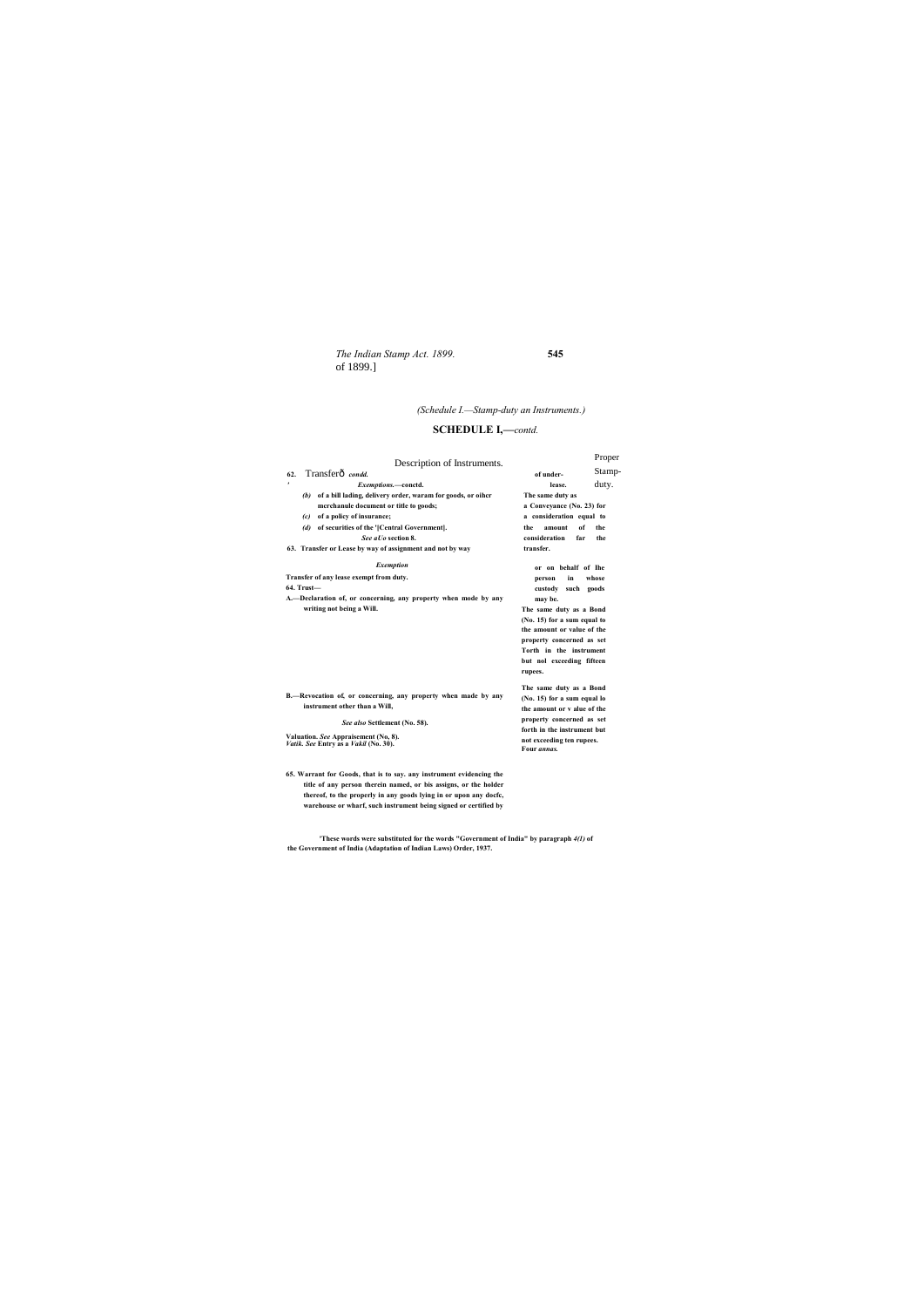*The Indian Stamp Act. 1899.* **545** of 1899.]

## *(Schedule I.—Stamp-duty an Instruments.)*

## **SCHEDULE I,—***contd.*

| Description of Instruments.                                                                                                                                                                                       | Proper                                                                                                                                                                                          |
|-------------------------------------------------------------------------------------------------------------------------------------------------------------------------------------------------------------------|-------------------------------------------------------------------------------------------------------------------------------------------------------------------------------------------------|
| Transferô condd.<br>62.                                                                                                                                                                                           | Stamp-<br>of under-                                                                                                                                                                             |
| ,<br>Exemptions.-conctd.                                                                                                                                                                                          | duty.<br>lease.                                                                                                                                                                                 |
| $(b)$ of a bill lading, delivery order, waram for goods, or oiher                                                                                                                                                 | The same duty as                                                                                                                                                                                |
| mcrchanule document or title to goods;                                                                                                                                                                            | a Conveyance (No. 23) for                                                                                                                                                                       |
| of a policy of insurance;<br>(c)                                                                                                                                                                                  | a consideration equal to                                                                                                                                                                        |
| of securities of the '[Central Government].<br>(d)                                                                                                                                                                | of<br>the<br>the<br>amount                                                                                                                                                                      |
| See aUo section 8.                                                                                                                                                                                                | consideration<br>the<br>far                                                                                                                                                                     |
| 63. Transfer or Lease by way of assignment and not by way                                                                                                                                                         | transfer.                                                                                                                                                                                       |
| <b>Exemption</b>                                                                                                                                                                                                  | or on behalf of Ihe                                                                                                                                                                             |
| Transfer of any lease exempt from duty.<br>$64.$ Trust-                                                                                                                                                           | in<br>whose<br>person<br>such<br>custody<br>goods                                                                                                                                               |
| A. - Declaration of, or concerning, any property when mode by any<br>writing not being a Will.                                                                                                                    | may be.<br>The same duty as a Bond<br>(No. 15) for a sum equal to<br>the amount or value of the<br>property concerned as set<br>Torth in the instrument<br>but nol exceeding fifteen<br>rupees. |
| B.-Revocation of, or concerning, any property when made by any<br>instrument other than a Will,<br>See also Settlement (No. 58).<br>Valuation. See Appraisement (No, 8).<br>Vatik. See Entry as a Vakil (No. 30). | The same duty as a Bond<br>(No. 15) for a sum equal lo<br>the amount or y alue of the<br>property concerned as set<br>forth in the instrument but<br>not exceeding ten rupees.<br>Four annas.   |
| 65. Warrant for Goods, that is to say. any instrument evidencing the<br>$\sim$ $\sim$ $\sim$ $\sim$ $\sim$ $\sim$ $\sim$                                                                                          |                                                                                                                                                                                                 |

**title of any person therein named, or bis assigns, or the holder thereof, to the properly in any goods lying in or upon any docfc, warehouse or wharf, such instrument being signed or certified by** 

**'These words were substituted for the words "Government of India" by paragraph** *4(1)* **of the Government of India (Adaptation of Indian Laws) Order, 1937.**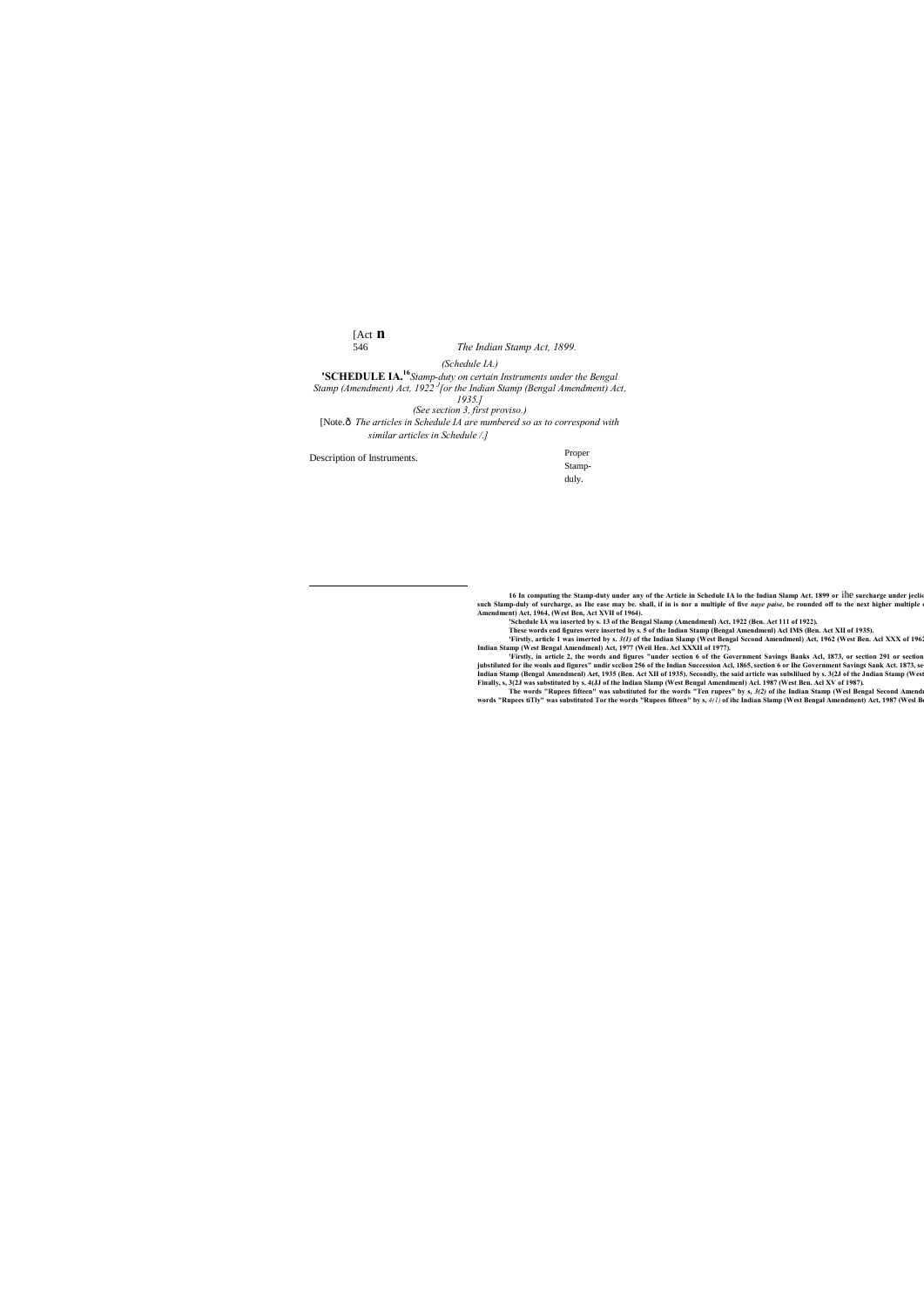**'SCHEDULE IA.16***Stamp-duty on certain Instruments under the Bengal Stamp (Amendment) Act, 1922 <sup>J</sup> [or the Indian Stamp (Bengal Amendment) Act, 1935.] (See section 3, first proviso.)* [Note.ô The articles in Schedule IA are numbered so as to correspond with

546 *The Indian Stamp Act, 1899. (Schedule IA.)*

> Proper Stampduly.

**16 In computing the Stamp-duty under any of the Article in Schedule IA lo the Indian Slamp Act. 1899 or** ihe **surcharge under jeclion 4 of the Indian Stamp (West Bengal Amendment) Acl, 1964,**  such Slamp-duly of surcharge, as Ihe ease may be. shall, if in is nor a multiple of five *naye paise,* be rounded off to the next higher multiple (<br>Amendment) Act, 1964, (West Ben, Act XVII of 1964).

*similar articles in Schedule /.]*

Description of Instruments.

 $\overline{a}$ 

These words end figures were inserted by s. 5 of the Indian Stamp (Bengal Amendmenl) Acl IMS (Ben. Act XII of 1935).<br>'Firstly, article 1 was inserted by s. 3(1) of the Indian Slamp (West Bengal Sccond Amendmenl) Act, 1962 **Indian Stamp (West Bengal Amendmenl) Act, 1977 (Weil Hen. Acl XXXII of 1977).**

'Firstly, in article 2, the words and figures "under section 6 of the Government Savings Banks Acl, 1873, or section 291 or section<br>jubstiluted for ihe wonls and figures" undir scclion 256 of the Indian Succession Acl, 186

Finally, s, 3(2J was substituted by s. 4(JJ of the Indian Slamp (West Bengal Amendmenl) Acl. 1987 (West Ben. Acl XV of 1987).<br>The words "Rupees fifteen" was substituted for the words "Ten rupees" by s, 3(2) of ihe Indian S

**'Schedule IA wu inserted by s. 13 of the Bengal Slamp (Amendmenl) Act, 1922 (Ben. Aet 111 of 1922).**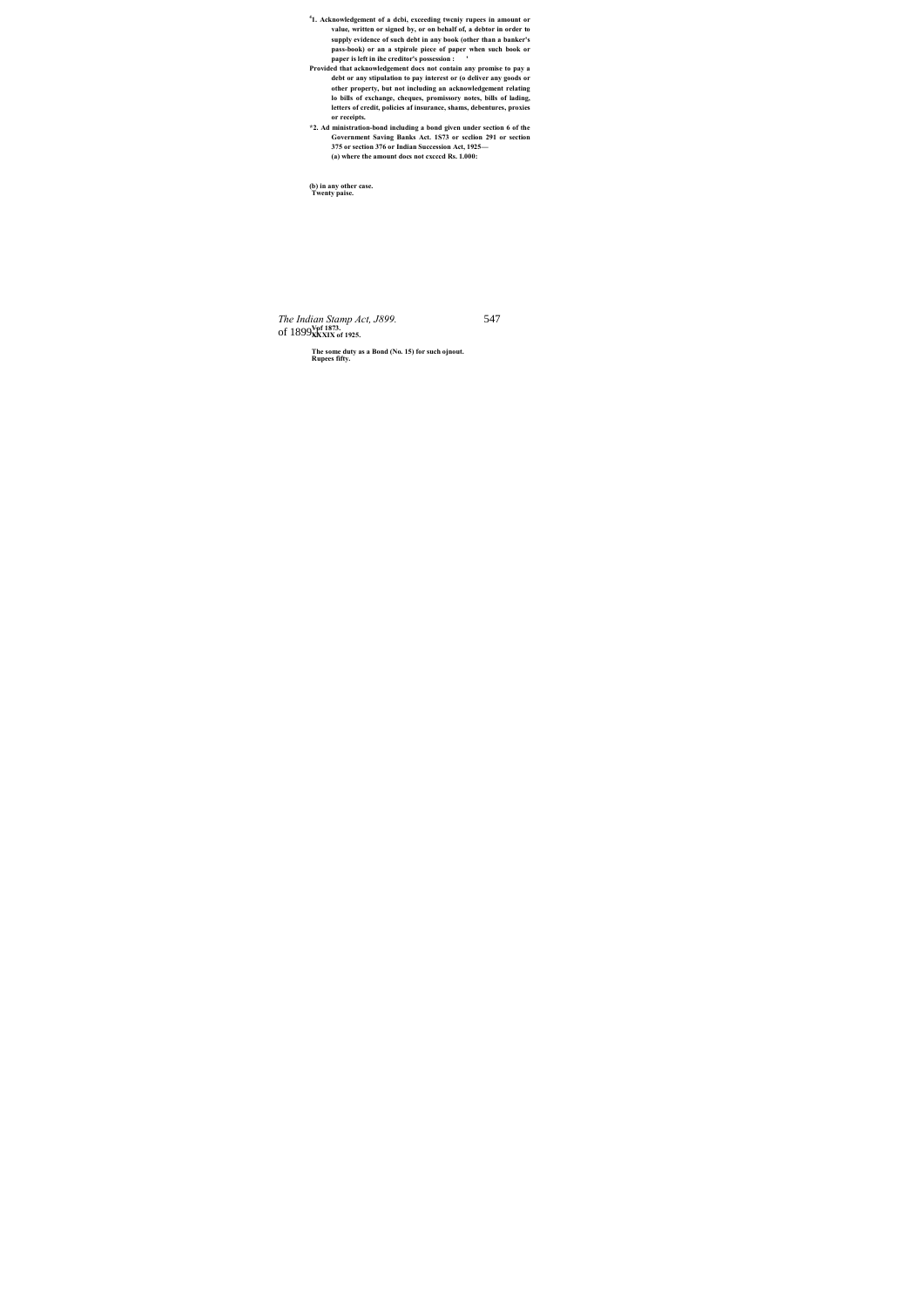- **4 1. Acknowledgement of a dcbi, exceeding twcniy rupees in amount or value, written or signed by, or on behalf of, a debtor in order to supply evidence of such debt in any book (other than a banker's pass-book) or an a stpirole piece of paper when such book or paper is left in ihe creditor's possession : '**
- **Provided that acknowledgement docs not contain any promise to pay a debt or any stipulation to pay interest or (o deliver any goods or other property, but not including an acknowledgement relating lo bills of exchange, cheques, promissory notes, bills of lading, letters of credit, policies af insurance, shams, debentures, proxies or receipts.**
- **\*2. Ad ministration-bond including a bond given under section 6 of the Government Saving Banks Act. 1S73 or scclion 291 or section 375 or section 376 or Indian Succession Act, 1925— (a) where the amount docs not cxcccd Rs. 1.000:**

**(b) in any other case. Twenty paise.**

*The Indian Stamp Act, J899.* 547 of 1899 **XXXIX** of 1925.

**The some duty as a Bond (No. 15) for such ojnout. Rupees fifty.**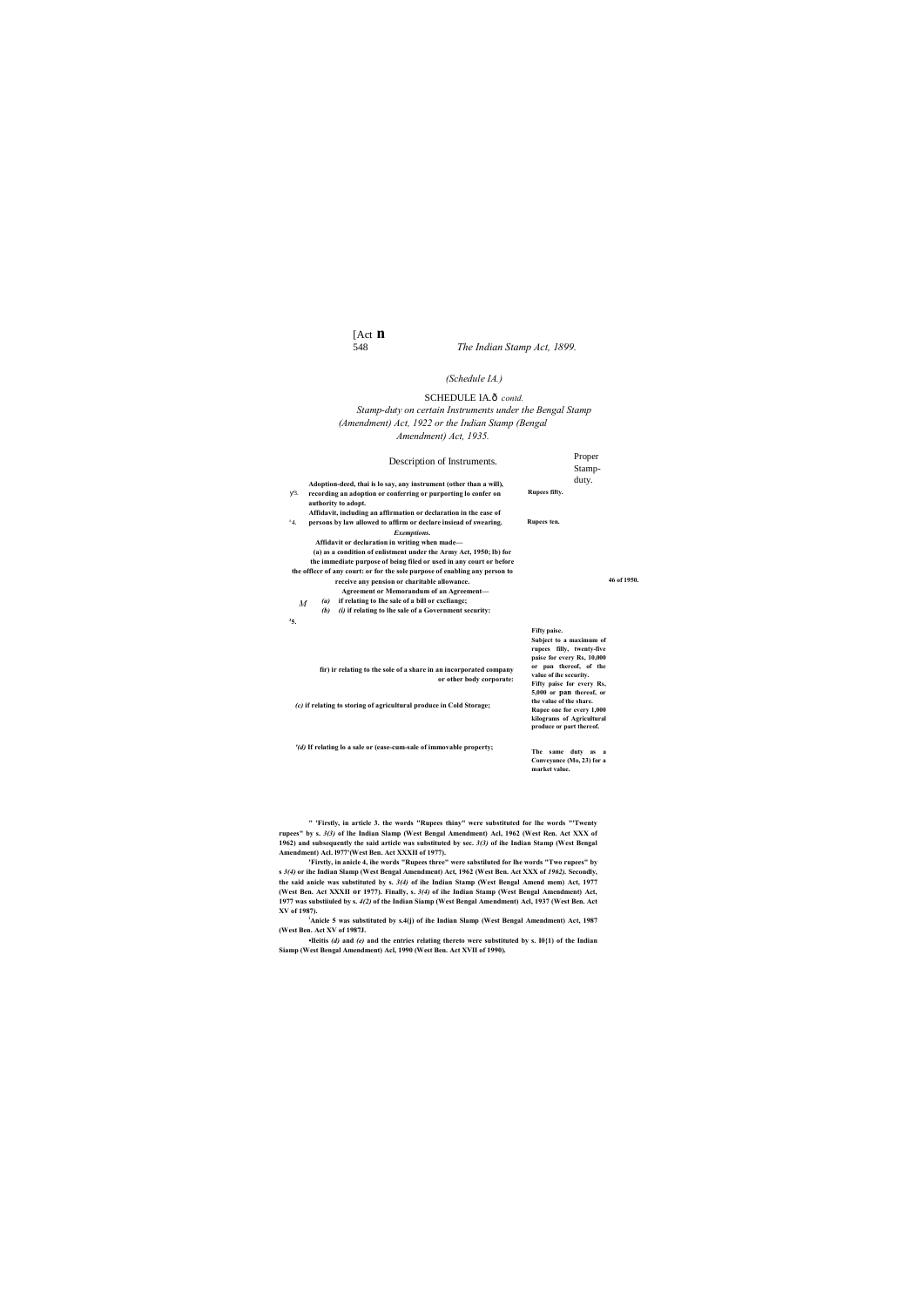548 *The Indian Stamp Act, 1899.*

## *(Schedule IA.)*

## SCHEDULE IA. $\hat{o}$  contd.

*Stamp-duty on certain Instruments under the Bengal Stamp (Amendment) Act, 1922 or the Indian Stamp (Bengal Amendment) Act, 1935.*

| Description of Instruments.                                                                                                                                                                                                                                                                   | Proper<br>Stamp-                                                                                                                                                                                                                           |  |
|-----------------------------------------------------------------------------------------------------------------------------------------------------------------------------------------------------------------------------------------------------------------------------------------------|--------------------------------------------------------------------------------------------------------------------------------------------------------------------------------------------------------------------------------------------|--|
| Adoption-deed, thai is lo say, any instrument (other than a will),<br>3.<br>recording an adoption or conferring or purporting lo confer on<br>authority to adopt.                                                                                                                             | duty.<br>Rupees fifty.                                                                                                                                                                                                                     |  |
| Affidavit, including an affirmation or declaration in the ease of<br>$^{\rm A}4$ .<br>persons by law allowed to affirm or declare insiead of swearing.<br>Exemptions.<br>Affidavit or declaration in writing when made-<br>(a) as a condition of enlistment under the Army Act, 1950; lb) for | Rupees ten.                                                                                                                                                                                                                                |  |
| the immediate purpose of being filed or used in any court or before<br>the officer of any court: or for the sole purpose of enabling any person to                                                                                                                                            |                                                                                                                                                                                                                                            |  |
| receive any pension or charitable allowance.<br>Agreement or Memorandum of an Agreement-<br>if relating to Ihe sale of a bill or cxcfiangc;<br>(a)<br>$\boldsymbol{M}$<br>(i) if relating to lhe sale of a Government security:<br>(b)                                                        | 46 of 1950.                                                                                                                                                                                                                                |  |
| <sup>3</sup> 5.                                                                                                                                                                                                                                                                               |                                                                                                                                                                                                                                            |  |
| fir) ir relating to the sole of a share in an incorporated company<br>or other body corporate:                                                                                                                                                                                                | Fifty paise.<br>Subject to a maximum of<br>rupees filly, twenty-five<br>paise for every Rs, 10,000<br>or pan thereof, of the<br>value of ihe security.<br>Fifty paise for every Rs,<br>5,000 or pan thereof, or<br>the value of the share. |  |
| (c) if relating to storing of agricultural produce in Cold Storage;                                                                                                                                                                                                                           | Rupee one for every 1,000<br>kilograms of Agricultural<br>produce or part thereof.                                                                                                                                                         |  |
| '(d) If relating lo a sale or (ease-cum-sale of immovable property;                                                                                                                                                                                                                           | The same duty as a<br>Conveyance (Mo, 23) for a<br>market value.                                                                                                                                                                           |  |

<sup>i</sup>Anicle 5 was substituted by s.4(j) of ihe Indian Slamp (West Bengal Amendment) Act, 1987 **(West Ben. Act XV of 1987J.**

**" 'Firstly, in article 3. the words "Rupees thiny" were substituted for lhe words "'Twenty rupees" by s.** *3(3)* **of lhe Indian Slamp (West Bengal Amendment) Acl, 1962 (West Ren. Act XXX of 1962) and subsequently the said article was substituted by sec.** *3(3)* **of ihe Indian Stamp (West Bengal Amendment) Acl. l977'(West Ben. Act XXXII of 1977).**

**'Firstly, in anicle 4, ihe words "Rupees three" were sabstiluted for lhe words "Two rupees" by s** *3(4)* **or ihe Indian Slamp (West Bengal Amendment) Act, 1962 (West Ben. Act XXX of** *1962).* **Secondly, the said anicle was substituted by s.** *3(4)* **of ihe Indian Stamp (West Bengal Amend mem) Act, 1977 (West Ben. Act XXXII or 1977). Finally, s.** *3(4)* **of ihe Indian Stamp (West Bengal Amendment) Act, 1977 was substiiuled by s.** *4(2)* **of the Indian Siamp (West Bengal Amendment) Acl, 1937 (West Ben. Act XV of 1987).**

**•Ileitis** *(d)* **and** *(e)* **and the entries relating thereto were substituted by s. I0{1) of the Indian Siamp (West Bengal Amendment) Acl, 1990 (West Ben. Act XVII of 1990).**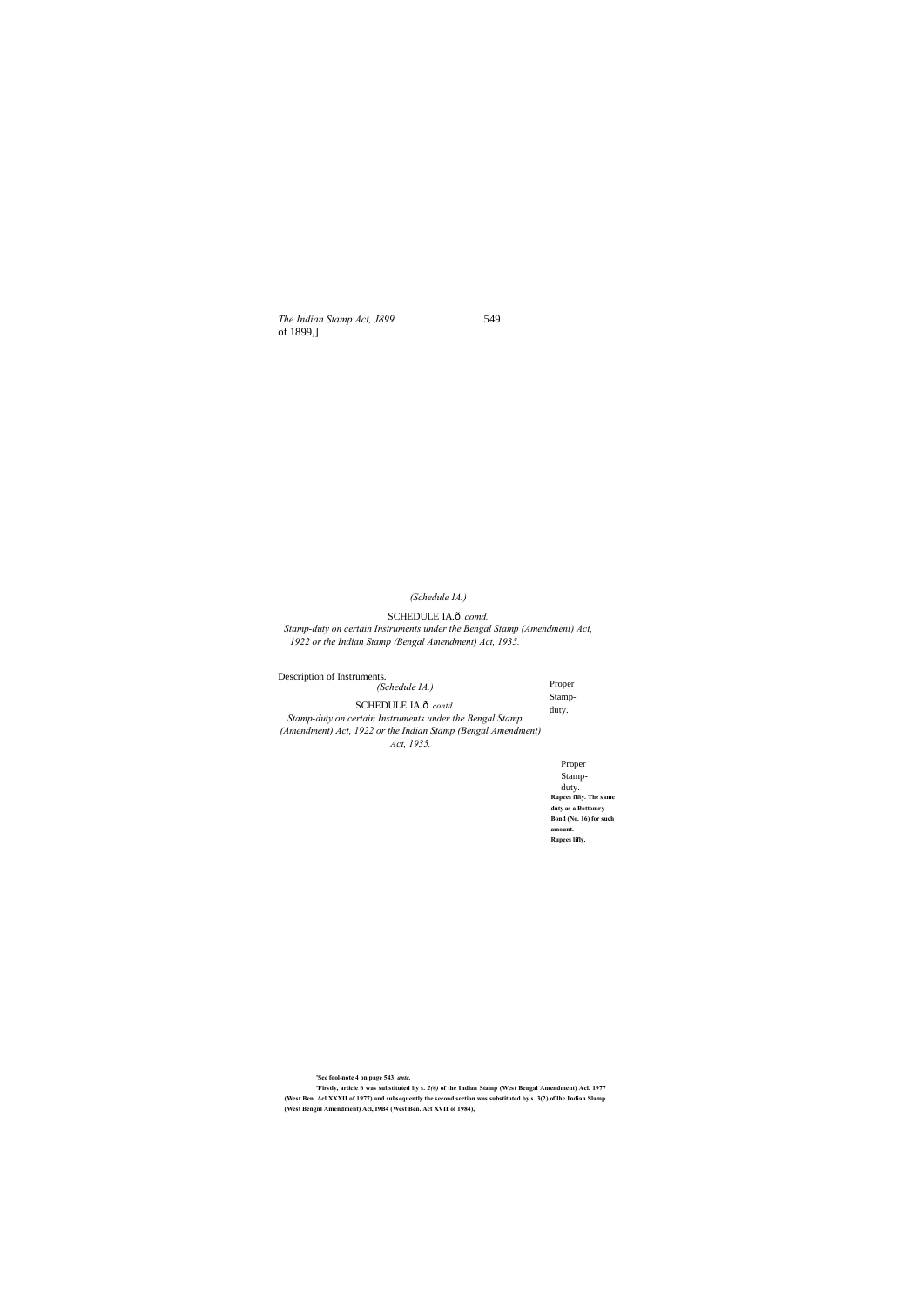*The Indian Stamp Act, J899.* 549 of 1899,]

**'See fool-note 4 on page 543.** *ante.* **'Firstly, article 6 was substituted by s.** *2(6)* **of the Indian Stamp (West Bengal Amendment) Acl, 1977 (West Ben. Acl XXXII of 1977) and subsequently the second section was substituted by s. 3(2) of lhe Indian Slamp (West Bengnl Amendment) Acl, I9B4 (West Ben. Act XVII of 1984),**

SCHEDULE IA. $\hat{o}$  comd. *Stamp-duty on certain Instruments under the Bengal Stamp (Amendment) Act, 1922 or the Indian Stamp (Bengal Amendment) Act, 1935.*

> Proper Stampduty. **Rupees fifty. The same duty as a Bottomry Bond (No. 16) for such amount. Rupees lifly.**

Proper Stampduty. Description of Instruments. *(Schedule IA.)* SCHEDULE IA. $\hat{o}$  contd. *Stamp-duty on certain Instruments under the Bengal Stamp (Amendment) Act, 1922 or the Indian Stamp (Bengal Amendment) Act, 1935.*

## *(Schedule IA.)*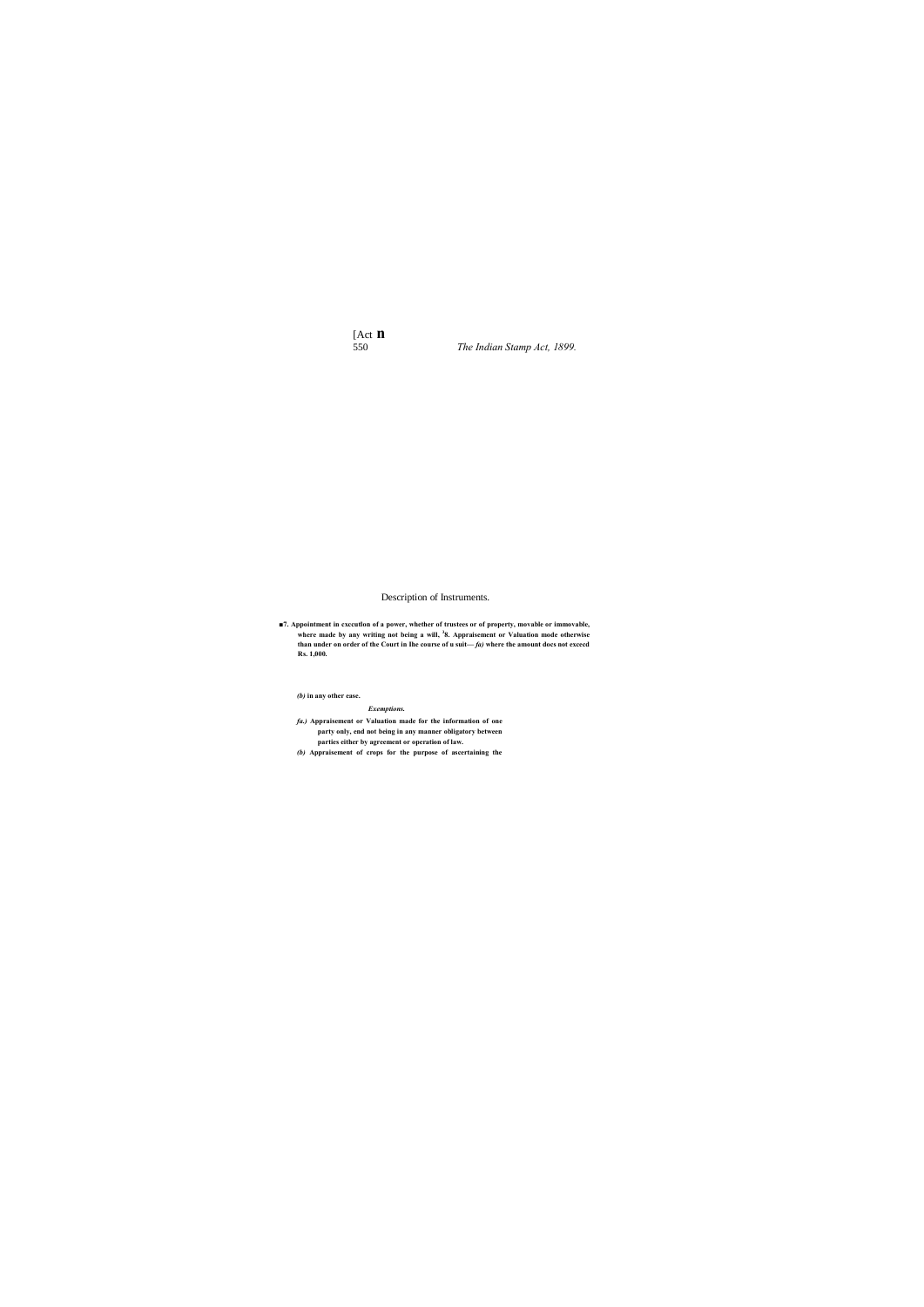550 *The Indian Stamp Act, 1899.*

## Description of Instruments.

**T**. Appointment in execution of a power, whether of trustees or of property, movable or immovable, where made by any writing not being a will,  ${}^{3}8$ . Appraisement or Valuation mode otherwise **than under on order of the Court in Ihe course of u suit—** *fa)* **where the amount docs not excecd Rs. 1,000.**

*(b)* **in any other ease.**

## *Exemptions.*

*fa.)* **Appraisement or Valuation made for the information of one party only, end not being in any manner obligatory between parties either by agreement or operation of law.** *(b)* **Appraisement of crops for the purpose of ascertaining the**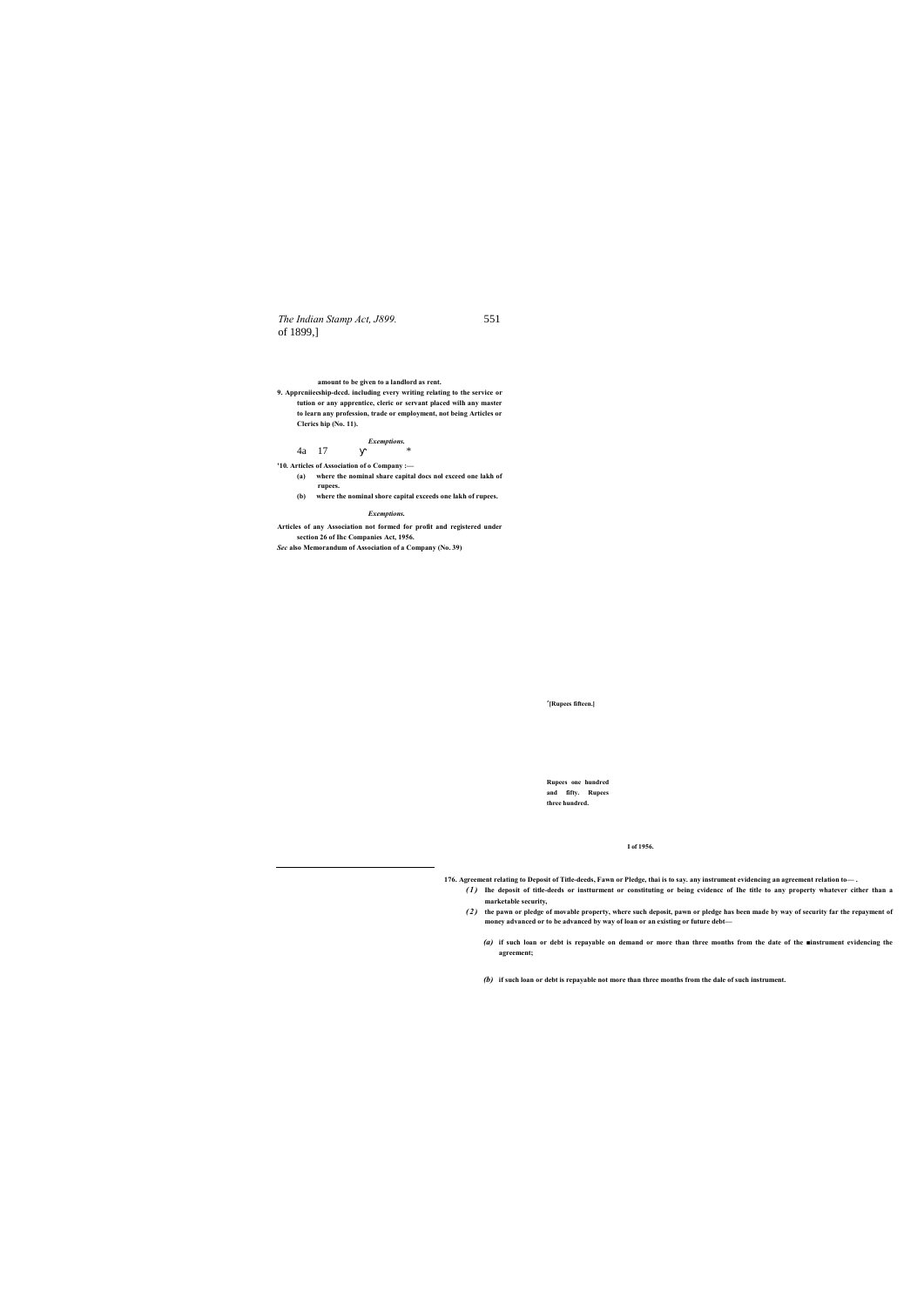*The Indian Stamp Act, J899.* 551 of 1899,]

**3 [Rupees fifteen.]**

**Rupees one hundred and fifty. Rupees three hundred.**

**I of 1956.**

**amount to be given to a landlord as rent.**

**9. Apprcniiecship-dccd. including every writing relating to the service or tution or any apprentice, cleric or servant placed wilh any master to learn any profession, trade or employment, not being Articles or Clerics hip (No. 11).**

## *Exemptions.*

4a 17 \*

 $\overline{a}$ 

**'10. Articles of Association of o Company :— (a) where the nominal share capital docs nol exceed one lakh of** 

**rupees.**

**(b) where the nominal shore capital exceeds one lakh of rupees.**

### *Exemptions.*

**Articles of any Association not formed for profit and registered under section 26 of Ihc Companies Act, 1956.**

*Sec* **also Memorandum of Association of a Company (No. 39)**

**176. Agreement relating to Deposit of Title-deeds, Fawn or Pledge, thai is to say. any instrument evidencing an agreement relation to— .**

- *(1 )* **Ihe deposit of title-deeds or instturment or constituting or being cvidencc of Ihe title to any property whatever cither than a marketable security,**
- *(2 )* **the pawn or pledge of movable property, where such deposit, pawn or pledge has been made by way of security far the repayment of money advanced or to be advanced by way of loan or an existing or future debt—**
	- *(a)* **if such loan or debt is repayable on demand or more than three months from the date of the ■instrument evidencing the agreement;**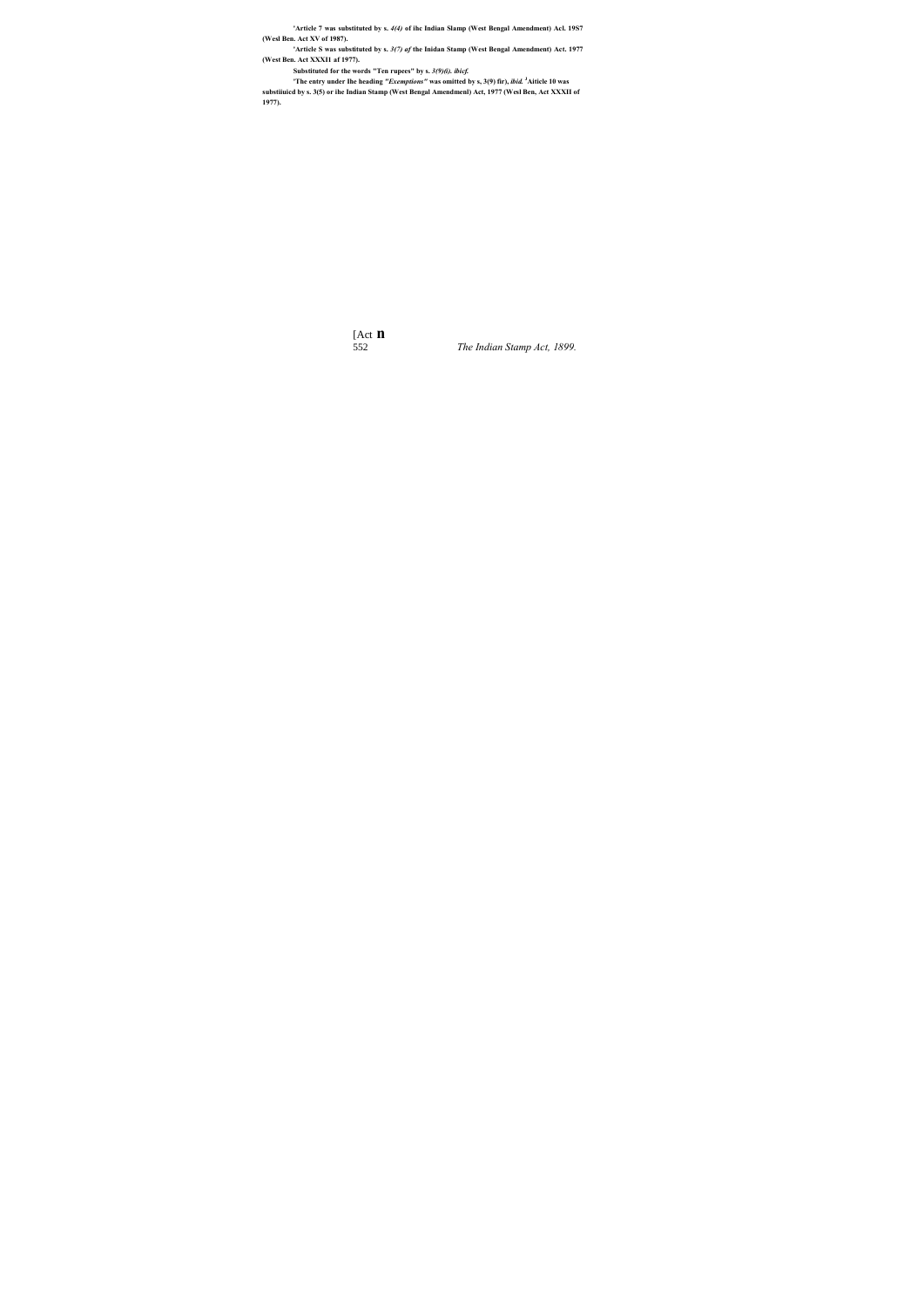552 *The Indian Stamp Act, 1899.*

**'Article 7 was substituted by s.** *4(4)* **of ihc Indian Slamp (West Bengal Amendment) Acl. 19S7 (Wesl Ben. Act XV of 1987).**

**'Article S was substituted by s.** *3(7) af* **the Inidan Stamp (West Bengal Amendment) Act. 1977 (West Ben. Act XXXI1 af 1977).**

**Substituted for the words "Ten rupees" by s.** *3(9)(i). ibicf.*

**'The entry under Ihe heading** *"Exemptions"* **was omitted by s, 3(9) fir),** *ibid.* **<sup>J</sup> Aiticle 10 was substiiuicd by s. 3(5) or ihe Indian Stamp (West Bengal Amendmenl) Act, 1977 (Wesl Ben, Act XXXII of** 

**1977).**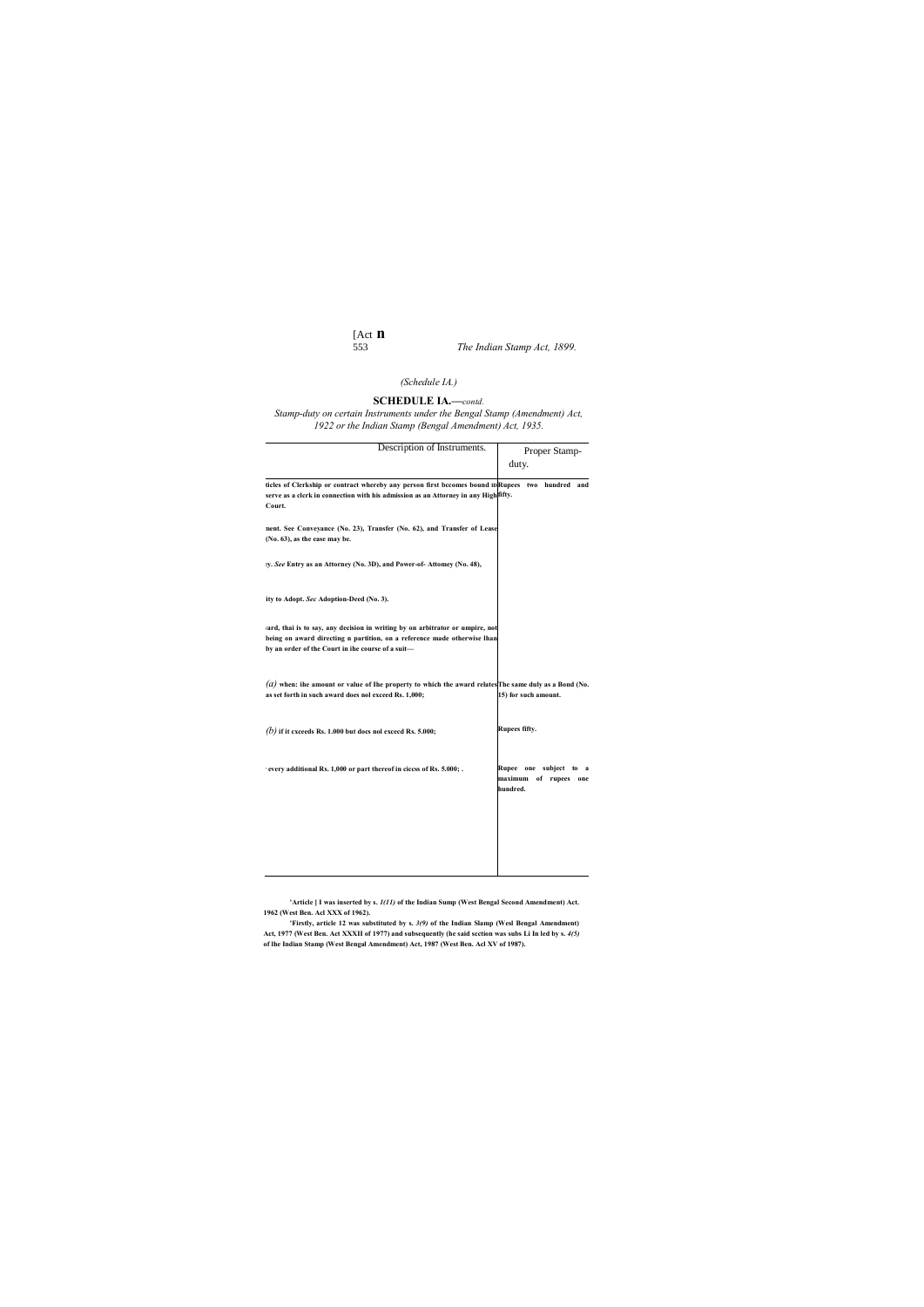553 *The Indian Stamp Act, 1899.*

*(Schedule IA.)*

## **SCHEDULE IA.—***contd.*

*Stamp-duty on certain Instruments under the Bengal Stamp (Amendment) Act, 1922 or the Indian Stamp (Bengal Amendment) Act, 1935.*

**'Article [ I was inserted by s.** *1(11)* **of the Indian Sump (West Bengal Second Amendment) Act. 1962 (West Ben. Acl XXX of 1962).**

**'Firstly, article 12 was substituted by s.** *3(9)* **of the Indian Slamp (Wesl Bengal Amendment) Act, 1977 (West Ben. Act XXXII of 1977) and subsequently (he said scction was subs Li In led by s.** *4(5)* **of lhe Indian Stamp (West Bengal Amendment) Act, 1987 (West Ben. Acl XV of 1987).**

| ticles of Clerkship or contract whereby any person first bccomes bound mRupees two hundred and                                  |
|---------------------------------------------------------------------------------------------------------------------------------|
|                                                                                                                                 |
|                                                                                                                                 |
|                                                                                                                                 |
|                                                                                                                                 |
|                                                                                                                                 |
|                                                                                                                                 |
| $(a)$ when: ihe amount or value of Ihe property to which the award relates The same duly as a Bond (No.<br>15) for such amount. |
|                                                                                                                                 |
| Rupee one subject<br>to a<br>of rupees<br>one                                                                                   |
|                                                                                                                                 |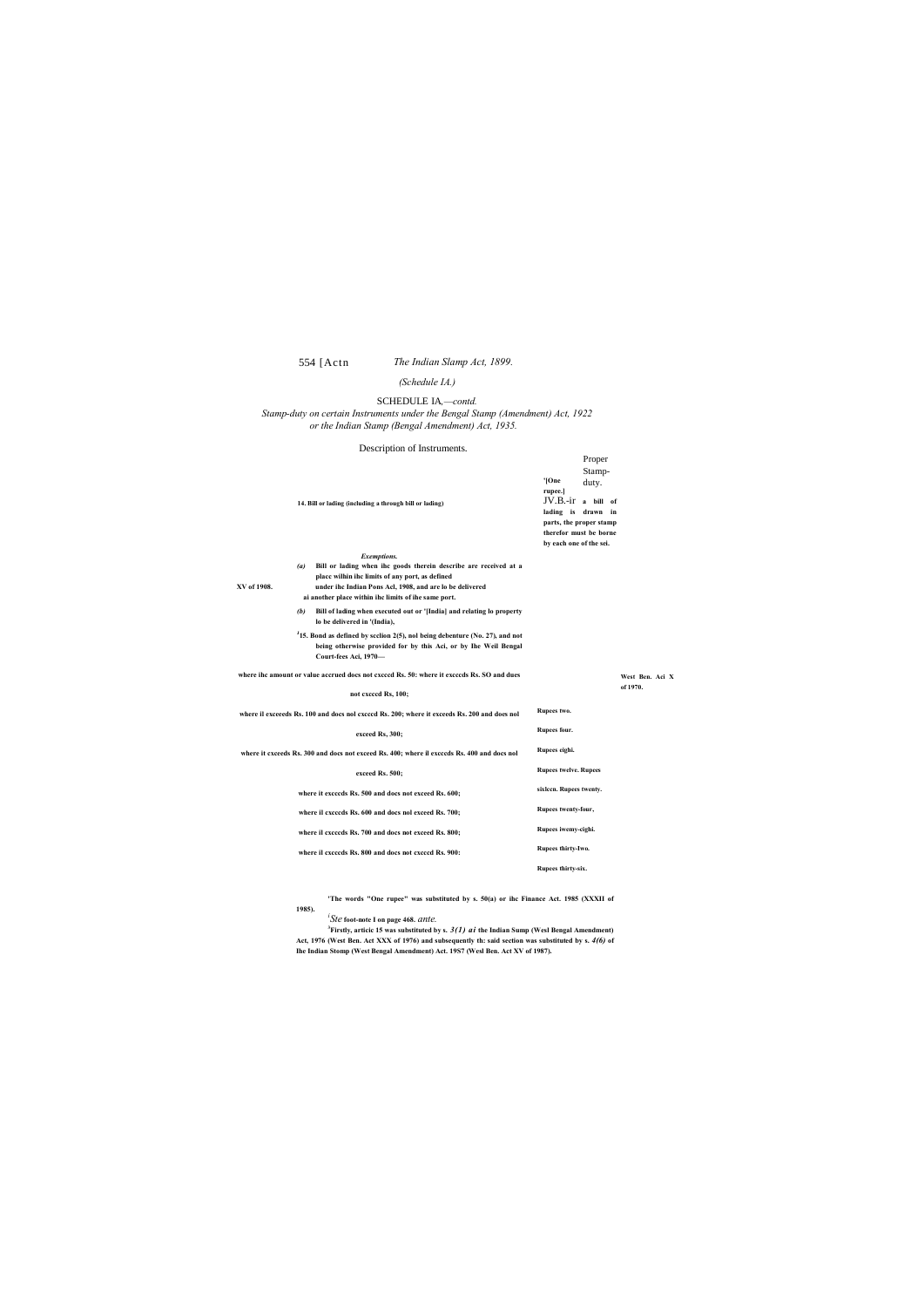554 [Actn *The Indian Slamp Act, 1899.*

Proper

## *(Schedule IA.)*

## SCHEDULE IA*,—contd.*

*Stamp-duty on certain Instruments under the Bengal Stamp (Amendment) Act, 1922 or the Indian Stamp (Bengal Amendment) Act, 1935.*

Description of Instruments.

|             | 14. Bill or lading (including a through bill or lading)                                                                                                                                                                                                                                                                                                    | Stamp-<br>'[One<br>duty.<br>rupee.]<br>$JV.B.-ir$ a bill of<br>lading is drawn in<br>parts, the proper stamp<br>therefor must be borne<br>by each one of the sei. |                             |
|-------------|------------------------------------------------------------------------------------------------------------------------------------------------------------------------------------------------------------------------------------------------------------------------------------------------------------------------------------------------------------|-------------------------------------------------------------------------------------------------------------------------------------------------------------------|-----------------------------|
| XV of 1908. | Exemptions.<br>Bill or lading when ihc goods therein describe are received at a<br>$\left(a\right)$<br>place wilhin ihe limits of any port, as defined<br>under ihc Indian Pons Acl, 1908, and are lo be delivered<br>ai another place within ihc limits of ihe same port.<br>Bill of lading when executed out or '[India] and relating lo property<br>(b) |                                                                                                                                                                   |                             |
|             | lo be delivered in '(India),<br>$15.$ Bond as defined by scclion 2(5), nol being debenture (No. 27), and not<br>being otherwise provided for by this Aci, or by Ihe Weil Bengal<br>Court-fees Aci, 1970-                                                                                                                                                   |                                                                                                                                                                   |                             |
|             | where ihc amount or value accrued docs not exceed Rs. 50: where it exceeds Rs. SO and dues                                                                                                                                                                                                                                                                 |                                                                                                                                                                   | West Ben. Aci X<br>of 1970. |
|             | not exceed Rs, 100;                                                                                                                                                                                                                                                                                                                                        |                                                                                                                                                                   |                             |
|             | where il exceeeds Rs. 100 and docs nol cxcccd Rs. 200; where it exceeds Rs. 200 and does nol                                                                                                                                                                                                                                                               | Rupees two.                                                                                                                                                       |                             |
|             | exceed Rs, 300;                                                                                                                                                                                                                                                                                                                                            | Rupees four.                                                                                                                                                      |                             |
|             | where it cxceeds Rs. 300 and docs not exceed Rs. 400; where il excccds Rs. 400 and docs nol                                                                                                                                                                                                                                                                | Rupees eighi.                                                                                                                                                     |                             |
|             | exceed Rs. 500;                                                                                                                                                                                                                                                                                                                                            | <b>Rupees twelve. Rupees</b>                                                                                                                                      |                             |
|             | where it exceeds Rs. 500 and docs not exceed Rs. 600;                                                                                                                                                                                                                                                                                                      | sixlccn. Rupees twenty.                                                                                                                                           |                             |
|             | where il cxcccds Rs. 600 and docs nol exceed Rs. 700;                                                                                                                                                                                                                                                                                                      | Rupees twenty-four,                                                                                                                                               |                             |
|             | where il cxcccds Rs. 700 and docs not exceed Rs. 800;                                                                                                                                                                                                                                                                                                      | Rupees iwemy-cighi.                                                                                                                                               |                             |
|             | where il cxcccds Rs. 800 and docs not cxcccd Rs. 900:                                                                                                                                                                                                                                                                                                      | Rupees thirty-Iwo.                                                                                                                                                |                             |
|             |                                                                                                                                                                                                                                                                                                                                                            | Rupees thirty-six.                                                                                                                                                |                             |

**'The words "One rupee" was substituted by s. 50(a) or ihc Finance Act. 1985 (XXXII of** 

**1985).** *<sup>i</sup> Ste* **foot-note I on page 468.** *ante.* **3 Firstly, articic 15 was substituted by s.** *3(1) ai* **the Indian Sump (Wesl Bengal Amendment) Act, 1976 (West Ben. Act XXX of 1976) and subsequently th: said section was substituted by s.** *4(6)* **of Ihe Indian Stomp (West Bengal Amendment) Act. 19S7 (Wesl Ben. Act XV of 1987).**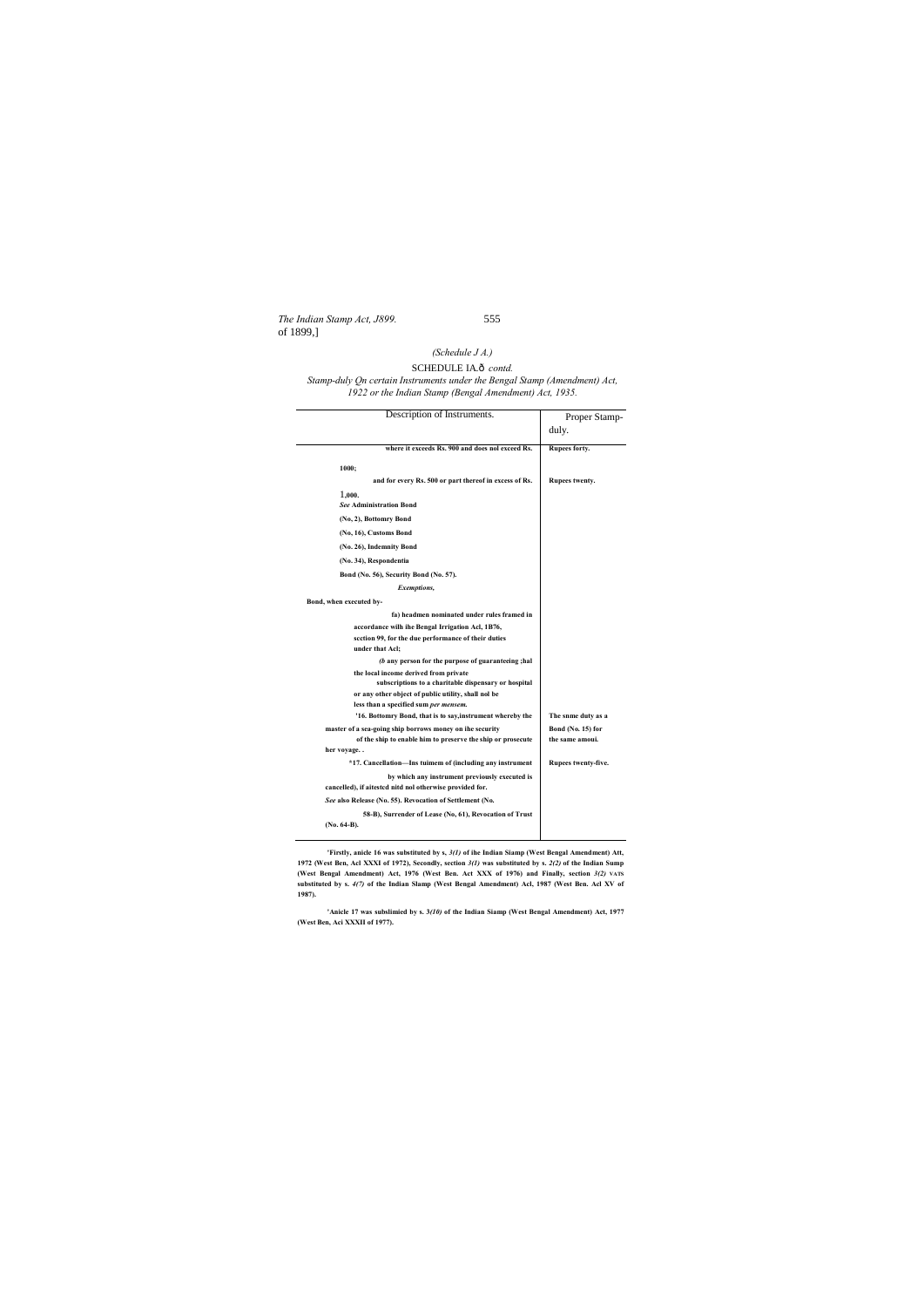*The Indian Stamp Act, J899.* 555 of 1899,]

## *(Schedule J A.)*

SCHEDULE IA. $\hat{o}$  contd. *Stamp-duly Qn certain Instruments under the Bengal Stamp (Amendment) Act,* 

*1922 or the Indian Stamp (Bengal Amendment) Act, 1935.*

**'Firstly, anicle 16 was substituted by s,** *3(1)* **of ihe Indian Siamp (West Bengal Amendment) Att, 1972 (West Ben, Acl XXXI of 1972), Secondly, section** *3(1)* **was substituted by s.** *2(2)* **of the Indian Sump (West Bengal Amendment) Act, 1976 (West Ben. Act XXX of 1976) and Finally, section** *3(2)* **VATS substituted by s.** *4(7)* **of the Indian Slamp (West Bengal Amendment) Acl, 1987 (West Ben. Acl XV of 1987).**

**'Anicle 17 was subslimied by s. 3***(10)* **of the Indian Siamp (West Bengal Amendment) Act, 1977 (West Ben, Aci XXXII of 1977).**

| Description of Instruments.                                                                                             | Proper Stamp-                        |
|-------------------------------------------------------------------------------------------------------------------------|--------------------------------------|
|                                                                                                                         | duly.                                |
| where it exceeds Rs. 900 and does nol exceed Rs.                                                                        | <b>Rupees forty.</b>                 |
| 1000;                                                                                                                   |                                      |
| and for every Rs. 500 or part thereof in excess of Rs.                                                                  | <b>Rupees twenty.</b>                |
| 1,000.                                                                                                                  |                                      |
| See Administration Bond                                                                                                 |                                      |
| (No, 2), Bottomry Bond                                                                                                  |                                      |
| (No, 16), Customs Bond                                                                                                  |                                      |
| (No. 26), Indemnity Bond                                                                                                |                                      |
| (No. 34), Respondentia                                                                                                  |                                      |
| Bond (No. 56), Security Bond (No. 57).                                                                                  |                                      |
| Exemptions,                                                                                                             |                                      |
| Bond, when executed by-                                                                                                 |                                      |
| fa) headmen nominated under rules framed in                                                                             |                                      |
| accordance wilh ihe Bengal Irrigation Acl, 1B76,                                                                        |                                      |
| section 99, for the due performance of their duties                                                                     |                                      |
| under that Acl;                                                                                                         |                                      |
| (b any person for the purpose of guaranteeing; hal                                                                      |                                      |
| the local income derived from private<br>subscriptions to a charitable dispensary or hospital                           |                                      |
| or any other object of public utility, shall nol be                                                                     |                                      |
| less than a specified sum per mensem.                                                                                   |                                      |
| '16. Bottomry Bond, that is to say, instrument whereby the                                                              | The snme duty as a                   |
| master of a sea-going ship borrows money on ihe security<br>of the ship to enable him to preserve the ship or prosecute | Bond (No. 15) for<br>the same amoui. |
| her voyage                                                                                                              |                                      |
| *17. Cancellation—Ins tuimem of (including any instrument                                                               | Rupees twenty-five.                  |
| by which any instrument previously executed is                                                                          |                                      |
| cancelled), if aitested nitd nol otherwise provided for.                                                                |                                      |
| See also Release (No. 55). Revocation of Settlement (No.                                                                |                                      |
| 58-B), Surrender of Lease (No, 61), Revocation of Trust                                                                 |                                      |
| $(No. 64-B).$                                                                                                           |                                      |
|                                                                                                                         |                                      |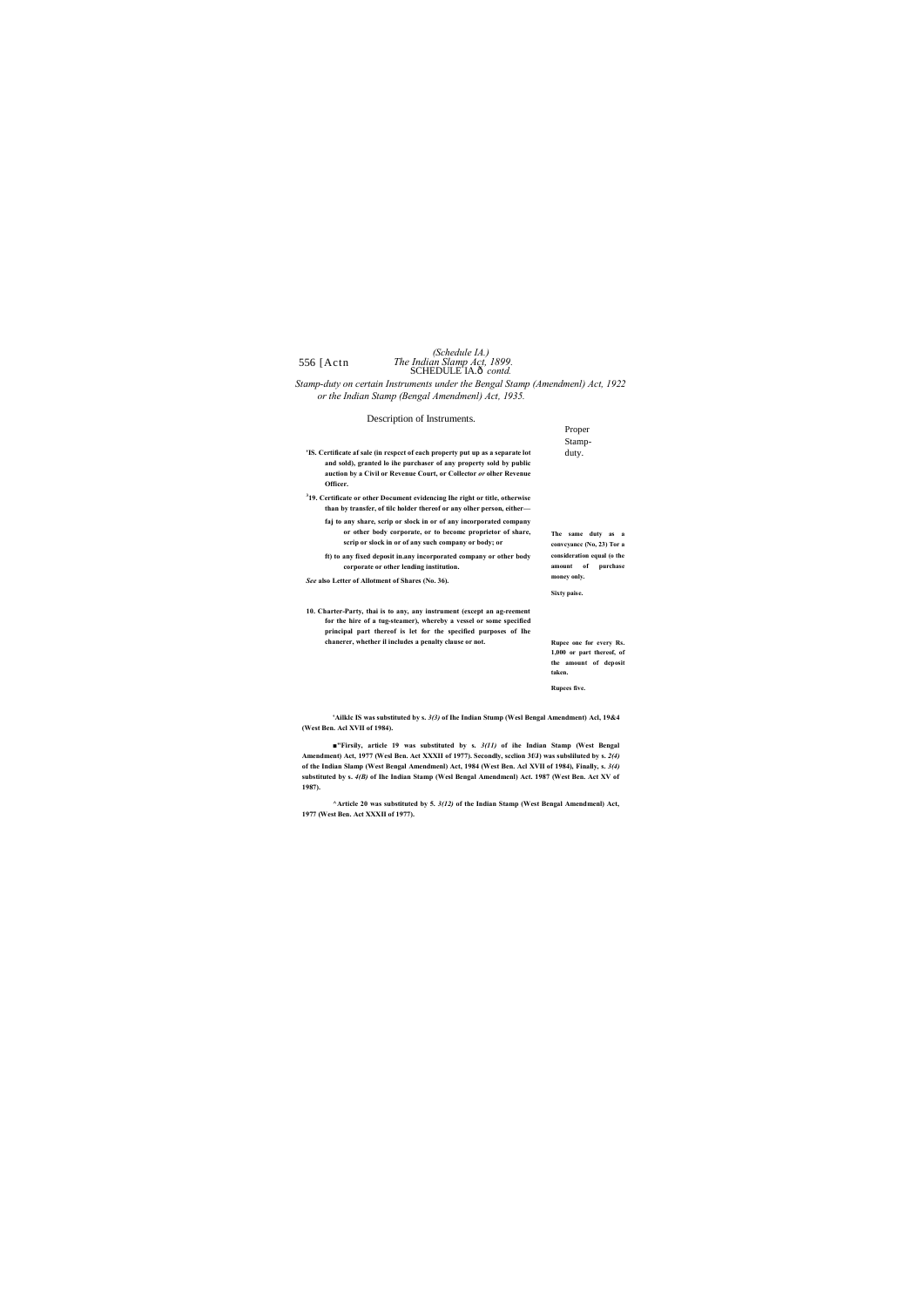Proper

### 556 [Actn *The Indian Slamp Act, 1899. (Schedule IA.)* SCHEDULE IA.—*contd.*

**1,000 or part thereof, of the amount of deposit taken.**

**Rupees five.**

*Stamp-duty on certain Instruments under the Bengal Stamp (Amendmenl) Act, 1922 or the Indian Stamp (Bengal Amendmenl) Act, 1935.*

Description of Instruments.

|                                                                                                                                                                                                                                        | Stamp-                                                 |
|----------------------------------------------------------------------------------------------------------------------------------------------------------------------------------------------------------------------------------------|--------------------------------------------------------|
| 'IS. Certificate af sale (in respect of each property put up as a separate lot<br>and sold), granted lo ihe purchaser of any property sold by public<br>auction by a Civil or Revenue Court, or Collector or olher Revenue<br>Officer. | duty.                                                  |
| <sup>3</sup> 19. Certificate or other Document evidencing Ihe right or title, otherwise<br>than by transfer, of tile holder thereof or any olher person, either-                                                                       |                                                        |
| faj to any share, scrip or slock in or of any incorporated company<br>or other body corporate, or to become proprietor of share,<br>scrip or slock in or of any such company or body; or                                               | The same duty as a<br>conveyance (No, 23) Tor a        |
| ft) to any fixed deposit in any incorporated company or other body<br>corporate or other lending institution.                                                                                                                          | consideration equal (o the<br>of<br>purchase<br>amount |
| See also Letter of Allotment of Shares (No. 36).                                                                                                                                                                                       | money only.                                            |
|                                                                                                                                                                                                                                        | Sixty paise.                                           |
| 10. Charter-Party, thai is to any, any instrument (except an ag-reement                                                                                                                                                                |                                                        |
| for the hire of a tug-steamer), whereby a vessel or some specified                                                                                                                                                                     |                                                        |
| principal part thereof is let for the specified purposes of Ihe                                                                                                                                                                        |                                                        |
| chanerer, whether il includes a penalty clause or not.                                                                                                                                                                                 | Rupee one for every Rs.                                |
|                                                                                                                                                                                                                                        | $1.000 \rightarrow \infty$ and though of               |

**'Ailklc IS was substituted by s.** *3(3)* **of Ihe Indian Stump (Wesl Bengal Amendment) Acl, 19&4 (West Ben. Acl XVII of 1984).**

**■"Firsily, article 19 was substituted by s.** *3(11)* **of ihe Indian Stamp (West Bengal Amendment) Act, 1977 (Wesl Ben. Act XXXII of 1977). Secondly, scclion 3f/J) was subsliluted by s.** *2(4)* **of the Indian Slamp (West Bengal Amendmenl) Act, 1984 (West Ben. Acl XVII of 1984), Finally, s.** *3(4)* **substituted by s.** *4(B)* **of Ihe Indian Stamp (Wesl Bengal Amendmenl) Act. 1987 (West Ben. Act XV of 1987).**

**^Article 20 was substituted by 5.** *3(12)* **of the Indian Stamp (West Bengal Amendmenl) Act, 1977 (West Ben. Act XXXII of 1977).**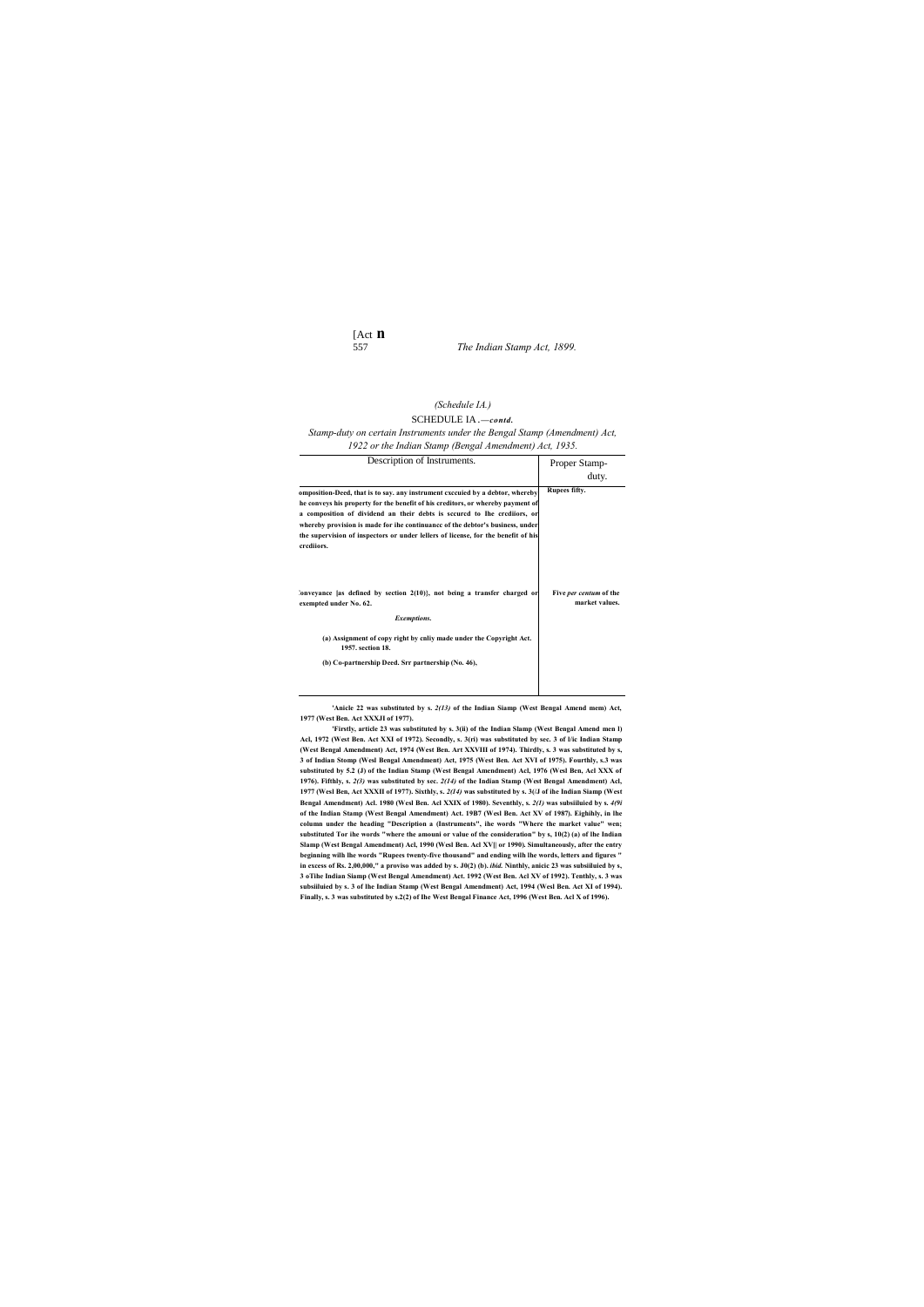557 *The Indian Stamp Act, 1899.*

### *(Schedule IA.)*

## SCHEDULE IA *.—contd.*

*Stamp-duty on certain Instruments under the Bengal Stamp (Amendment) Act, 1922 or the Indian Stamp (Bengal Amendment) Act, 1935.*

**'Anicle 22 was substituted by s.** *2(13)* **of the Indian Siamp (West Bengal Amend mem) Act, 1977 (West Ben. Act XXXJI of 1977).**

| Description of Instruments.                                                                            | Proper Stamp-                            |
|--------------------------------------------------------------------------------------------------------|------------------------------------------|
|                                                                                                        | duty.                                    |
| omposition-Deed, that is to say. any instrument execuied by a debtor, whereby                          | Rupees fifty.                            |
| he conveys his property for the benefit of his creditors, or whereby payment of                        |                                          |
| a composition of dividend an their debts is secured to lhe crediiors, or                               |                                          |
| whereby provision is made for ihe continuance of the debtor's business, under                          |                                          |
| the supervision of inspectors or under lellers of license, for the benefit of his<br>crediiors.        |                                          |
| lonveyance [as defined by section $2(10)$ }, not being a transfer charged or<br>exempted under No. 62. | Five per centum of the<br>market values. |
| Exemptions.                                                                                            |                                          |
| (a) Assignment of copy right by cnliy made under the Copyright Act.<br>1957. section 18.               |                                          |
| (b) Co-partnership Deed. Srr partnership (No. 46),                                                     |                                          |
|                                                                                                        |                                          |

**<sup>&#</sup>x27;Firstly, article 23 was substituted by s. 3(ii) of the Indian Slamp (West Bengal Amend men l) Acl, 1972 (West Ben. Act XXI of 1972). Secondly, s. 3(ri) was substituted by sec. 3 of l/ic Indian Stamp (West Bengal Amendment) Act, 1974 (West Ben. Art XXVIII of 1974). Thirdly, s. 3 was substituted by s, 3 of Indian Stomp (Wesl Bengal Amendment) Act, 1975 (West Ben. Act XVI of 1975). Fourthly, s.3 was substituted by 5.2 (J) of the Indian Stamp (West Bengal Amendment) Acl, 1976 (Wesl Ben, Acl XXX of 1976). Fifthly, s.** *2(3)* **was substituted by sec.** *2(14)* **of the Indian Stamp (West Bengal Amendment) Acl, 1977 (Wesl Ben, Act XXXII of 1977). Sixthly, s.** *2(14)* **was substituted by s. 3(/J of ihe Indian Siamp (West Bengal Amendment) Acl. 1980 (Wesl Ben. Acl XXIX of 1980). Seventhly, s.** *2(1)* **was subsiiluied by s.** *4(9i* **of the Indian Stamp (West Bengal Amendment) Act. 19B7 (Wesl Ben. Act XV of 1987). Eighihly, in lhe column under the heading "Description a (Instruments", ihe words "Where the market value" wen; substituted Tor ihe words "where the amouni or value of the consideration" by s, 10(2) (a) of lhe Indian Slamp (West Bengal Amendment) Acl, 1990 (Wesl Ben. Acl XV[| or 1990). Simultaneously, after the entry beginning wilh lhe words "Rupees twenty-five thousand" and ending wilh lhe words, letters and figures " in excess of Rs. 2,00,000," a proviso was added by s. J0(2) (b).** *ibid.* **Ninthly, anicic 23 was subsiiluied by s, 3 oTihe Indian Siamp (West Bengal Amendment) Act. 1992 (West Ben. Acl XV of 1992). Tenthly, s. 3 was subsiiluied by s. 3 of lhe Indian Stamp (West Bengal Amendment) Act, 1994 (Wesl Ben. Act XI of 1994). Finally, s. 3 was substituted by s.2(2) of Ihe West Bengal Finance Act, 1996 (West Ben. Acl X of 1996).**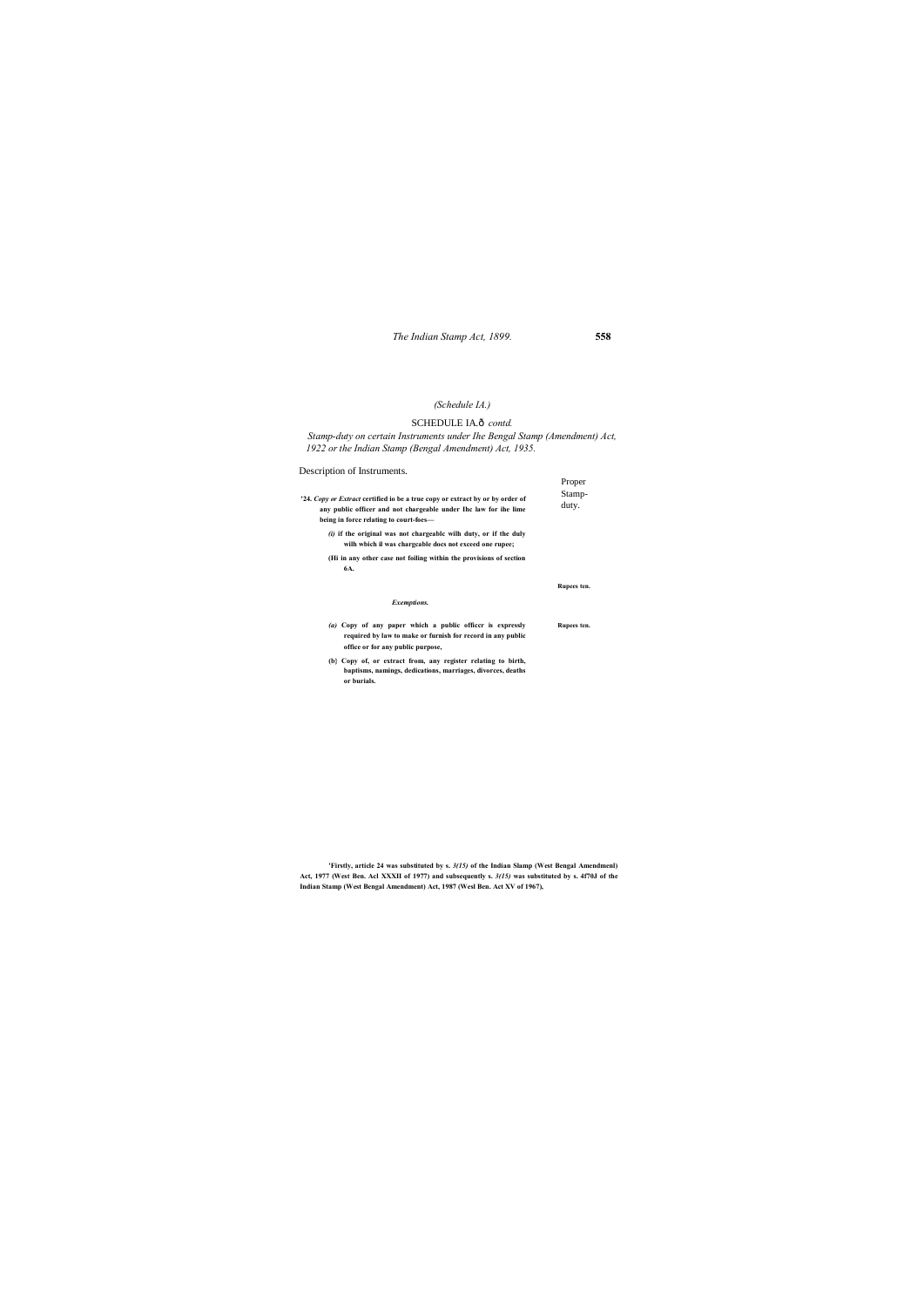## *The Indian Stamp Act, 1899.* **558**

## *(Schedule IA.)*

## SCHEDULE IA. $\hat{o}$  contd. *Stamp-duty on certain Instruments under Ihe Bengal Stamp (Amendment) Act, 1922 or the Indian Stamp (Bengal Amendment) Act, 1935.*

### Proper Stampduty. **Rupees ten. Rupees ten.** Description of Instruments. **'24.** *Copy or Extract* **certified io be a true copy or extract by or by order of any public officer and not chargeable under Ihc law for ihe lime being in force relating to court-foes—** *(i)* **if the original was not chargeablc wilh duty, or if the duly wilh wbich il was chargcable docs not exceed one rupee; (Hi in any other case not foiling within the provisions of section 6A.** *Exemptions. (a)* **Copy of any paper which a public officcr is expressly required by law to make or furnish for record in any public office or for any public purpose,**

**(b} Copy of, or extract from, any register relating to birth, baptisms, namings, dedications, marriages, divorces, deaths or burials.**

**'Firstly, article 24 was substituted by s.** *3(15)* **of the Indian Slamp (West Bengal Amendmenl) Act, 1977 (West Ben. Acl XXXII of 1977) and subsequently s.** *3(15)* **was substituted by s. 4f70J of the Indian Stamp (West Bengal Amendment) Act, 1987 (Wesl Ben. Act XV of 1967),**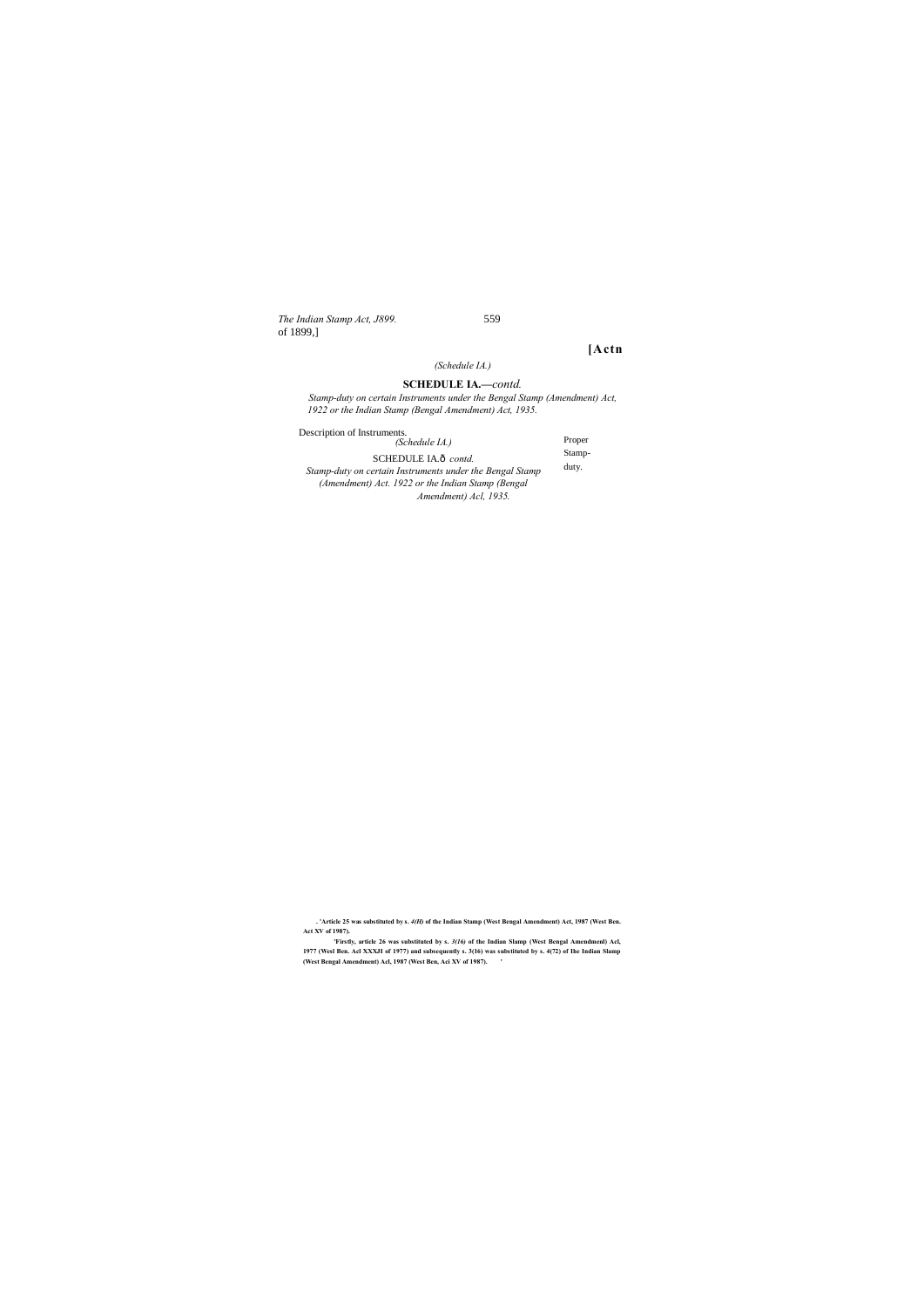*The Indian Stamp Act, J899.* 559 of 1899,]

**[Actn**

**. 'Article 25 was substituted by s.** *4(H)* **of the Indian Stamp (West Bengal Amendment) Act, 1987 (West Ben. Act XV of 1987).**

**'Firstly, article 26 was substituted by s.** *3(16)* **of the Indian Slamp (West Bengal Amendmenl) Acl, 1977 (Wesl Ben. Acl XXXJI of 1977) and subsequently s. 3(16) was substituted by s. 4(72) of Ihe Indian Slamp (West Bengal Amendment) Acl, 1987 (West Ben, Aci XV of 1987). '**

Proper Stampduty. Description of Instruments. *(Schedule IA.)* SCHEDULE IA. $\hat{o}$  contd. *Stamp-duty on certain Instruments under the Bengal Stamp (Amendment) Act. 1922 or the Indian Stamp (Bengal Amendment) Acl, 1935.*

## *(Schedule IA.)*

## **SCHEDULE IA.—***contd.*

*Stamp-duty on certain Instruments under the Bengal Stamp (Amendment) Act, 1922 or the Indian Stamp (Bengal Amendment) Act, 1935.*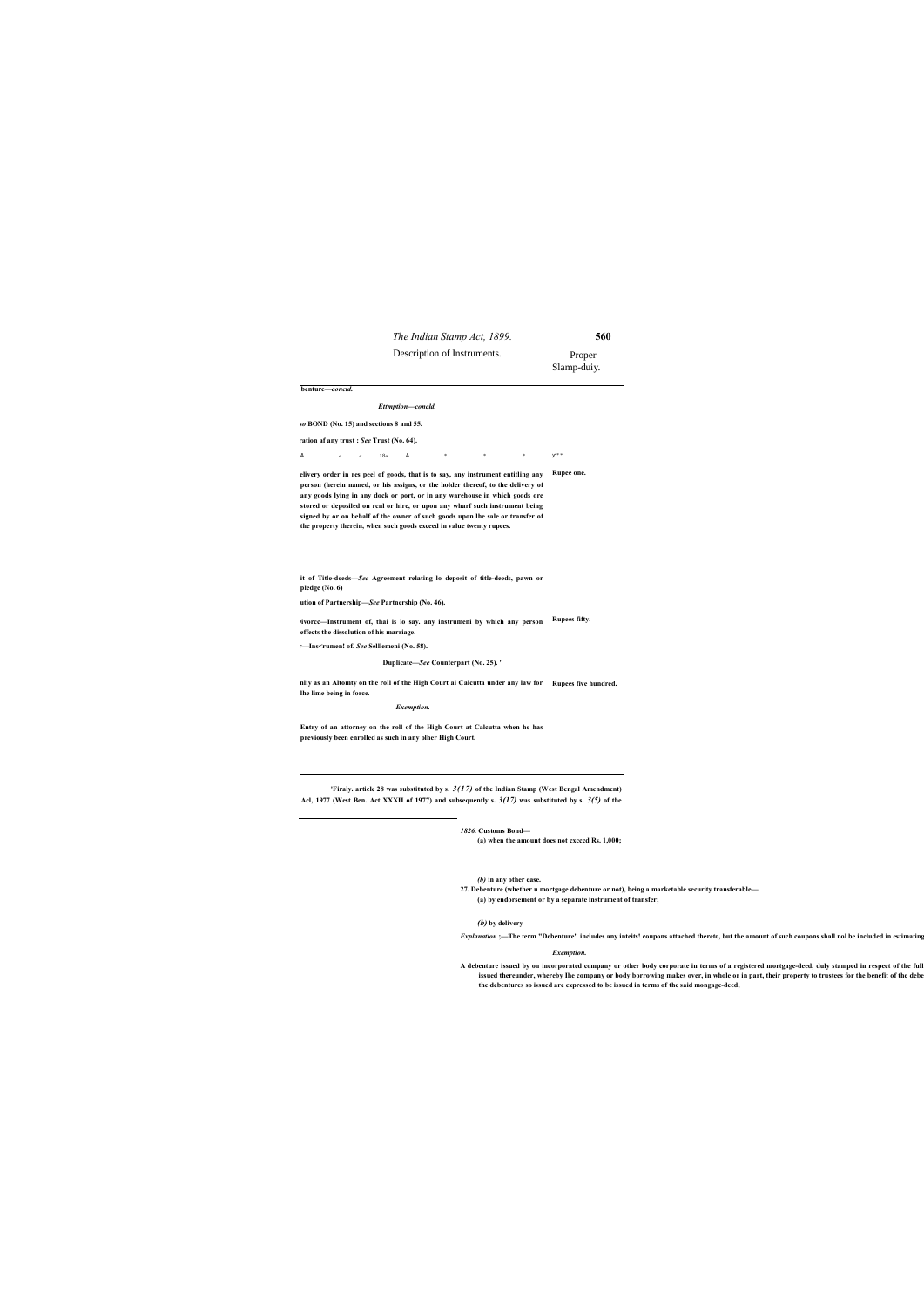**'Firaly. article 28 was substituted by s.** *3(17)* **of the Indian Stamp (West Bengal Amendment) Acl, 1977 (West Ben. Act XXXII of 1977) and subsequently s.** *3(17)* **was substituted by s.** *3(5)* **of the** 

 $\overline{a}$ 

*1826.* **Customs Bond—**

**(a) when the amount does not cxcccd Rs. 1,000;**

*(b)* **in any other ease.**

**27. Debenture (whether u mortgage debenture or not), being a marketable security transferable— (a) by endorsement or by a separate instrument of transfer;**

*(b)* **by delivery**

A debenture issued by on incorporated company or other body corporate in terms of a registered mortgage-deed, duly stamped in respect of the full issued thereunder, whereby Ihe company or body borrowing makes over, in whole or in part, their property to trustees for the benefit of the debe **the debentures so issued are expressed to be issued in terms of the said mongage-deed,**

*Explanation* **;—The term "Debenture" includes any inteits! coupons attached thereto, but the amount of such coupons shall nol be included in estimating the duty.**

*Exemption.*

## *The Indian Stamp Act, 1899.* **560** Description of Instruments. Proper Slamp-duiy.  $b$ enture—*conctd*. *Ettmption—concld. See also* **BOND (No. 15) and sections 8 and 55.** ration af any trust : See Trust (No. 64). • « « 18« • \* \* \* *\** \* **28. Delivery order in res peel of goods, that is to say, any instrument entitling any**  person (herein named, or his assigns, or the holder thereof, to the delivery of **any goods lying in any dock or port, or in any warehouse in which goods ore stored or deposiled on rcnl or hire, or upon any wharf such instrument being**  signed by or on behalf of the owner of such goods upon lhe sale or transfer of **the property therein, when such goods exceed in value twenty rupees. Rupee one. Deposit of Title-deeds—***See* **Agreement relating lo deposit of title-deeds, pawn or pledge (No. 6) Dissolution of Partnership—***See* **Partnership (No. 46). 29. Divorcc—Instrument of, thai is lo say. any instrumeni by which any person Rupees fifty. effects the dissolution of his marriage. Dower—Ins<rumen! of.** *See* **Selllemeni (No. 58). Duplicate—***See* **Counterpart (No. 25). ' 30. Enliy as an Altomty on the roll of the High Court ai Calcutta under any law for Rupees five hundred. lhe lime being in force.** *Exemption.* **Entry of an attorney on the roll of the High Court at Calcutta when he has previously been enrolled as such in any olher High Court.**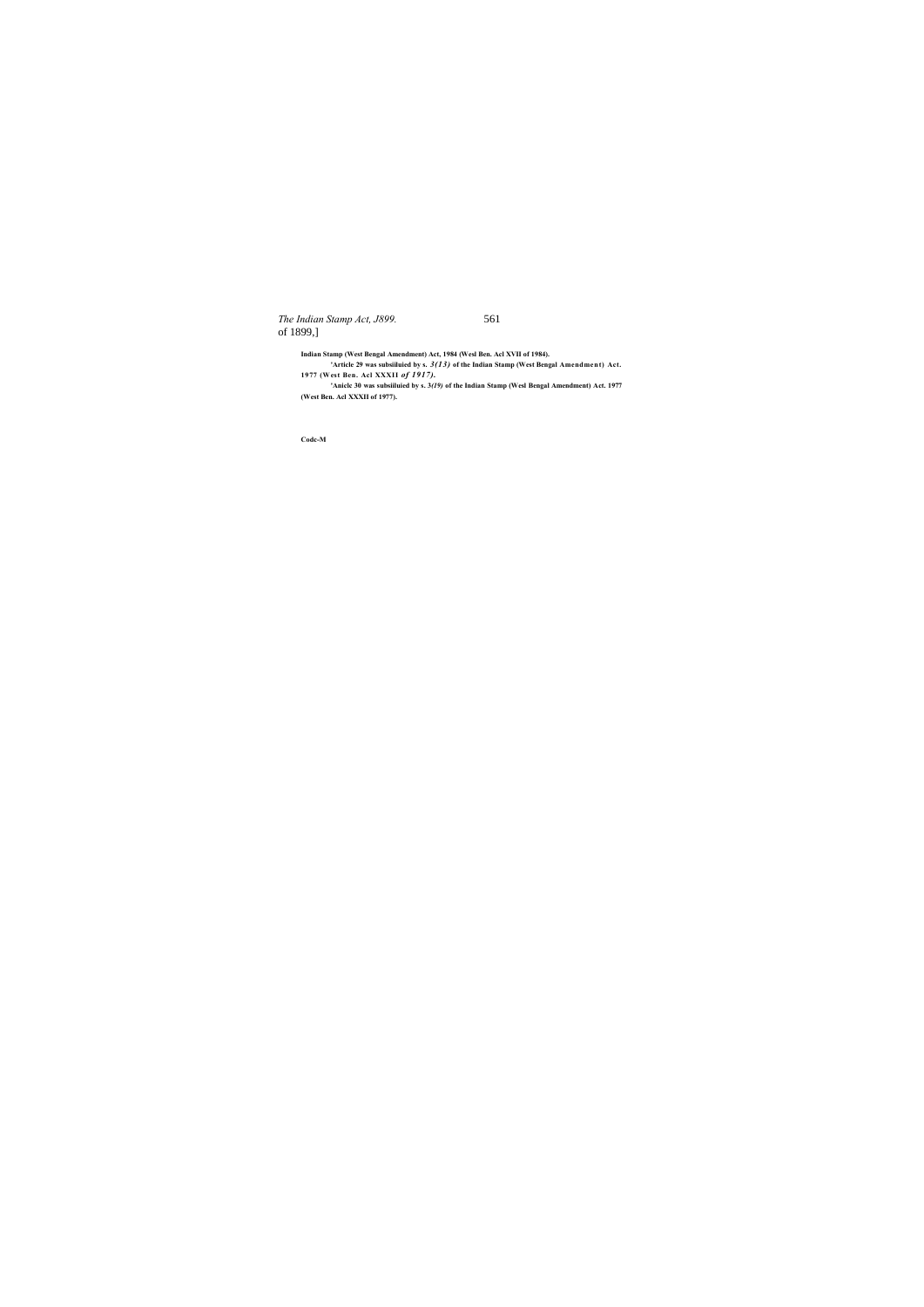*The Indian Stamp Act, J899.* 561 of 1899,]

**Indian Stamp (West Bengal Amendment) Act, 1984 (Wesl Ben. Acl XVII of 1984).**

**'Article 29 was subsiiluied by s.** *3(13)* **of the Indian Stamp (West Bengal Amendment) Act. 1977 (West Ben. Acl XXXII** *of 1917).*

**'Aniclc 30 was subsiiluied by s. 3***(19)* **of the Indian Stamp (Wesl Bengal Amendment) Act. 1977 (West Ben. Acl XXXII of 1977).**

**Codc-M**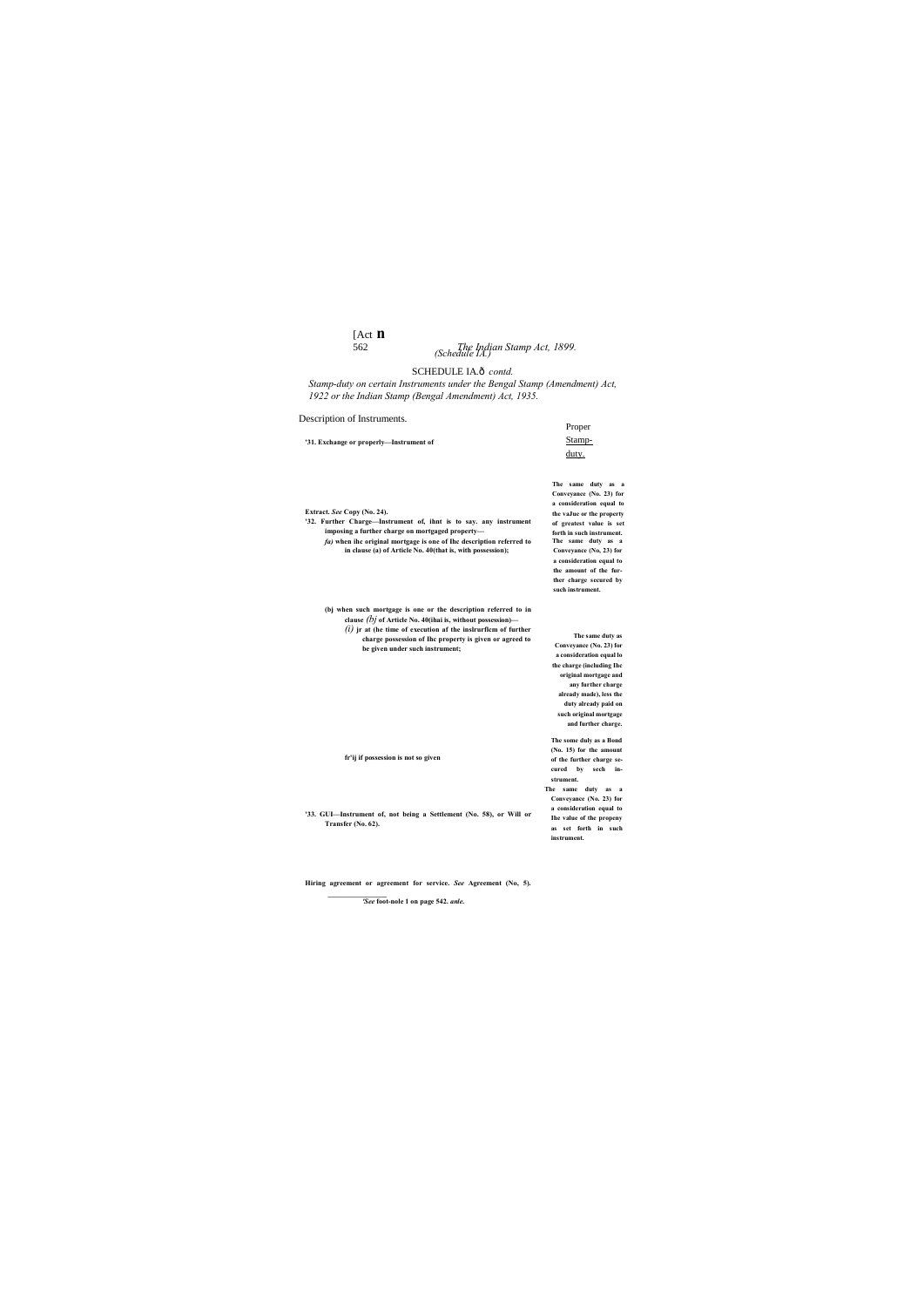**The same duty as a** 

SCHEDULE IA. $\hat{o}$  contd.

## 562 *The Indian Stamp Act, 1899. (Schedule IA.)*

| ремирнон от шминисть.                   | Proper       |
|-----------------------------------------|--------------|
| '31. Exchange or properly-Instrument of | Stamp-       |
|                                         | <u>duty.</u> |
|                                         |              |

| Extract. See Copy (No. 24).<br>'32. Further Charge—Instrument of, ihnt is to say. any instrument<br>imposing a further charge on mortgaged property-<br><i>fa</i> ) when ihe original mortgage is one of Ihe description referred to<br>in clause (a) of Article No. 40(that is, with possession); | Conveyance (No. 23) for<br>a consideration equal to<br>the vaJue or the property<br>of greatest value is set<br>forth in such instrument.<br>The same duty as a<br>Conveyance (No, 23) for<br>a consideration equal to<br>the amount of the fur-<br>ther charge secured by<br>such instrument. |
|----------------------------------------------------------------------------------------------------------------------------------------------------------------------------------------------------------------------------------------------------------------------------------------------------|------------------------------------------------------------------------------------------------------------------------------------------------------------------------------------------------------------------------------------------------------------------------------------------------|
| (bj when such mortgage is one or the description referred to in<br>clause $(bj$ of Article No. 40(ihai is, without possession)-<br>$(i)$ jr at (he time of execution af the inslrurflem of further<br>charge possession of Ihc property is given or agreed to<br>be given under such instrument;   | The same duty as<br>Conveyance (No. 23) for<br>a consideration equal lo<br>the charge (including Ihc<br>original mortgage and<br>any further charge<br>already made), less the<br>duty already paid on<br>such original mortgage<br>and further charge.                                        |
| fr'ij if possession is not so given                                                                                                                                                                                                                                                                | The some duly as a Bond<br>(No. 15) for the amount<br>of the further charge se-<br>cured<br>by<br>sech<br>in-<br>strument.                                                                                                                                                                     |
| '33. GUI-Instrument of, not being a Settlement (No. 58), or Will or<br>Transfer (No. 62).                                                                                                                                                                                                          | duty<br>The<br>same<br>as<br>a<br>Conveyance (No. 23) for<br>a consideration equal to<br>The value of the propeny<br>set forth in such<br>as<br>instrument.                                                                                                                                    |

*Stamp-duty on certain Instruments under the Bengal Stamp (Amendment) Act, 1922 or the Indian Stamp (Bengal Amendment) Act, 1935.*

Description of Instruments.

**Hiring agreement or agreement for service.** *See* **Agreement (No, 5).** 

**\_\_\_\_\_\_\_\_\_\_\_\_\_\_\_\_** *'See* **foot-nole 1 on page 542.** *anle.*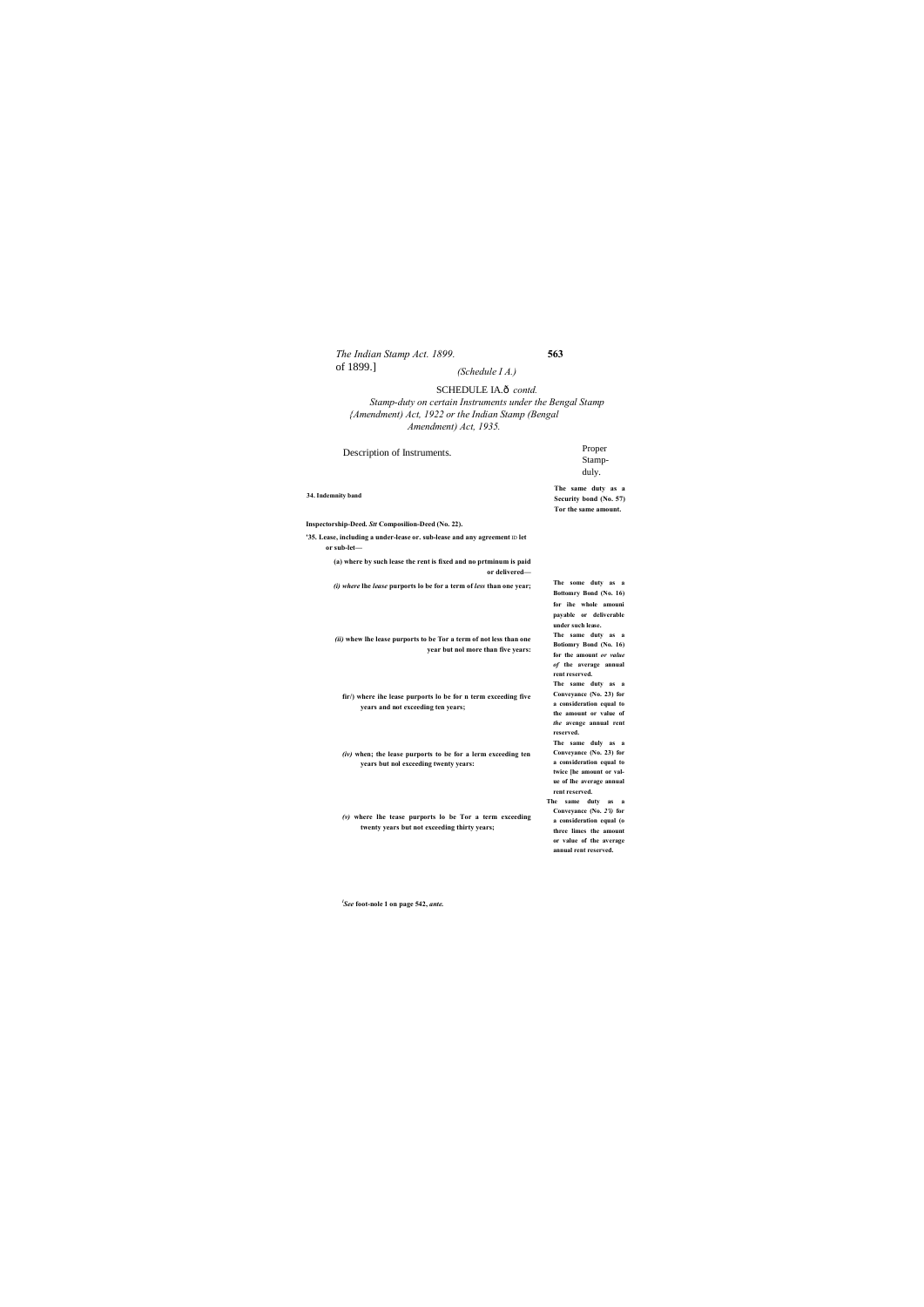Proper

### *The Indian Stamp Act. 1899.* **563** of 1899.] *(Schedule I A.)*

SCHEDULE IA. $\hat{o}$  contd. *Stamp-duty on certain Instruments under the Bengal Stamp {Amendment) Act, 1922 or the Indian Stamp (Bengal Amendment) Act, 1935.*

| Description of Instruments.                                                                               | Proper                                                                                                                                                                        |  |
|-----------------------------------------------------------------------------------------------------------|-------------------------------------------------------------------------------------------------------------------------------------------------------------------------------|--|
|                                                                                                           | Stamp-                                                                                                                                                                        |  |
|                                                                                                           | duly.                                                                                                                                                                         |  |
| 34. Indemnity band                                                                                        | The same duty as a<br>Security bond (No. 57)<br>Tor the same amount.                                                                                                          |  |
| Inspectorship-Deed. Stt Composilion-Deed (No. 22).                                                        |                                                                                                                                                                               |  |
| '35. Lease, including a under-lease or. sub-lease and any agreement <b>D</b> let<br>or sub-let-           |                                                                                                                                                                               |  |
| (a) where by such lease the rent is fixed and no prtminum is paid                                         |                                                                                                                                                                               |  |
| or delivered—                                                                                             |                                                                                                                                                                               |  |
| (i) where lhe lease purports lo be for a term of less than one year;                                      | The some duty as a<br>Bottomry Bond (No. 16)<br>for ihe whole amouni<br>payable or deliverable                                                                                |  |
| (ii) whew lhe lease purports to be Tor a term of not less than one<br>year but nol more than five years:  | under such lease.<br>The same duty as a<br>Botiomry Bond (No. 16)<br>for the amount or value<br>of the average annual<br>rent reserved.                                       |  |
| fir/) where ihe lease purports lo be for n term exceeding five<br>years and not exceeding ten years;      | The same duty as a<br>Conveyance (No. 23) for<br>a consideration equal to<br>the amount or value of<br>the avenge annual rent                                                 |  |
| (iv) when; the lease purports to be for a lerm exceeding ten<br>years but nol exceeding twenty years:     | reserved.<br>The same duly as a<br>Conveyance (No. 23) for<br>a consideration equal to<br>twice [he amount or val-<br>ue of lhe average annual                                |  |
| $(v)$ where lhe tease purports lo be Tor a term exceeding<br>twenty years but not exceeding thirty years; | rent reserved.<br>The same duty<br>as a<br>Conveyance (No. 2'i) for<br>a consideration equal (o<br>three limes the amount<br>or value of the average<br>annual rent reserved. |  |

*l See* **foot-nole 1 on page 542,** *ante.*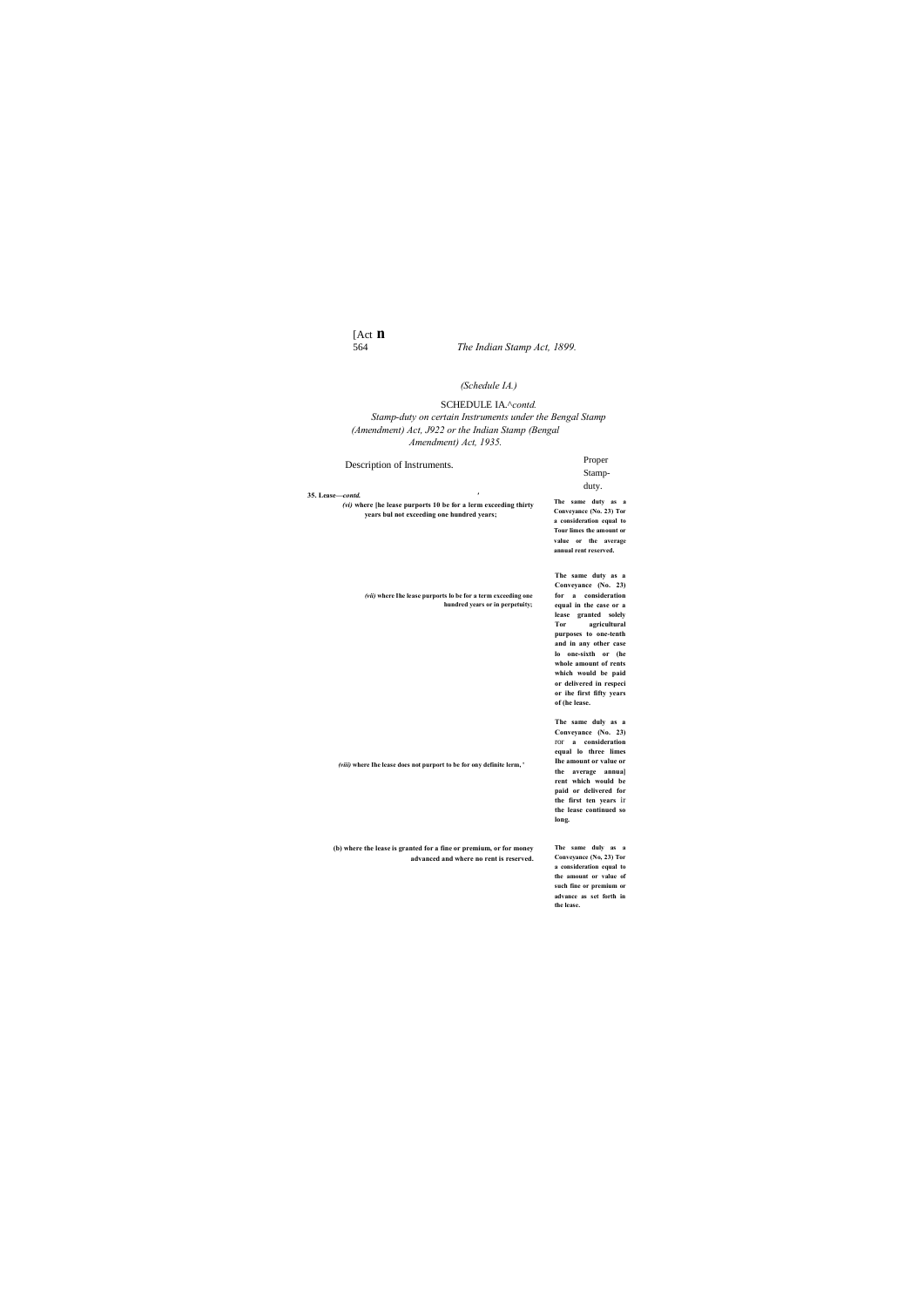564 *The Indian Stamp Act, 1899.*

**such fine or premium or advance as set forth in the lease.**

## *(Schedule IA.)*

## SCHEDULE IA.^*contd. Stamp-duty on certain Instruments under the Bengal Stamp (Amendment) Act, J922 or the Indian Stamp (Bengal Amendment) Act, 1935.*

| Description of Instruments.<br>$\mathbf{r}$<br>35. Lease— <i>contd</i> .<br>(vi) where [he lease purports 10 be for a lerm exceeding thirty<br>years bul not exceeding one hundred years; | Proper<br>Stamp-<br>duty.<br>The same duty as a<br>Conveyance (No. 23) Tor<br>a consideration equal to<br>Tour limes the amount or<br>value or the average<br>annual rent reserved.                                                                                                                                                                         |
|-------------------------------------------------------------------------------------------------------------------------------------------------------------------------------------------|-------------------------------------------------------------------------------------------------------------------------------------------------------------------------------------------------------------------------------------------------------------------------------------------------------------------------------------------------------------|
| (vii) where Ihe lease purports lo be for a term exceeding one<br>hundred years or in perpetuity;                                                                                          | The same duty as a<br>Conveyance (No. 23)<br>consideration<br>$\mathbf{a}$<br>for<br>equal in the case or a<br>lease granted solely<br>agricultural<br>Tor<br>purposes to one-tenth<br>and in any other case<br>lo one-sixth or (he<br>whole amount of rents<br>which would be paid<br>or delivered in respeci<br>or ihe first fifty years<br>of (he lease. |
| (viii) where Ihe lease does not purport to be for ony definite lerm, '                                                                                                                    | The same duly as a<br>Conveyance (No. 23)<br>a consideration<br>ror<br>equal lo three limes<br>The amount or value or<br>the<br>average annual<br>rent which would be<br>paid or delivered for<br>the first ten years in<br>the lease continued so<br>long.                                                                                                 |
| (b) where the lease is granted for a fine or premium, or for money<br>advanced and where no rent is reserved.                                                                             | The same duly as a<br>Conveyance (No, 23) Tor<br>a consideration equal to<br>the amount or value of<br>such fine or premium or                                                                                                                                                                                                                              |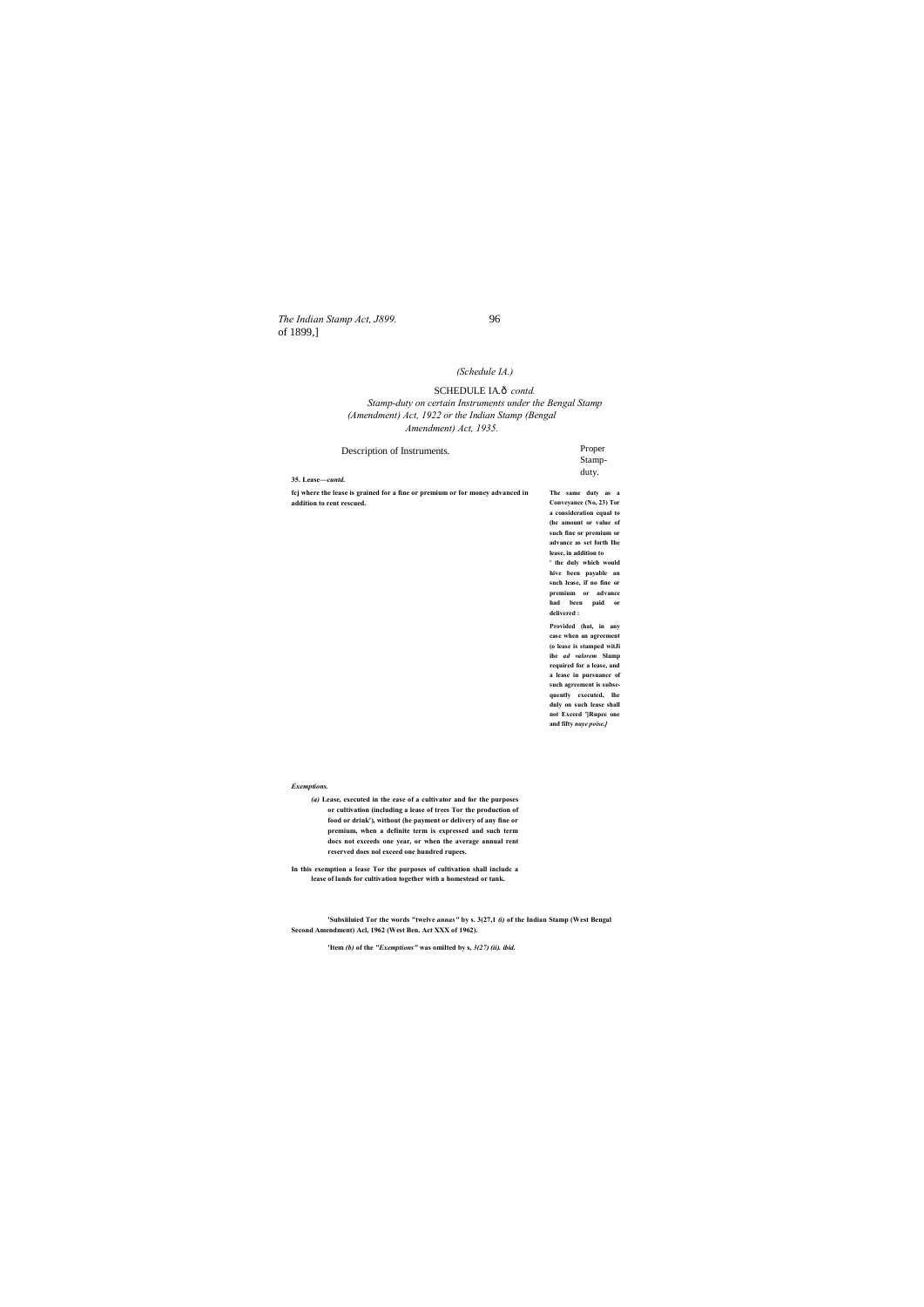*The Indian Stamp Act, J899.* 96 of 1899,]

## SCHEDULE IA. $\hat{o}$  contd. *Stamp-duty on certain Instruments under the Bengal Stamp (Amendment) Act, 1922 or the Indian Stamp (Bengal Amendment) Act, 1935.*

| Description of Instruments.                                                                                | Proper                                                                                                                                                                                                                                                                                                                                                                                                                                                                                                                                                                                                         |  |
|------------------------------------------------------------------------------------------------------------|----------------------------------------------------------------------------------------------------------------------------------------------------------------------------------------------------------------------------------------------------------------------------------------------------------------------------------------------------------------------------------------------------------------------------------------------------------------------------------------------------------------------------------------------------------------------------------------------------------------|--|
|                                                                                                            | Stamp-                                                                                                                                                                                                                                                                                                                                                                                                                                                                                                                                                                                                         |  |
|                                                                                                            | duty.                                                                                                                                                                                                                                                                                                                                                                                                                                                                                                                                                                                                          |  |
| 35. Lease-cuntd.                                                                                           |                                                                                                                                                                                                                                                                                                                                                                                                                                                                                                                                                                                                                |  |
| fcj where the lease is grained for a fine or premium or for money advanced in<br>addition to rent rescued. | The same duty as a<br>Conveyance (No, 23) Tor<br>a consideration equal to<br>(he amount or value of<br>such fine or premium or<br>advance as set forth Ihe<br>lease, in addition to<br>' the duly which would<br>hive been payable an<br>such lease, if no fine or<br>premium or advance<br>had<br>been<br>paid<br>or<br>delivered:<br>Provided (hat, in any<br>case when an agreement<br>(o lease is stamped witJi<br>ihe ad valorem Slamp<br>required for a lease, and<br>a lease in pursuance of<br>such agreement is subse-<br>quently executed, lhe<br>duly on such lease shall<br>not Exceed '[Rupee one |  |
|                                                                                                            | and fifty naye poise.]                                                                                                                                                                                                                                                                                                                                                                                                                                                                                                                                                                                         |  |
|                                                                                                            |                                                                                                                                                                                                                                                                                                                                                                                                                                                                                                                                                                                                                |  |

## *(Schedule IA.)*

### *Exemptions.*

*(a)* **Lease, executed in the ease of a cultivator and for the purposes or cultivation (including a lease of trees Tor the production of food or drink'), without (he payment or delivery of any fine or premium, when a definite term is expressed and such term docs not exceeds one year, or when the average annual rent reserved does nol exceed one hundred rupees.**

**In this exemption a lease Tor the purposes of cultivation shall includc a lease of lands for cultivation together with a homestead or tank.**

**'Subsiiluied Tor the words "twelve** *annas"* **by s. 3(27,1** *(i)* **of the Indian Stamp (West Bengal Second Amendment) Acl, 1962 (West Ben. Act XXX of 1962).**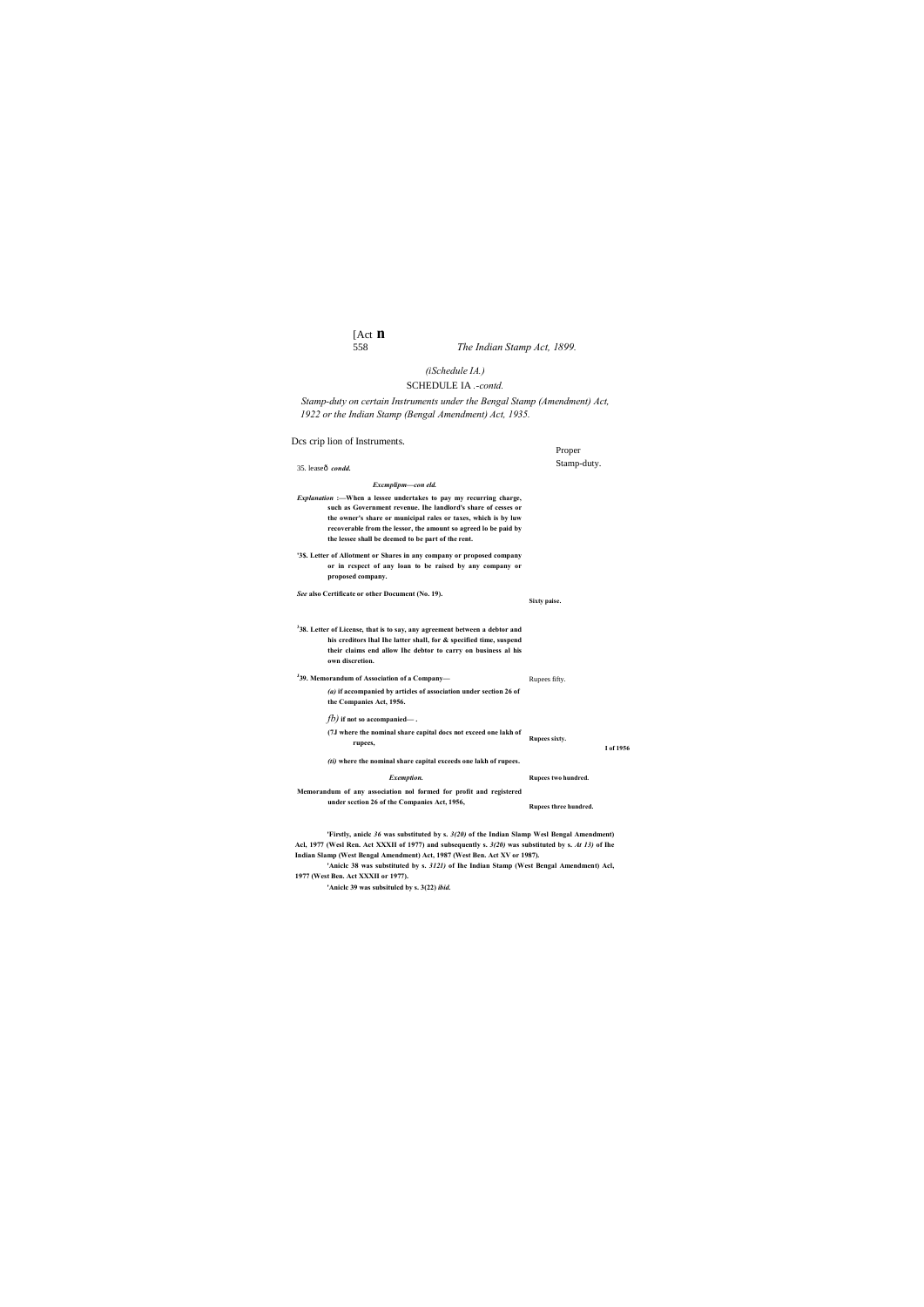558 *The Indian Stamp Act, 1899.*

Proper

## *(iSchedule IA.)* SCHEDULE IA *.-contd.*

*Stamp-duty on certain Instruments under the Bengal Stamp (Amendment) Act, 1922 or the Indian Stamp (Bengal Amendment) Act, 1935.*

## Dcs crip lion of Instruments.

| 35. leaseô condd.                                                                                                                                                                                                                                                                                                                     | Stamp-duty.           |           |
|---------------------------------------------------------------------------------------------------------------------------------------------------------------------------------------------------------------------------------------------------------------------------------------------------------------------------------------|-----------------------|-----------|
| Excmplipm-con eld.                                                                                                                                                                                                                                                                                                                    |                       |           |
| <i>Explanation</i> :—When a lessee undertakes to pay my recurring charge,<br>such as Government revenue. The landlord's share of cesses or<br>the owner's share or municipal rales or taxes, which is by luw<br>recoverable from the lessor, the amount so agreed lo be paid by<br>the lessee shall be deemed to be part of the rent. |                       |           |
| '3\$. Letter of Allotment or Shares in any company or proposed company<br>or in respect of any loan to be raised by any company or<br>proposed company.                                                                                                                                                                               |                       |           |
| See also Certificate or other Document (No. 19).                                                                                                                                                                                                                                                                                      | Sixty paise.          |           |
| <sup>3</sup> 38. Letter of License, that is to say, any agreement between a debtor and<br>his creditors lhal Ihe latter shall, for & specified time, suspend<br>their claims end allow Ihc debtor to carry on business al his<br>own discretion.                                                                                      |                       |           |
| <sup>3</sup> 39. Memorandum of Association of a Company-                                                                                                                                                                                                                                                                              | Rupees fifty.         |           |
| (a) if accompanied by articles of association under section 26 of<br>the Companies Act, 1956.                                                                                                                                                                                                                                         |                       |           |
| $(b)$ if not so accompanied—.                                                                                                                                                                                                                                                                                                         |                       |           |
| (7J where the nominal share capital docs not exceed one lakh of<br>rupees,                                                                                                                                                                                                                                                            | Rupees sixty.         | I of 1956 |
| (ti) where the nominal share capital exceeds one lakh of rupees.                                                                                                                                                                                                                                                                      |                       |           |
| Exemption.                                                                                                                                                                                                                                                                                                                            | Rupees two hundred.   |           |
| Memorandum of any association nol formed for profit and registered<br>under scction 26 of the Companies Act, 1956,                                                                                                                                                                                                                    | Rupees three hundred. |           |

**'Firstly, aniclc** *36* **was substituted by s.** *3(20)* **of the Indian Slamp Wesl Bengal Amendment) Acl, 1977 (Wesl Ren. Act XXXII of 1977) and subsequently s.** *3(20)* **was substituted by s.** *At 13)* **of Ihe Indian Slamp (West Bengal Amendment) Act, 1987 (West Ben. Act XV or 1987).**

**'Aniclc 38 was substituted by s.** *3121)* **of Ihe Indian Stamp (West Bengal Amendment) Acl, 1977 (West Ben. Act XXXII or 1977).**

**'Aniclc 39 was subsitulcd by s. 3(22)** *ibid.*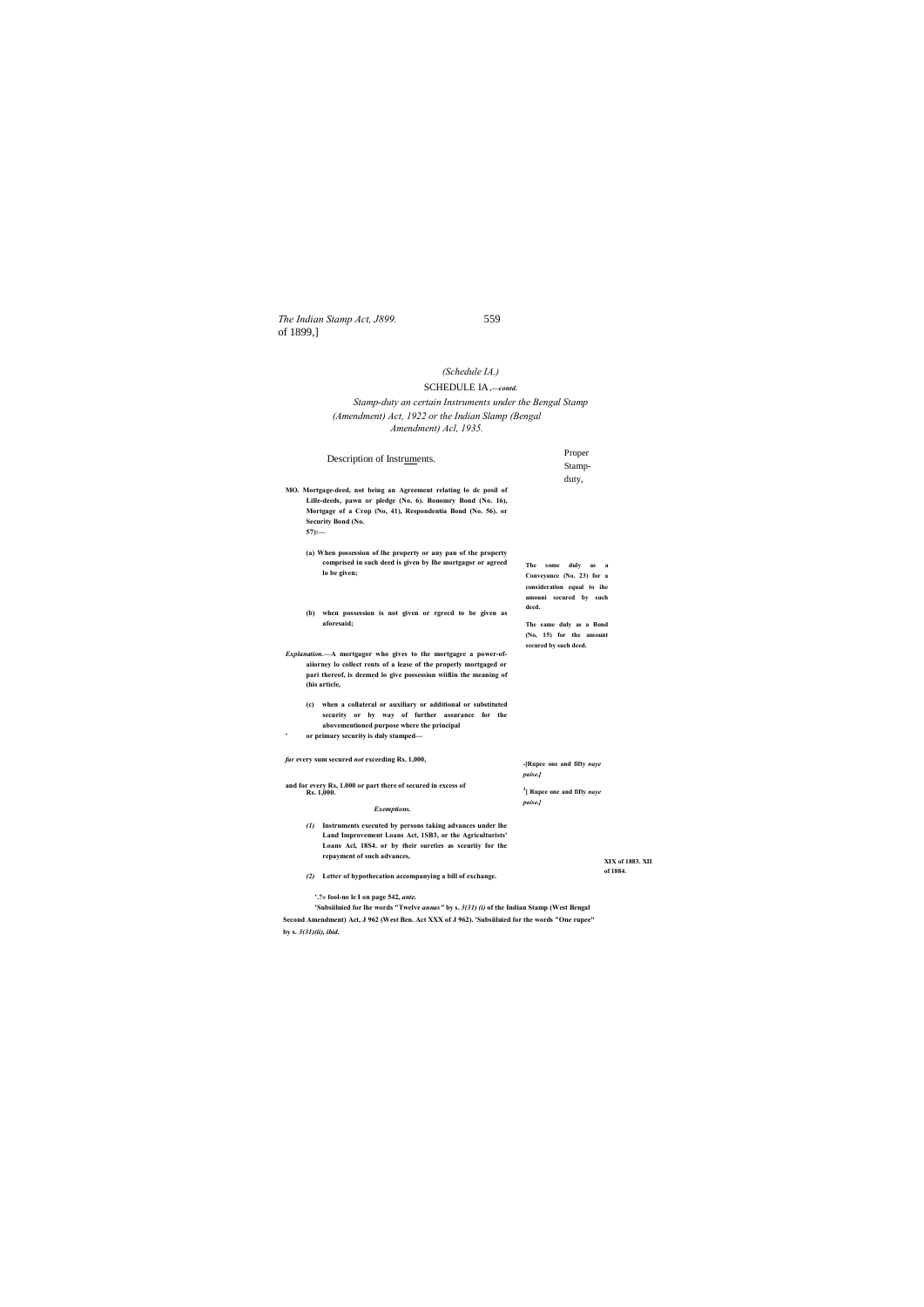*The Indian Stamp Act, J899.* 559 of 1899,]

## *(Schedule IA.)*

## SCHEDULE IA *,—contd. Stamp-duty an certain Instruments under the Bengal Stamp (Amendment) Act, 1922 or the Indian Slamp (Bengal Amendment) Acl, 1935.*

| Description of Instruments.                                                                                                                                                                                                                       | Proper<br>Stamp-<br>duty,                                                                                                      |
|---------------------------------------------------------------------------------------------------------------------------------------------------------------------------------------------------------------------------------------------------|--------------------------------------------------------------------------------------------------------------------------------|
| MO. Mortgage-deed, not being an Agreement relating lo dc posil of<br>Lille-deeds, pawn or pledge (No. 6). Bonomry Bond (No. 16),<br>Mortgage of a Crop (No, 41), Respondentia Bond (No. 56). or<br>Security Bond (No.<br>$57$ :—                  |                                                                                                                                |
| (a) When possession of lhe property or any pan of the property<br>comprised in such deed is given by Ihe mortgagor or agreed<br>lo be given;                                                                                                      | The<br>some<br>duly<br>as<br>$\mathbf{a}$<br>Conveyance (No. 23) for a<br>consideration equal to ihe<br>amouni secured by such |
| (b) when possession is not given or rgrecd to be given as<br>aforesaid;                                                                                                                                                                           | deed.<br>The same duly as a Bond<br>(No, 15) for the amount<br>secured by such deed.                                           |
| <i>Explanation.</i> —A mortgagor who gives to the mortgagee a power-of-<br>aiiorney lo collect rents of a lease of the properly mortgaged or<br>pari thereof, is deemed lo give possession wiifiin the meaning of<br>(his article,                |                                                                                                                                |
| (c) when a collateral or auxiliary or additional or substituted<br>security or by way of further assurance for the<br>abovementioned purpose where the principal                                                                                  |                                                                                                                                |
| ٠<br>or primary security is duly stamped—                                                                                                                                                                                                         |                                                                                                                                |
| far every sum secured not exceeding Rs. 1,000,                                                                                                                                                                                                    | -[Rupee one and fifty naye<br><i>paise.]</i>                                                                                   |
| and for every Rs, 1.000 or part there of secured in excess of<br>Rs. 1,000.<br><b>Exemptions.</b>                                                                                                                                                 | <sup>J</sup> [ Rupee one and fifty <i>naye</i><br>paise.]                                                                      |
| Instruments executed by persons taking advances under the<br>$\left( \frac{n}{2} \right)$<br>Land Improvement Loans Act, 1SB3, or the Agriculturists'<br>Loans Acl, 18S4. or by their sureties as sceurily for the<br>repayment of such advances, | XIX of 1883. XII                                                                                                               |
| Letter of hypothecation accompanying a bill of exchange.<br>(2)                                                                                                                                                                                   | of 1884.                                                                                                                       |
| '.?« fool-no le I on page 542, ante.<br>'Subsiiluied for lhe words "Twelve <i>annas"</i> by s. 3(31) (i) of the Indian Stamp (West Bengal<br>"Second Amendment) Act, J 962 (West Ben. Act XXX of J 962). 'Subsiiluied for the words "One rupee    |                                                                                                                                |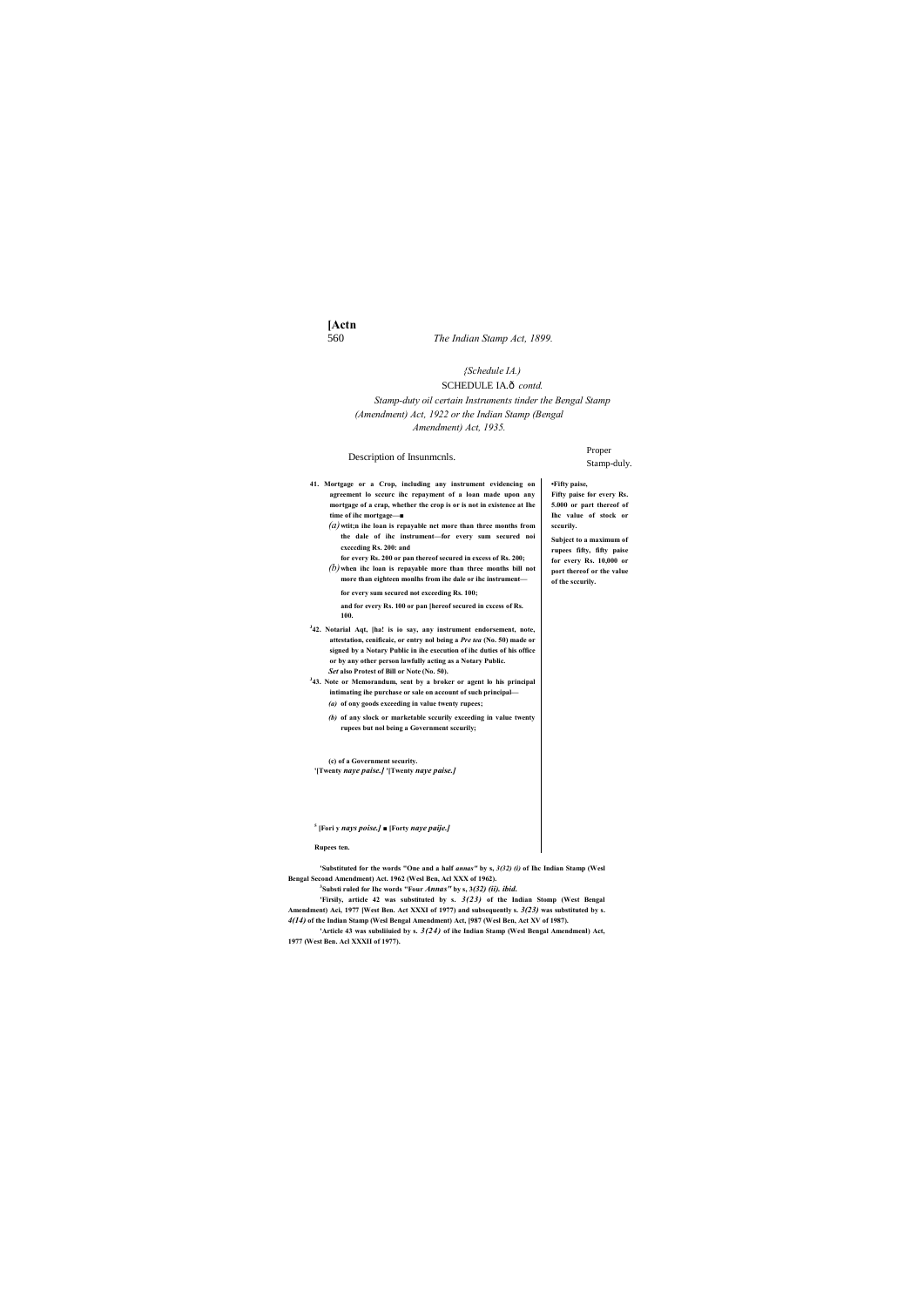**[Actn**

560 *The Indian Stamp Act, 1899.*

### *{Schedule IA.)*

SCHEDULE IA. $\hat{o}$  contd. *Stamp-duty oil certain Instruments tinder the Bengal Stamp (Amendment) Act, 1922 or the Indian Stamp (Bengal Amendment) Act, 1935.*

| Description of Insunments.                                                                                                                                                                                                                                                                                                                                                                                                                                                                                                                                                                                                                                                     | Proper<br>Stamp-duly.                                                                                                                                                                                                                            |
|--------------------------------------------------------------------------------------------------------------------------------------------------------------------------------------------------------------------------------------------------------------------------------------------------------------------------------------------------------------------------------------------------------------------------------------------------------------------------------------------------------------------------------------------------------------------------------------------------------------------------------------------------------------------------------|--------------------------------------------------------------------------------------------------------------------------------------------------------------------------------------------------------------------------------------------------|
| 41. Mortgage or a Crop, including any instrument evidencing on<br>agreement lo sccurc ihc repayment of a loan made upon any<br>mortgage of a crap, whether the crop is or is not in existence at Ihe<br>time of ihc mortgage—■<br>$(a)$ wtit;n ihe loan is repayable net more than three months from<br>the dale of ihc instrument-for every sum secured noi<br>cxcccding Rs. 200: and<br>for every Rs. 200 or pan thereof secured in excess of Rs. 200;<br>$(b)$ when ihe loan is repayable more than three months bill not<br>more than eighteen monlhs from ihe dale or ihe instrument-<br>for every sum secured not exceeding Rs. 100;                                     | •Fifty paise,<br>Fifty paise for every Rs.<br>5.000 or part thereof of<br>Ihc value of stock or<br>sccurily.<br>Subject to a maximum of<br>rupees fifty, fifty paise<br>for every Rs. 10,000 or<br>port thereof or the value<br>of the sccurily. |
| and for every Rs. 100 or pan [hereof secured in cxcess of Rs.<br>100.                                                                                                                                                                                                                                                                                                                                                                                                                                                                                                                                                                                                          |                                                                                                                                                                                                                                                  |
| <sup>J</sup> 42. Notarial Aqt, [ha! is io say, any instrument endorsement, note,<br>attestation, cenificaic, or entry nol being a Pre tea (No. 50) made or<br>signed by a Notary Public in ihe execution of ihe duties of his office<br>or by any other person lawfully acting as a Notary Public.<br>Set also Protest of Bill or Note (No. 50).<br><sup>J</sup> 43. Note or Memorandum, sent by a broker or agent lo his principal<br>intimating ihe purchase or sale on account of such principal-<br>(a) of ony goods exceeding in value twenty rupees;<br>(b) of any slock or marketable sccurily exceeding in value twenty<br>rupees but nol being a Government sccurily; |                                                                                                                                                                                                                                                  |
| (c) of a Government security.<br>'[Twenty naye paise.] '[Twenty naye paise.]                                                                                                                                                                                                                                                                                                                                                                                                                                                                                                                                                                                                   |                                                                                                                                                                                                                                                  |
| <sup>5</sup> [Fori y nays poise.] <b>I</b> [Forty naye paije.]<br>Rupees ten.                                                                                                                                                                                                                                                                                                                                                                                                                                                                                                                                                                                                  |                                                                                                                                                                                                                                                  |
| 'Substituted for the words "One and a half annas" by s, 3(32) (i) of Ihc Indian Stamp (Wesl<br>Bengal Second Amendment) Act. 1962 (Wesl Ben, Acl XXX of 1962).                                                                                                                                                                                                                                                                                                                                                                                                                                                                                                                 |                                                                                                                                                                                                                                                  |

**3 Substi ruled for Ihc words "Four** *Annas"* **by s, 3***(32) (ii). ibid.*

**'Firsily, article 42 was substituted by s.** *3(23)* **of the Indian Stomp (West Bengal Amendment) Aci, 1977 [West Ben. Act XXXI of 1977) and subsequently s.** *3(23)* **was substituted by s.** *4(14)* **of the Indian Stamp (Wesl Bengal Amendment) Act, [987 (Wesl Ben, Act XV of 1987).**

**'Article 43 was subsliiuied by s.** *3(24)* **of ihe Indian Stamp (Wesl Bengal Amendmenl) Act, 1977 (West Ben. Acl XXXII of 1977).**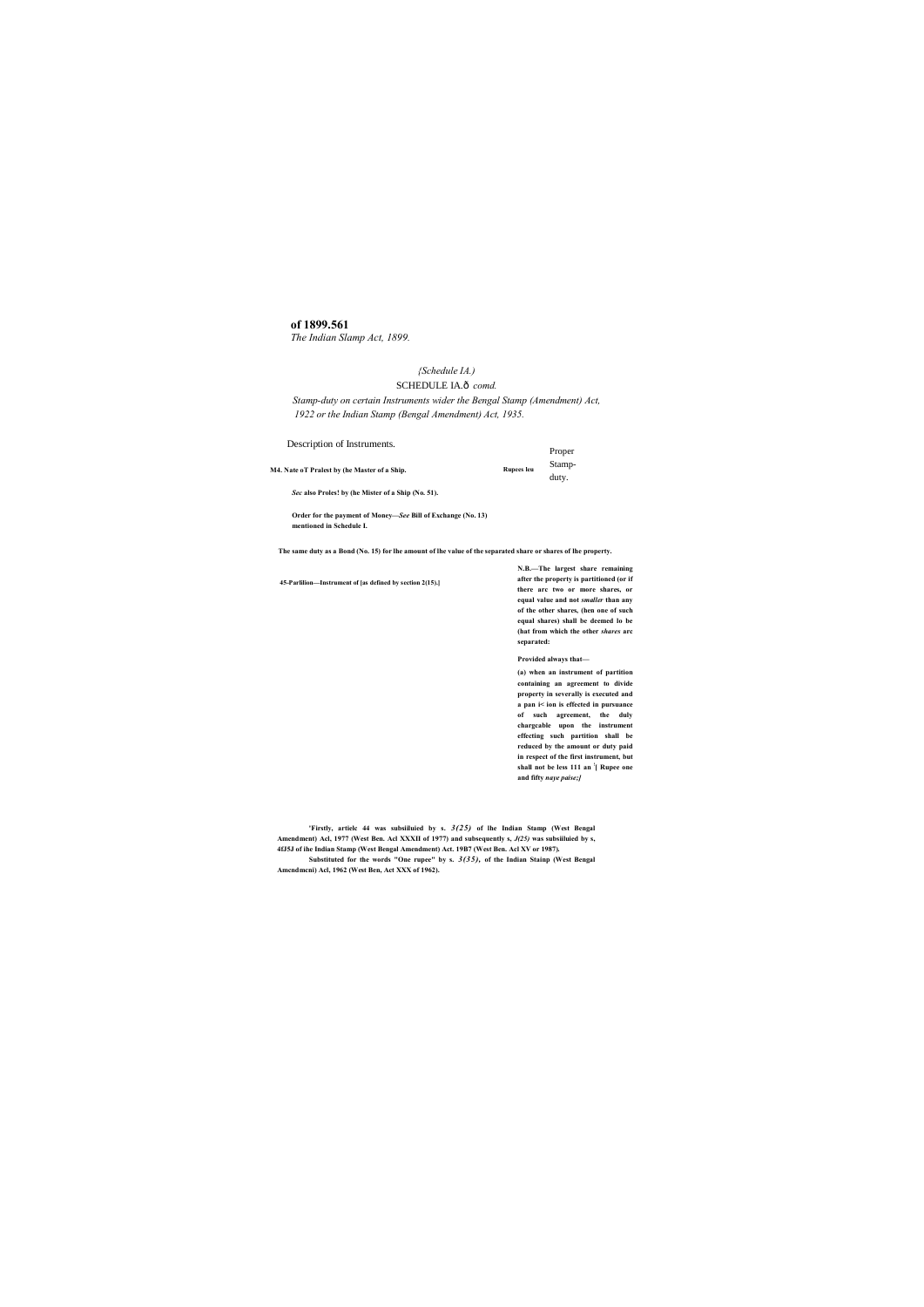## **of 1899.561**

*The Indian Slamp Act, 1899.*

### *{Schedule IA.)* SCHEDULE IA. $\hat{o}$  comd.

**45-Parlilion—Instrument of [as defined by section 2(15).]**

*Stamp-duty on certain Instruments wider the Bengal Stamp (Amendment) Act, 1922 or the Indian Stamp (Bengal Amendment) Act, 1935.*

| Description of Instruments.                                  |                   | Proper          |
|--------------------------------------------------------------|-------------------|-----------------|
| M4. Nate oT Pralest by (he Master of a Ship.                 | <b>Rupees</b> leu | Stamp-<br>duty. |
| Sec also Proles! by (he Mister of a Ship (No. 51).           |                   |                 |
| Order for the payment of Money—See Bill of Exchange (No. 13) |                   |                 |

**mentioned in Schedule I.**

**The same duty as a Bond (No. 15) for lhe amount of lhe value of the separated share or shares of lhe property.**

**N.B.—The largest share remaining after the property is partitioned (or if there arc two or more shares, or equal value and not** *smaller* **than any of the other shares, (hen one of such equal shares) shall be deemed lo be (hat from which the other** *shares* **arc separated:**

**Provided always that—**

**(a) when an instrument of partition containing an agreement to divide property in severally is executed and a pan i< ion is effected in pursuance of such agreement, the duly chargcable upon the instrument effecting such partition shall be reduced by the amount or duty paid in respect of the first instrument, but shall not be less 111 an ! [ Rupee one and fifty** *naye paise;]*

**'Firstly, artielc 44 was subsiiluied by s.** *3(25)* **of lhe Indian Stamp (West Bengal Amendment) Acl, 1977 (West Ben. Acl XXXII of 1977) and subsequently s,** *J(25)* **was subsiiluied by s, 4fJ5J of ihe Indian Stamp (West Bengal Amendment) Act. 19B7 (West Ben. Acl XV or 1987). Substituted for the words "One rupee" by s.** *3(35),* **of the Indian Stainp (West Bengal Amcndmcni) Acl, 1962 (West Ben, Act XXX of 1962).**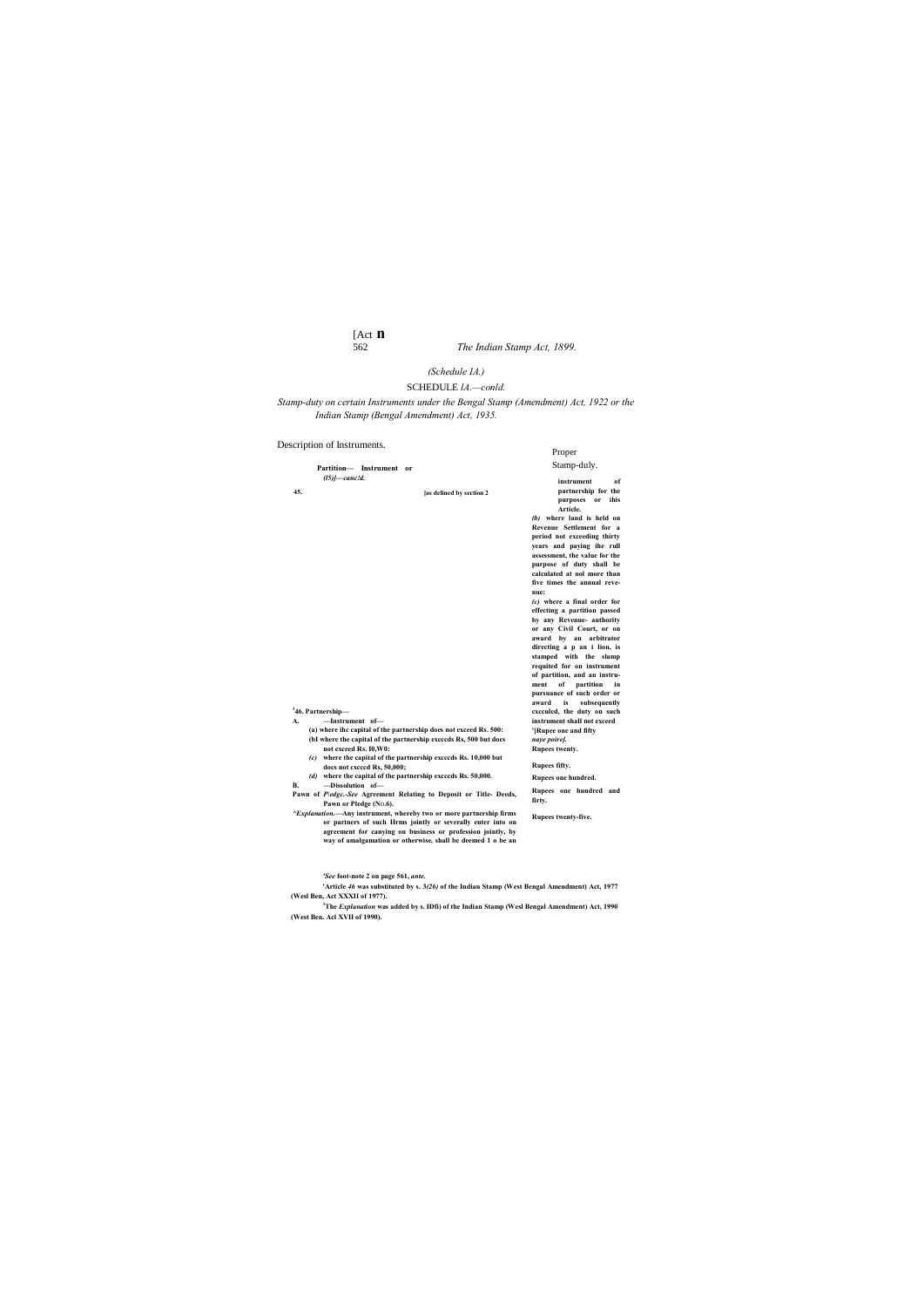# [Act **n**

## 562 *The Indian Stamp Act, 1899.*

Proper

## *(Schedule IA.)*

### SCHEDULE *lA.—conld.*

*Stamp-duty on certain Instruments under the Bengal Stamp (Amendment) Act, 1922 or the Indian Stamp (Bengal Amendment) Act, 1935.*

Description of Instruments.

| Partition— Instrument or                                                                                                                                                                                                                                          | Stamp-duly.                                                                                                                                                                                                                                                                                                                                                                                                                                                                                                                                                                                                                    |
|-------------------------------------------------------------------------------------------------------------------------------------------------------------------------------------------------------------------------------------------------------------------|--------------------------------------------------------------------------------------------------------------------------------------------------------------------------------------------------------------------------------------------------------------------------------------------------------------------------------------------------------------------------------------------------------------------------------------------------------------------------------------------------------------------------------------------------------------------------------------------------------------------------------|
| $(15)$ <i>l</i> —canc!d.<br>45.<br>[as delined by section 2                                                                                                                                                                                                       | instrument<br>of<br>partnership for the<br>purposes or ihis<br>Article.                                                                                                                                                                                                                                                                                                                                                                                                                                                                                                                                                        |
|                                                                                                                                                                                                                                                                   | $(b)$ where land is held on<br>Revenue Settlement for a<br>period not exceeding thirty<br>vears and paying ihe rull<br>assessment, the value for the<br>purpose of duty shall be<br>calculated at nol more than<br>five times the annual reve-<br>nue:<br>(c) where a final order for<br>effecting a partition passed<br>by any Revenue- authority<br>or any Civil Court, or on<br>award by an arbitrator<br>directing a p an i lion, is<br>stamped with the slamp<br>requited for on instrument<br>of partition, and an instru-<br>of<br>ment<br>partition<br>in<br>pursuance of such order or<br>subsequently<br>award<br>is |
| $346.$ Partnership-<br>-Instrument of-<br>А.                                                                                                                                                                                                                      | cxcculcd, the duty on such<br>instrument shall not exceed                                                                                                                                                                                                                                                                                                                                                                                                                                                                                                                                                                      |
| (a) where ihc capital of the partnership does not exceed Rs. 500:<br>(bI where the capital of the partnership exceeds Rs, 500 but does<br>not exceed Rs. I0, W0:                                                                                                  | '[Rupee one and fifty<br>naye poire].<br>Rupees twenty.                                                                                                                                                                                                                                                                                                                                                                                                                                                                                                                                                                        |
| $(c)$ where the capital of the partnership exceeds Rs. 10,000 but<br>docs not exceed Rs, 50,000;                                                                                                                                                                  | Rupees fifty.                                                                                                                                                                                                                                                                                                                                                                                                                                                                                                                                                                                                                  |
| $(d)$ where the capital of the partnership exceeds Rs. 50,000.<br>-Dissolution of-<br>B.                                                                                                                                                                          | Rupees one hundred.                                                                                                                                                                                                                                                                                                                                                                                                                                                                                                                                                                                                            |
| Pawn of Pledgc.-See Agreement Relating to Deposit or Title- Deeds,<br>Pawn or Pledge (ND.6).                                                                                                                                                                      | Rupees one hundred and<br>firty.                                                                                                                                                                                                                                                                                                                                                                                                                                                                                                                                                                                               |
| ^Explanation.- Any instrument, whereby two or more partnership firms<br>or partners of such Hrms jointly or severally enter into on<br>agreement for canying on business or profession jointly, by<br>way of amalgamation or otherwise, shall be deemed 1 o be an | Rupees twenty-five.                                                                                                                                                                                                                                                                                                                                                                                                                                                                                                                                                                                                            |

*'See* **foot-note 2 on page 561,** *ante.*

**'Article** *46* **was substituted by s. 3***(26)* **of the Indian Stamp (West Bengal Amendment) Act, 1977 (Wesl Ben, Act XXXII of 1977).**

**3 The** *Explanation* **was added by s. IDfi) of the Indian Stamp (Wesl Bengal Amendment) Act, 1990 (West Ben. Acl XVII of 1990).**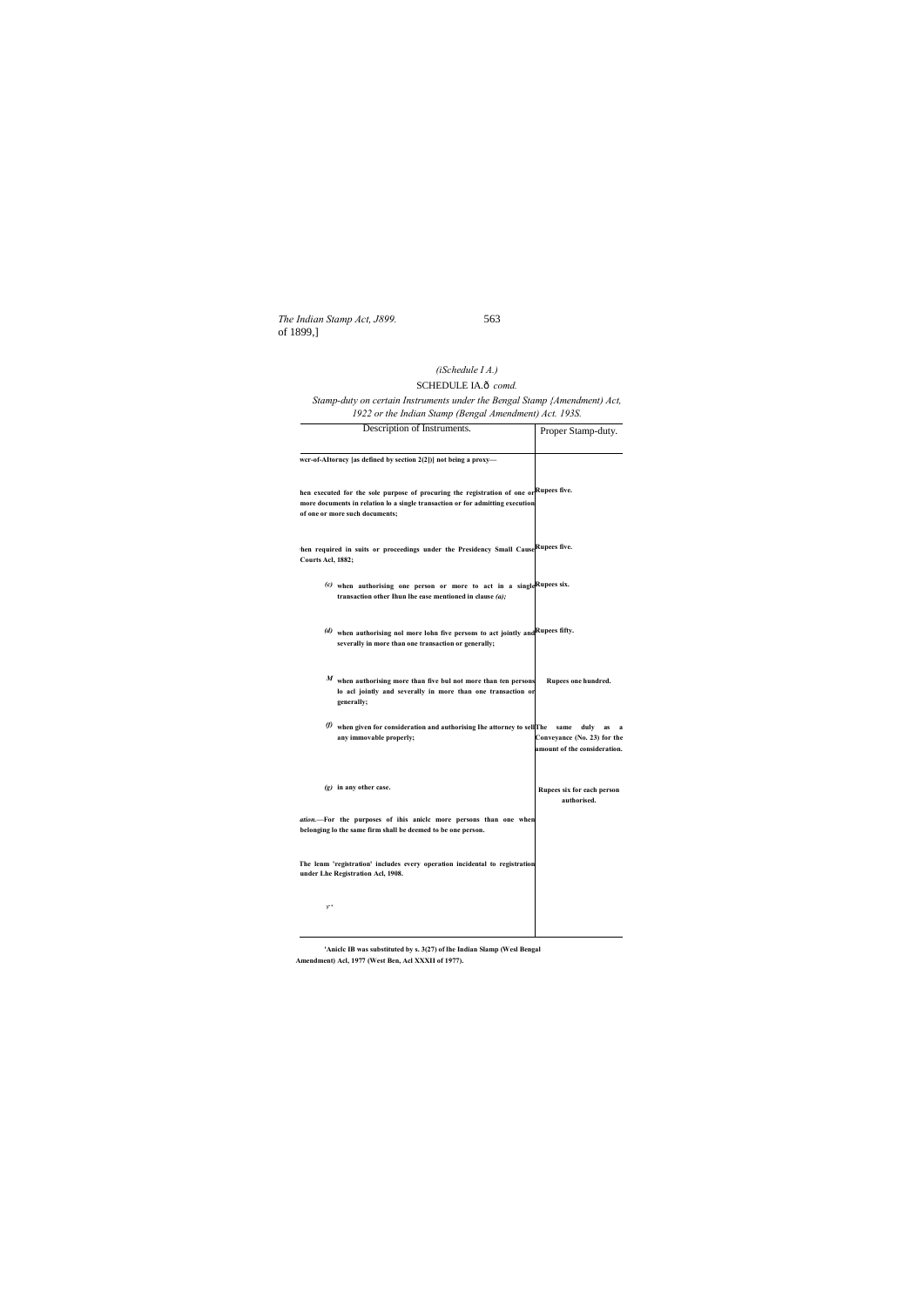*The Indian Stamp Act, J899.* 563 of 1899,]

## *(iSchedule I A.)* SCHEDULE IA. $\hat{o}$  comd.

### *Stamp-duty on certain Instruments under the Bengal Stamp {Amendment) Act, 1922 or the Indian Stamp (Bengal Amendment) Act. 193S.*

**'Aniclc IB was substituted by s. 3(27) of lhe Indian Slamp (Wesl Bengal Amendment) Acl, 1977 (West Ben, Acl XXXII of 1977).**

| Description of Instruments.                                                                                                                                                                               | Proper Stamp-duty.                                                                |
|-----------------------------------------------------------------------------------------------------------------------------------------------------------------------------------------------------------|-----------------------------------------------------------------------------------|
| wcr-of-Altorncy [as defined by section 2(2])] not being a proxy-                                                                                                                                          |                                                                                   |
| hen executed for the sole purpose of procuring the registration of one or Rupees five.<br>more documents in relation lo a single transaction or for admitting execution<br>of one or more such documents: |                                                                                   |
| then required in suits or proceedings under the Presidency Small Cause Rupees five.<br>Courts Acl, 1882;                                                                                                  |                                                                                   |
| (c) when authorising one person or more to act in a single Rupees six.<br>transaction other Ihun lhe ease mentioned in clause $(a)$ ;                                                                     |                                                                                   |
| (d) when authorising nol more lohn five persons to act jointly and Rupees fifty.<br>severally in more than one transaction or generally;                                                                  |                                                                                   |
| $M$ when authorising more than five bul not more than ten persons<br>lo acl jointly and severally in more than one transaction or<br>generally;                                                           | Rupees one hundred.                                                               |
| $\theta$ when given for consideration and authorising Ihe attorney to sell The<br>any immovable properly;                                                                                                 | same<br>duly<br>as<br>Conveyance (No. 23) for the<br>amount of the consideration. |
| (g) in any other case.                                                                                                                                                                                    | Rupees six for each person<br>authorised.                                         |
| ation.-For the purposes of ihis anicle more persons than one when<br>belonging lo the same firm shall be deemed to be one person.                                                                         |                                                                                   |
| The lenm 'registration' includes every operation incidental to registration<br>under Lhe Registration Acl, 1908.                                                                                          |                                                                                   |
|                                                                                                                                                                                                           |                                                                                   |
|                                                                                                                                                                                                           |                                                                                   |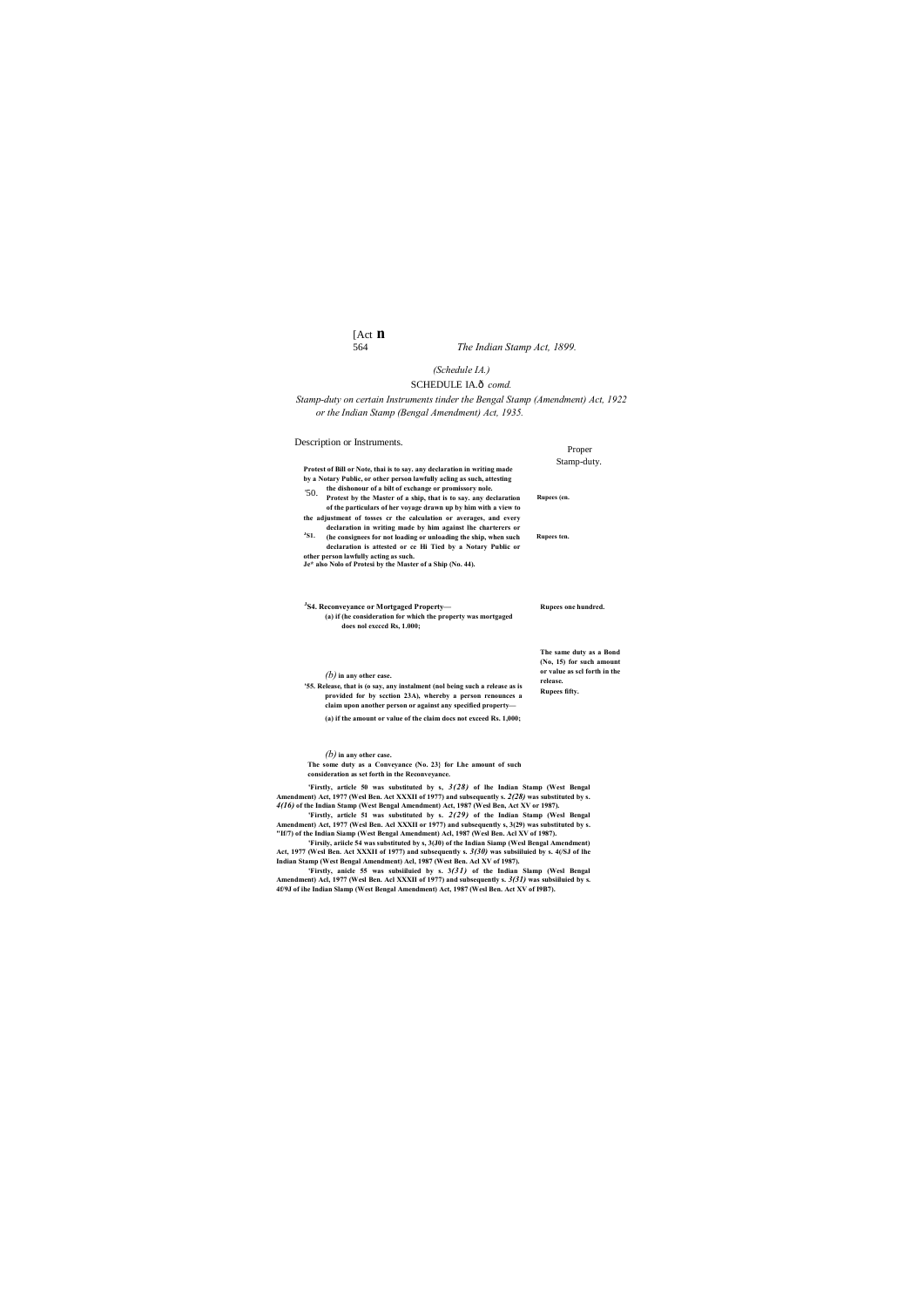## [Act **n**

### 564 *The Indian Stamp Act, 1899.*

## *(Schedule IA.)*

### SCHEDULE IA. $\hat{o}$  comd.

*Stamp-duty on certain Instruments tinder the Bengal Stamp (Amendment) Act, 1922 or the Indian Stamp (Bengal Amendment) Act, 1935.*

Description or Instruments.

| Description or mistruments.                                                                                                                                                                                                                                                                                  | Proper                                                                                                           |
|--------------------------------------------------------------------------------------------------------------------------------------------------------------------------------------------------------------------------------------------------------------------------------------------------------------|------------------------------------------------------------------------------------------------------------------|
| Protest of Bill or Note, thai is to say. any declaration in writing made<br>by a Notary Public, or other person lawfully acling as such, attesting<br>the dishonour of a bilt of exchange or promissory nole.                                                                                                | Stamp-duty.                                                                                                      |
| 50.<br>Protest by the Master of a ship, that is to say, any declaration<br>of the particulars of her voyage drawn up by him with a view to<br>the adjustment of tosses cr the calculation or averages, and every<br>declaration in writing made by him against lhe charterers or                             | Rupees (en.                                                                                                      |
| $\boldsymbol{S}$ <sub>51</sub> .<br>(he consignees for not loading or unloading the ship, when such<br>declaration is attested or ce Hi Tied by a Notary Public or<br>other person lawfully acting as such.<br>Je* also Nolo of Protesi by the Master of a Ship (No. 44).                                    | Rupees ten.                                                                                                      |
| <sup>J</sup> S4. Reconveyance or Mortgaged Property-<br>(a) if (he consideration for which the property was mortgaged<br>does nol exceed Rs, 1.000;                                                                                                                                                          | Rupees one hundred.                                                                                              |
| $(b)$ in any other ease.<br>'55. Release, that is (o say, any instalment (nol being such a release as is<br>provided for by scction 23A), whereby a person renounces a<br>claim upon another person or against any specified property-<br>(a) if the amount or value of the claim docs not exceed Rs. 1,000; | The same duty as a Bond<br>(No, 15) for such amount<br>or value as scl forth in the<br>release.<br>Rupees fifty. |

### *(b)* **in any other case.**

**The some duty as a Conveyance (No. 23} for Lhe amount of such consideration as set forth in the Reconveyance.**

**'Firstly, article 50 was substituted by s,** *3(28)* **of lhe Indian Stamp (West Bengal Amendment) Act, 1977 (Wesl Ben. Act XXXII of 1977) and subsequently s.** *2(28)* **was substituted by s.** *4(16)* **of the Indian Stamp (West Bengal Amendment) Act, 1987 (Wesl Ben, Act XV or 1987).**

**'Firstly, article 51 was substituted by s.** *2(29)* **of the Indian Stamp (Wesl Bengal Amendment) Act, 1977 (Wesl Ben. Acl XXXII or 1977) and subsequently s, 3(29) was substituted by s. "If/7) of the Indian Siamp (West Bengal Amendment) Acl, 1987 (Wesl Ben. Acl XV of 1987).**

**'Firsily, ariicle 54 was substituted by s, 3(J0) of the Indian Siamp (Wesl Bengal Amendment) Act, 1977 (Wesl Ben. Act XXXII of 1977) and subsequently s.** *3(30)* **was subsiiluied by s. 4(/SJ of lhe Indian Stamp (West Bengal Amendment) Acl, 1987 (West Ben. Acl XV of 1987).**

**'Firstly, anicle 55 was subsiiluied by s. 3***(31)* **of the Indian Slamp (Wesl Bengal Amendment) Acl, 1977 (Wesl Ben. Acl XXXII of 1977) and subsequently s.** *3(31)* **was subsiiluied by s. 4f/9J of ihe Indian Slamp (West Bengal Amendment) Act, 1987 (Wesl Ben. Act XV of I9B7).**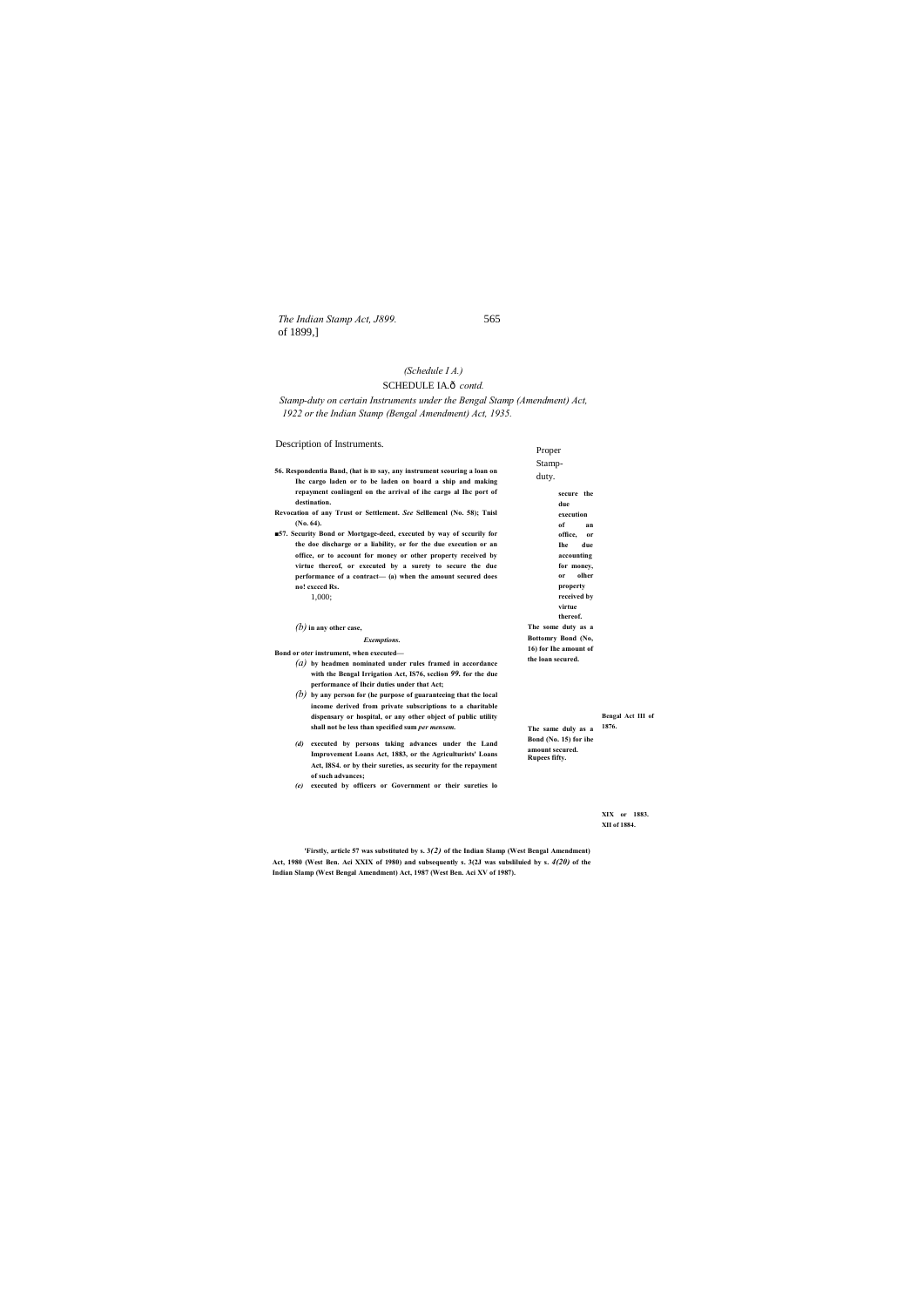*The Indian Stamp Act, J899.* 565 of 1899,]

Proper

**XIX or 1883. XII of 1884.**

## *(Schedule I A.)*

## SCHEDULE IA. $\hat{o}$  contd.

*Stamp-duty on certain Instruments under the Bengal Stamp (Amendment) Act, 1922 or the Indian Stamp (Bengal Amendment) Act, 1935.*

## Description of Instruments.

| Stamp-                |                                                                                                                                                                                                                                                                                                             |
|-----------------------|-------------------------------------------------------------------------------------------------------------------------------------------------------------------------------------------------------------------------------------------------------------------------------------------------------------|
|                       |                                                                                                                                                                                                                                                                                                             |
|                       |                                                                                                                                                                                                                                                                                                             |
|                       |                                                                                                                                                                                                                                                                                                             |
|                       |                                                                                                                                                                                                                                                                                                             |
|                       |                                                                                                                                                                                                                                                                                                             |
| an                    |                                                                                                                                                                                                                                                                                                             |
| <sub>or</sub>         |                                                                                                                                                                                                                                                                                                             |
|                       |                                                                                                                                                                                                                                                                                                             |
|                       |                                                                                                                                                                                                                                                                                                             |
|                       |                                                                                                                                                                                                                                                                                                             |
| 0r                    |                                                                                                                                                                                                                                                                                                             |
| property              |                                                                                                                                                                                                                                                                                                             |
|                       |                                                                                                                                                                                                                                                                                                             |
|                       |                                                                                                                                                                                                                                                                                                             |
|                       |                                                                                                                                                                                                                                                                                                             |
|                       |                                                                                                                                                                                                                                                                                                             |
|                       |                                                                                                                                                                                                                                                                                                             |
| 16) for Ihe amount of |                                                                                                                                                                                                                                                                                                             |
|                       |                                                                                                                                                                                                                                                                                                             |
|                       |                                                                                                                                                                                                                                                                                                             |
|                       |                                                                                                                                                                                                                                                                                                             |
|                       |                                                                                                                                                                                                                                                                                                             |
|                       |                                                                                                                                                                                                                                                                                                             |
|                       | Bengal Act III of                                                                                                                                                                                                                                                                                           |
|                       | 1876.                                                                                                                                                                                                                                                                                                       |
|                       |                                                                                                                                                                                                                                                                                                             |
|                       |                                                                                                                                                                                                                                                                                                             |
|                       |                                                                                                                                                                                                                                                                                                             |
|                       |                                                                                                                                                                                                                                                                                                             |
|                       |                                                                                                                                                                                                                                                                                                             |
|                       |                                                                                                                                                                                                                                                                                                             |
|                       | duty.<br>secure the<br>due<br>execution<br>of<br>office,<br><b>Ihe</b><br>due<br>accounting<br>for money,<br>olher<br>received by<br>virtue<br>thereof.<br>The some duty as a<br>Bottomry Bond (No,<br>the loan secured.<br>The same duly as a<br>Bond (No. 15) for ihe<br>amount secured.<br>Rupees fifty. |

**'Firstly, article 57 was substituted by s. 3***(2)* **of the Indian Slamp (West Bengal Amendment) Act, 1980 (West Ben. Aci XXIX of 1980) and subsequently s. 3(2J was subsliluied by s.** *4(20)* **of the Indian Slamp (West Bengal Amendment) Act, 1987 (West Ben. Aci XV of 1987).**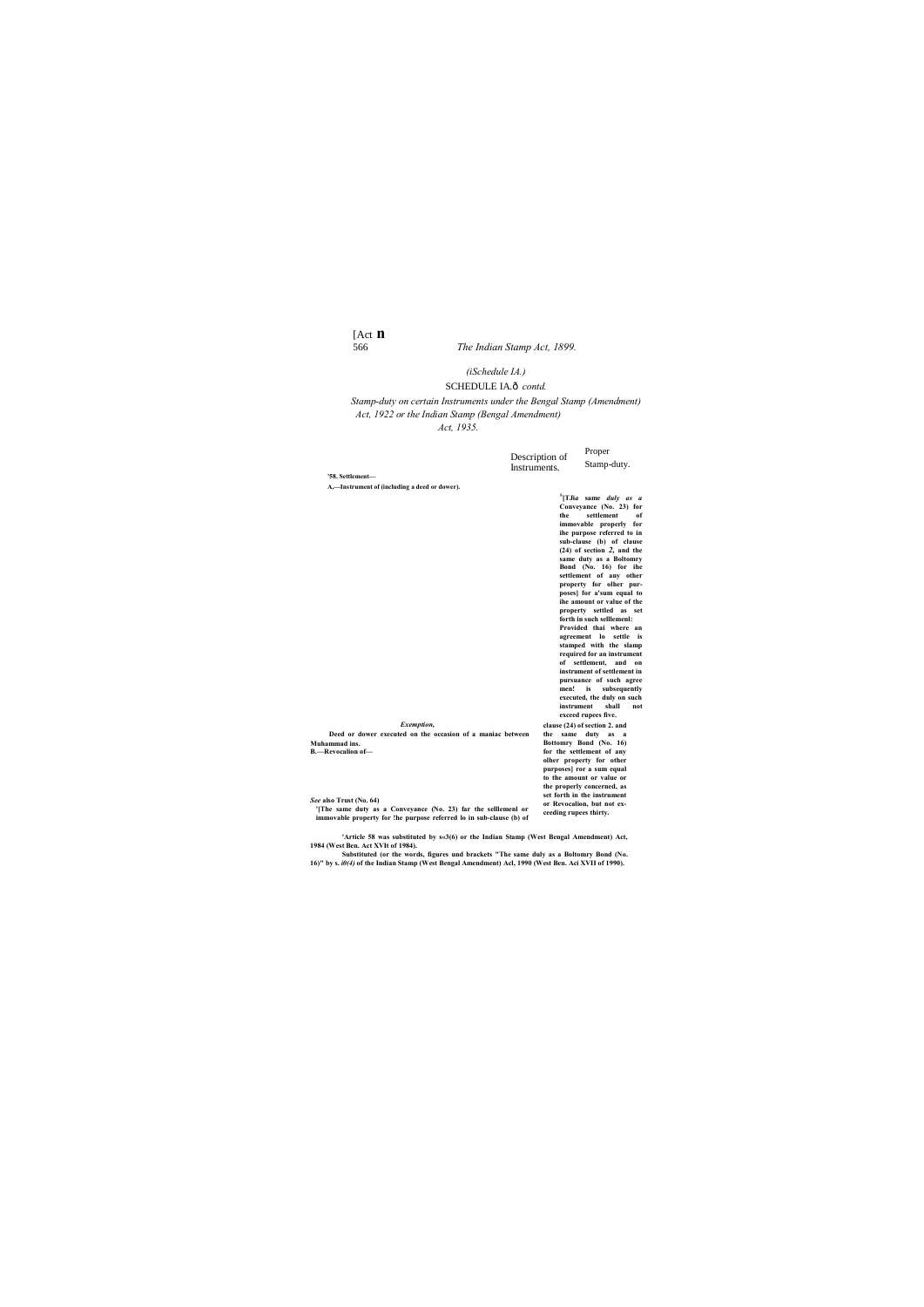# [Act **n**

## 566 *The Indian Stamp Act, 1899.*

**'58. Settlement—**

**A,—Instrument of (including a deed or dower).**

### *(iSchedule IA.)*

## SCHEDULE IA. $\hat{o}$  contd.

Proper Stamp-duty. Description of Instruments.

*Stamp-duty on certain Instruments under the Bengal Stamp (Amendment) Act, 1922 or the Indian Stamp (Bengal Amendment) Act, 1935.*

| A,—instrument of (including a deed of dower).                                                                                                                   |                                                                                                                                                                                                                                                                                                                                                                                                                                                                                                                                                                                                                                                                                                                                                          |
|-----------------------------------------------------------------------------------------------------------------------------------------------------------------|----------------------------------------------------------------------------------------------------------------------------------------------------------------------------------------------------------------------------------------------------------------------------------------------------------------------------------------------------------------------------------------------------------------------------------------------------------------------------------------------------------------------------------------------------------------------------------------------------------------------------------------------------------------------------------------------------------------------------------------------------------|
|                                                                                                                                                                 | $\degree$ [TJia same duly as a<br>Conveyance (No. 23) for<br>settlement<br>the<br>of<br>immovable properly for<br>ihe purpose referred to in<br>sub-clause (b) of clause<br>$(24)$ of section 2, and the<br>same duty as a Boltomry<br>Bond (No. 16) for ihe<br>settlement of any other<br>property for olher pur-<br>poses] for a'sum equal to<br>ihe amount or value of the<br>property settled as set<br>forth in such selllemenl:<br>Provided thai where an<br>agreement lo settle is<br>stamped with the slamp<br>required for an instrument<br>of settlement.<br>and<br>on<br>instrument of settlement in<br>pursuance of such agree<br>men! is<br>subsequently<br>executed, the duly on such<br>instrument<br>shall<br>not<br>exceed rupees five. |
| Exemption,                                                                                                                                                      | clause (24) of section 2. and                                                                                                                                                                                                                                                                                                                                                                                                                                                                                                                                                                                                                                                                                                                            |
| Deed or dower executed on the occasion of a maniac between<br>Muhammad ins.<br>B.—Revocalion of—                                                                | the same duty as a<br>Bottomry Bond (No. 16)<br>for the settlement of any<br>olher property for other<br>purposes] ror a sum equal<br>to the amount or value or<br>the properly concerned, as                                                                                                                                                                                                                                                                                                                                                                                                                                                                                                                                                            |
| See also Trust (No. 64)<br>'[The same duty as a Conveyance (No. 23) far the sellement or<br>immovable property for the purpose referred to in sub-clause (b) of | set forth in the instrument<br>or Revocalion, but not ex-<br>ceeding rupees thirty.                                                                                                                                                                                                                                                                                                                                                                                                                                                                                                                                                                                                                                                                      |

**'Article 58 was substituted by s«3(6) or the Indian Stamp (West Bengal Amendment) Act, 1984 (West Ben. Act XVIt of 1984).**

**Substituted (or the words, figures und brackets "The same duly as a Boltomry Bond (No. 16)" by s.** *i0(4)* **of the Indian Stamp (West Bengal Amendment) Acl, 1990 (West Ben. Aci XVII of 1990).**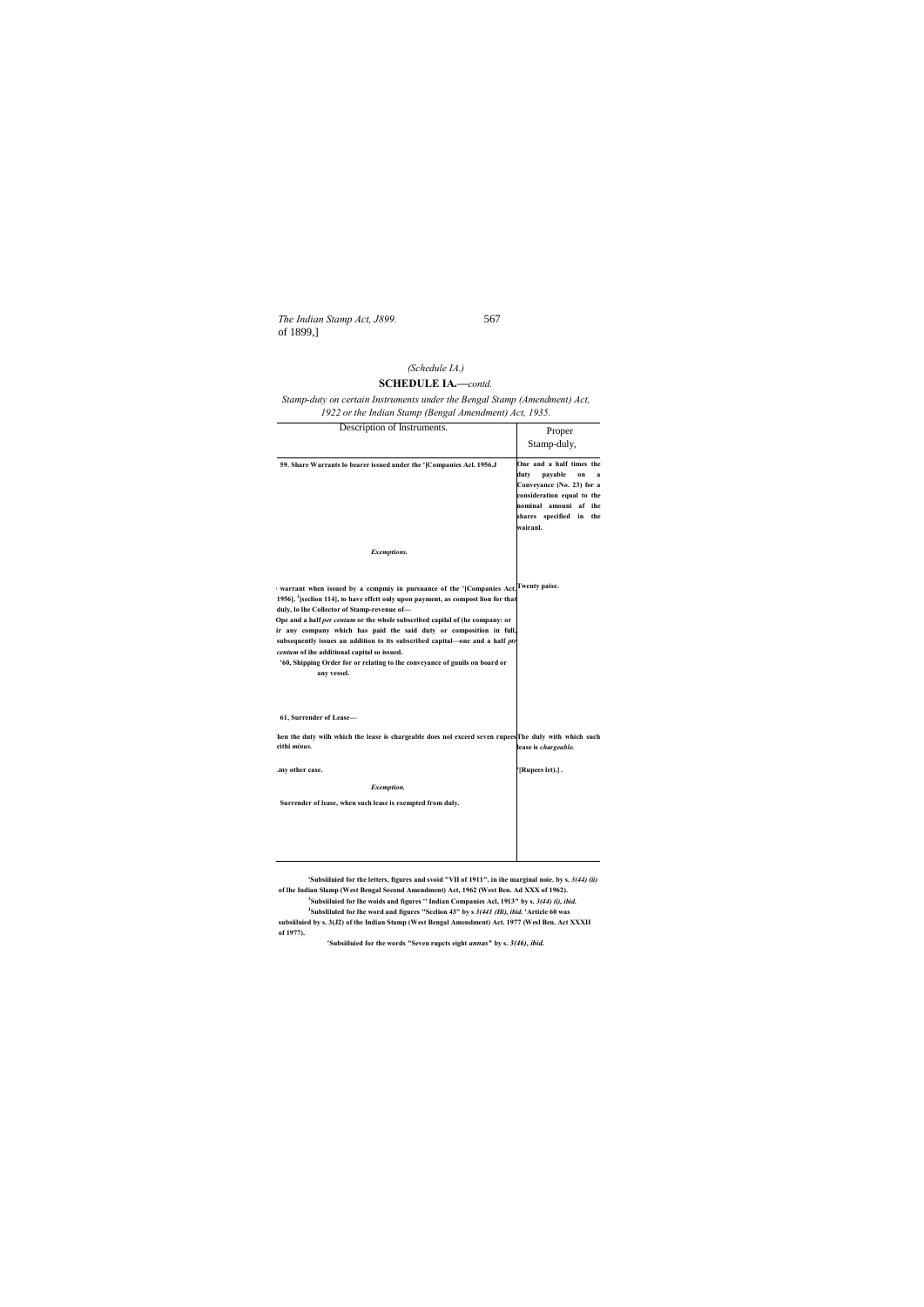*The Indian Stamp Act, J899.* 567 of 1899,]

## *(Schedule IA.)* **SCHEDULE IA.—***contd.*

*Stamp-duty on certain Instruments under the Bengal Stamp (Amendment) Act, 1922 or the Indian Stamp (Bengal Amendment) Act, 1935.*

**'Subsiiluied for the letters, figures and svoid "VII of 1911". in ihe marginal noie. by s.** *3(44) (ii)* **of lhe Indian Slamp (West Bengal Second Amendment) Act, 1962 (West Ben. Ad XXX of 1962). 3 Subsiiluied for lhe woids and figures '' Indian Companies Acl, 1913" by s.** *3(44) (i), ibid.* **J Subsliluled for lhe word and figures "Scclion 43" by s** *3(441 (Hi), ibid.* **'Article 60 was subsiiluied by s. 3(J2) of the Indian Stamp (West Bengal Amendment) Act. 1977 (Wesl Ben. Act XXXII of 1977).**

**'Subsiiluied for the words "Seven rupcts eight** *annas'***' by s.** *3(46), ibid.*

| Description of Instruments.                                                                                                                                                                                                                                                                                                                                                                                                                                                                                                                                                                                                               | Proper                                                                                                                                                                               |
|-------------------------------------------------------------------------------------------------------------------------------------------------------------------------------------------------------------------------------------------------------------------------------------------------------------------------------------------------------------------------------------------------------------------------------------------------------------------------------------------------------------------------------------------------------------------------------------------------------------------------------------------|--------------------------------------------------------------------------------------------------------------------------------------------------------------------------------------|
|                                                                                                                                                                                                                                                                                                                                                                                                                                                                                                                                                                                                                                           | Stamp-duly,                                                                                                                                                                          |
| 59. Share Warrants lo bearer issued under the '[Companies Acl. 1956.J                                                                                                                                                                                                                                                                                                                                                                                                                                                                                                                                                                     | One and a half times the<br>duty<br>payable<br>on<br>a<br>Conveyance (No. 23) for a<br>consideration equal to the<br>nominal amouni af ihe<br>shares specified in<br>the<br>wairanl. |
| <b>Exemptions.</b>                                                                                                                                                                                                                                                                                                                                                                                                                                                                                                                                                                                                                        |                                                                                                                                                                                      |
| warrant when issued by a compmiy in pursuance of the '[Companies Act. <sup>Twenty paise.</sup><br>1956], <sup>3</sup> [seclion 114], to have effctt only upon payment, as compost lion for that<br>duly, lo lhe Collector of Stamp-revenue of-<br>Ope and a half <i>per centum</i> or the whole subscribed capilal of (he company: or<br>ir any company which has paid the said duty or composition in full,<br>subsequently issues an addition to its subscribed capital-one and a half ptr<br>centum of ihe additional capital so issued.<br>'60, Shipping Order for or relating to lhe conveyance of guuils on board or<br>any vessel. |                                                                                                                                                                                      |
| 61, Surrender of Lease-                                                                                                                                                                                                                                                                                                                                                                                                                                                                                                                                                                                                                   |                                                                                                                                                                                      |
| hen the duty wilh which the lease is chargeable does nol exceed seven rupees The duly with which such<br>cithi minus.                                                                                                                                                                                                                                                                                                                                                                                                                                                                                                                     | lease is <i>chargeable</i> .                                                                                                                                                         |
| .my other case.                                                                                                                                                                                                                                                                                                                                                                                                                                                                                                                                                                                                                           | [Rupees let).].                                                                                                                                                                      |
| Exemption.                                                                                                                                                                                                                                                                                                                                                                                                                                                                                                                                                                                                                                |                                                                                                                                                                                      |
| Surrender of lease, when such lease is exempted from duly.                                                                                                                                                                                                                                                                                                                                                                                                                                                                                                                                                                                |                                                                                                                                                                                      |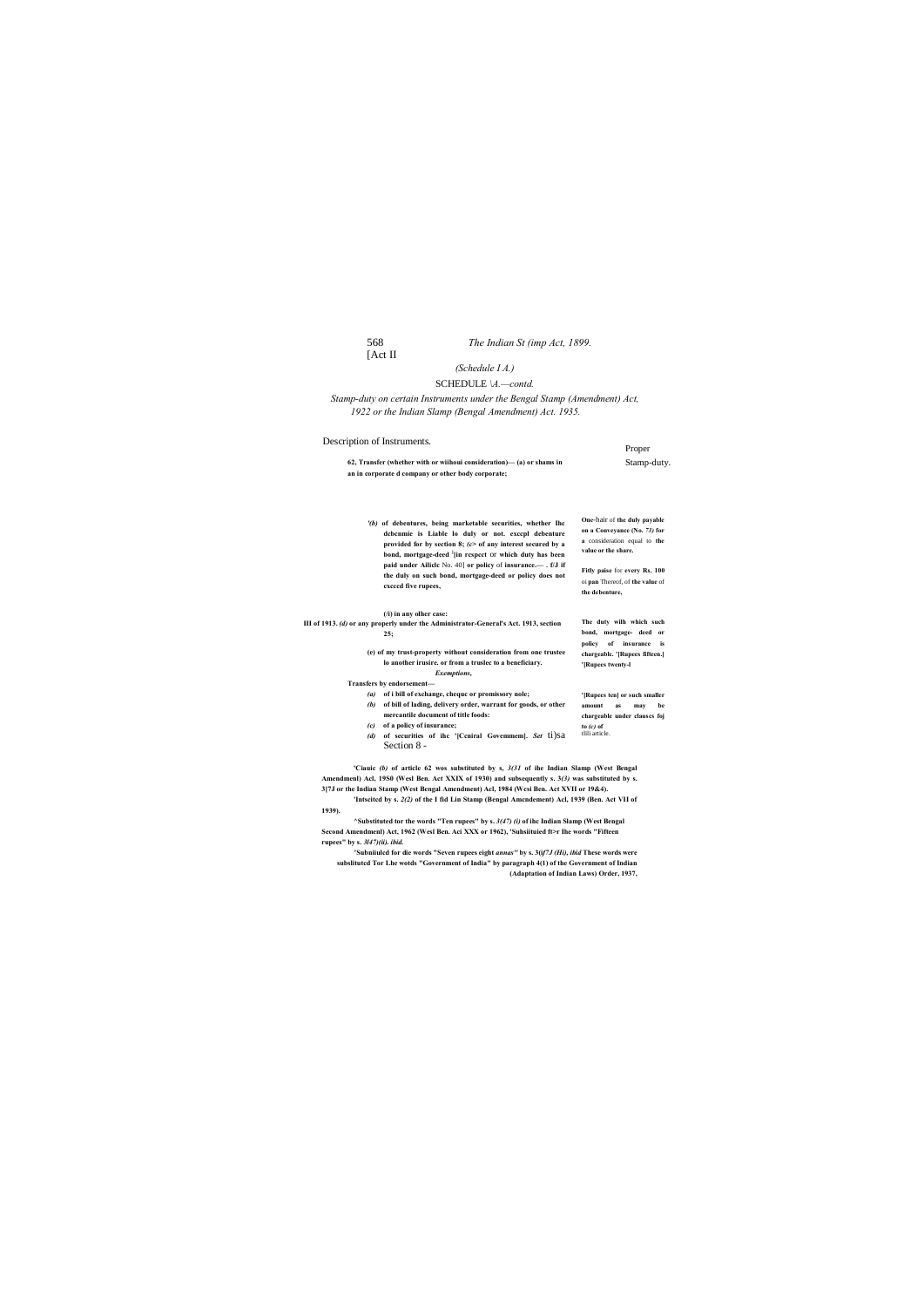## [Act II

## *(Schedule I A.)*

## SCHEDULE *\A.—contd.*

*Stamp-duty on certain Instruments under the Bengal Stamp (Amendment) Act, 1922 or the Indian Slamp (Bengal Amendment) Act. 1935.*

| Description of Instruments.                                                                                                      |                                                                                                                                                                                                                                                                                                                                                                                                                                                                                                                                                                                               | Proper                                                                                                                                                                                                    |
|----------------------------------------------------------------------------------------------------------------------------------|-----------------------------------------------------------------------------------------------------------------------------------------------------------------------------------------------------------------------------------------------------------------------------------------------------------------------------------------------------------------------------------------------------------------------------------------------------------------------------------------------------------------------------------------------------------------------------------------------|-----------------------------------------------------------------------------------------------------------------------------------------------------------------------------------------------------------|
| $62$ , Transfer (whether with or wiihoui consideration)— $(a)$ or shams in<br>an in corporate d company or other body corporate; |                                                                                                                                                                                                                                                                                                                                                                                                                                                                                                                                                                                               | Stamp-duty.                                                                                                                                                                                               |
|                                                                                                                                  | (b) of debentures, being marketable securities, whether Ihc<br>debenmie is Liable lo duly or not. excepl debenture<br>provided for by section 8; $(c > 0$ any interest secured by a<br>bond, mortgage-deed    in respect or which duty has been<br>paid under Ailicle No. 40] or policy of insurance.- . f/J if<br>the duly on such bond, mortgage-deed or policy does not<br>cxcccd five rupees,                                                                                                                                                                                             | One-hair of the duly payable<br>on a Conveyance (No. 73) for<br>a consideration equal to the<br>value or the share.<br>Fitly paise for every Rs. 100<br>oi pan Thereof, of the value of<br>the debenture. |
|                                                                                                                                  | $(i)$ in any olher case:<br>III of 1913. (d) or any properly under the Administrator-General's Act. 1913, section<br>25:<br>(e) of my trust-property without consideration from one trustee<br>lo another irusire. or from a truslec to a beneficiary.<br>Exemptions,                                                                                                                                                                                                                                                                                                                         | The duty wilh which such<br>bond, mortgage- deed or<br>policy<br>of insurance<br>is<br>chargeablc. '[Rupees fifteen.]<br>'[Rupees twenty-l                                                                |
| $\mathbf{r}(b)$<br>$\left( c\right)$                                                                                             | Transfers by endorsement-<br>(a) of i bill of exchange, cheque or promissory nole;<br>of bill of lading, delivery order, warrant for goods, or other<br>mercantile document of title foods:<br>of a policy of insurance;<br>(d) of securities of ihe '[Ceniral Govemmem]. Set ti)Sa<br>Section 8 -                                                                                                                                                                                                                                                                                            | '[Rupees ten] or such smaller<br>amount<br><b>as</b><br>may<br>be<br>chargeable under clauscs foj<br>to $(c)$ of<br>tlili article.                                                                        |
| 1939).<br>rupees" by s. 3147)(ii). ibid.                                                                                         | 'Ciauic (b) of article 62 wos substituted by s, $3(31)$ of ihe Indian Slamp (West Bengal<br>Amendmenl) Acl, 19S0 (Wesl Ben. Act XXIX of 1930) and subsequently s. 3(3) was substituted by s.<br>3[7J or the Indian Stamp (West Bengal Amendment) Acl, 1984 (Wesi Ben. Act XVII or 19&4).<br>'Intscited by s. 2(2) of the I fid Lin Stamp (Bengal Amendement) Acl, 1939 (Ben. Act VII of<br>$\land$ Substituted tor the words "Ten rupees" by s. $3(47)$ (i) of ihe Indian Slamp (West Bengal<br>Second Amendmenl) Act, 1962 (Wesl Ben. Aci XXX or 1962), 'Suhsiituied ft>r Ihe words "Fifteen |                                                                                                                                                                                                           |

**'Subniiulcd for die words "Seven rupees eight** *annas''* **by s. 3(i***f7J (Hi), ibid* **These words were subslitutcd Tor Lhe wotds "Government of India" by paragraph 4(1) of the Government of Indian (Adaptation of Indian Laws) Order, 1937,**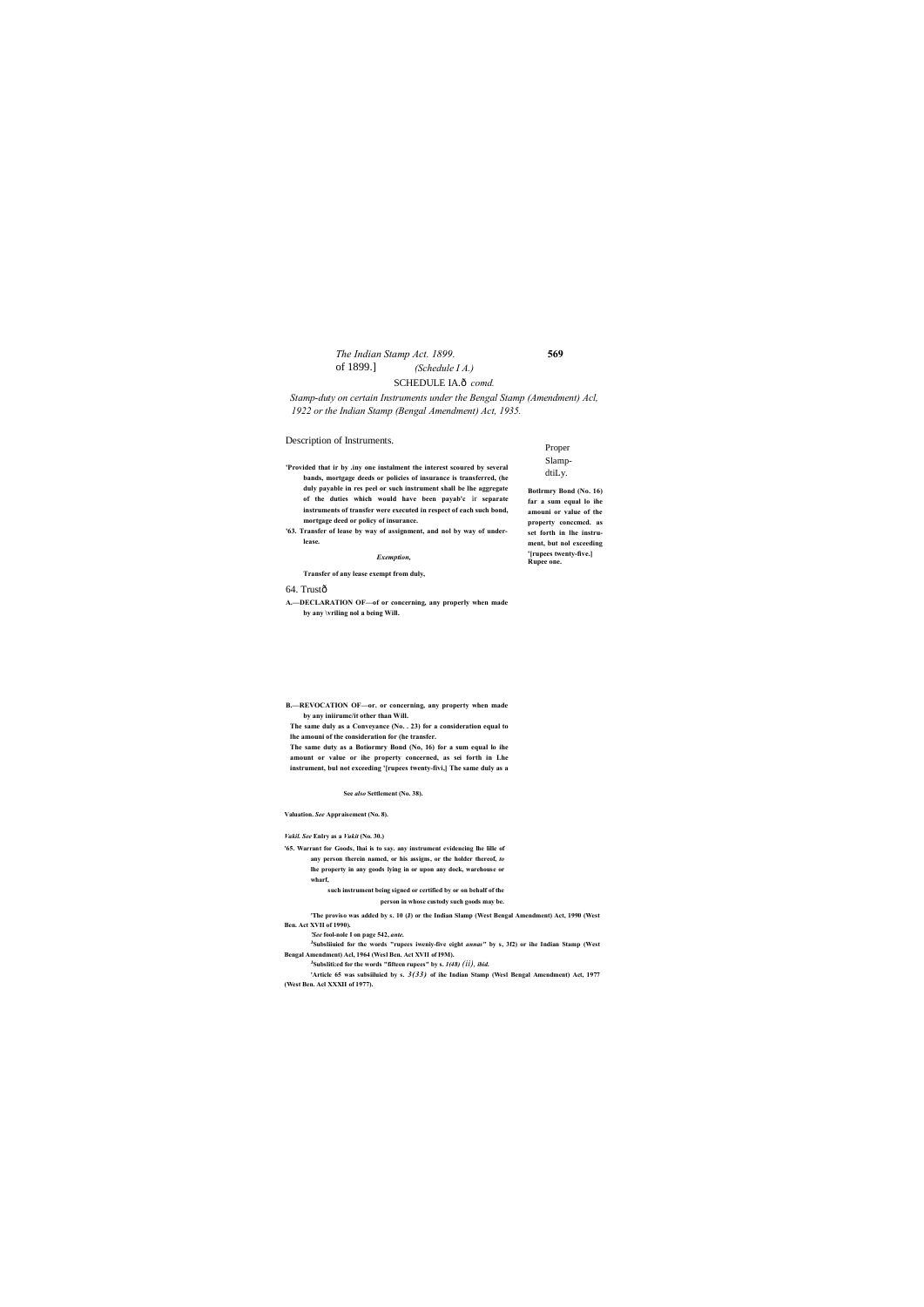Proper SlampdtiLy.

### **See** *also* **Settlement (No. 38).**

### **Valuation.** *See* **Appraisement (No. 8).**

### *Vakil. See* **Enlry as a** *Vukit* **(No. 30.)**

**'65. Warrant for Goods, lhai is to say. any instrument evidencing lhe lille of any person therein named, or his assigns, or the holder thereof,** *to* **lhe property in any goods lying in or upon any dock, warehouse or** 

**wharf,**

### **such instrument being signed or certified by or on behalf of the person in whose custody such goods may be.**

#### *The Indian Stamp Act. 1899.* **569** of 1899.] *(Schedule I A.)*

**'The proviso was added by s. 10 (J) or the Indian Slamp (West Bengal Amendment) Act, 1990 (West Ben. Act XVII of 1990).**

*'See* **fool-nole I on page 542,** *ante.*

**J Subsliiuied for the words "rupees iweniy-five eight** *annas"* **by s, 3f2) or ihe Indian Stamp (West Bengal Amendment) Acl, 1964 (Wesl Ben. Act XVII of I9M).**

- **J Subsliti:ed for the words "fifteen rupees" by s.** *1(48) (ii), ibid.*
- **'Article 65 was subsiiluied by s.** *3(33)* **of ihe Indian Stamp (Wesl Bengal Amendment) Act, 1977 (West Ben. Acl XXXII of 1977).**

*Stamp-duty on certain Instruments under the Bengal Stamp (Amendment) Acl, 1922 or the Indian Stamp (Bengal Amendment) Act, 1935.*

### Description of Instruments.

#### **'Provided that ir by .iny one instalment the interest scoured by several bands, mortgage deeds or policies of insurance is transferred, (he duly payable in res peel or such instrument shall be lhe aggregate of the duties which would have been payab'c** ir **separate instruments of transfer were executed in respect of each such bond, mortgage deed or policy of insurance.**

**'63. Transfer of lease by way of assignment, and nol by way of underlease.**

### *Exemption,*

**Transfer of any lease exempt from duly,**

### 64. Trustô

**A.—DECLARATION OF—of or concerning, any properly when made** 

**by any \vriling nol a being Will.**

**B.—REVOCATION OF—or. or concerning, any property when made by any iniirumc/it other than Will.**

**The same duly as a Conveyance (No. . 23) for a consideration equal to lhe amouni of the consideration for (he transfer.**

**The same duty as a Botiormry Bond (No, 16) for a sum equal lo ihe amount or value or ihe property concerned, as sei forth in Lhe** 

**instrument, bul not exceeding '[rupees twenty-fivi,] The same duly as a** 

**Botlrmry Bond (No. 16) far a sum equal lo ihe amouni or value of the property conccmcd. as set forth in lhe instrument, but nol exceeding '[rupees twenty-five.] Rupee one.**

### SCHEDULE IA. $\hat{o}$  comd.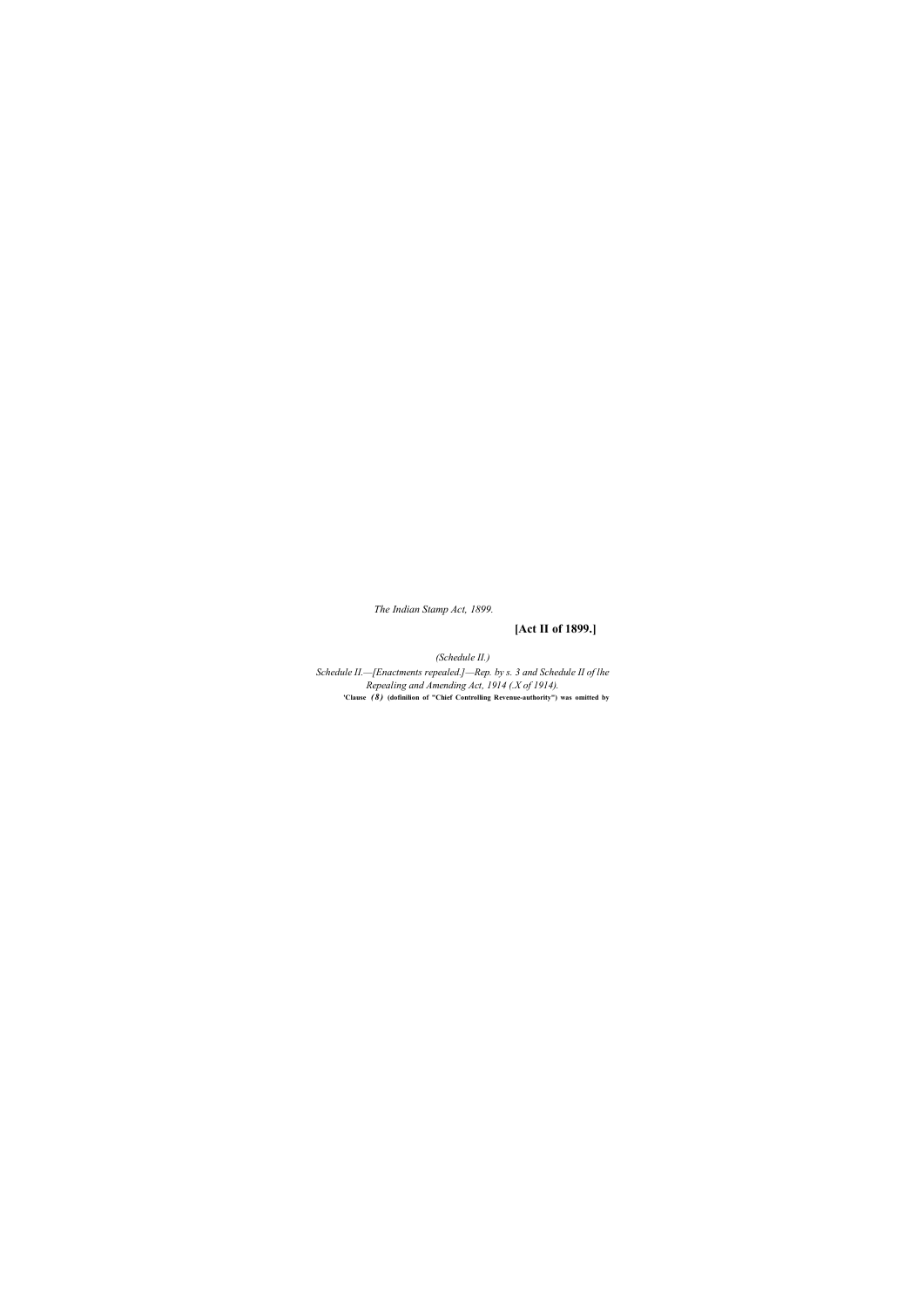## **[Act II of 1899.]**

*(Schedule II.)*

*Schedule II.—[Enactments repealed.]—Rep. by s. 3 and Schedule II of lhe Repealing and Amending Act, 1914 (.X of 1914).* **'Clause** *(8 )* **(dofinilion of "Chief Controlling Revenue-authority") was omitted by**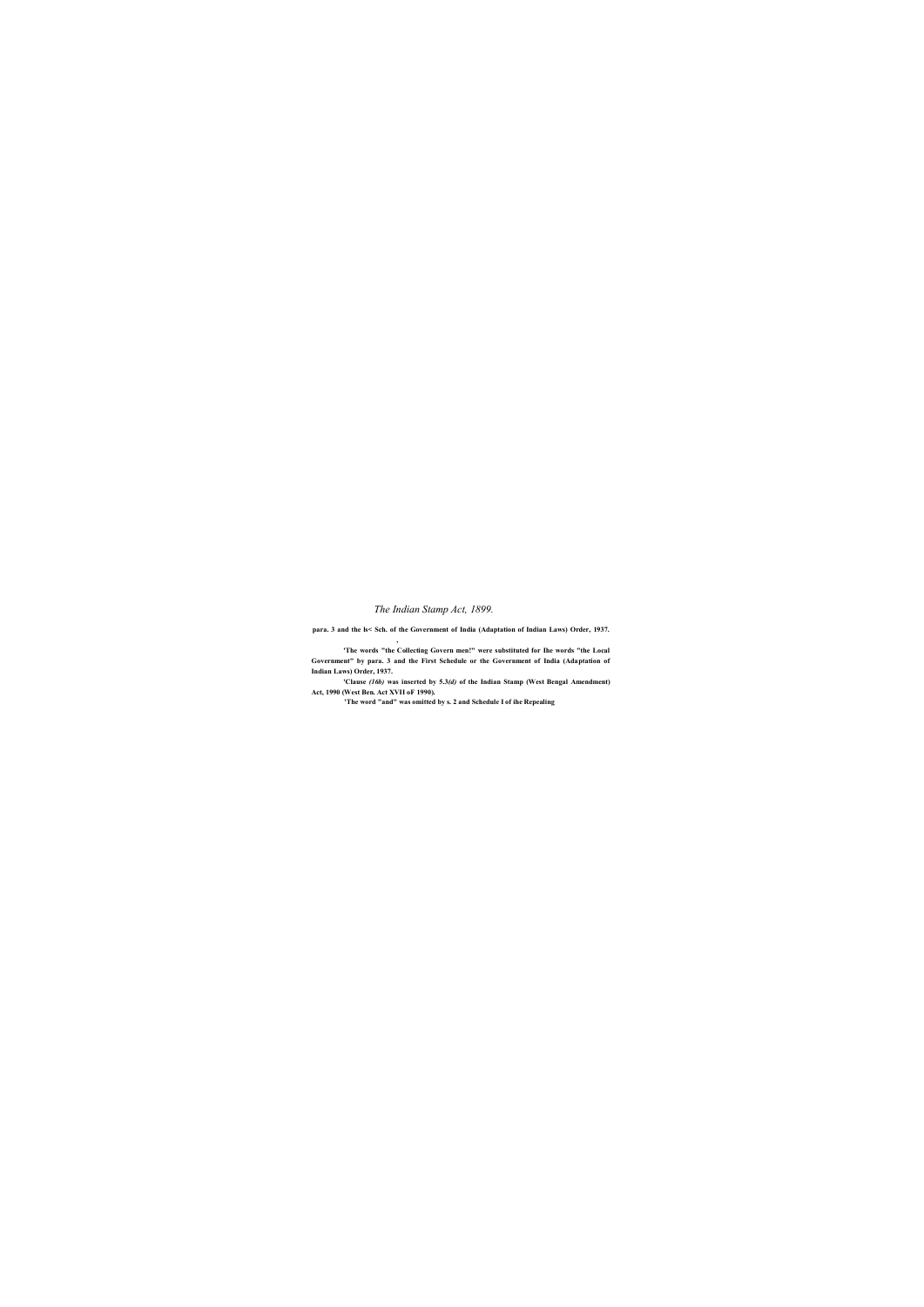**para. 3 and the ls< Sch. of the Government of India (Adaptation of Indian Laws) Order, 1937.**

**,**

**'The words "the Collecting Govern men!" were substituted for Ihe words "the Local Government" by para. 3 and the First Schedule or the Government of India (Adaptation of Indian Laws) Order, 1937.**

**'Clause** *(16b)* **was inserted by 5.3***(d)* **of the Indian Stamp (West Bengal Amendment) Act, 1990 (West Ben. Act XVII oF 1990).**

**'The word "and" was omitted by s. 2 and Schedule I of ihe Repealing**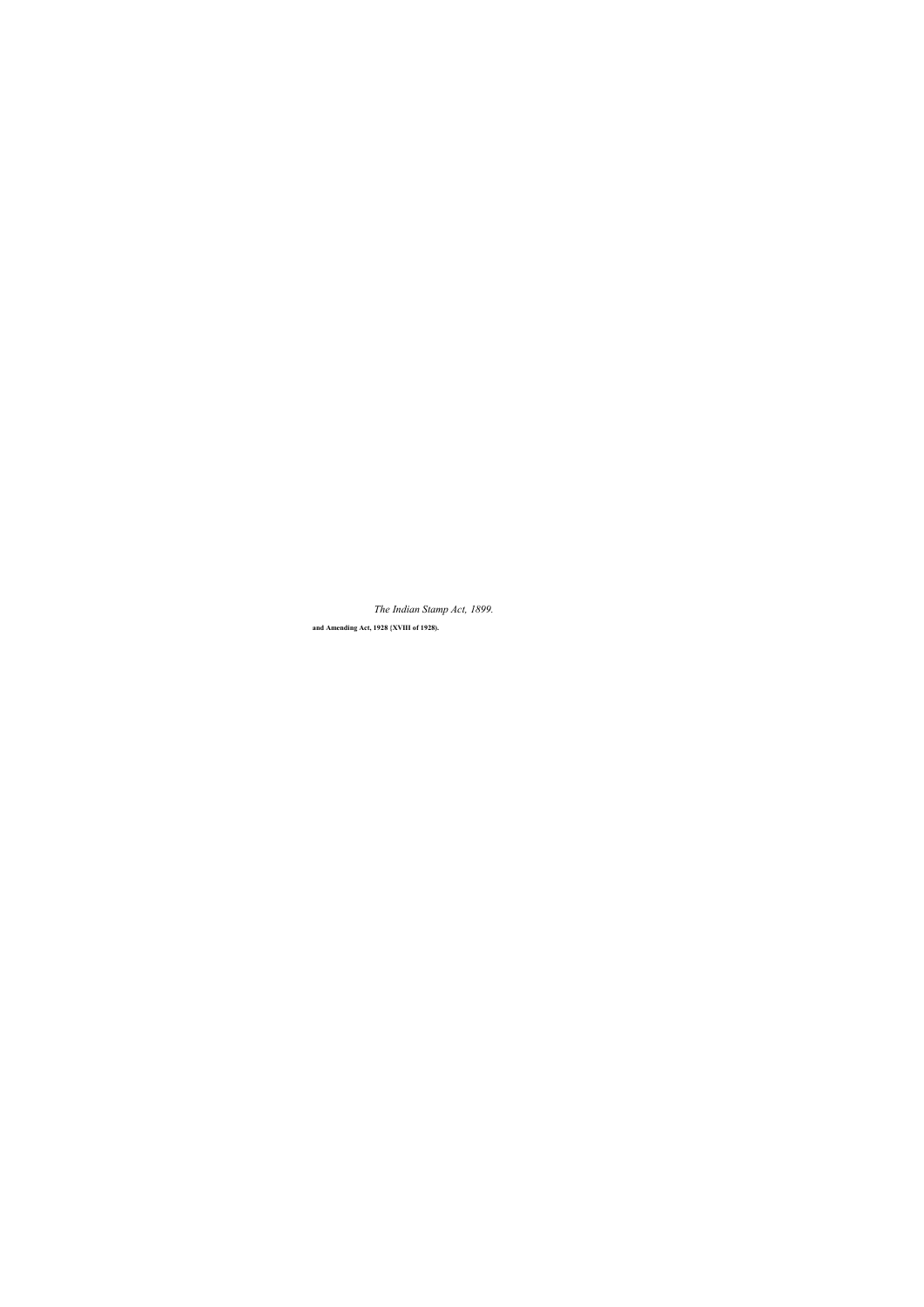**and Amending Act, 1928 {XVIII of 1928).**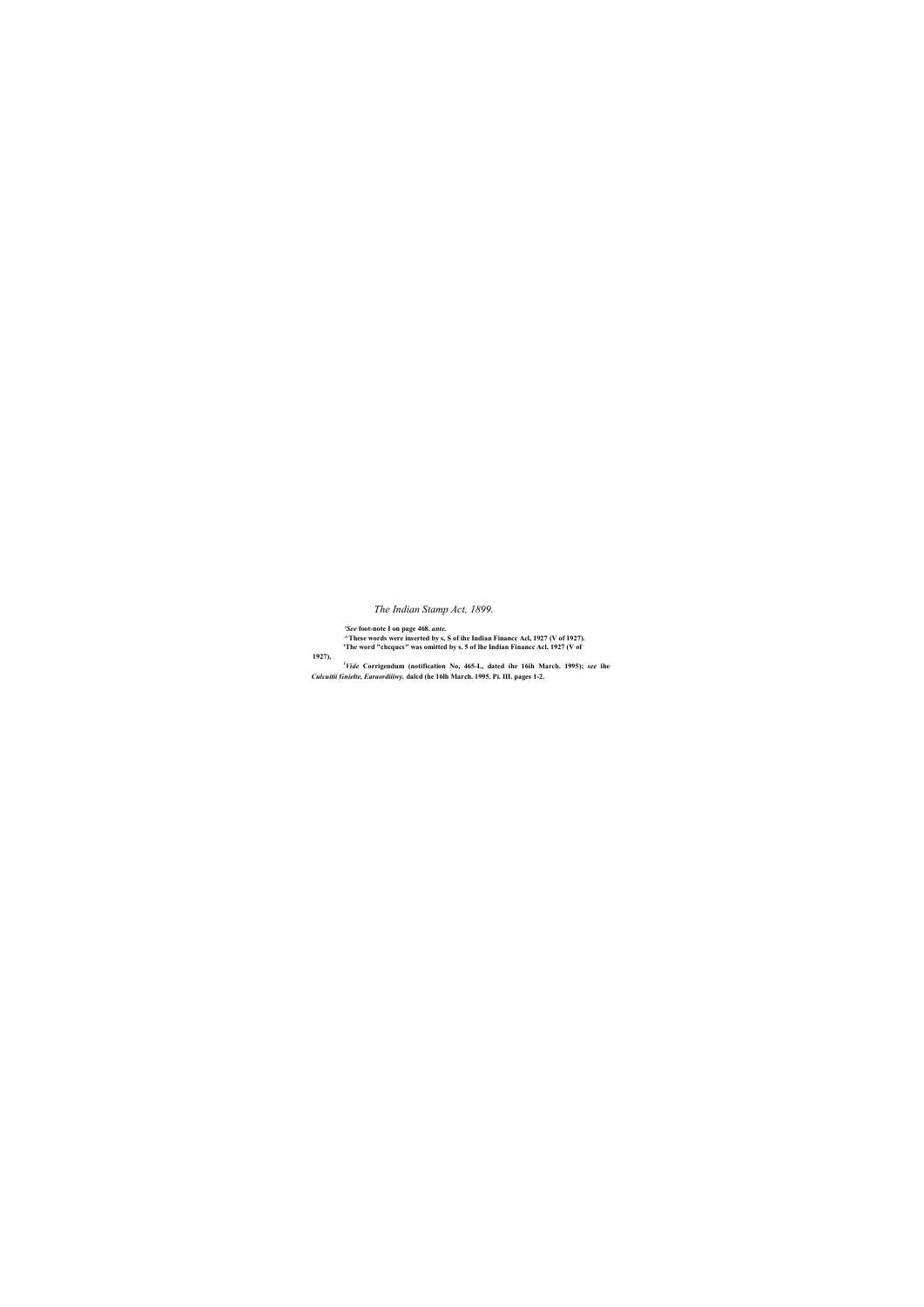*'See* **foot-note I on page 468.** *ante.*

**^These words were inserted by s, S of ihe Indian Financc Acl, 1927 (V of 1927). 'The word "chcqucs" was omitted by s. 5 of lhe Indian Financc Acl, 1927 (V of**

**1927),** *1 Vide* **Corrigendum (notification No, 465-L, dated ihe 16ih March. 1995);** *see* **ihe**  *Culcuitii Gnielte, Earaordiiiwy.* **dalcd (he 16lh March. 1995. Pi. III. pages 1-2.**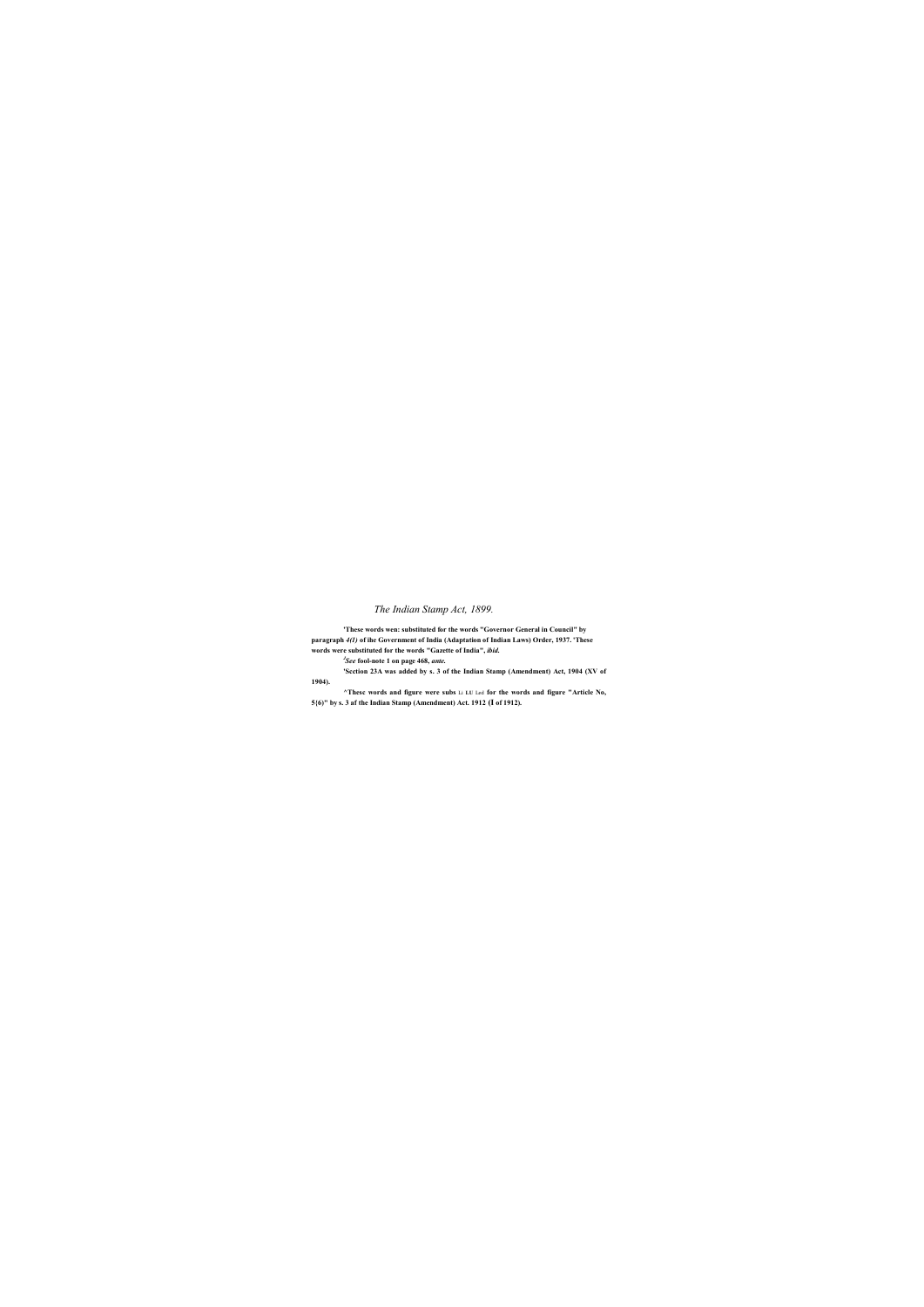**'These words wen: substituted for the words "Governor General in Council" by paragraph** *4(1)* **of ihe Government of India (Adaptation of Indian Laws) Order, 1937. 'These words were substituted for the words "Gazette of India",** *ibid.*

*J See* **fool-note 1 on page 468,** *ante.*

**'Scction 23A was added by s. 3 of the Indian Stamp (Amendment) Act, 1904 (XV of** 

**1904).**

**^Thesc words and figure were subs** Li **LU** Led **for the words and figure "Article No, 5{6)" by s. 3 af the Indian Stamp (Amendment) Act. 1912 (I of 1912).**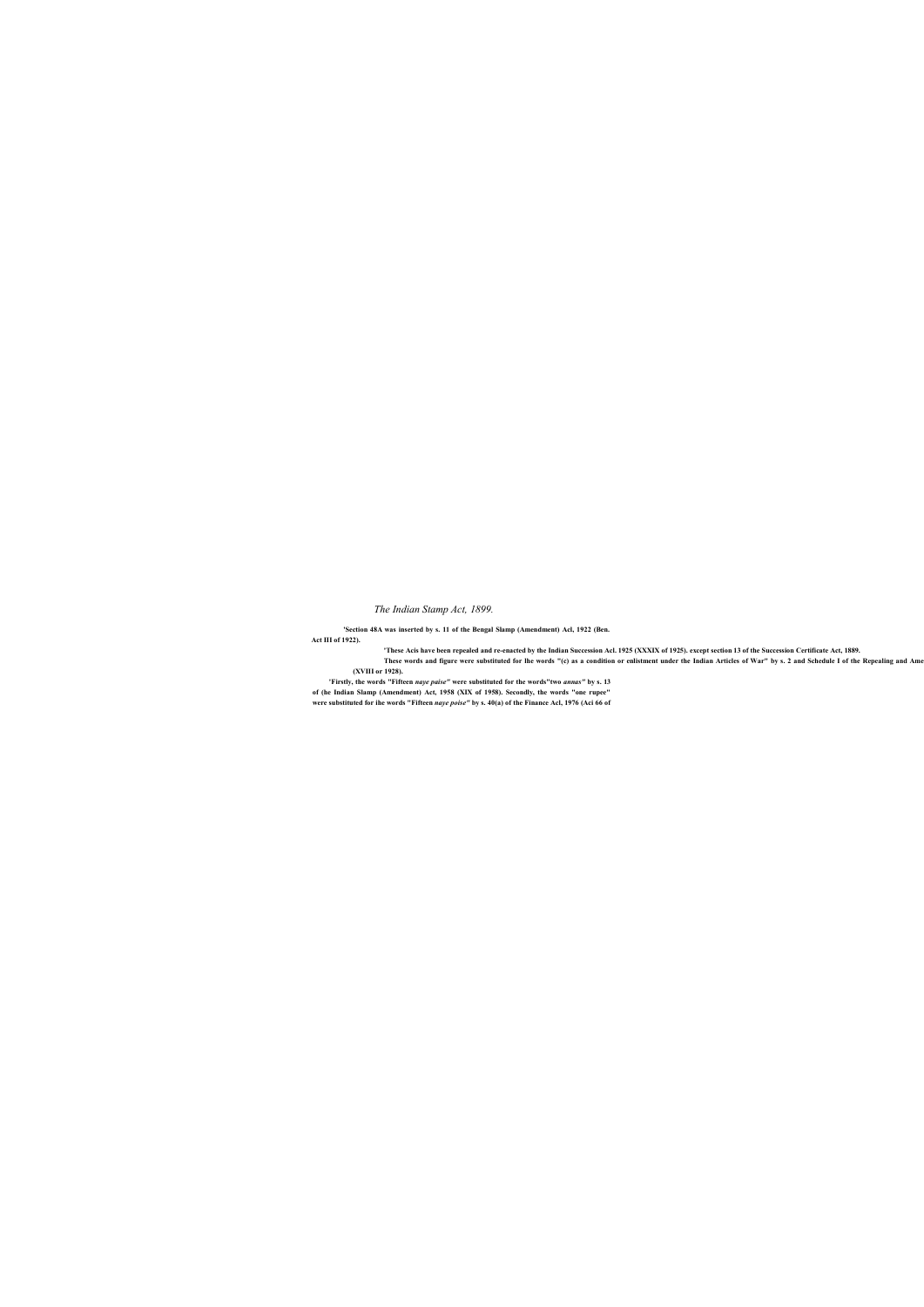**'Section 48A was inserted by s. 11 of the Bengal Slamp (Amendment) Acl, 1922 (Ben.** 

**Act III of 1922).**

**'These Acis have been repealed and re-enacted by the Indian Succession Acl. 1925 (XXXIX of 1925). except section 13 of the Succession Certificate Act, 1889.**

These words and figure were substituted for lhe words "(c) as a condition or enlistment under the Indian Articles of War" by s. 2 and Schedule I of the Repealing and Ame **(XVIII or 1928).**

**'Firstly, the words "Fifteen** *naye paise"* **were substituted for the words"two** *annas"* **by s. 13 of (he Indian Slamp (Amendment) Act, 1958 (XIX of 1958). Secondly, the words "one rupee"** 

**were substituted for ihe words "Fifteen** *naye poise"* **by s. 40(a) of the Finance Acl, 1976 (Aci 66 of**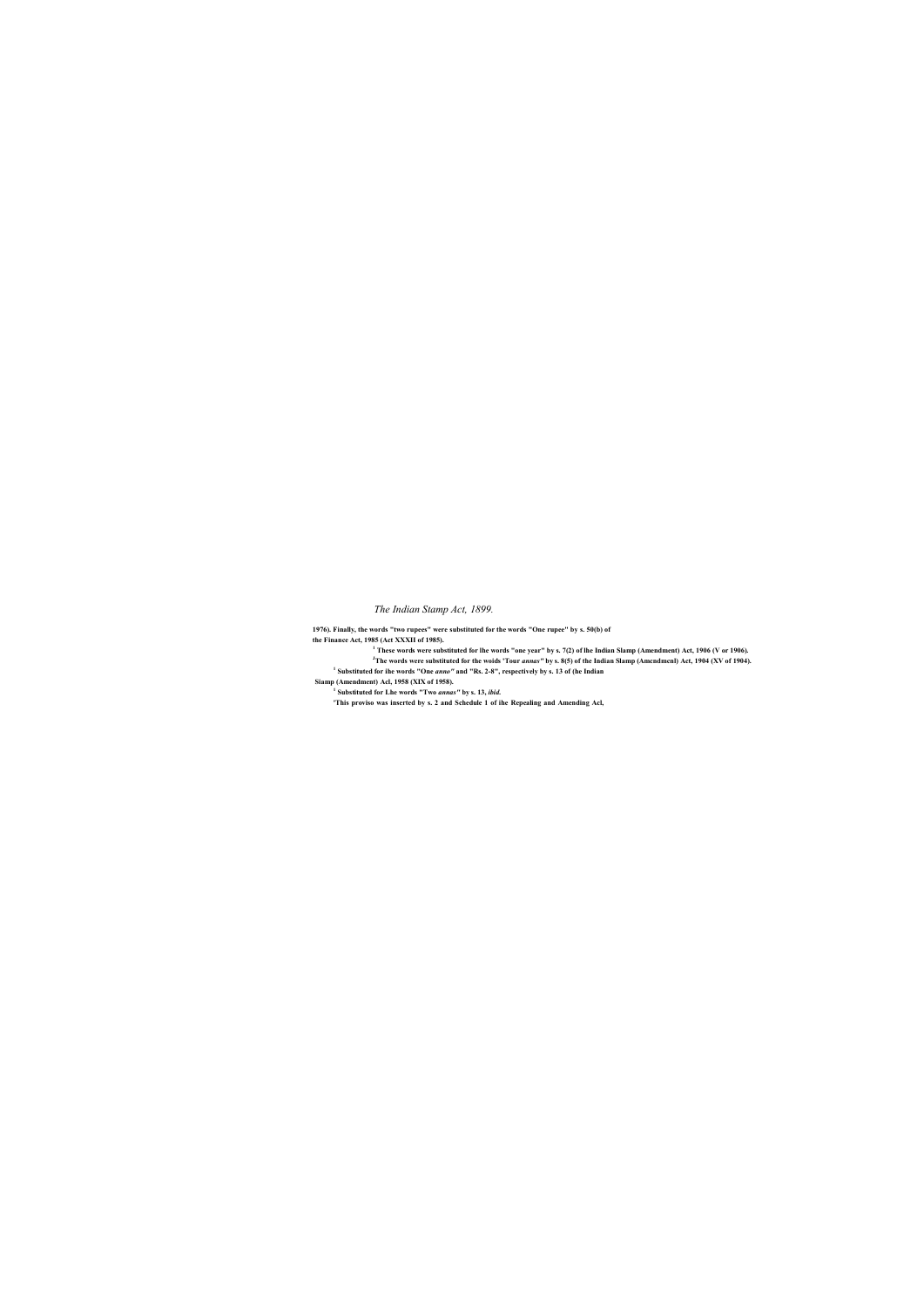**1976). Finally, the words "two rupees" were substituted for the words "One rupee" by s. 50(b) of the Finance Act, 1985 (Act XXXII of 1985).**

<sup>1</sup> These words were substituted for lhe words "one year" by s. 7(2) of lhe Indian Slamp (Amendment) Act, 1906 (V or 1906).<br><sup>J</sup>The words were substituted for the woids 'Tour *annas"* by s. 8(5) of the Indian Slamp (Amendme

**<sup>1</sup> Substituted for ihe words "One** *anno"* **and "Rs. 2-8", respectively by s. 13 of (he Indian** 

**Siamp (Amendment) Acl, 1958 (XIX of 1958).**

**<sup>1</sup> Substituted for Lhe words "Two** *annas"* **by s. 13,** *ibid.*

**'This proviso was inserted by s. 2 and Schedule 1 of ihe Repealing and Amending Acl,**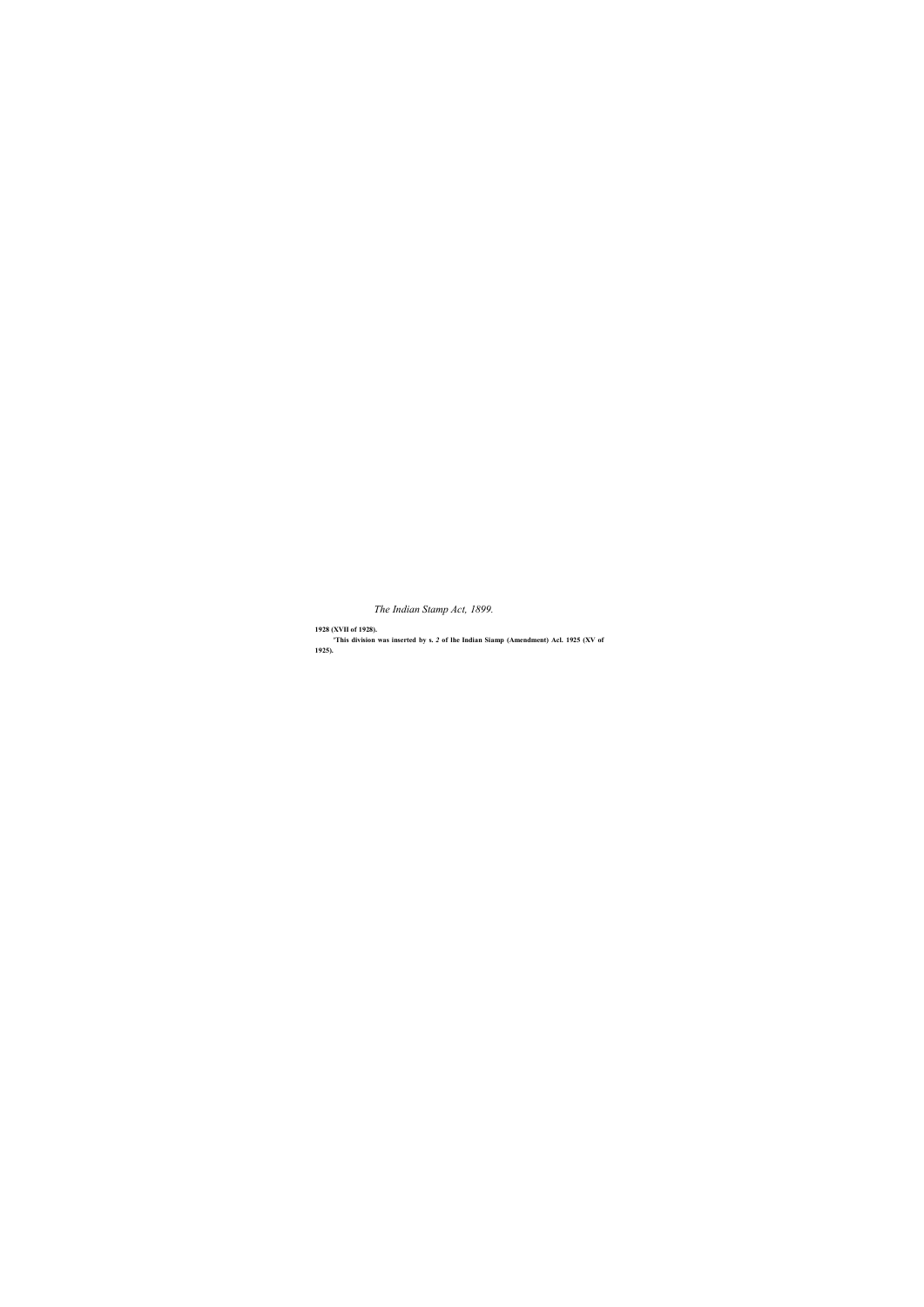**1928 (XVII of 1928).**

**'This division was inserted by s.** *2* **of lhe Indian Siamp (Amendment) Acl. 1925 (XV of 1925).**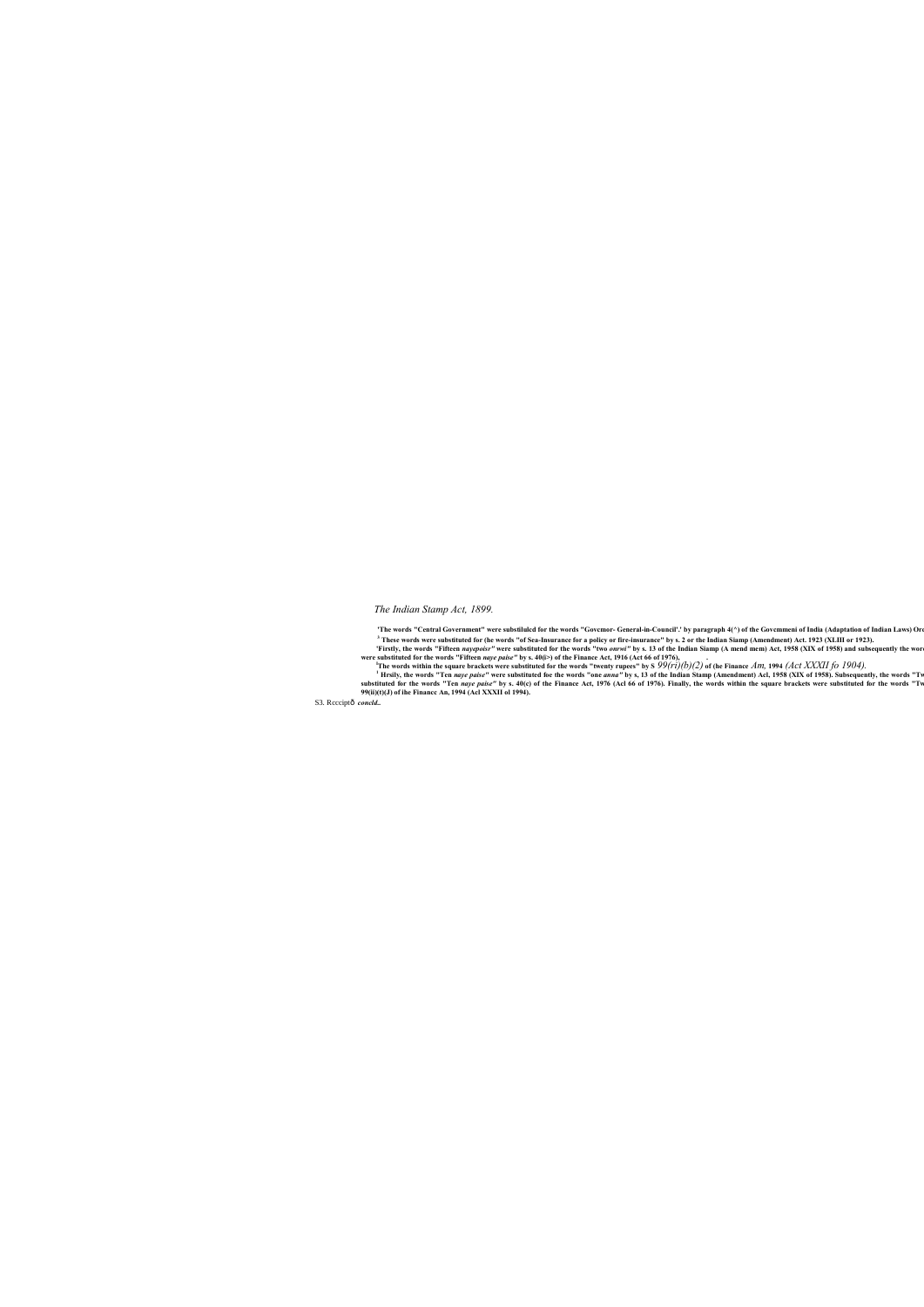'The words "Central Government" were substiluled for the words "Govemor- General-in-Council'.' by paragraph 4(^) of the Govemmeni of India (Adaptation of Indian Laws) Or **<sup>3</sup> These words were substituted for (he words "of Sea-Insurance for a policy or fire-insurance" by s. 2 or the Indian Siamp (Amendment) Act. 1923 (XLIII or 1923).**

'Firstly, the words "Fifteen *nayepoisr"* were substituted for the words "two *onrwi"* by s. 13 of the Indian Siamp (A mend mem) Act, 1958 (XIX of 1958) and subsequently the words were substituted for the words "Fifteen

S3. Rccciptô concld..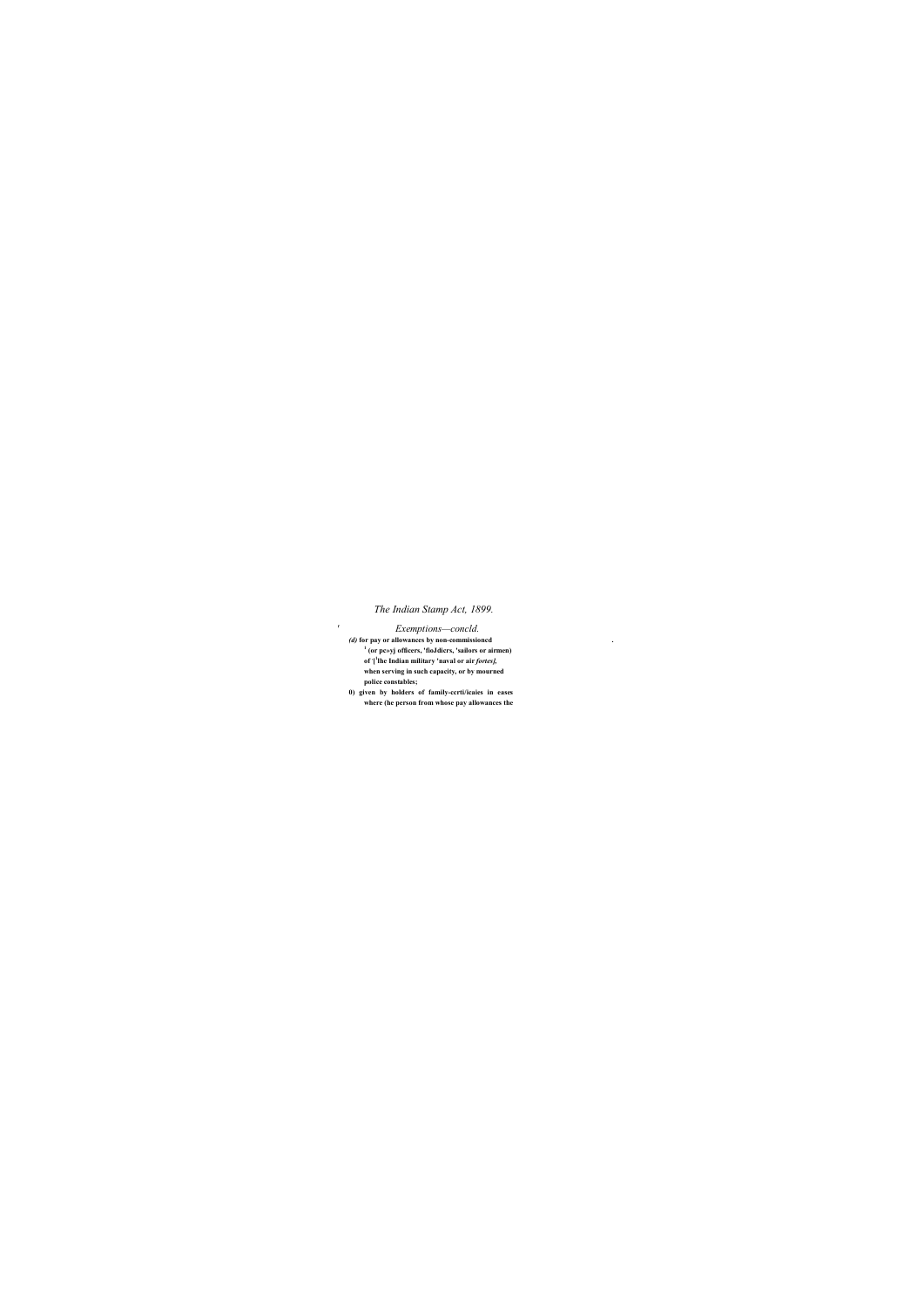*'*

*Exemptions—concld.*

**.**

- *(d)* **for pay or allowances by non -commissioncd <sup>1</sup> (or pc»yj officers, 'fioJdicrs, 'sailors or airmen) of , [ 1 lhe Indian military 'naval or air** *fortes],* **when serving in such capacity, or by mourned police constables;**
- **0) given by holders of family -ccrti/icaies in eases where (he person from whose pay allowances the**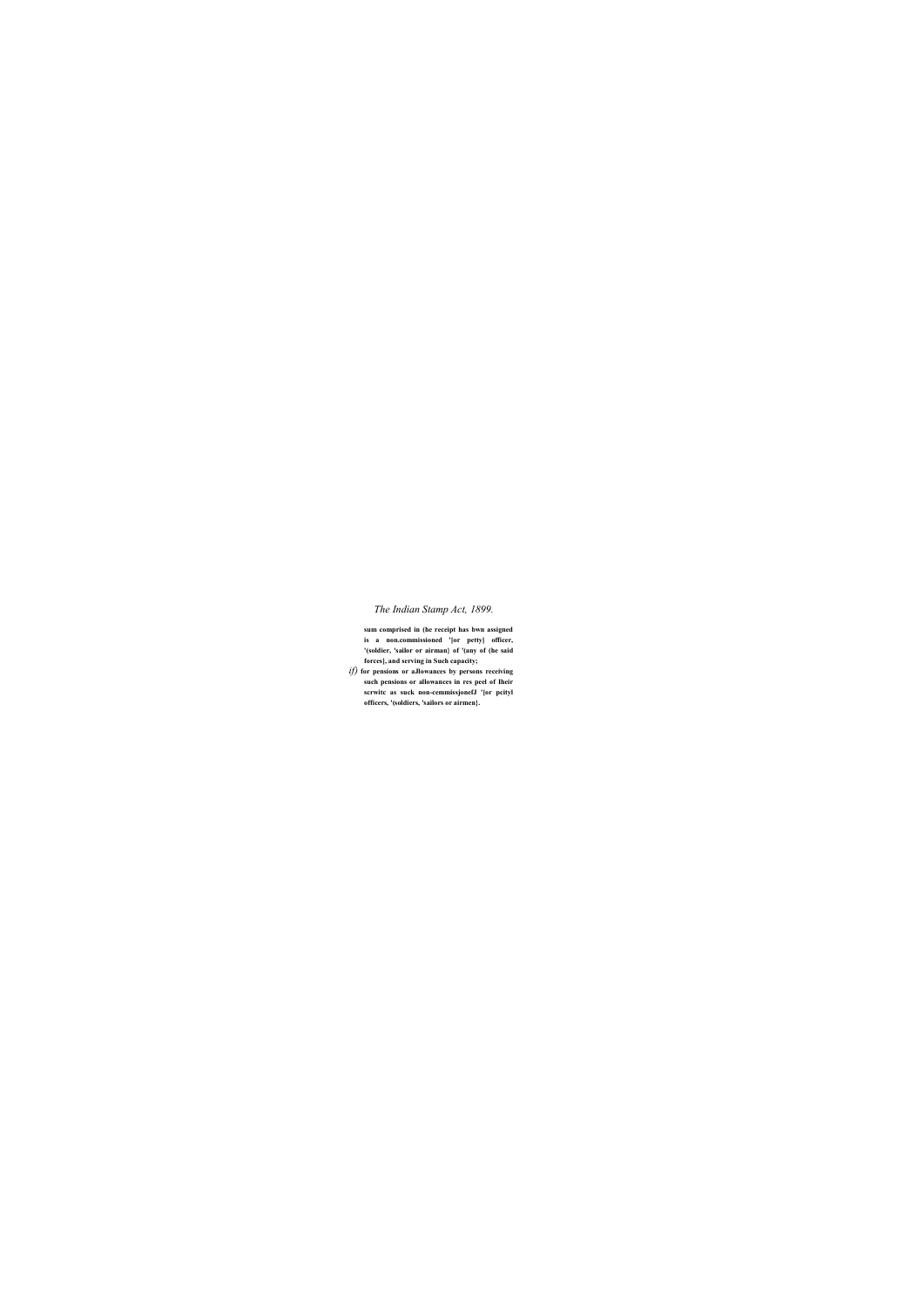**sum comprised in (he receipt has bwn assigned is a non.commissioned '[or petty] officer, '(soldier, 'sailor or airman} of '(any of (he said** 

**forces], and serving in Such capacity;** *if)* **for pensions or aJlowances by persons receiving such pensions or allowances in res peel of Iheir scrwitc as suck non-cemmissjonefJ '[or pcityl officers, '(soldiers, 'sailors or airmen}.**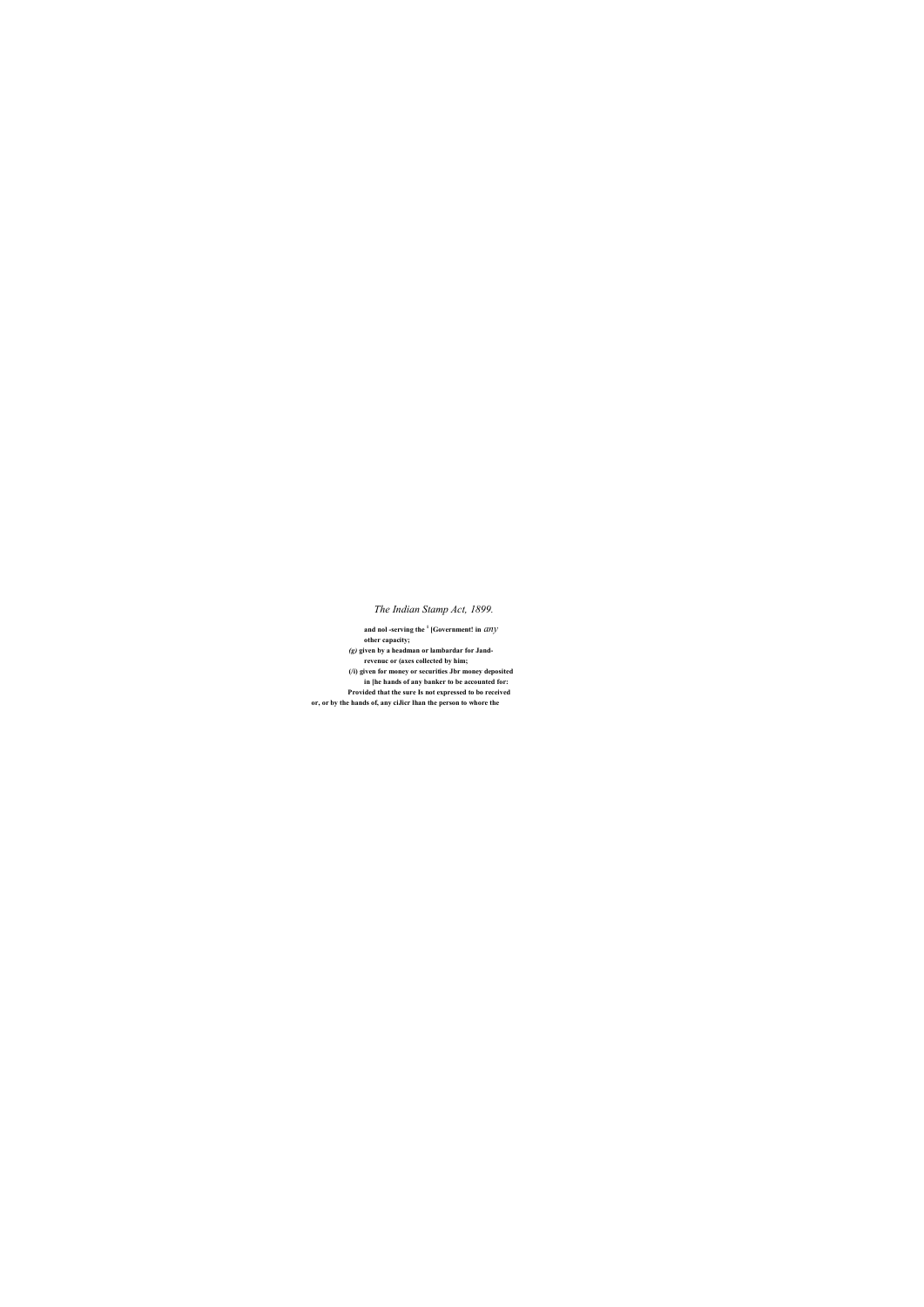**and nol -serving the <sup>1</sup> [Government! in** *any*  **other capacity;** *(g)* **given by a headman or lambardar for Jandrevenuc or (axes collected by him; (/i) given for money or securities Jbr money deposited in [he hands of any banker to be accounted for: Provided that the sure Is not expressed to bo received or, or by the hands of, any ciJicr lhan the person to whore the**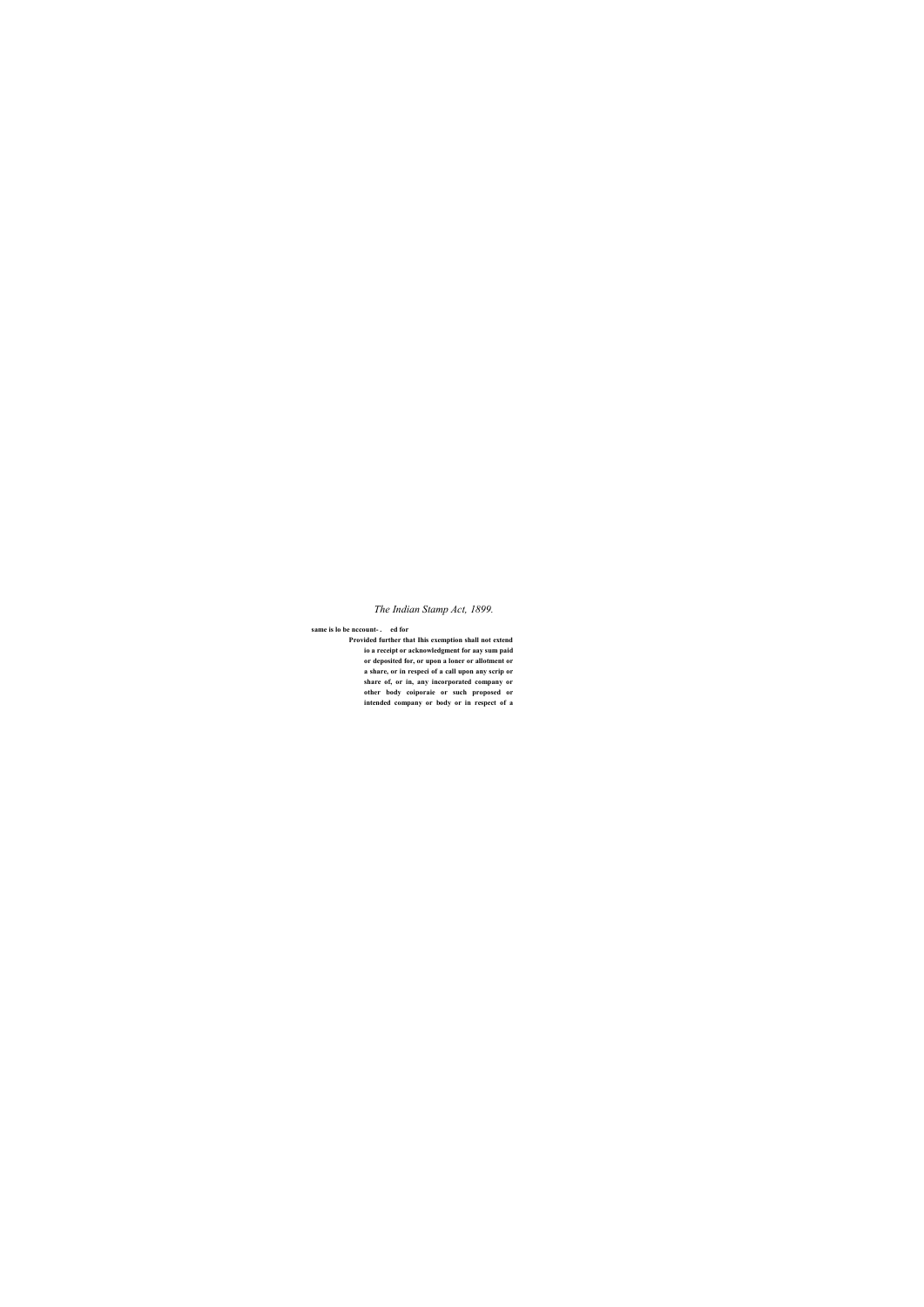**same is lo be nccount- . ed for**

**Provided further that Ihis exemption shall not extend io a receipt or acknowledgment for aay sum paid or deposited for, or upon a loner or allotment or a share, or in respeci of a call upon any scrip or share of, or in, any incorporated company or other body coiporaie or such proposed or intended company or body or in respect of a**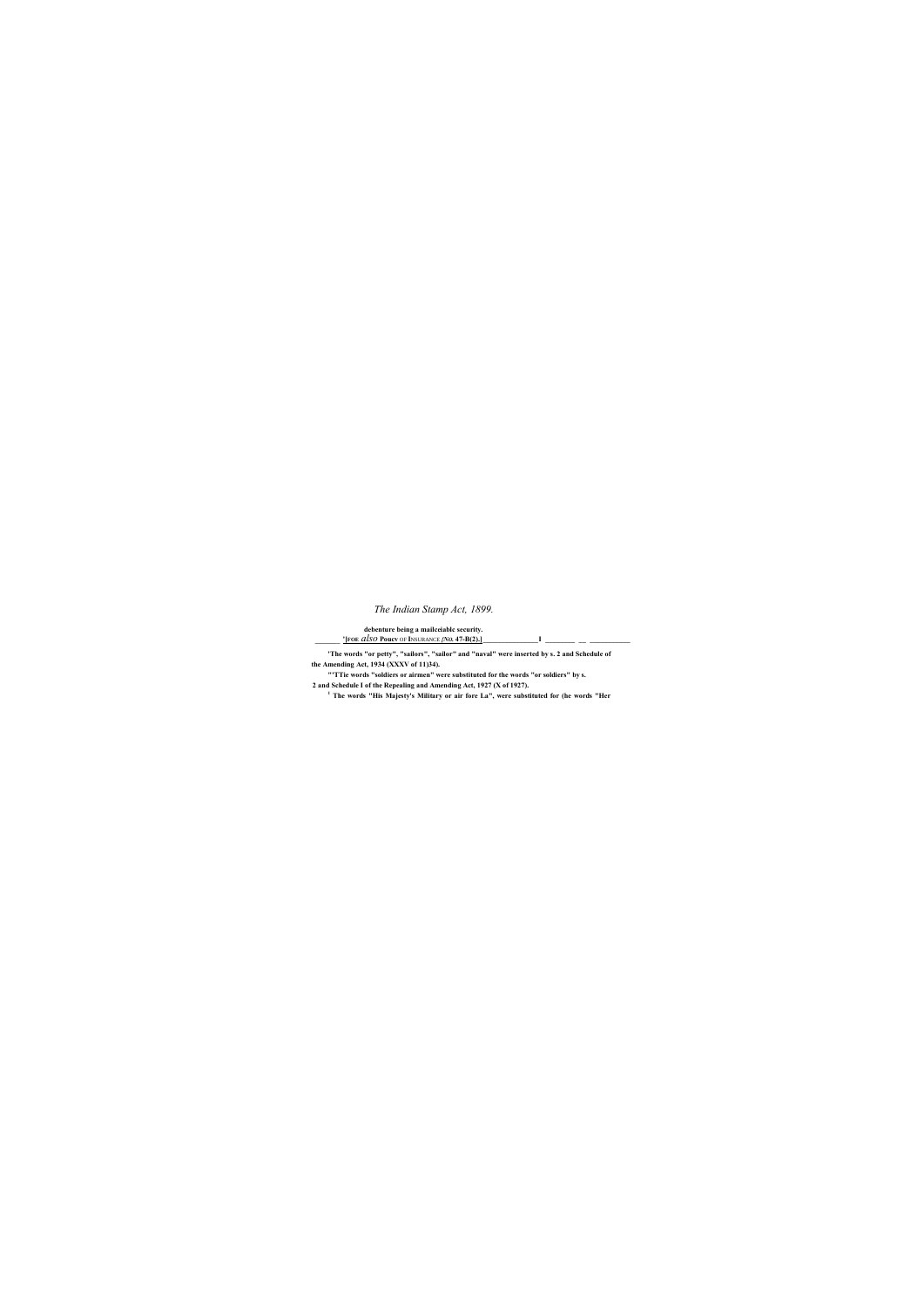**debenture being a mailceiablc security.** *\_\_\_\_\_* **'[FOE** *also* **Poucv** OF **I**NSURANCE *{NO.* **47-B(2).]\_\_\_\_\_\_\_\_\_\_\_\_\_\_\_I \_\_\_\_\_\_\_\_ \_\_ \_\_\_\_\_\_\_\_\_\_\_**

**'The words "or petty", "sailors", "sailor" and "naval" were inserted by s. 2 and Schedule of the Amending Act, 1934 (XXXV of 11)34).**

**"'TTie words "soldiers or airmen" were substituted for the words "or soldiers" by s. 2 and Schedule I of the Repealing and Amending Act, 1927 (X of 1927).**

**<sup>1</sup> The words "His Majesty's Military or air fore La", were substituted for (he words "Her**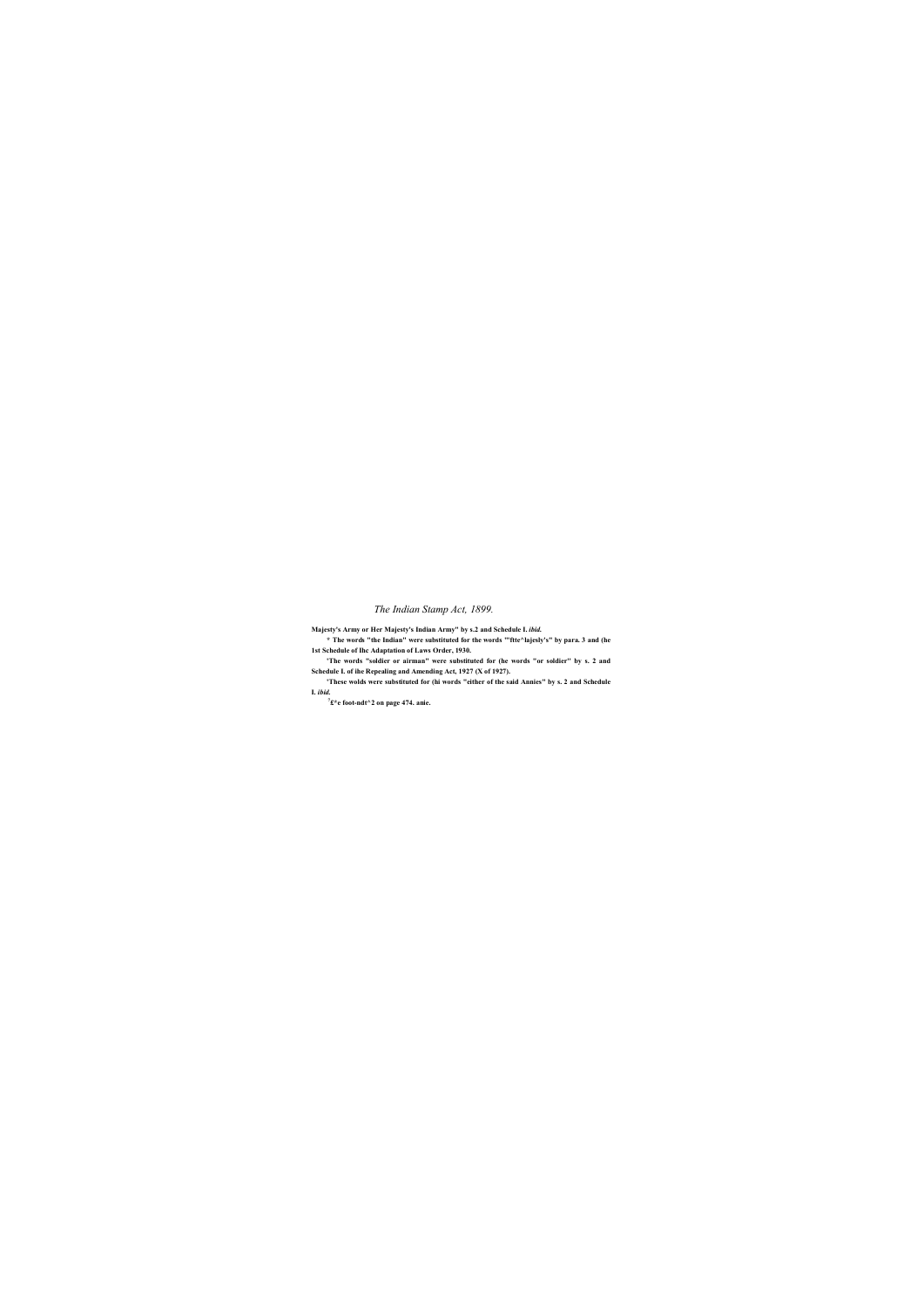**Majesty's Army or Her Majesty's Indian Army" by s.2 and Schedule I.** *ibid.*

**\* The words "the Indian" were substituted for the words "'ftte^lajesly's" by para. 3 and (he 1st Schedule of Ihc Adaptation of Laws Order, 1930.**

**'The words "soldier or airman" were substituted for (he words "or soldier'' by s. 2 and Schedule I. of ihe Repealing and Amending Act, 1927 (X of 1927).**

**'These wolds were substituted for (hi words "either of the said Annies" by s. 2 and Schedule I.** *ibid.*

**7 £\*e foot-ndt^2 on page 474. anie.**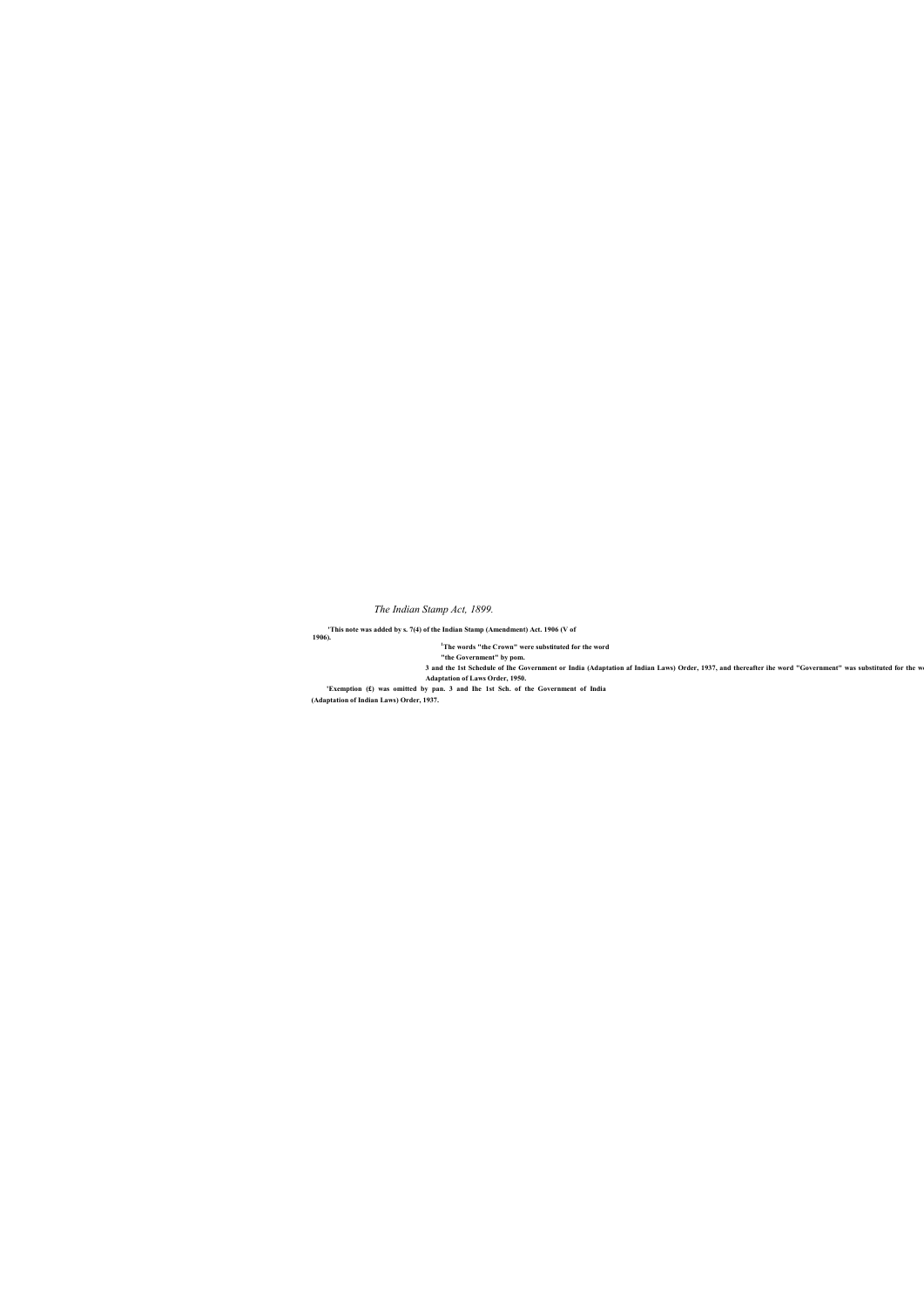**'This note was added by s. 7(4) of the Indian Stamp (Amendment) Act. 1906 (V of 1906).**

**1 The words "the Crown" were substituted for the word** 

**"the Government" by pom.**

3 and the 1st Schedule of Ihe Government or India (Adaptation af Indian Laws) Order, 1937, and thereafter ihe word "Government" was substituted for the w **Adaptation of Laws Order, 1950.**

**'Exemption (£) was omitted by pan. 3 and Ihe 1st Sch. of the Government of India (Adaptation of Indian Laws) Order, 1937.**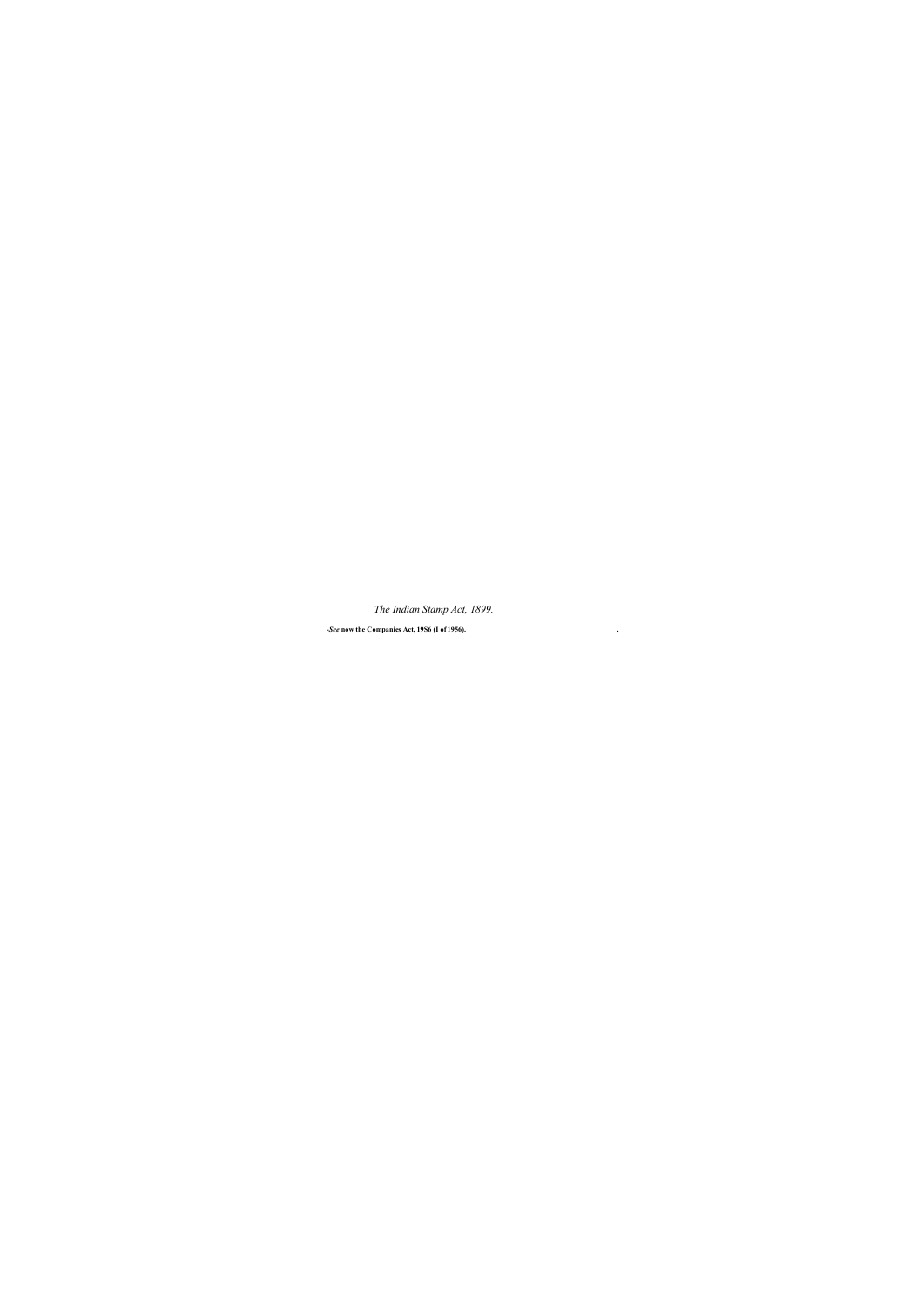*-See* **now the Companies Act, 19S6 (I of 1956).**

**.**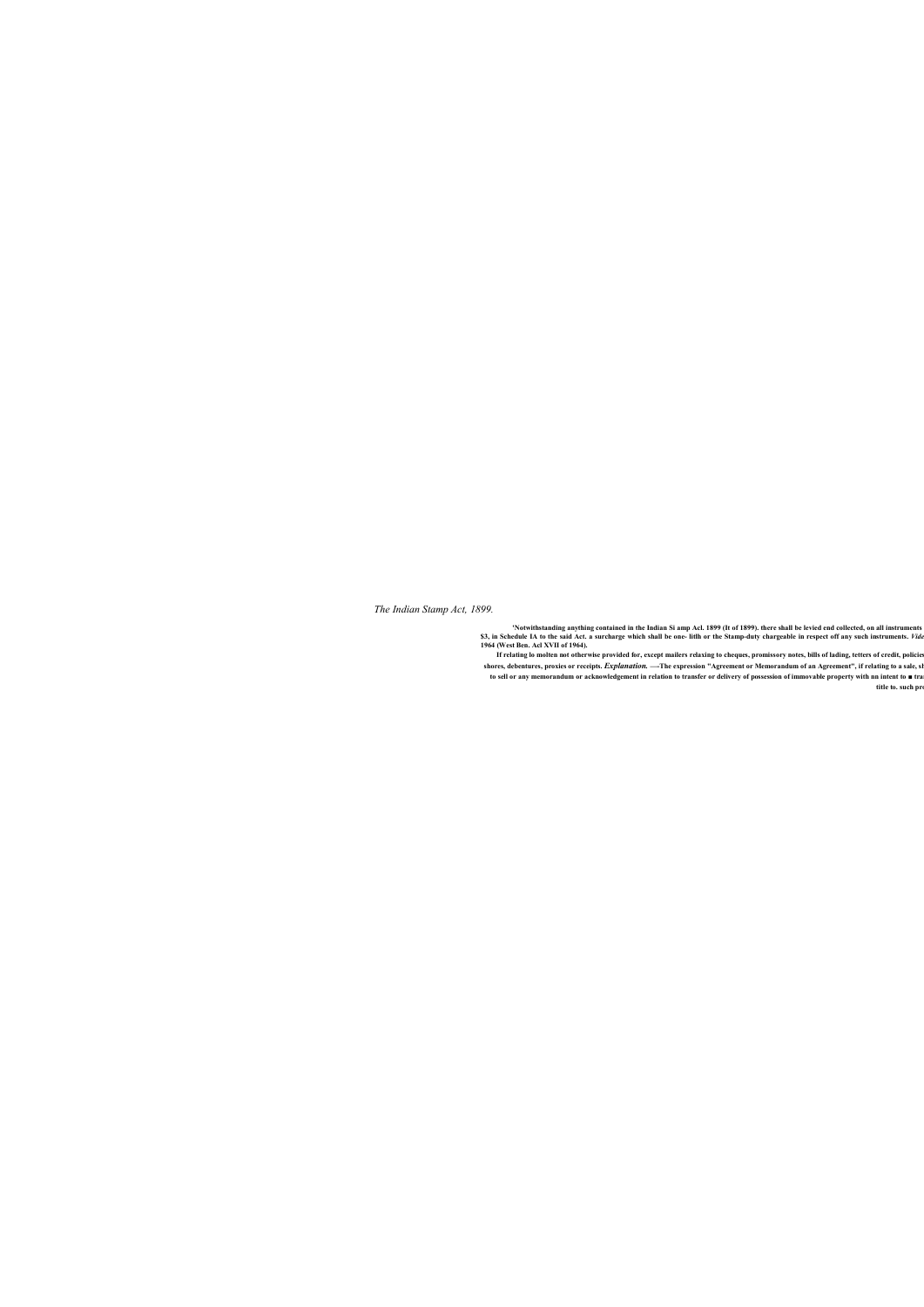Notwithstanding anything contained in the Indian Si amp Acl. 1899 (It of 1899). there shall be levied end collected, on all instruments'<br>S3, in Schedule IA to the said Act. a surcharge which shall be one- lith or the Stamp **1964 (West Ben. Acl XVII of 1964).**

If relating lo molten not otherwise provided for, except mailers relaxing to cheques, promissory notes, bills of lading, tetters of credit, policie shores, debentures, proxies or receipts. *Explanation*. **—**The expression "Agreement or Memorandum of an Agreement", if relating to a sale, sh to sell or any memorandum or acknowledgement in relation to transfer or delivery of possession of immovable property with nn intent to ■ tra

**title to. such pr**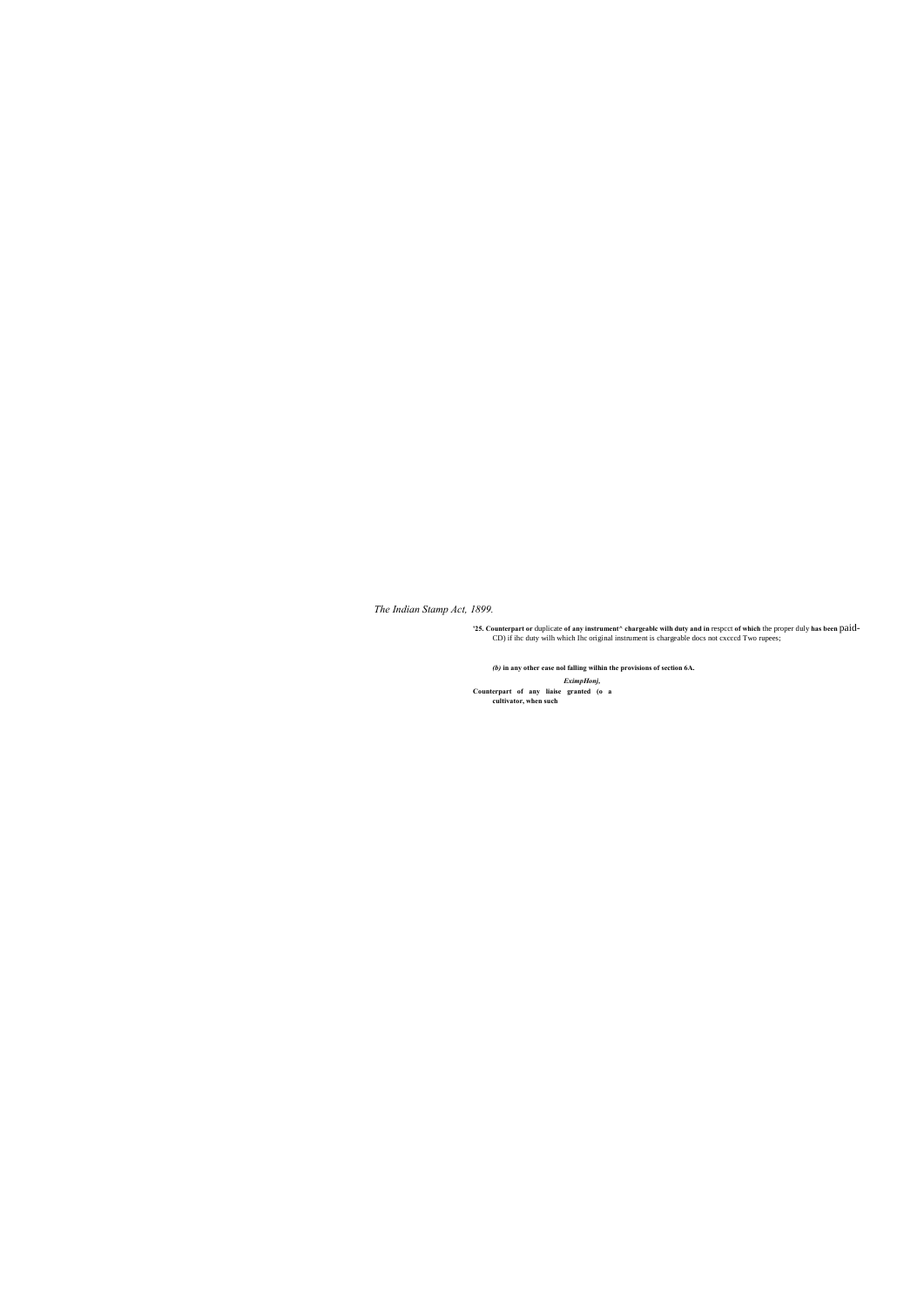**'25. Counterpart or** duplicate **of any instrument^ chargeablc wilh duty and in** respcct **of which** the proper duly **has been** paid- CD) if ihc duty wilh which Ihc original instrument is chargeable docs not cxcccd Two rupees;

*(b)* **in any other ease nol falling wilhin the provisions of section 6A.** *EximpHonj,* **Counterpart of any liaise granted (o a cultivator, when such**